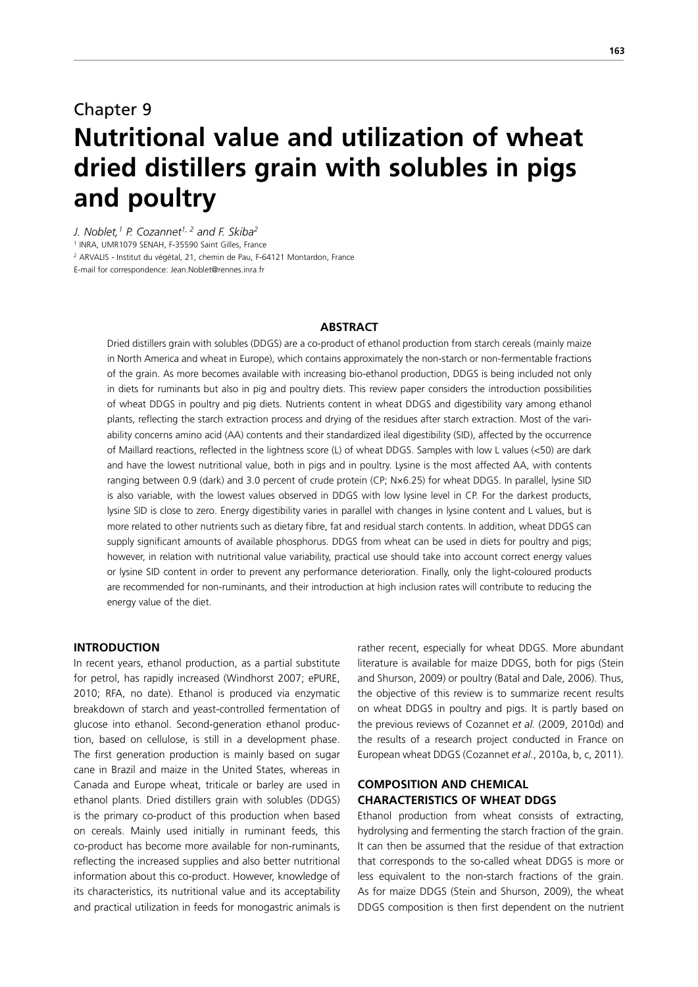# Chapter 9 **Nutritional value and utilization of wheat dried distillers grain with solubles in pigs and poultry**

*J. Noblet,1 P. Cozannet1, 2 and F. Skiba2* 1 INRA, UMR1079 SENAH, F-35590 Saint Gilles, France 2 ARVALIS - Institut du végétal, 21, chemin de Pau, F-64121 Montardon, France E-mail for correspondence: Jean.Noblet@rennes.inra.fr

#### **ABSTRACT**

Dried distillers grain with solubles (DDGS) are a co-product of ethanol production from starch cereals (mainly maize in North America and wheat in Europe), which contains approximately the non-starch or non-fermentable fractions of the grain. As more becomes available with increasing bio-ethanol production, DDGS is being included not only in diets for ruminants but also in pig and poultry diets. This review paper considers the introduction possibilities of wheat DDGS in poultry and pig diets. Nutrients content in wheat DDGS and digestibility vary among ethanol plants, reflecting the starch extraction process and drying of the residues after starch extraction. Most of the variability concerns amino acid (AA) contents and their standardized ileal digestibility (SID), affected by the occurrence of Maillard reactions, reflected in the lightness score (L) of wheat DDGS. Samples with low L values (<50) are dark and have the lowest nutritional value, both in pigs and in poultry. Lysine is the most affected AA, with contents ranging between 0.9 (dark) and 3.0 percent of crude protein (CP; N×6.25) for wheat DDGS. In parallel, lysine SID is also variable, with the lowest values observed in DDGS with low lysine level in CP. For the darkest products, lysine SID is close to zero. Energy digestibility varies in parallel with changes in lysine content and L values, but is more related to other nutrients such as dietary fibre, fat and residual starch contents. In addition, wheat DDGS can supply significant amounts of available phosphorus. DDGS from wheat can be used in diets for poultry and pigs; however, in relation with nutritional value variability, practical use should take into account correct energy values or lysine SID content in order to prevent any performance deterioration. Finally, only the light-coloured products are recommended for non-ruminants, and their introduction at high inclusion rates will contribute to reducing the energy value of the diet.

## **INTRODUCTION**

In recent years, ethanol production, as a partial substitute for petrol, has rapidly increased (Windhorst 2007; ePURE, 2010; RFA, no date). Ethanol is produced via enzymatic breakdown of starch and yeast-controlled fermentation of glucose into ethanol. Second-generation ethanol production, based on cellulose, is still in a development phase. The first generation production is mainly based on sugar cane in Brazil and maize in the United States, whereas in Canada and Europe wheat, triticale or barley are used in ethanol plants. Dried distillers grain with solubles (DDGS) is the primary co-product of this production when based on cereals. Mainly used initially in ruminant feeds, this co-product has become more available for non-ruminants, reflecting the increased supplies and also better nutritional information about this co-product. However, knowledge of its characteristics, its nutritional value and its acceptability and practical utilization in feeds for monogastric animals is

rather recent, especially for wheat DDGS. More abundant literature is available for maize DDGS, both for pigs (Stein and Shurson, 2009) or poultry (Batal and Dale, 2006). Thus, the objective of this review is to summarize recent results on wheat DDGS in poultry and pigs. It is partly based on the previous reviews of Cozannet *et al.* (2009, 2010d) and the results of a research project conducted in France on European wheat DDGS (Cozannet *et al.*, 2010a, b, c, 2011).

# **COMPOSITION AND CHEMICAL CHARACTERISTICS OF WHEAT DDGS**

Ethanol production from wheat consists of extracting, hydrolysing and fermenting the starch fraction of the grain. It can then be assumed that the residue of that extraction that corresponds to the so-called wheat DDGS is more or less equivalent to the non-starch fractions of the grain. As for maize DDGS (Stein and Shurson, 2009), the wheat DDGS composition is then first dependent on the nutrient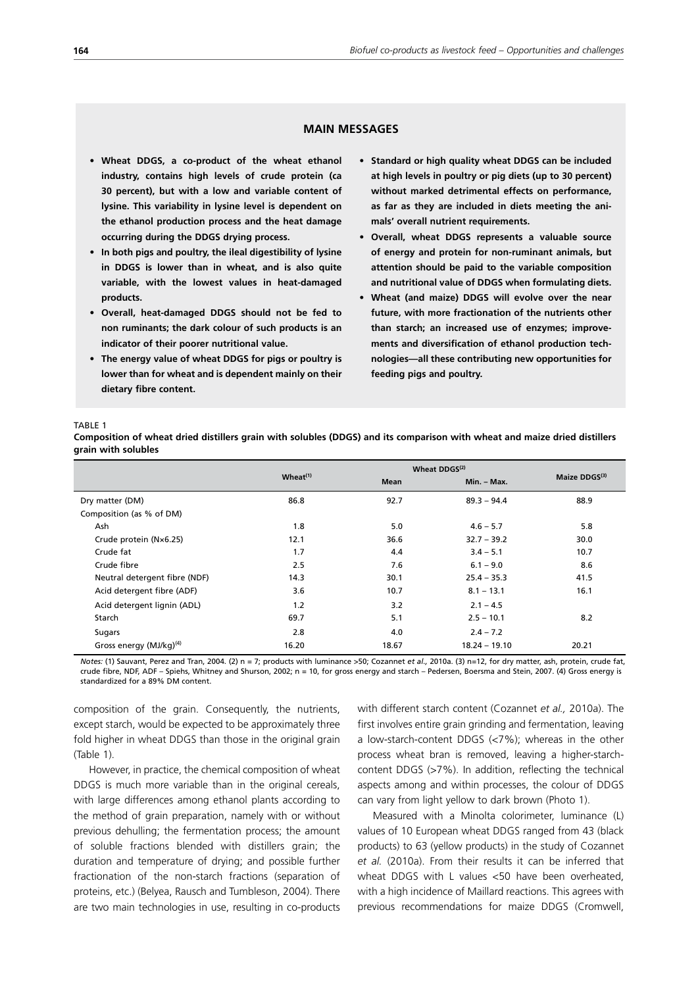## **MAIN MESSAGES**

- **• Wheat DDGS, a co-product of the wheat ethanol industry, contains high levels of crude protein (ca 30 percent), but with a low and variable content of lysine. This variability in lysine level is dependent on the ethanol production process and the heat damage occurring during the DDGS drying process.**
- **• In both pigs and poultry, the ileal digestibility of lysine in DDGS is lower than in wheat, and is also quite variable, with the lowest values in heat-damaged products.**
- **• Overall, heat-damaged DDGS should not be fed to non ruminants; the dark colour of such products is an indicator of their poorer nutritional value.**
- **• The energy value of wheat DDGS for pigs or poultry is lower than for wheat and is dependent mainly on their dietary fibre content.**
- **• Standard or high quality wheat DDGS can be included at high levels in poultry or pig diets (up to 30 percent) without marked detrimental effects on performance, as far as they are included in diets meeting the animals' overall nutrient requirements.**
- **Overall, wheat DDGS represents a valuable source of energy and protein for non-ruminant animals, but attention should be paid to the variable composition and nutritional value of DDGS when formulating diets.**
- **• Wheat (and maize) DDGS will evolve over the near future, with more fractionation of the nutrients other than starch; an increased use of enzymes; improvements and diversification of ethanol production technologies—all these contributing new opportunities for feeding pigs and poultry.**

#### TABLE 1

**Composition of wheat dried distillers grain with solubles (DDGS) and its comparison with wheat and maize dried distillers grain with solubles** 

|                                     | $Wheat^{(1)}$ | <b>Mean</b> | Min. - Max.     | Maize DDGS(3) |
|-------------------------------------|---------------|-------------|-----------------|---------------|
| Dry matter (DM)                     | 86.8          | 92.7        | $89.3 - 94.4$   | 88.9          |
| Composition (as % of DM)            |               |             |                 |               |
| Ash                                 | 1.8           | 5.0         | $4.6 - 5.7$     | 5.8           |
| Crude protein (N×6.25)              | 12.1          | 36.6        | $32.7 - 39.2$   | 30.0          |
| Crude fat                           | 1.7           | 4.4         | $3.4 - 5.1$     | 10.7          |
| Crude fibre                         | 2.5           | 7.6         | $6.1 - 9.0$     | 8.6           |
| Neutral detergent fibre (NDF)       | 14.3          | 30.1        | $25.4 - 35.3$   | 41.5          |
| Acid detergent fibre (ADF)          | 3.6           | 10.7        | $8.1 - 13.1$    | 16.1          |
| Acid detergent lignin (ADL)         | 1.2           | 3.2         | $2.1 - 4.5$     |               |
| Starch                              | 69.7          | 5.1         | $2.5 - 10.1$    | 8.2           |
| Sugars                              | 2.8           | 4.0         | $2.4 - 7.2$     |               |
| Gross energy (MJ/kg) <sup>(4)</sup> | 16.20         | 18.67       | $18.24 - 19.10$ | 20.21         |

*Notes:* (1) Sauvant, Perez and Tran, 2004. (2) n = 7; products with luminance >50; Cozannet *et al.,* 2010a. (3) n=12, for dry matter, ash, protein, crude fat, crude fibre, NDF, ADF – Spiehs, Whitney and Shurson, 2002; n = 10, for gross energy and starch – Pedersen, Boersma and Stein, 2007. (4) Gross energy is standardized for a 89% DM content.

composition of the grain. Consequently, the nutrients, except starch, would be expected to be approximately three fold higher in wheat DDGS than those in the original grain (Table 1).

However, in practice, the chemical composition of wheat DDGS is much more variable than in the original cereals, with large differences among ethanol plants according to the method of grain preparation, namely with or without previous dehulling; the fermentation process; the amount of soluble fractions blended with distillers grain; the duration and temperature of drying; and possible further fractionation of the non-starch fractions (separation of proteins, etc.) (Belyea, Rausch and Tumbleson, 2004). There are two main technologies in use, resulting in co-products with different starch content (Cozannet *et al.,* 2010a). The first involves entire grain grinding and fermentation, leaving a low-starch-content DDGS (<7%); whereas in the other process wheat bran is removed, leaving a higher-starchcontent DDGS (>7%). In addition, reflecting the technical aspects among and within processes, the colour of DDGS can vary from light yellow to dark brown (Photo 1).

Measured with a Minolta colorimeter, luminance (L) values of 10 European wheat DDGS ranged from 43 (black products) to 63 (yellow products) in the study of Cozannet *et al.* (2010a). From their results it can be inferred that wheat DDGS with L values <50 have been overheated, with a high incidence of Maillard reactions. This agrees with previous recommendations for maize DDGS (Cromwell,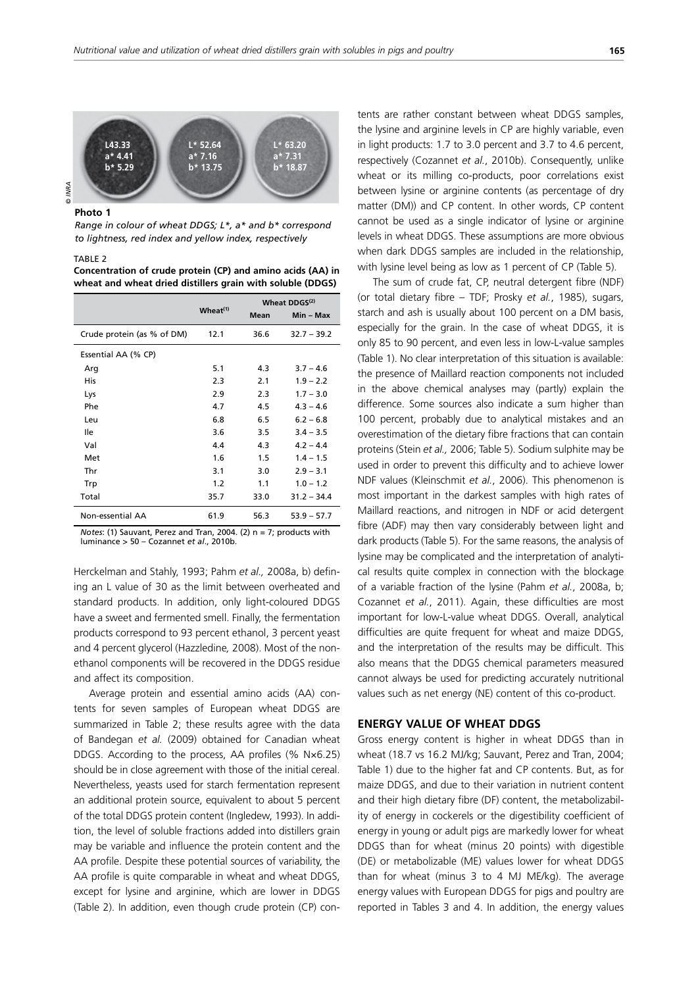

**Photo 1**

*Range in colour of wheat DDGS; L\*, a\* and b\* correspond to lightness, red index and yellow index, respectively*

#### TABLE 2

**Concentration of crude protein (CP) and amino acids (AA) in wheat and wheat dried distillers grain with soluble (DDGS)**

|                            |               |      | Wheat DDGS <sup>(2)</sup> |
|----------------------------|---------------|------|---------------------------|
|                            | $Wheat^{(1)}$ | Mean | Min – Max                 |
| Crude protein (as % of DM) | 12.1          | 36.6 | $32.7 - 39.2$             |
| Essential AA (% CP)        |               |      |                           |
| Arg                        | 5.1           | 4.3  | $3.7 - 4.6$               |
| His                        | 2.3           | 2.1  | $1.9 - 2.2$               |
| Lys                        | 2.9           | 2.3  | $1.7 - 3.0$               |
| Phe                        | 4.7           | 4.5  | $4.3 - 4.6$               |
| Leu                        | 6.8           | 6.5  | $6.2 - 6.8$               |
| lle                        | 3.6           | 3.5  | $3.4 - 3.5$               |
| Val                        | 4.4           | 4.3  | $4.2 - 4.4$               |
| Met                        | 1.6           | 1.5  | $1.4 - 1.5$               |
| Thr                        | 3.1           | 3.0  | $2.9 - 3.1$               |
| Trp                        | 1.2           | 1.1  | $1.0 - 1.2$               |
| Total                      | 35.7          | 33.0 | $31.2 - 34.4$             |
| Non-essential AA           | 61.9          | 56.3 | $53.9 - 57.7$             |

*Notes*: (1) Sauvant, Perez and Tran, 2004. (2) n = 7; products with luminance > 50 – Cozannet *et al*., 2010b.

Herckelman and Stahly, 1993; Pahm *et al.,* 2008a, b) defining an L value of 30 as the limit between overheated and standard products. In addition, only light-coloured DDGS have a sweet and fermented smell. Finally, the fermentation products correspond to 93 percent ethanol, 3 percent yeast and 4 percent glycerol (Hazzledine*,* 2008). Most of the nonethanol components will be recovered in the DDGS residue and affect its composition.

Average protein and essential amino acids (AA) contents for seven samples of European wheat DDGS are summarized in Table 2; these results agree with the data of Bandegan *et al.* (2009) obtained for Canadian wheat DDGS. According to the process, AA profiles (% N×6.25) should be in close agreement with those of the initial cereal. Nevertheless, yeasts used for starch fermentation represent an additional protein source, equivalent to about 5 percent of the total DDGS protein content (Ingledew, 1993). In addition, the level of soluble fractions added into distillers grain may be variable and influence the protein content and the AA profile. Despite these potential sources of variability, the AA profile is quite comparable in wheat and wheat DDGS, except for lysine and arginine, which are lower in DDGS (Table 2). In addition, even though crude protein (CP) contents are rather constant between wheat DDGS samples, the lysine and arginine levels in CP are highly variable, even in light products: 1.7 to 3.0 percent and 3.7 to 4.6 percent, respectively (Cozannet *et al.*, 2010b). Consequently, unlike wheat or its milling co-products, poor correlations exist between lysine or arginine contents (as percentage of dry matter (DM)) and CP content. In other words, CP content cannot be used as a single indicator of lysine or arginine levels in wheat DDGS. These assumptions are more obvious when dark DDGS samples are included in the relationship, with lysine level being as low as 1 percent of CP (Table 5).

The sum of crude fat, CP, neutral detergent fibre (NDF) (or total dietary fibre – TDF; Prosky *et al.*, 1985), sugars, starch and ash is usually about 100 percent on a DM basis, especially for the grain. In the case of wheat DDGS, it is only 85 to 90 percent, and even less in low-L-value samples (Table 1). No clear interpretation of this situation is available: the presence of Maillard reaction components not included in the above chemical analyses may (partly) explain the difference. Some sources also indicate a sum higher than 100 percent, probably due to analytical mistakes and an overestimation of the dietary fibre fractions that can contain proteins (Stein *et al.,* 2006; Table 5). Sodium sulphite may be used in order to prevent this difficulty and to achieve lower NDF values (Kleinschmit *et al.*, 2006). This phenomenon is most important in the darkest samples with high rates of Maillard reactions, and nitrogen in NDF or acid detergent fibre (ADF) may then vary considerably between light and dark products (Table 5). For the same reasons, the analysis of lysine may be complicated and the interpretation of analytical results quite complex in connection with the blockage of a variable fraction of the lysine (Pahm *et al.*, 2008a, b; Cozannet *et al.*, 2011). Again, these difficulties are most important for low-L-value wheat DDGS. Overall, analytical difficulties are quite frequent for wheat and maize DDGS, and the interpretation of the results may be difficult. This also means that the DDGS chemical parameters measured cannot always be used for predicting accurately nutritional values such as net energy (NE) content of this co-product.

## **ENERGY VALUE OF WHEAT DDGS**

Gross energy content is higher in wheat DDGS than in wheat (18.7 vs 16.2 MJ/kg; Sauvant, Perez and Tran, 2004; Table 1) due to the higher fat and CP contents. But, as for maize DDGS, and due to their variation in nutrient content and their high dietary fibre (DF) content, the metabolizability of energy in cockerels or the digestibility coefficient of energy in young or adult pigs are markedly lower for wheat DDGS than for wheat (minus 20 points) with digestible (DE) or metabolizable (ME) values lower for wheat DDGS than for wheat (minus 3 to 4 MJ ME/kg). The average energy values with European DDGS for pigs and poultry are reported in Tables 3 and 4. In addition, the energy values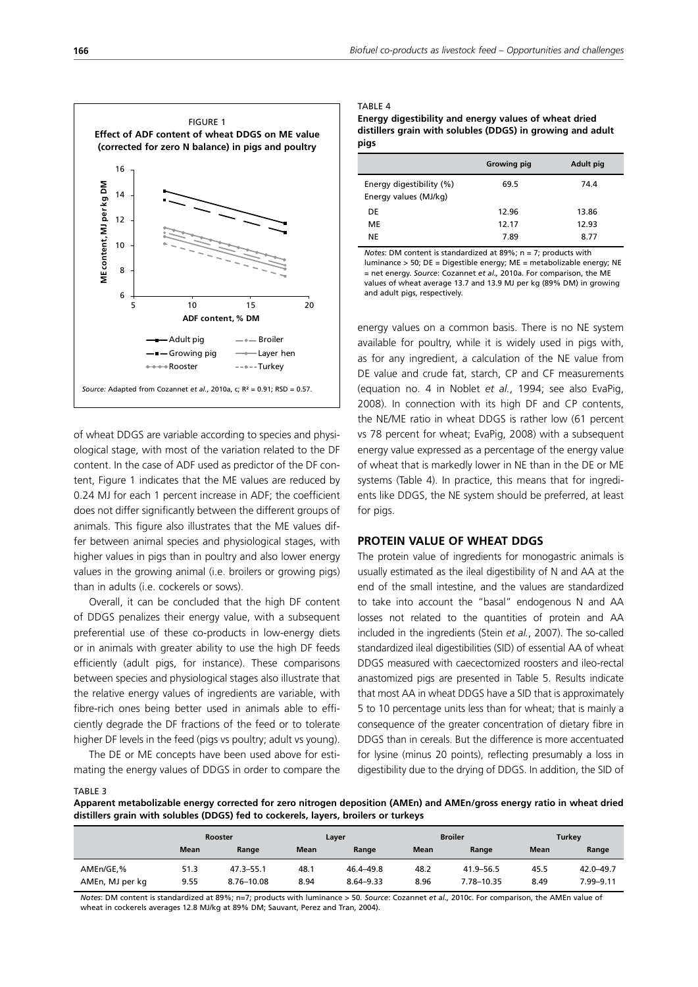

of wheat DDGS are variable according to species and physiological stage, with most of the variation related to the DF content. In the case of ADF used as predictor of the DF content, Figure 1 indicates that the ME values are reduced by 0.24 MJ for each 1 percent increase in ADF; the coefficient does not differ significantly between the different groups of animals. This figure also illustrates that the ME values differ between animal species and physiological stages, with higher values in pigs than in poultry and also lower energy values in the growing animal (i.e. broilers or growing pigs) than in adults (i.e. cockerels or sows).

Overall, it can be concluded that the high DF content of DDGS penalizes their energy value, with a subsequent preferential use of these co-products in low-energy diets or in animals with greater ability to use the high DF feeds efficiently (adult pigs, for instance). These comparisons between species and physiological stages also illustrate that the relative energy values of ingredients are variable, with fibre-rich ones being better used in animals able to efficiently degrade the DF fractions of the feed or to tolerate higher DF levels in the feed (pigs vs poultry; adult vs young).

The DE or ME concepts have been used above for estimating the energy values of DDGS in order to compare the

#### TABLE 4

**Energy digestibility and energy values of wheat dried distillers grain with solubles (DDGS) in growing and adult pigs**

|                          | <b>Growing pig</b> | Adult pig |
|--------------------------|--------------------|-----------|
| Energy digestibility (%) | 69.5               | 74.4      |
| Energy values (MJ/kg)    |                    |           |
| DE                       | 12.96              | 13.86     |
| ME                       | 12.17              | 12.93     |
| NE                       | 7.89               | 8.77      |

*Notes*: DM content is standardized at 89%; n = 7; products with luminance > 50; DE = Digestible energy; ME = metabolizable energy; NE = net energy. *Source*: Cozannet *et al.,* 2010a. For comparison, the ME values of wheat average 13.7 and 13.9 MJ per kg (89% DM) in growing and adult pigs, respectively.

energy values on a common basis. There is no NE system available for poultry, while it is widely used in pigs with, as for any ingredient, a calculation of the NE value from DE value and crude fat, starch, CP and CF measurements (equation no. 4 in Noblet *et al.*, 1994; see also EvaPig, 2008). In connection with its high DF and CP contents, the NE/ME ratio in wheat DDGS is rather low (61 percent vs 78 percent for wheat; EvaPig, 2008) with a subsequent energy value expressed as a percentage of the energy value of wheat that is markedly lower in NE than in the DE or ME systems (Table 4). In practice, this means that for ingredients like DDGS, the NE system should be preferred, at least for pigs.

#### **PROTEIN VALUE OF WHEAT DDGS**

The protein value of ingredients for monogastric animals is usually estimated as the ileal digestibility of N and AA at the end of the small intestine, and the values are standardized to take into account the "basal" endogenous N and AA losses not related to the quantities of protein and AA included in the ingredients (Stein *et al.*, 2007). The so-called standardized ileal digestibilities (SID) of essential AA of wheat DDGS measured with caecectomized roosters and ileo-rectal anastomized pigs are presented in Table 5. Results indicate that most AA in wheat DDGS have a SID that is approximately 5 to 10 percentage units less than for wheat; that is mainly a consequence of the greater concentration of dietary fibre in DDGS than in cereals. But the difference is more accentuated for lysine (minus 20 points), reflecting presumably a loss in digestibility due to the drying of DDGS. In addition, the SID of

TABLE 3

**Apparent metabolizable energy corrected for zero nitrogen deposition (AMEn) and AMEn/gross energy ratio in wheat dried distillers grain with solubles (DDGS) fed to cockerels, layers, broilers or turkeys**

|                 |             | <b>Rooster</b> |             | Layer         |             | <b>Broiler</b> |      | Turkey    |  |
|-----------------|-------------|----------------|-------------|---------------|-------------|----------------|------|-----------|--|
|                 | <b>Mean</b> | Range          | <b>Mean</b> | Range         | <b>Mean</b> | Range          | Mean | Range     |  |
| AMEn/GE,%       | 51.3        | $47.3 - 55.1$  | 48.1        | 46.4-49.8     | 48.2        | 41.9–56.5      | 45.5 | 42.0-49.7 |  |
| AMEn, MJ per kg | 9.55        | 8.76-10.08     | 8.94        | $8.64 - 9.33$ | 8.96        | 7.78-10.35     | 8.49 | 7.99-9.11 |  |

*Notes*: DM content is standardized at 89%; n=7; products with luminance > 50. *Source*: Cozannet *et al.,* 2010c. For comparison, the AMEn value of wheat in cockerels averages 12.8 MJ/kg at 89% DM; Sauvant, Perez and Tran, 2004).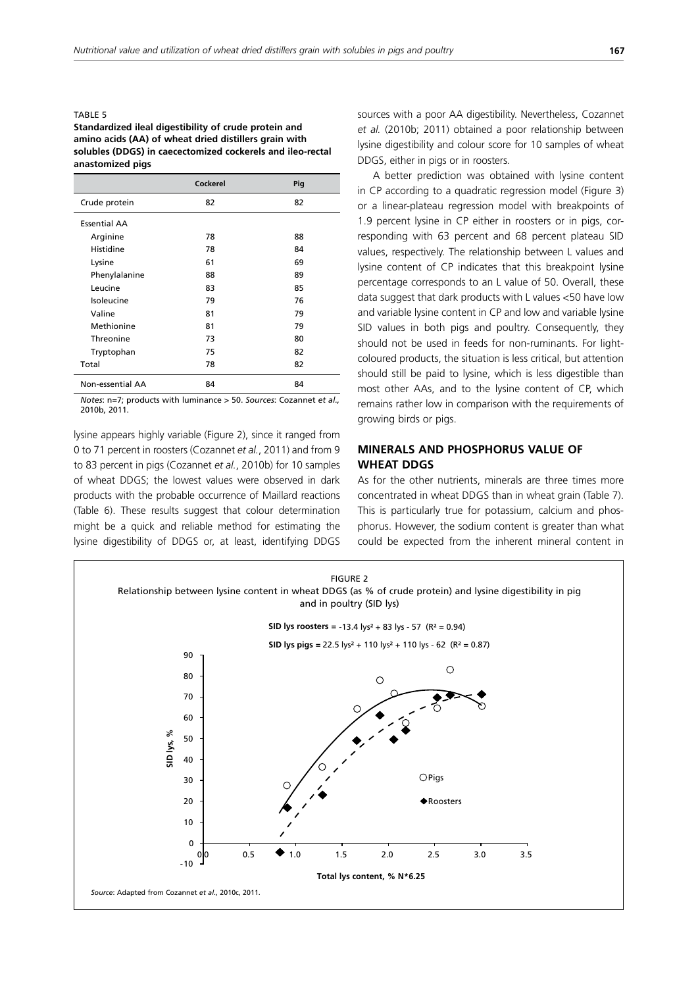#### TABLE 5

#### **Standardized ileal digestibility of crude protein and amino acids (AA) of wheat dried distillers grain with solubles (DDGS) in caecectomized cockerels and ileo-rectal anastomized pigs**

|                     | Cockerel | Pig |
|---------------------|----------|-----|
| Crude protein       | 82       | 82  |
| <b>Essential AA</b> |          |     |
| Arginine            | 78       | 88  |
| Histidine           | 78       | 84  |
| Lysine              | 61       | 69  |
| Phenylalanine       | 88       | 89  |
| Leucine             | 83       | 85  |
| Isoleucine          | 79       | 76  |
| Valine              | 81       | 79  |
| Methionine          | 81       | 79  |
| Threonine           | 73       | 80  |
| Tryptophan          | 75       | 82  |
| Total               | 78       | 82  |
| Non-essential AA    | 84       | 84  |

*Notes*: n=7; products with luminance > 50. *Sources*: Cozannet *et al.,* 2010b, 2011.

lysine appears highly variable (Figure 2), since it ranged from 0 to 71 percent in roosters (Cozannet *et al.*, 2011) and from 9 to 83 percent in pigs (Cozannet *et al.*, 2010b) for 10 samples of wheat DDGS; the lowest values were observed in dark products with the probable occurrence of Maillard reactions (Table 6). These results suggest that colour determination might be a quick and reliable method for estimating the lysine digestibility of DDGS or, at least, identifying DDGS sources with a poor AA digestibility. Nevertheless, Cozannet *et al.* (2010b; 2011) obtained a poor relationship between lysine digestibility and colour score for 10 samples of wheat DDGS, either in pigs or in roosters.

A better prediction was obtained with lysine content in CP according to a quadratic regression model (Figure 3) or a linear-plateau regression model with breakpoints of 1.9 percent lysine in CP either in roosters or in pigs, corresponding with 63 percent and 68 percent plateau SID values, respectively. The relationship between L values and lysine content of CP indicates that this breakpoint lysine percentage corresponds to an L value of 50. Overall, these data suggest that dark products with L values <50 have low and variable lysine content in CP and low and variable lysine SID values in both pigs and poultry. Consequently, they should not be used in feeds for non-ruminants. For lightcoloured products, the situation is less critical, but attention should still be paid to lysine, which is less digestible than most other AAs, and to the lysine content of CP, which remains rather low in comparison with the requirements of growing birds or pigs.

# **MINERALS AND PHOSPHORUS VALUE OF WHEAT DDGS**

As for the other nutrients, minerals are three times more concentrated in wheat DDGS than in wheat grain (Table 7). This is particularly true for potassium, calcium and phosphorus. However, the sodium content is greater than what could be expected from the inherent mineral content in

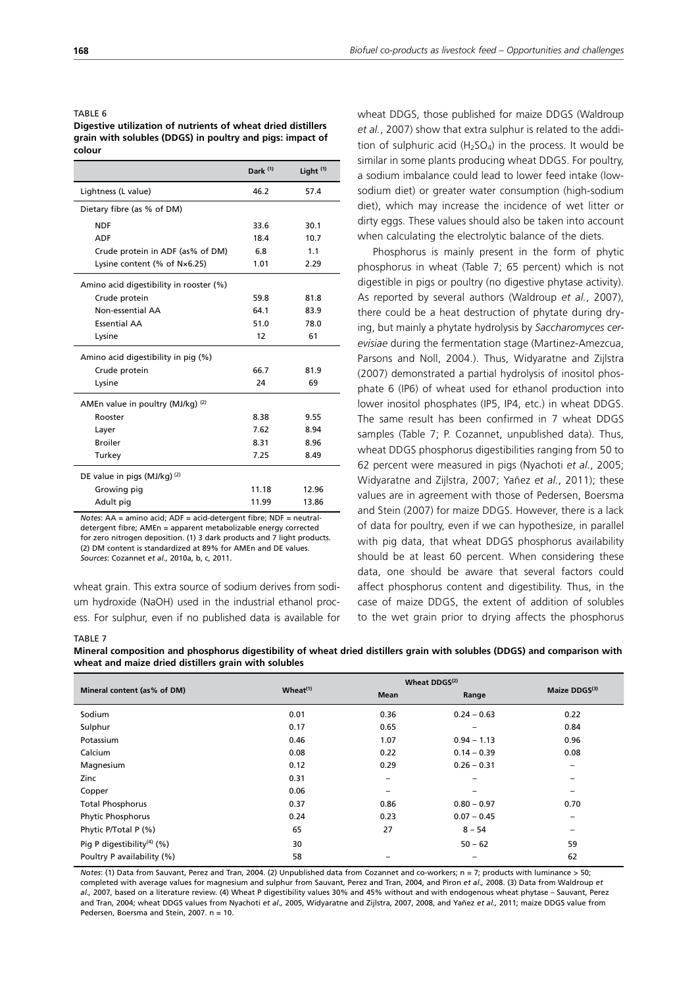#### TABLE 6

**Digestive utilization of nutrients of wheat dried distillers grain with solubles (DDGS) in poultry and pigs: impact of colour**

|                                         | Dark <sup>(1)</sup> | Light $(1)$ |
|-----------------------------------------|---------------------|-------------|
| Lightness (L value)                     | 46.2                | 57.4        |
| Dietary fibre (as % of DM)              |                     |             |
| <b>NDF</b>                              | 33.6                | 30.1        |
| <b>ADF</b>                              | 18.4                | 10.7        |
| Crude protein in ADF (as% of DM)        | 6.8                 | 1.1         |
| Lysine content (% of $N\times 6.25$ )   | 1.01                | 2.29        |
| Amino acid digestibility in rooster (%) |                     |             |
| Crude protein                           | 59.8                | 81.8        |
| Non-essential AA                        | 64.1                | 83.9        |
| <b>Essential AA</b>                     | 51.0                | 78.0        |
| Lysine                                  | 12                  | 61          |
| Amino acid digestibility in pig (%)     |                     |             |
| Crude protein                           | 66.7                | 81.9        |
| Lysine                                  | 24                  | 69          |
| AMEn value in poultry (MJ/kg) (2)       |                     |             |
| Rooster                                 | 8.38                | 9.55        |
| Layer                                   | 7.62                | 8.94        |
| <b>Broiler</b>                          | 8.31                | 8.96        |
| Turkey                                  | 7.25                | 8.49        |
| DE value in pigs (MJ/kg) (2)            |                     |             |
| Growing pig                             | 11.18               | 12.96       |
| Adult pig                               | 11.99               | 13.86       |

*Notes*: AA = amino acid; ADF = acid-detergent fibre; NDF = neutraldetergent fibre; AMEn = apparent metabolizable energy corrected for zero nitrogen deposition. (1) 3 dark products and 7 light products. (2) DM content is standardized at 89% for AMEn and DE values. *Sources*: Cozannet *et al.,* 2010a, b, c, 2011.

wheat grain. This extra source of sodium derives from sodium hydroxide (NaOH) used in the industrial ethanol process. For sulphur, even if no published data is available for wheat DDGS, those published for maize DDGS (Waldroup *et al.*, 2007) show that extra sulphur is related to the addition of sulphuric acid  $(H_2SO_4)$  in the process. It would be similar in some plants producing wheat DDGS. For poultry, a sodium imbalance could lead to lower feed intake (lowsodium diet) or greater water consumption (high-sodium diet), which may increase the incidence of wet litter or dirty eggs. These values should also be taken into account when calculating the electrolytic balance of the diets.

Phosphorus is mainly present in the form of phytic phosphorus in wheat (Table 7; 65 percent) which is not digestible in pigs or poultry (no digestive phytase activity). As reported by several authors (Waldroup *et al.*, 2007), there could be a heat destruction of phytate during drying, but mainly a phytate hydrolysis by *Saccharomyces cerevisiae* during the fermentation stage (Martinez-Amezcua, Parsons and Noll, 2004.). Thus, Widyaratne and Zijlstra (2007) demonstrated a partial hydrolysis of inositol phosphate 6 (IP6) of wheat used for ethanol production into lower inositol phosphates (IP5, IP4, etc.) in wheat DDGS. The same result has been confirmed in 7 wheat DDGS samples (Table 7; P. Cozannet, unpublished data). Thus, wheat DDGS phosphorus digestibilities ranging from 50 to 62 percent were measured in pigs (Nyachoti *et al.*, 2005; Widyaratne and Zijlstra, 2007; Yañez *et al.*, 2011); these values are in agreement with those of Pedersen, Boersma and Stein (2007) for maize DDGS. However, there is a lack of data for poultry, even if we can hypothesize, in parallel with pig data, that wheat DDGS phosphorus availability should be at least 60 percent. When considering these data, one should be aware that several factors could affect phosphorus content and digestibility. Thus, in the case of maize DDGS, the extent of addition of solubles to the wet grain prior to drying affects the phosphorus

#### TABLE 7

**Mineral composition and phosphorus digestibility of wheat dried distillers grain with solubles (DDGS) and comparison with wheat and maize dried distillers grain with solubles**

|                                        |               | Wheat DDGS <sup>(2)</sup> |               |               |
|----------------------------------------|---------------|---------------------------|---------------|---------------|
| Mineral content (as% of DM)            | $Wheat^{(1)}$ | Mean                      | Range         | Maize DDGS(3) |
| Sodium                                 | 0.01          | 0.36                      | $0.24 - 0.63$ | 0.22          |
| Sulphur                                | 0.17          | 0.65                      | -             | 0.84          |
| Potassium                              | 0.46          | 1.07                      | $0.94 - 1.13$ | 0.96          |
| Calcium                                | 0.08          | 0.22                      | $0.14 - 0.39$ | 0.08          |
| Magnesium                              | 0.12          | 0.29                      | $0.26 - 0.31$ | -             |
| Zinc                                   | 0.31          | -                         | -             |               |
| Copper                                 | 0.06          | -                         | -             | -             |
| <b>Total Phosphorus</b>                | 0.37          | 0.86                      | $0.80 - 0.97$ | 0.70          |
| Phytic Phosphorus                      | 0.24          | 0.23                      | $0.07 - 0.45$ |               |
| Phytic P/Total P (%)                   | 65            | 27                        | $8 - 54$      |               |
| Pig P digestibility <sup>(4)</sup> (%) | 30            |                           | $50 - 62$     | 59            |
| Poultry P availability (%)             | 58            |                           | -             | 62            |

*Notes*: (1) Data from Sauvant, Perez and Tran, 2004. (2) Unpublished data from Cozannet and co-workers; n = 7; products with luminance > 50; completed with average values for magnesium and sulphur from Sauvant, Perez and Tran, 2004, and Piron *et al.,* 2008. (3) Data from Waldroup *et al.,* 2007, based on a literature review. (4) Wheat P digestibility values 30% and 45% without and with endogenous wheat phytase – Sauvant, Perez and Tran, 2004; wheat DDGS values from Nyachoti *et al.,* 2005, Widyaratne and Zijlstra, 2007, 2008, and Yañez *et al.,* 2011; maize DDGS value from Pedersen, Boersma and Stein, 2007. n = 10.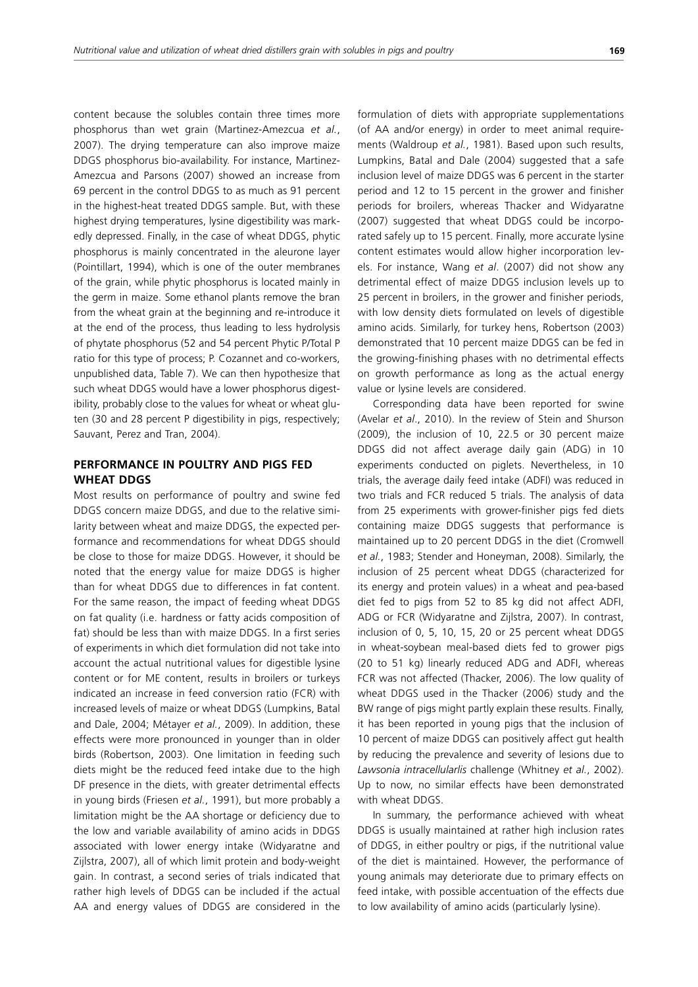content because the solubles contain three times more phosphorus than wet grain (Martinez-Amezcua *et al.*, 2007). The drying temperature can also improve maize DDGS phosphorus bio-availability. For instance, Martinez-Amezcua and Parsons (2007) showed an increase from 69 percent in the control DDGS to as much as 91 percent in the highest-heat treated DDGS sample. But, with these highest drying temperatures, lysine digestibility was markedly depressed. Finally, in the case of wheat DDGS, phytic phosphorus is mainly concentrated in the aleurone layer (Pointillart, 1994), which is one of the outer membranes of the grain, while phytic phosphorus is located mainly in the germ in maize. Some ethanol plants remove the bran from the wheat grain at the beginning and re-introduce it at the end of the process, thus leading to less hydrolysis of phytate phosphorus (52 and 54 percent Phytic P/Total P ratio for this type of process; P. Cozannet and co-workers, unpublished data, Table 7). We can then hypothesize that such wheat DDGS would have a lower phosphorus digestibility, probably close to the values for wheat or wheat gluten (30 and 28 percent P digestibility in pigs, respectively; Sauvant, Perez and Tran, 2004).

# **PERFORMANCE IN POULTRY AND PIGS FED WHEAT DDGS**

Most results on performance of poultry and swine fed DDGS concern maize DDGS, and due to the relative similarity between wheat and maize DDGS, the expected performance and recommendations for wheat DDGS should be close to those for maize DDGS. However, it should be noted that the energy value for maize DDGS is higher than for wheat DDGS due to differences in fat content. For the same reason, the impact of feeding wheat DDGS on fat quality (i.e. hardness or fatty acids composition of fat) should be less than with maize DDGS. In a first series of experiments in which diet formulation did not take into account the actual nutritional values for digestible lysine content or for ME content, results in broilers or turkeys indicated an increase in feed conversion ratio (FCR) with increased levels of maize or wheat DDGS (Lumpkins, Batal and Dale, 2004; Métayer *et al.*, 2009). In addition, these effects were more pronounced in younger than in older birds (Robertson, 2003). One limitation in feeding such diets might be the reduced feed intake due to the high DF presence in the diets, with greater detrimental effects in young birds (Friesen *et al.*, 1991), but more probably a limitation might be the AA shortage or deficiency due to the low and variable availability of amino acids in DDGS associated with lower energy intake (Widyaratne and Zijlstra, 2007), all of which limit protein and body-weight gain. In contrast, a second series of trials indicated that rather high levels of DDGS can be included if the actual AA and energy values of DDGS are considered in the

formulation of diets with appropriate supplementations (of AA and/or energy) in order to meet animal requirements (Waldroup *et al.*, 1981). Based upon such results, Lumpkins, Batal and Dale (2004) suggested that a safe inclusion level of maize DDGS was 6 percent in the starter period and 12 to 15 percent in the grower and finisher periods for broilers, whereas Thacker and Widyaratne (2007) suggested that wheat DDGS could be incorporated safely up to 15 percent. Finally, more accurate lysine content estimates would allow higher incorporation levels. For instance, Wang *et al*. (2007) did not show any detrimental effect of maize DDGS inclusion levels up to 25 percent in broilers, in the grower and finisher periods, with low density diets formulated on levels of digestible amino acids. Similarly, for turkey hens, Robertson (2003) demonstrated that 10 percent maize DDGS can be fed in the growing-finishing phases with no detrimental effects on growth performance as long as the actual energy value or lysine levels are considered.

Corresponding data have been reported for swine (Avelar *et al*., 2010). In the review of Stein and Shurson (2009), the inclusion of 10, 22.5 or 30 percent maize DDGS did not affect average daily gain (ADG) in 10 experiments conducted on piglets. Nevertheless, in 10 trials, the average daily feed intake (ADFI) was reduced in two trials and FCR reduced 5 trials. The analysis of data from 25 experiments with grower-finisher pigs fed diets containing maize DDGS suggests that performance is maintained up to 20 percent DDGS in the diet (Cromwell *et al.*, 1983; Stender and Honeyman, 2008). Similarly, the inclusion of 25 percent wheat DDGS (characterized for its energy and protein values) in a wheat and pea-based diet fed to pigs from 52 to 85 kg did not affect ADFI, ADG or FCR (Widyaratne and Zijlstra, 2007). In contrast, inclusion of 0, 5, 10, 15, 20 or 25 percent wheat DDGS in wheat-soybean meal-based diets fed to grower pigs (20 to 51 kg) linearly reduced ADG and ADFI, whereas FCR was not affected (Thacker, 2006). The low quality of wheat DDGS used in the Thacker (2006) study and the BW range of pigs might partly explain these results. Finally, it has been reported in young pigs that the inclusion of 10 percent of maize DDGS can positively affect gut health by reducing the prevalence and severity of lesions due to *Lawsonia intracellularlis* challenge (Whitney *et al.*, 2002). Up to now, no similar effects have been demonstrated with wheat DDGS.

In summary, the performance achieved with wheat DDGS is usually maintained at rather high inclusion rates of DDGS, in either poultry or pigs, if the nutritional value of the diet is maintained. However, the performance of young animals may deteriorate due to primary effects on feed intake, with possible accentuation of the effects due to low availability of amino acids (particularly lysine).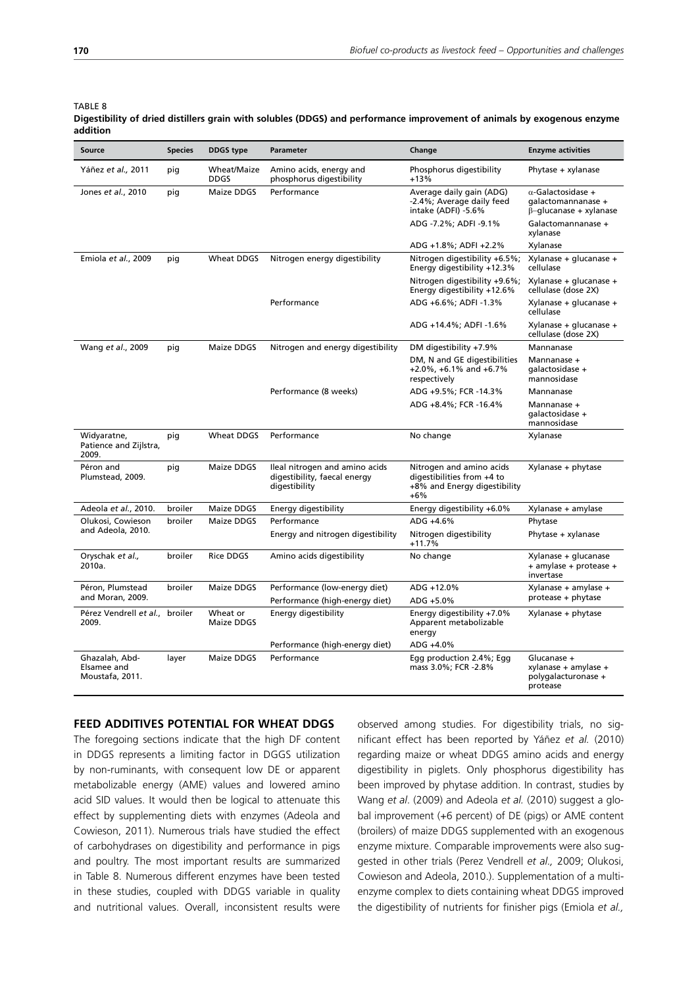TABLE 8

| Source                                           | <b>Species</b> | <b>DDGS</b> type           | Change<br>Parameter                                                             |                                                                                                 | <b>Enzyme activities</b>                                                         |
|--------------------------------------------------|----------------|----------------------------|---------------------------------------------------------------------------------|-------------------------------------------------------------------------------------------------|----------------------------------------------------------------------------------|
| Yáñez et al., 2011                               | pig            | Wheat/Maize<br><b>DDGS</b> | Amino acids, energy and<br>phosphorus digestibility                             | Phosphorus digestibility<br>$+13%$                                                              | Phytase + xylanase                                                               |
| Jones et al., 2010                               | pig            | Maize DDGS                 | Performance                                                                     | Average daily gain (ADG)<br>-2.4%; Average daily feed<br>intake (ADFI) -5.6%                    | $\alpha$ -Galactosidase +<br>qalactomannanase +<br>$\beta$ -glucanase + xylanase |
|                                                  |                |                            |                                                                                 | ADG -7.2%; ADFI -9.1%                                                                           | Galactomannanase +<br>xylanase                                                   |
|                                                  |                |                            |                                                                                 | ADG +1.8%; ADFI +2.2%                                                                           | Xylanase                                                                         |
| Emiola et al., 2009                              | pig            | Wheat DDGS                 | Nitrogen energy digestibility                                                   | Nitrogen digestibility +6.5%;<br>Energy digestibility +12.3%                                    | Xylanase + glucanase +<br>cellulase                                              |
|                                                  |                |                            |                                                                                 | Nitrogen digestibility +9.6%;<br>Energy digestibility +12.6%                                    | Xylanase + glucanase +<br>cellulase (dose 2X)                                    |
|                                                  |                |                            | Performance                                                                     | ADG +6.6%; ADFI -1.3%                                                                           | Xylanase + glucanase +<br>cellulase                                              |
|                                                  |                |                            |                                                                                 | ADG +14.4%; ADFI -1.6%                                                                          | Xylanase + glucanase +<br>cellulase (dose 2X)                                    |
| Wang et al., 2009                                | pig            | Maize DDGS                 | Nitrogen and energy digestibility                                               | DM digestibility +7.9%                                                                          | Mannanase                                                                        |
|                                                  |                |                            |                                                                                 | DM, N and GE digestibilities<br>$+2.0\%$ , $+6.1\%$ and $+6.7\%$<br>respectively                | Mannanase +<br>qalactosidase +<br>mannosidase                                    |
|                                                  |                |                            | Performance (8 weeks)                                                           | ADG +9.5%; FCR -14.3%                                                                           | Mannanase                                                                        |
|                                                  |                |                            |                                                                                 | ADG +8.4%; FCR -16.4%                                                                           | Mannanase +<br>qalactosidase +<br>mannosidase                                    |
| Widyaratne,<br>Patience and Zijlstra,<br>2009.   | pig            | Wheat DDGS                 | Performance                                                                     | No change                                                                                       | Xylanase                                                                         |
| Péron and<br>Plumstead, 2009.                    | pig            | Maize DDGS                 | Ileal nitrogen and amino acids<br>digestibility, faecal energy<br>digestibility | Nitrogen and amino acids<br>digestibilities from +4 to<br>+8% and Energy digestibility<br>$+6%$ | Xylanase + phytase                                                               |
| Adeola et al., 2010.                             | broiler        | Maize DDGS                 | Energy digestibility                                                            | Energy digestibility +6.0%                                                                      | Xylanase + amylase                                                               |
| Olukosi, Cowieson                                | broiler        | Maize DDGS                 | Performance                                                                     | ADG +4.6%                                                                                       | Phytase                                                                          |
| and Adeola, 2010.                                |                |                            | Energy and nitrogen digestibility                                               | Nitrogen digestibility<br>$+11.7%$                                                              | Phytase + xylanase                                                               |
| Oryschak et al.,<br>2010a.                       | broiler        | <b>Rice DDGS</b>           | Amino acids digestibility                                                       | No change                                                                                       | Xylanase + glucanase<br>+ amylase + protease +<br>invertase                      |
| Péron, Plumstead                                 | broiler        | Maize DDGS                 | Performance (low-energy diet)                                                   | ADG +12.0%                                                                                      | Xylanase + amylase +                                                             |
| and Moran, 2009.                                 |                |                            | Performance (high-energy diet)                                                  | ADG +5.0%                                                                                       | protease + phytase                                                               |
| Pérez Vendrell et al., broiler<br>2009.          |                | Wheat or<br>Maize DDGS     | Energy digestibility                                                            | Energy digestibility +7.0%<br>Apparent metabolizable<br>energy                                  | Xylanase + phytase                                                               |
|                                                  |                |                            | Performance (high-energy diet)                                                  | ADG +4.0%                                                                                       |                                                                                  |
| Ghazalah, Abd-<br>Elsamee and<br>Moustafa, 2011. | layer          | Maize DDGS                 | Performance                                                                     | Egg production 2.4%; Egg<br>mass 3.0%; FCR -2.8%                                                | Glucanase +<br>xylanase + amylase +<br>polygalacturonase +<br>protease           |

#### **Digestibility of dried distillers grain with solubles (DDGS) and performance improvement of animals by exogenous enzyme addition**

## **FEED ADDITIVES POTENTIAL FOR WHEAT DDGS**

The foregoing sections indicate that the high DF content in DDGS represents a limiting factor in DGGS utilization by non-ruminants, with consequent low DE or apparent metabolizable energy (AME) values and lowered amino acid SID values. It would then be logical to attenuate this effect by supplementing diets with enzymes (Adeola and Cowieson, 2011). Numerous trials have studied the effect of carbohydrases on digestibility and performance in pigs and poultry. The most important results are summarized in Table 8. Numerous different enzymes have been tested in these studies, coupled with DDGS variable in quality and nutritional values. Overall, inconsistent results were observed among studies. For digestibility trials, no significant effect has been reported by Yáñez *et al.* (2010) regarding maize or wheat DDGS amino acids and energy digestibility in piglets. Only phosphorus digestibility has been improved by phytase addition. In contrast, studies by Wang *et al*. (2009) and Adeola *et al.* (2010) suggest a global improvement (+6 percent) of DE (pigs) or AME content (broilers) of maize DDGS supplemented with an exogenous enzyme mixture. Comparable improvements were also suggested in other trials (Perez Vendrell *et al.,* 2009; Olukosi, Cowieson and Adeola, 2010.). Supplementation of a multienzyme complex to diets containing wheat DDGS improved the digestibility of nutrients for finisher pigs (Emiola *et al.,*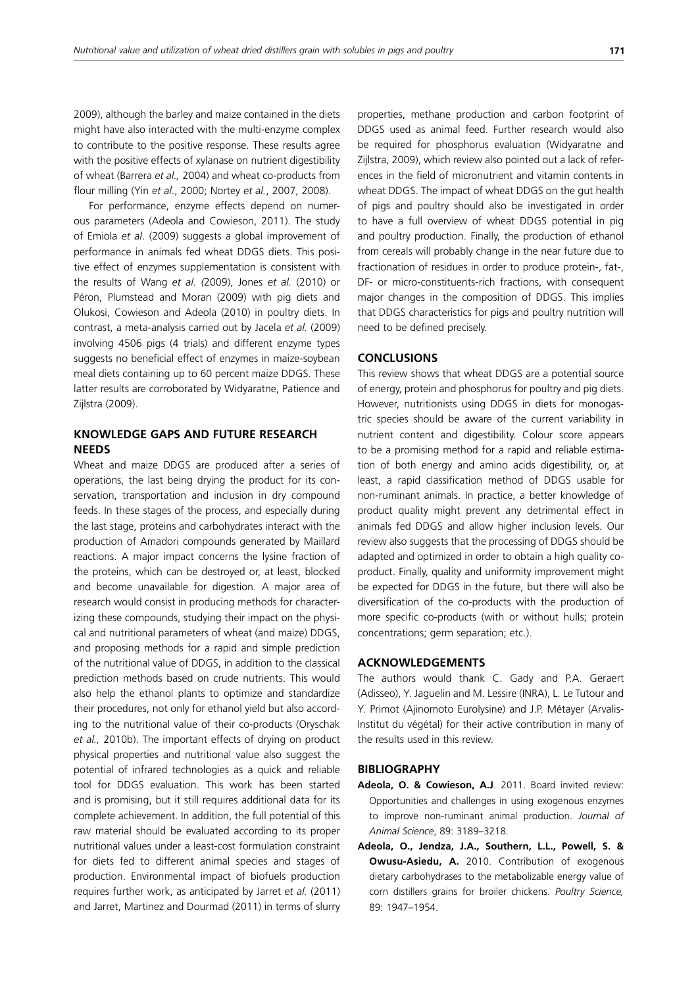2009), although the barley and maize contained in the diets might have also interacted with the multi-enzyme complex to contribute to the positive response. These results agree with the positive effects of xylanase on nutrient digestibility of wheat (Barrera *et al.,* 2004) and wheat co-products from flour milling (Yin *et al*., 2000; Nortey *et al.*, 2007, 2008).

For performance, enzyme effects depend on numerous parameters (Adeola and Cowieson, 2011). The study of Emiola *et al*. (2009) suggests a global improvement of performance in animals fed wheat DDGS diets. This positive effect of enzymes supplementation is consistent with the results of Wang *et al. (*2009), Jones *et al.* (2010) or Péron, Plumstead and Moran (2009) with pig diets and Olukosi, Cowieson and Adeola (2010) in poultry diets. In contrast, a meta-analysis carried out by Jacela *et al.* (2009) involving 4506 pigs (4 trials) and different enzyme types suggests no beneficial effect of enzymes in maize-soybean meal diets containing up to 60 percent maize DDGS. These latter results are corroborated by Widyaratne, Patience and Zijlstra (2009).

# **KNOWLEDGE GAPS AND FUTURE RESEARCH NEEDS**

Wheat and maize DDGS are produced after a series of operations, the last being drying the product for its conservation, transportation and inclusion in dry compound feeds. In these stages of the process, and especially during the last stage, proteins and carbohydrates interact with the production of Amadori compounds generated by Maillard reactions. A major impact concerns the lysine fraction of the proteins, which can be destroyed or, at least, blocked and become unavailable for digestion. A major area of research would consist in producing methods for characterizing these compounds, studying their impact on the physical and nutritional parameters of wheat (and maize) DDGS, and proposing methods for a rapid and simple prediction of the nutritional value of DDGS, in addition to the classical prediction methods based on crude nutrients. This would also help the ethanol plants to optimize and standardize their procedures, not only for ethanol yield but also according to the nutritional value of their co-products (Oryschak *et al.,* 2010b). The important effects of drying on product physical properties and nutritional value also suggest the potential of infrared technologies as a quick and reliable tool for DDGS evaluation. This work has been started and is promising, but it still requires additional data for its complete achievement. In addition, the full potential of this raw material should be evaluated according to its proper nutritional values under a least-cost formulation constraint for diets fed to different animal species and stages of production. Environmental impact of biofuels production requires further work, as anticipated by Jarret *et al.* (2011) and Jarret, Martinez and Dourmad (2011) in terms of slurry properties, methane production and carbon footprint of DDGS used as animal feed. Further research would also be required for phosphorus evaluation (Widyaratne and Zijlstra, 2009), which review also pointed out a lack of references in the field of micronutrient and vitamin contents in wheat DDGS. The impact of wheat DDGS on the gut health of pigs and poultry should also be investigated in order to have a full overview of wheat DDGS potential in pig and poultry production. Finally, the production of ethanol from cereals will probably change in the near future due to fractionation of residues in order to produce protein-, fat-, DF- or micro-constituents-rich fractions, with consequent major changes in the composition of DDGS. This implies that DDGS characteristics for pigs and poultry nutrition will need to be defined precisely.

#### **CONCLUSIONS**

This review shows that wheat DDGS are a potential source of energy, protein and phosphorus for poultry and pig diets. However, nutritionists using DDGS in diets for monogastric species should be aware of the current variability in nutrient content and digestibility. Colour score appears to be a promising method for a rapid and reliable estimation of both energy and amino acids digestibility, or, at least, a rapid classification method of DDGS usable for non-ruminant animals. In practice, a better knowledge of product quality might prevent any detrimental effect in animals fed DDGS and allow higher inclusion levels. Our review also suggests that the processing of DDGS should be adapted and optimized in order to obtain a high quality coproduct. Finally, quality and uniformity improvement might be expected for DDGS in the future, but there will also be diversification of the co-products with the production of more specific co-products (with or without hulls; protein concentrations; germ separation; etc.).

## **ACKNOWLEDGEMENTS**

The authors would thank C. Gady and P.A. Geraert (Adisseo), Y. Jaguelin and M. Lessire (INRA), L. Le Tutour and Y. Primot (Ajinomoto Eurolysine) and J.P. Métayer (Arvalis-Institut du végétal) for their active contribution in many of the results used in this review.

#### **BIBLIOGRAPHY**

- **Adeola, O. & Cowieson, A.J**. 2011. Board invited review: Opportunities and challenges in using exogenous enzymes to improve non-ruminant animal production. *Journal of Animal Science*, 89: 3189–3218.
- **Adeola, O., Jendza, J.A., Southern, L.L., Powell, S. & Owusu-Asiedu, A.** 2010. Contribution of exogenous dietary carbohydrases to the metabolizable energy value of corn distillers grains for broiler chickens. *Poultry Science,* 89: 1947–1954.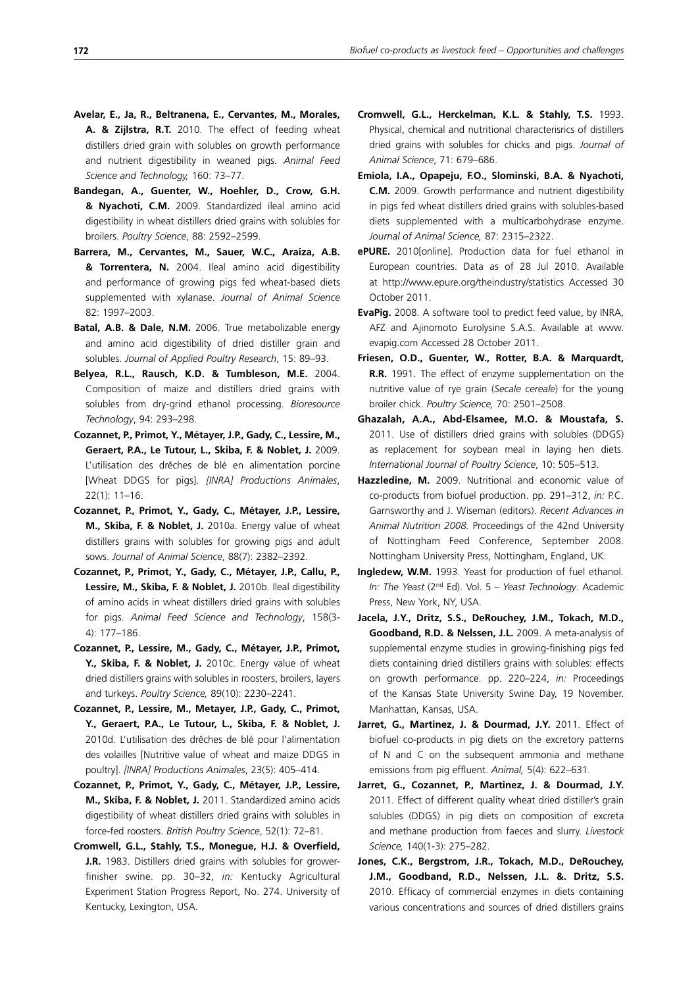- **Avelar, E., Ja, R., Beltranena, E., Cervantes, M., Morales, A. & Zijlstra, R.T.** 2010. The effect of feeding wheat distillers dried grain with solubles on growth performance and nutrient digestibility in weaned pigs. *Animal Feed Science and Technology,* 160: 73–77.
- **Bandegan, A., Guenter, W., Hoehler, D., Crow, G.H. & Nyachoti, C.M.** 2009. Standardized ileal amino acid digestibility in wheat distillers dried grains with solubles for broilers. *Poultry Science*, 88: 2592–2599.
- **Barrera, M., Cervantes, M., Sauer, W.C., Araiza, A.B. & Torrentera, N.** 2004. Ileal amino acid digestibility and performance of growing pigs fed wheat-based diets supplemented with xylanase. *Journal of Animal Science* 82: 1997–2003.
- **Batal, A.B. & Dale, N.M.** 2006. True metabolizable energy and amino acid digestibility of dried distiller grain and solubles. *Journal of Applied Poultry Research*, 15: 89–93.
- **Belyea, R.L., Rausch, K.D. & Tumbleson, M.E.** 2004. Composition of maize and distillers dried grains with solubles from dry-grind ethanol processing. *Bioresource Technology*, 94: 293–298.
- **Cozannet, P., Primot, Y., Métayer, J.P., Gady, C., Lessire, M., Geraert, P.A., Le Tutour, L., Skiba, F. & Noblet, J.** 2009. L'utilisation des drêches de blé en alimentation porcine [Wheat DDGS for pigs]. *[INRA] Productions Animales*, 22(1): 11–16.
- **Cozannet, P., Primot, Y., Gady, C., Métayer, J.P., Lessire, M., Skiba, F. & Noblet, J.** 2010a. Energy value of wheat distillers grains with solubles for growing pigs and adult sows. *Journal of Animal Science*, 88(7): 2382–2392.
- **Cozannet, P., Primot, Y., Gady, C., Métayer, J.P., Callu, P., Lessire, M., Skiba, F. & Noblet, J.** 2010b. Ileal digestibility of amino acids in wheat distillers dried grains with solubles for pigs. *Animal Feed Science and Technology*, 158(3- 4): 177–186.
- **Cozannet, P., Lessire, M., Gady, C., Métayer, J.P., Primot, Y., Skiba, F. & Noblet, J.** 2010c. Energy value of wheat dried distillers grains with solubles in roosters, broilers, layers and turkeys. *Poultry Science,* 89(10): 2230–2241.
- **Cozannet, P., Lessire, M., Metayer, J.P., Gady, C., Primot, Y., Geraert, P.A., Le Tutour, L., Skiba, F. & Noblet, J.** 2010d. L'utilisation des drêches de blé pour l'alimentation des volailles [Nutritive value of wheat and maize DDGS in poultry]. *[INRA] Productions Animales*, 23(5): 405–414.
- **Cozannet, P., Primot, Y., Gady, C., Métayer, J.P., Lessire, M., Skiba, F. & Noblet, J.** 2011. Standardized amino acids digestibility of wheat distillers dried grains with solubles in force-fed roosters. *British Poultry Science*, 52(1): 72–81.
- **Cromwell, G.L., Stahly, T.S., Monegue, H.J. & Overfield, J.R.** 1983. Distillers dried grains with solubles for growerfinisher swine. pp. 30–32, *in:* Kentucky Agricultural Experiment Station Progress Report, No. 274. University of Kentucky, Lexington, USA.
- **Cromwell, G.L., Herckelman, K.L. & Stahly, T.S.** 1993. Physical, chemical and nutritional characterisrics of distillers dried grains with solubles for chicks and pigs. *Journal of Animal Science*, 71: 679–686.
- **Emiola, I.A., Opapeju, F.O., Slominski, B.A. & Nyachoti, C.M.** 2009. Growth performance and nutrient digestibility in pigs fed wheat distillers dried grains with solubles-based diets supplemented with a multicarbohydrase enzyme. *Journal of Animal Science,* 87: 2315–2322.
- **ePURE.** 2010[online]. Production data for fuel ethanol in European countries. Data as of 28 Jul 2010. Available at http://www.epure.org/theindustry/statistics Accessed 30 October 2011.
- **EvaPig.** 2008. A software tool to predict feed value, by INRA, AFZ and Ajinomoto Eurolysine S.A.S. Available at www. evapig.com Accessed 28 October 2011.
- **Friesen, O.D., Guenter, W., Rotter, B.A. & Marquardt, R.R.** 1991. The effect of enzyme supplementation on the nutritive value of rye grain (*Secale cereale*) for the young broiler chick. *Poultry Science,* 70: 2501–2508.
- **Ghazalah, A.A., Abd-Elsamee, M.O. & Moustafa, S.** 2011. Use of distillers dried grains with solubles (DDGS) as replacement for soybean meal in laying hen diets. *International Journal of Poultry Science*, 10: 505–513.
- **Hazzledine, M.** 2009. Nutritional and economic value of co-products from biofuel production. pp. 291–312, *in:* P.C. Garnsworthy and J. Wiseman (editors). *Recent Advances in Animal Nutrition 2008.* Proceedings of the 42nd University of Nottingham Feed Conference, September 2008. Nottingham University Press, Nottingham, England, UK.
- **Ingledew, W.M.** 1993. Yeast for production of fuel ethanol. *In: The Yeast* (2nd Ed). Vol. 5 – *Yeast Technology*. Academic Press, New York, NY, USA.
- **Jacela, J.Y., Dritz, S.S., DeRouchey, J.M., Tokach, M.D., Goodband, R.D. & Nelssen, J.L.** 2009. A meta-analysis of supplemental enzyme studies in growing-finishing pigs fed diets containing dried distillers grains with solubles: effects on growth performance. pp. 220–224, *in:* Proceedings of the Kansas State University Swine Day, 19 November. Manhattan, Kansas, USA.
- Jarret, G., Martinez, J. & Dourmad, J.Y. 2011. Effect of biofuel co-products in pig diets on the excretory patterns of N and C on the subsequent ammonia and methane emissions from pig effluent. *Animal,* 5(4): 622–631.
- **Jarret, G., Cozannet, P., Martinez, J. & Dourmad, J.Y.** 2011. Effect of different quality wheat dried distiller's grain solubles (DDGS) in pig diets on composition of excreta and methane production from faeces and slurry. *Livestock Science,* 140(1-3): 275–282.
- **Jones, C.K., Bergstrom, J.R., Tokach, M.D., DeRouchey, J.M., Goodband, R.D., Nelssen, J.L. &. Dritz, S.S.**  2010. Efficacy of commercial enzymes in diets containing various concentrations and sources of dried distillers grains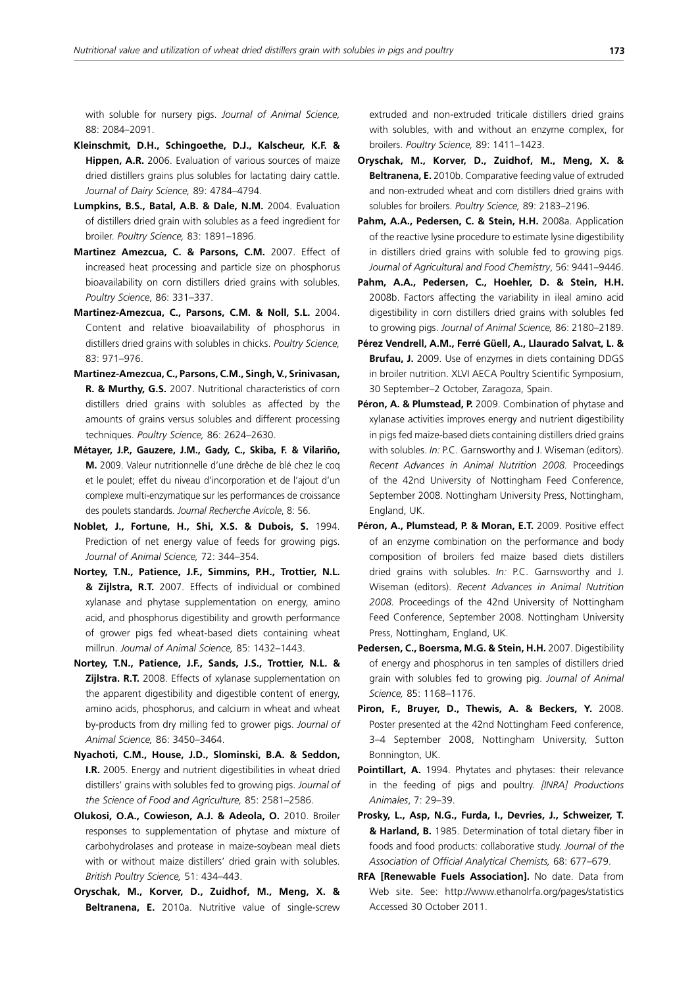with soluble for nursery pigs. *Journal of Animal Science,* 88: 2084–2091.

- **Kleinschmit, D.H., Schingoethe, D.J., Kalscheur, K.F. & Hippen, A.R.** 2006. Evaluation of various sources of maize dried distillers grains plus solubles for lactating dairy cattle. *Journal of Dairy Science,* 89: 4784–4794.
- **Lumpkins, B.S., Batal, A.B. & Dale, N.M.** 2004. Evaluation of distillers dried grain with solubles as a feed ingredient for broiler. *Poultry Science,* 83: 1891–1896.
- **Martinez Amezcua, C. & Parsons, C.M.** 2007. Effect of increased heat processing and particle size on phosphorus bioavailability on corn distillers dried grains with solubles. *Poultry Science*, 86: 331–337.
- **Martinez-Amezcua, C., Parsons, C.M. & Noll, S.L.** 2004. Content and relative bioavailability of phosphorus in distillers dried grains with solubles in chicks. *Poultry Science,* 83: 971–976.
- **Martinez-Amezcua, C., Parsons, C.M., Singh, V., Srinivasan, R. & Murthy, G.S.** 2007. Nutritional characteristics of corn distillers dried grains with solubles as affected by the amounts of grains versus solubles and different processing techniques. *Poultry Science,* 86: 2624–2630.
- **Métayer, J.P., Gauzere, J.M., Gady, C., Skiba, F. & Vilariño, M.** 2009. Valeur nutritionnelle d'une drêche de blé chez le coq et le poulet; effet du niveau d'incorporation et de l'ajout d'un complexe multi-enzymatique sur les performances de croissance des poulets standards. *Journal Recherche Avicole*, 8: 56.
- **Noblet, J., Fortune, H., Shi, X.S. & Dubois, S.** 1994. Prediction of net energy value of feeds for growing pigs. *Journal of Animal Science,* 72: 344–354.
- **Nortey, T.N., Patience, J.F., Simmins, P.H., Trottier, N.L. & Zijlstra, R.T.** 2007. Effects of individual or combined xylanase and phytase supplementation on energy, amino acid, and phosphorus digestibility and growth performance of grower pigs fed wheat-based diets containing wheat millrun. *Journal of Animal Science,* 85: 1432–1443.
- **Nortey, T.N., Patience, J.F., Sands, J.S., Trottier, N.L. & Zijlstra. R.T.** 2008. Effects of xylanase supplementation on the apparent digestibility and digestible content of energy, amino acids, phosphorus, and calcium in wheat and wheat by-products from dry milling fed to grower pigs. *Journal of Animal Science,* 86: 3450–3464.
- **Nyachoti, C.M., House, J.D., Slominski, B.A. & Seddon, I.R.** 2005. Energy and nutrient digestibilities in wheat dried distillers' grains with solubles fed to growing pigs. *Journal of the Science of Food and Agriculture,* 85: 2581–2586.
- **Olukosi, O.A., Cowieson, A.J. & Adeola, O.** 2010. Broiler responses to supplementation of phytase and mixture of carbohydrolases and protease in maize-soybean meal diets with or without maize distillers' dried grain with solubles. *British Poultry Science,* 51: 434–443.
- **Oryschak, M., Korver, D., Zuidhof, M., Meng, X. & Beltranena, E.** 2010a. Nutritive value of single-screw

extruded and non-extruded triticale distillers dried grains with solubles, with and without an enzyme complex, for broilers. *Poultry Science,* 89: 1411–1423.

- **Oryschak, M., Korver, D., Zuidhof, M., Meng, X. & Beltranena, E.** 2010b. Comparative feeding value of extruded and non-extruded wheat and corn distillers dried grains with solubles for broilers. *Poultry Science,* 89: 2183–2196.
- **Pahm, A.A., Pedersen, C. & Stein, H.H.** 2008a. Application of the reactive lysine procedure to estimate lysine digestibility in distillers dried grains with soluble fed to growing pigs. *Journal of Agricultural and Food Chemistry*, 56: 9441–9446.
- **Pahm, A.A., Pedersen, C., Hoehler, D. & Stein, H.H.** 2008b. Factors affecting the variability in ileal amino acid digestibility in corn distillers dried grains with solubles fed to growing pigs. *Journal of Animal Science,* 86: 2180–2189.
- **Pérez Vendrell, A.M., Ferré Güell, A., Llaurado Salvat, L. & Brufau, J.** 2009. Use of enzymes in diets containing DDGS in broiler nutrition. XLVI AECA Poultry Scientific Symposium, 30 September–2 October, Zaragoza, Spain.
- Péron, A. & Plumstead, P. 2009. Combination of phytase and xylanase activities improves energy and nutrient digestibility in pigs fed maize-based diets containing distillers dried grains with solubles. *In:* P.C. Garnsworthy and J. Wiseman (editors). *Recent Advances in Animal Nutrition 2008.* Proceedings of the 42nd University of Nottingham Feed Conference, September 2008. Nottingham University Press, Nottingham, England, UK.
- Péron, A., Plumstead, P. & Moran, E.T. 2009. Positive effect of an enzyme combination on the performance and body composition of broilers fed maize based diets distillers dried grains with solubles. *In:* P.C. Garnsworthy and J. Wiseman (editors). *Recent Advances in Animal Nutrition 2008.* Proceedings of the 42nd University of Nottingham Feed Conference, September 2008. Nottingham University Press, Nottingham, England, UK.
- **Pedersen, C., Boersma, M.G. & Stein, H.H.** 2007. Digestibility of energy and phosphorus in ten samples of distillers dried grain with solubles fed to growing pig. *Journal of Animal Science,* 85: 1168–1176.
- **Piron, F., Bruyer, D., Thewis, A. & Beckers, Y.** 2008. Poster presented at the 42nd Nottingham Feed conference, 3–4 September 2008, Nottingham University, Sutton Bonnington, UK.
- **Pointillart, A.** 1994. Phytates and phytases: their relevance in the feeding of pigs and poultry. *[INRA] Productions Animales*, 7: 29–39.
- **Prosky, L., Asp, N.G., Furda, I., Devries, J., Schweizer, T. & Harland, B.** 1985. Determination of total dietary fiber in foods and food products: collaborative study. *Journal of the Association of Official Analytical Chemists,* 68: 677–679.
- **RFA [Renewable Fuels Association].** No date. Data from Web site. See: http://www.ethanolrfa.org/pages/statistics Accessed 30 October 2011.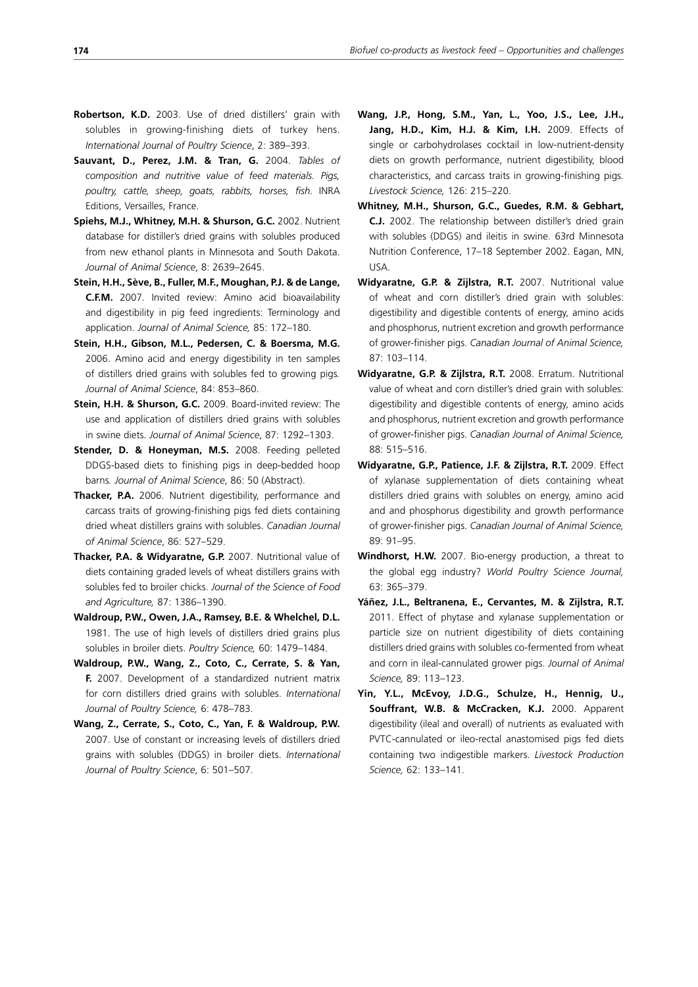- **Robertson, K.D.** 2003. Use of dried distillers' grain with solubles in growing-finishing diets of turkey hens. *International Journal of Poultry Science*, 2: 389–393.
- **Sauvant, D., Perez, J.M. & Tran, G.** 2004. *Tables of composition and nutritive value of feed materials. Pigs, poultry, cattle, sheep, goats, rabbits, horses, fish.* INRA Editions, Versailles, France.
- **Spiehs, M.J., Whitney, M.H. & Shurson, G.C.** 2002. Nutrient database for distiller's dried grains with solubles produced from new ethanol plants in Minnesota and South Dakota. *Journal of Animal Science*, 8: 2639–2645.
- **Stein, H.H., Sève, B., Fuller, M.F., Moughan, P.J. & de Lange, C.F.M.** 2007. Invited review: Amino acid bioavailability and digestibility in pig feed ingredients: Terminology and application. *Journal of Animal Science,* 85: 172–180.
- **Stein, H.H., Gibson, M.L., Pedersen, C. & Boersma, M.G.** 2006. Amino acid and energy digestibility in ten samples of distillers dried grains with solubles fed to growing pigs*. Journal of Animal Science*, 84: 853–860.
- **Stein, H.H. & Shurson, G.C.** 2009. Board-invited review: The use and application of distillers dried grains with solubles in swine diets. *Journal of Animal Science*, 87: 1292–1303.
- **Stender, D. & Honeyman, M.S.** 2008. Feeding pelleted DDGS-based diets to finishing pigs in deep-bedded hoop barns*. Journal of Animal Science*, 86: 50 (Abstract).
- **Thacker, P.A.** 2006. Nutrient digestibility, performance and carcass traits of growing-finishing pigs fed diets containing dried wheat distillers grains with solubles. *Canadian Journal of Animal Science*, 86: 527–529.
- **Thacker, P.A. & Widyaratne, G.P.** 2007. Nutritional value of diets containing graded levels of wheat distillers grains with solubles fed to broiler chicks. *Journal of the Science of Food and Agriculture,* 87: 1386–1390.
- **Waldroup, P.W., Owen, J.A., Ramsey, B.E. & Whelchel, D.L.** 1981. The use of high levels of distillers dried grains plus solubles in broiler diets. *Poultry Science,* 60: 1479–1484.
- **Waldroup, P.W., Wang, Z., Coto, C., Cerrate, S. & Yan, F.** 2007. Development of a standardized nutrient matrix for corn distillers dried grains with solubles. *International Journal of Poultry Science,* 6: 478–783.
- **Wang, Z., Cerrate, S., Coto, C., Yan, F. & Waldroup, P.W.** 2007. Use of constant or increasing levels of distillers dried grains with solubles (DDGS) in broiler diets. *International Journal of Poultry Science*, 6: 501–507.
- **Wang, J.P., Hong, S.M., Yan, L., Yoo, J.S., Lee, J.H., Jang, H.D., Kim, H.J. & Kim, I.H.** 2009. Effects of single or carbohydrolases cocktail in low-nutrient-density diets on growth performance, nutrient digestibility, blood characteristics, and carcass traits in growing-finishing pigs*. Livestock Science,* 126: 215–220.
- **Whitney, M.H., Shurson, G.C., Guedes, R.M. & Gebhart, C.J.** 2002. The relationship between distiller's dried grain with solubles (DDGS) and ileitis in swine. 63rd Minnesota Nutrition Conference, 17–18 September 2002. Eagan, MN, USA.
- **Widyaratne, G.P. & Zijlstra, R.T.** 2007. Nutritional value of wheat and corn distiller's dried grain with solubles: digestibility and digestible contents of energy, amino acids and phosphorus, nutrient excretion and growth performance of grower-finisher pigs. *Canadian Journal of Animal Science,* 87: 103–114.
- **Widyaratne, G.P. & Zijlstra, R.T.** 2008. Erratum. Nutritional value of wheat and corn distiller's dried grain with solubles: digestibility and digestible contents of energy, amino acids and phosphorus, nutrient excretion and growth performance of grower-finisher pigs. *Canadian Journal of Animal Science,* 88: 515–516.
- **Widyaratne, G.P., Patience, J.F. & Zijlstra, R.T.** 2009. Effect of xylanase supplementation of diets containing wheat distillers dried grains with solubles on energy, amino acid and and phosphorus digestibility and growth performance of grower-finisher pigs. *Canadian Journal of Animal Science,* 89: 91–95.
- **Windhorst, H.W.** 2007. Bio-energy production, a threat to the global egg industry? *World Poultry Science Journal,* 63: 365–379.
- **Yáñez, J.L., Beltranena, E., Cervantes, M. & Zijlstra, R.T.**  2011. Effect of phytase and xylanase supplementation or particle size on nutrient digestibility of diets containing distillers dried grains with solubles co-fermented from wheat and corn in ileal-cannulated grower pigs. *Journal of Animal Science,* 89: 113–123.
- **Yin, Y.L., McEvoy, J.D.G., Schulze, H., Hennig, U., Souffrant, W.B. & McCracken, K.J.** 2000. Apparent digestibility (ileal and overall) of nutrients as evaluated with PVTC-cannulated or ileo-rectal anastomised pigs fed diets containing two indigestible markers. *Livestock Production Science,* 62: 133–141.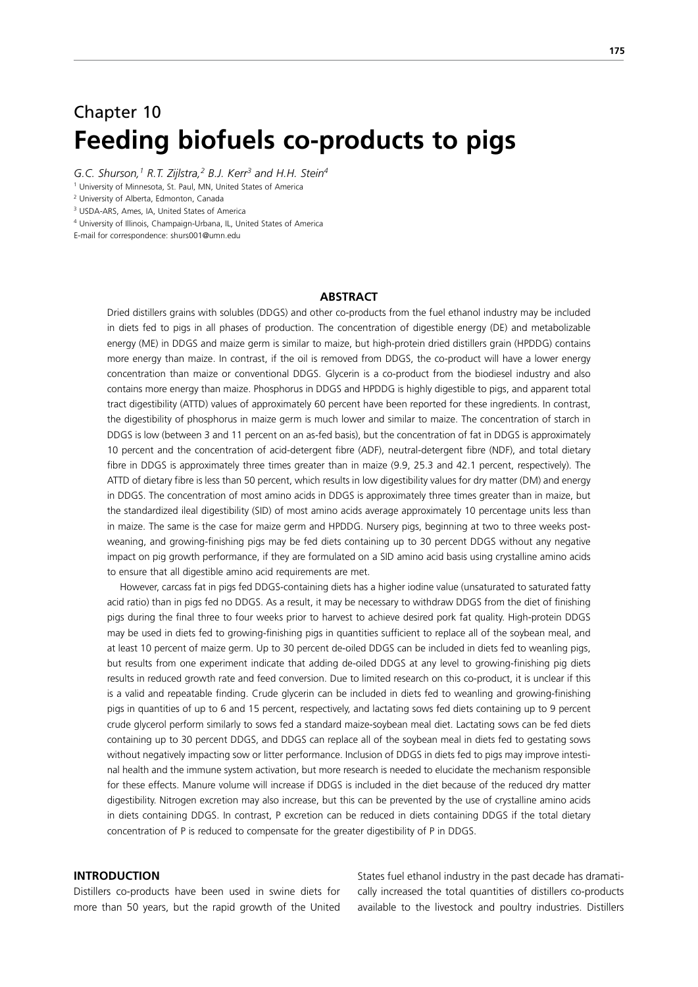# Chapter 10 **Feeding biofuels co-products to pigs**

G.C. Shurson,<sup>1</sup> R.T. Zijlstra,<sup>2</sup> B.J. Kerr<sup>3</sup> and H.H. Stein<sup>4</sup>

1 University of Minnesota, St. Paul, MN, United States of America

2 University of Alberta, Edmonton, Canada

3 USDA-ARS, Ames, IA, United States of America

4 University of Illinois, Champaign-Urbana, IL, United States of America

E-mail for correspondence: shurs001@umn.edu

## **ABSTRACT**

Dried distillers grains with solubles (DDGS) and other co-products from the fuel ethanol industry may be included in diets fed to pigs in all phases of production. The concentration of digestible energy (DE) and metabolizable energy (ME) in DDGS and maize germ is similar to maize, but high-protein dried distillers grain (HPDDG) contains more energy than maize. In contrast, if the oil is removed from DDGS, the co-product will have a lower energy concentration than maize or conventional DDGS. Glycerin is a co-product from the biodiesel industry and also contains more energy than maize. Phosphorus in DDGS and HPDDG is highly digestible to pigs, and apparent total tract digestibility (ATTD) values of approximately 60 percent have been reported for these ingredients. In contrast, the digestibility of phosphorus in maize germ is much lower and similar to maize. The concentration of starch in DDGS is low (between 3 and 11 percent on an as-fed basis), but the concentration of fat in DDGS is approximately 10 percent and the concentration of acid-detergent fibre (ADF), neutral-detergent fibre (NDF), and total dietary fibre in DDGS is approximately three times greater than in maize (9.9, 25.3 and 42.1 percent, respectively). The ATTD of dietary fibre is less than 50 percent, which results in low digestibility values for dry matter (DM) and energy in DDGS. The concentration of most amino acids in DDGS is approximately three times greater than in maize, but the standardized ileal digestibility (SID) of most amino acids average approximately 10 percentage units less than in maize. The same is the case for maize germ and HPDDG. Nursery pigs, beginning at two to three weeks postweaning, and growing-finishing pigs may be fed diets containing up to 30 percent DDGS without any negative impact on pig growth performance, if they are formulated on a SID amino acid basis using crystalline amino acids to ensure that all digestible amino acid requirements are met.

 However, carcass fat in pigs fed DDGS-containing diets has a higher iodine value (unsaturated to saturated fatty acid ratio) than in pigs fed no DDGS. As a result, it may be necessary to withdraw DDGS from the diet of finishing pigs during the final three to four weeks prior to harvest to achieve desired pork fat quality. High-protein DDGS may be used in diets fed to growing-finishing pigs in quantities sufficient to replace all of the soybean meal, and at least 10 percent of maize germ. Up to 30 percent de-oiled DDGS can be included in diets fed to weanling pigs, but results from one experiment indicate that adding de-oiled DDGS at any level to growing-finishing pig diets results in reduced growth rate and feed conversion. Due to limited research on this co-product, it is unclear if this is a valid and repeatable finding. Crude glycerin can be included in diets fed to weanling and growing-finishing pigs in quantities of up to 6 and 15 percent, respectively, and lactating sows fed diets containing up to 9 percent crude glycerol perform similarly to sows fed a standard maize-soybean meal diet. Lactating sows can be fed diets containing up to 30 percent DDGS, and DDGS can replace all of the soybean meal in diets fed to gestating sows without negatively impacting sow or litter performance. Inclusion of DDGS in diets fed to pigs may improve intestinal health and the immune system activation, but more research is needed to elucidate the mechanism responsible for these effects. Manure volume will increase if DDGS is included in the diet because of the reduced dry matter digestibility. Nitrogen excretion may also increase, but this can be prevented by the use of crystalline amino acids in diets containing DDGS. In contrast, P excretion can be reduced in diets containing DDGS if the total dietary concentration of P is reduced to compensate for the greater digestibility of P in DDGS.

#### **INTRODUCTION**

Distillers co-products have been used in swine diets for more than 50 years, but the rapid growth of the United

States fuel ethanol industry in the past decade has dramatically increased the total quantities of distillers co-products available to the livestock and poultry industries. Distillers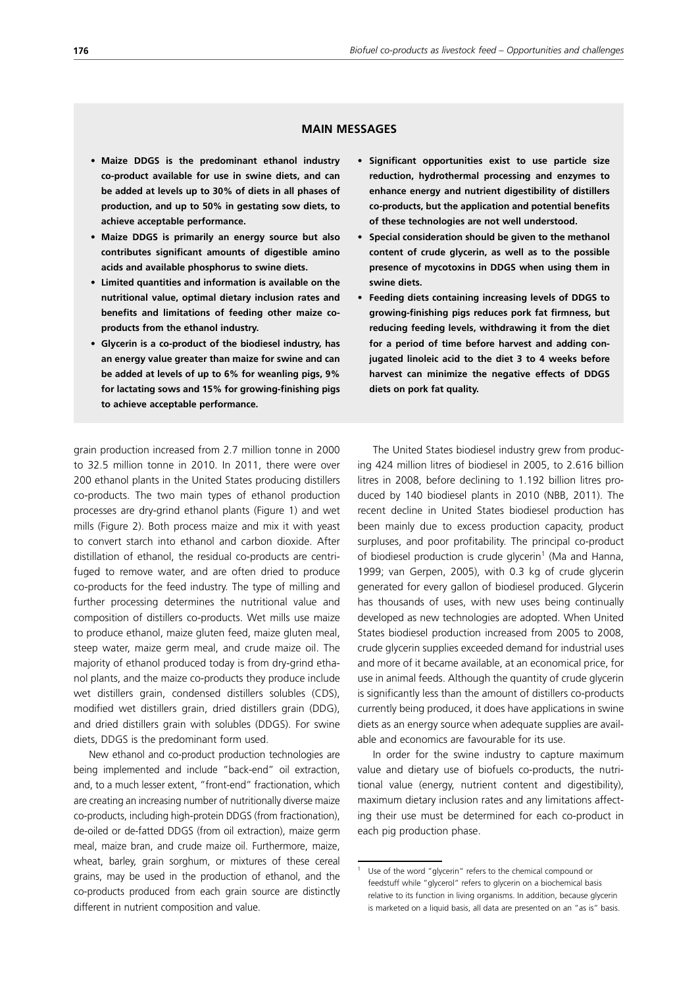## **MAIN MESSAGES**

- **• Maize DDGS is the predominant ethanol industry co-product available for use in swine diets, and can be added at levels up to 30% of diets in all phases of production, and up to 50% in gestating sow diets, to achieve acceptable performance.**
- **• Maize DDGS is primarily an energy source but also contributes significant amounts of digestible amino acids and available phosphorus to swine diets.**
- **• Limited quantities and information is available on the nutritional value, optimal dietary inclusion rates and benefits and limitations of feeding other maize coproducts from the ethanol industry.**
- **• Glycerin is a co-product of the biodiesel industry, has an energy value greater than maize for swine and can be added at levels of up to 6% for weanling pigs, 9% for lactating sows and 15% for growing-finishing pigs to achieve acceptable performance.**
- **• Significant opportunities exist to use particle size reduction, hydrothermal processing and enzymes to enhance energy and nutrient digestibility of distillers co-products, but the application and potential benefits of these technologies are not well understood.**
- **Special consideration should be given to the methanol content of crude glycerin, as well as to the possible presence of mycotoxins in DDGS when using them in swine diets.**
- **• Feeding diets containing increasing levels of DDGS to growing-finishing pigs reduces pork fat firmness, but reducing feeding levels, withdrawing it from the diet for a period of time before harvest and adding conjugated linoleic acid to the diet 3 to 4 weeks before harvest can minimize the negative effects of DDGS diets on pork fat quality.**

grain production increased from 2.7 million tonne in 2000 to 32.5 million tonne in 2010. In 2011, there were over 200 ethanol plants in the United States producing distillers co-products. The two main types of ethanol production processes are dry-grind ethanol plants (Figure 1) and wet mills (Figure 2). Both process maize and mix it with yeast to convert starch into ethanol and carbon dioxide. After distillation of ethanol, the residual co-products are centrifuged to remove water, and are often dried to produce co-products for the feed industry. The type of milling and further processing determines the nutritional value and composition of distillers co-products. Wet mills use maize to produce ethanol, maize gluten feed, maize gluten meal, steep water, maize germ meal, and crude maize oil. The majority of ethanol produced today is from dry-grind ethanol plants, and the maize co-products they produce include wet distillers grain, condensed distillers solubles (CDS), modified wet distillers grain, dried distillers grain (DDG), and dried distillers grain with solubles (DDGS). For swine diets, DDGS is the predominant form used.

New ethanol and co-product production technologies are being implemented and include "back-end" oil extraction, and, to a much lesser extent, "front-end" fractionation, which are creating an increasing number of nutritionally diverse maize co-products, including high-protein DDGS (from fractionation), de-oiled or de-fatted DDGS (from oil extraction), maize germ meal, maize bran, and crude maize oil. Furthermore, maize, wheat, barley, grain sorghum, or mixtures of these cereal grains, may be used in the production of ethanol, and the co-products produced from each grain source are distinctly different in nutrient composition and value.

The United States biodiesel industry grew from producing 424 million litres of biodiesel in 2005, to 2.616 billion litres in 2008, before declining to 1.192 billion litres produced by 140 biodiesel plants in 2010 (NBB, 2011). The recent decline in United States biodiesel production has been mainly due to excess production capacity, product surpluses, and poor profitability. The principal co-product of biodiesel production is crude glycerin<sup>1</sup> (Ma and Hanna, 1999; van Gerpen, 2005), with 0.3 kg of crude glycerin generated for every gallon of biodiesel produced. Glycerin has thousands of uses, with new uses being continually developed as new technologies are adopted. When United States biodiesel production increased from 2005 to 2008, crude glycerin supplies exceeded demand for industrial uses and more of it became available, at an economical price, for use in animal feeds. Although the quantity of crude glycerin is significantly less than the amount of distillers co-products currently being produced, it does have applications in swine diets as an energy source when adequate supplies are available and economics are favourable for its use.

In order for the swine industry to capture maximum value and dietary use of biofuels co-products, the nutritional value (energy, nutrient content and digestibility), maximum dietary inclusion rates and any limitations affecting their use must be determined for each co-product in each pig production phase.

<sup>&</sup>lt;sup>1</sup> Use of the word "glycerin" refers to the chemical compound or feedstuff while "glycerol" refers to glycerin on a biochemical basis relative to its function in living organisms. In addition, because glycerin is marketed on a liquid basis, all data are presented on an "as is" basis.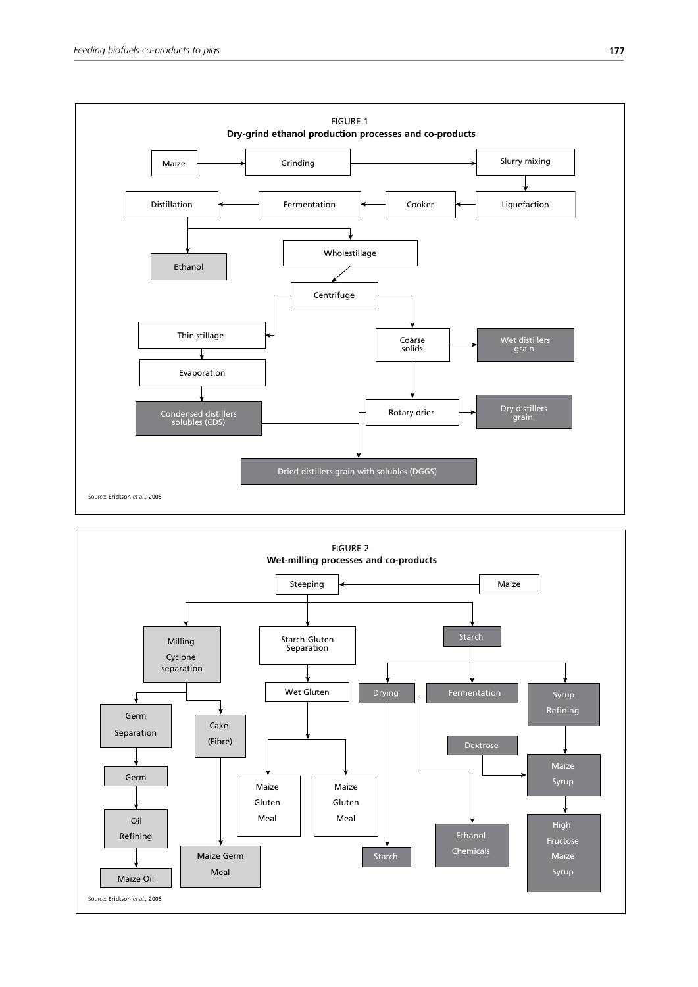

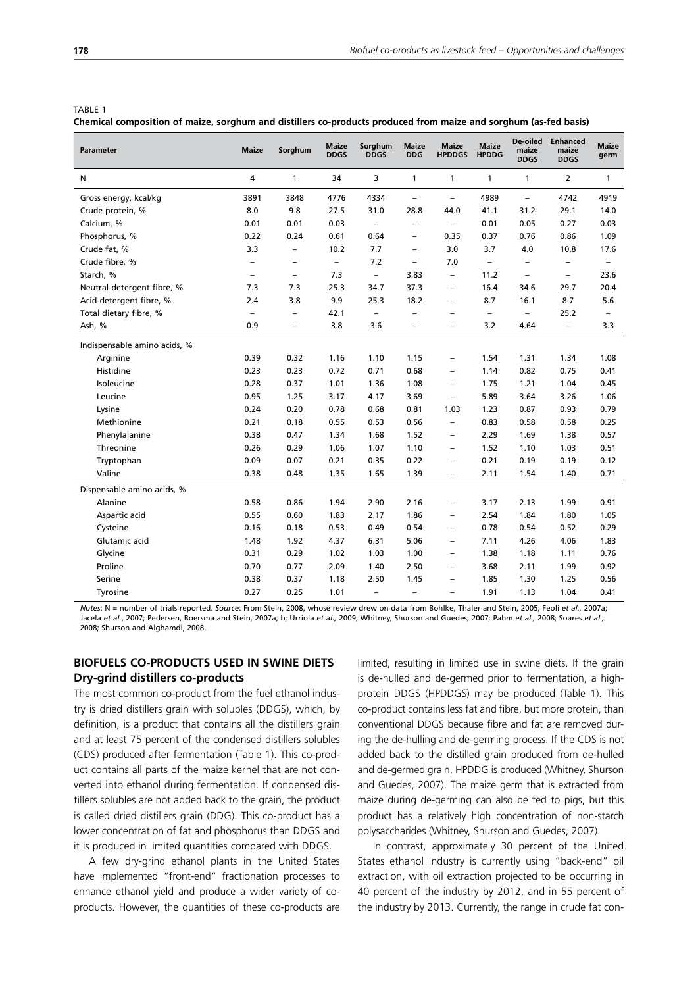| R<br>Aь |  |
|---------|--|
|         |  |

**Chemical composition of maize, sorghum and distillers co-products produced from maize and sorghum (as-fed basis)**

| Parameter                    | <b>Maize</b>             | Sorghum                  | <b>Maize</b><br><b>DDGS</b> | Sorghum<br><b>DDGS</b>   | <b>Maize</b><br><b>DDG</b> | <b>Maize</b><br><b>HPDDGS</b> | <b>Maize</b><br><b>HPDDG</b> | De-oiled<br>maize<br><b>DDGS</b> | <b>Enhanced</b><br>maize<br><b>DDGS</b> | <b>Maize</b><br>germ     |
|------------------------------|--------------------------|--------------------------|-----------------------------|--------------------------|----------------------------|-------------------------------|------------------------------|----------------------------------|-----------------------------------------|--------------------------|
| N                            | 4                        | 1                        | 34                          | 3                        | 1                          | 1                             | 1                            | 1                                | $\overline{2}$                          | 1                        |
| Gross energy, kcal/kg        | 3891                     | 3848                     | 4776                        | 4334                     | $\qquad \qquad -$          | $\overline{\phantom{a}}$      | 4989                         | $\overline{\phantom{a}}$         | 4742                                    | 4919                     |
| Crude protein, %             | 8.0                      | 9.8                      | 27.5                        | 31.0                     | 28.8                       | 44.0                          | 41.1                         | 31.2                             | 29.1                                    | 14.0                     |
| Calcium, %                   | 0.01                     | 0.01                     | 0.03                        | $\overline{\phantom{a}}$ | $\overline{\phantom{0}}$   | $\overline{\phantom{a}}$      | 0.01                         | 0.05                             | 0.27                                    | 0.03                     |
| Phosphorus, %                | 0.22                     | 0.24                     | 0.61                        | 0.64                     | $\qquad \qquad -$          | 0.35                          | 0.37                         | 0.76                             | 0.86                                    | 1.09                     |
| Crude fat, %                 | 3.3                      | $\qquad \qquad -$        | 10.2                        | 7.7                      | $\qquad \qquad -$          | 3.0                           | 3.7                          | 4.0                              | 10.8                                    | 17.6                     |
| Crude fibre, %               | $\overline{\phantom{m}}$ | $\overline{\phantom{0}}$ | $\overline{\phantom{a}}$    | 7.2                      | $\qquad \qquad -$          | 7.0                           | $\overline{\phantom{0}}$     | $\qquad \qquad -$                | $\overline{\phantom{a}}$                | $\overline{\phantom{0}}$ |
| Starch, %                    | $\overline{\phantom{0}}$ | $\overline{\phantom{0}}$ | 7.3                         | $\overline{\phantom{a}}$ | 3.83                       | $\overline{\phantom{a}}$      | 11.2                         | $\overline{\phantom{0}}$         | $\overline{\phantom{0}}$                | 23.6                     |
| Neutral-detergent fibre, %   | 7.3                      | 7.3                      | 25.3                        | 34.7                     | 37.3                       | $\overline{\phantom{0}}$      | 16.4                         | 34.6                             | 29.7                                    | 20.4                     |
| Acid-detergent fibre, %      | 2.4                      | 3.8                      | 9.9                         | 25.3                     | 18.2                       | $\qquad \qquad -$             | 8.7                          | 16.1                             | 8.7                                     | 5.6                      |
| Total dietary fibre, %       | $\overline{\phantom{a}}$ | $\overline{\phantom{0}}$ | 42.1                        | $\overline{\phantom{a}}$ | -                          | $\qquad \qquad -$             | -                            | $\overline{\phantom{a}}$         | 25.2                                    | $\qquad \qquad -$        |
| Ash, %                       | 0.9                      | $\overline{\phantom{0}}$ | 3.8                         | 3.6                      | $\overline{\phantom{0}}$   | $\overline{\phantom{0}}$      | 3.2                          | 4.64                             | $\overline{\phantom{0}}$                | 3.3                      |
| Indispensable amino acids, % |                          |                          |                             |                          |                            |                               |                              |                                  |                                         |                          |
| Arginine                     | 0.39                     | 0.32                     | 1.16                        | 1.10                     | 1.15                       | $\qquad \qquad -$             | 1.54                         | 1.31                             | 1.34                                    | 1.08                     |
| Histidine                    | 0.23                     | 0.23                     | 0.72                        | 0.71                     | 0.68                       | $\qquad \qquad -$             | 1.14                         | 0.82                             | 0.75                                    | 0.41                     |
| Isoleucine                   | 0.28                     | 0.37                     | 1.01                        | 1.36                     | 1.08                       | $\overline{\phantom{a}}$      | 1.75                         | 1.21                             | 1.04                                    | 0.45                     |
| Leucine                      | 0.95                     | 1.25                     | 3.17                        | 4.17                     | 3.69                       | $\overline{\phantom{a}}$      | 5.89                         | 3.64                             | 3.26                                    | 1.06                     |
| Lysine                       | 0.24                     | 0.20                     | 0.78                        | 0.68                     | 0.81                       | 1.03                          | 1.23                         | 0.87                             | 0.93                                    | 0.79                     |
| Methionine                   | 0.21                     | 0.18                     | 0.55                        | 0.53                     | 0.56                       | $\overline{\phantom{a}}$      | 0.83                         | 0.58                             | 0.58                                    | 0.25                     |
| Phenylalanine                | 0.38                     | 0.47                     | 1.34                        | 1.68                     | 1.52                       | $\overline{\phantom{m}}$      | 2.29                         | 1.69                             | 1.38                                    | 0.57                     |
| Threonine                    | 0.26                     | 0.29                     | 1.06                        | 1.07                     | 1.10                       | $\qquad \qquad -$             | 1.52                         | 1.10                             | 1.03                                    | 0.51                     |
| Tryptophan                   | 0.09                     | 0.07                     | 0.21                        | 0.35                     | 0.22                       | $\qquad \qquad -$             | 0.21                         | 0.19                             | 0.19                                    | 0.12                     |
| Valine                       | 0.38                     | 0.48                     | 1.35                        | 1.65                     | 1.39                       | $\overline{\phantom{a}}$      | 2.11                         | 1.54                             | 1.40                                    | 0.71                     |
| Dispensable amino acids, %   |                          |                          |                             |                          |                            |                               |                              |                                  |                                         |                          |
| Alanine                      | 0.58                     | 0.86                     | 1.94                        | 2.90                     | 2.16                       | $\qquad \qquad -$             | 3.17                         | 2.13                             | 1.99                                    | 0.91                     |
| Aspartic acid                | 0.55                     | 0.60                     | 1.83                        | 2.17                     | 1.86                       | $\qquad \qquad -$             | 2.54                         | 1.84                             | 1.80                                    | 1.05                     |
| Cysteine                     | 0.16                     | 0.18                     | 0.53                        | 0.49                     | 0.54                       | $\overline{\phantom{a}}$      | 0.78                         | 0.54                             | 0.52                                    | 0.29                     |
| Glutamic acid                | 1.48                     | 1.92                     | 4.37                        | 6.31                     | 5.06                       | $\qquad \qquad -$             | 7.11                         | 4.26                             | 4.06                                    | 1.83                     |
| Glycine                      | 0.31                     | 0.29                     | 1.02                        | 1.03                     | 1.00                       | $\overline{\phantom{a}}$      | 1.38                         | 1.18                             | 1.11                                    | 0.76                     |
| Proline                      | 0.70                     | 0.77                     | 2.09                        | 1.40                     | 2.50                       | $\overline{\phantom{a}}$      | 3.68                         | 2.11                             | 1.99                                    | 0.92                     |
| Serine                       | 0.38                     | 0.37                     | 1.18                        | 2.50                     | 1.45                       | $\qquad \qquad -$             | 1.85                         | 1.30                             | 1.25                                    | 0.56                     |
| Tyrosine                     | 0.27                     | 0.25                     | 1.01                        | $\overline{\phantom{0}}$ | $\qquad \qquad -$          | $\qquad \qquad -$             | 1.91                         | 1.13                             | 1.04                                    | 0.41                     |

*Notes*: N = number of trials reported. *Source*: From Stein, 2008, whose review drew on data from Bohlke, Thaler and Stein, 2005; Feoli *et al.,* 2007a; Jacela *et al.*, 2007; Pedersen, Boersma and Stein, 2007a, b; Urriola *et al.,* 2009; Whitney, Shurson and Guedes, 2007; Pahm *et al.,* 2008; Soares *et al.,*  2008; Shurson and Alghamdi, 2008.

# **BIOFUELS CO-PRODUCTS USED IN SWINE DIETS Dry-grind distillers co-products**

The most common co-product from the fuel ethanol industry is dried distillers grain with solubles (DDGS), which, by definition, is a product that contains all the distillers grain and at least 75 percent of the condensed distillers solubles (CDS) produced after fermentation (Table 1). This co-product contains all parts of the maize kernel that are not converted into ethanol during fermentation. If condensed distillers solubles are not added back to the grain, the product is called dried distillers grain (DDG). This co-product has a lower concentration of fat and phosphorus than DDGS and it is produced in limited quantities compared with DDGS.

A few dry-grind ethanol plants in the United States have implemented "front-end" fractionation processes to enhance ethanol yield and produce a wider variety of coproducts. However, the quantities of these co-products are limited, resulting in limited use in swine diets. If the grain is de-hulled and de-germed prior to fermentation, a highprotein DDGS (HPDDGS) may be produced (Table 1). This co-product contains less fat and fibre, but more protein, than conventional DDGS because fibre and fat are removed during the de-hulling and de-germing process. If the CDS is not added back to the distilled grain produced from de-hulled and de-germed grain, HPDDG is produced (Whitney, Shurson and Guedes, 2007). The maize germ that is extracted from maize during de-germing can also be fed to pigs, but this product has a relatively high concentration of non-starch polysaccharides (Whitney, Shurson and Guedes, 2007).

In contrast, approximately 30 percent of the United States ethanol industry is currently using "back-end" oil extraction, with oil extraction projected to be occurring in 40 percent of the industry by 2012, and in 55 percent of the industry by 2013. Currently, the range in crude fat con-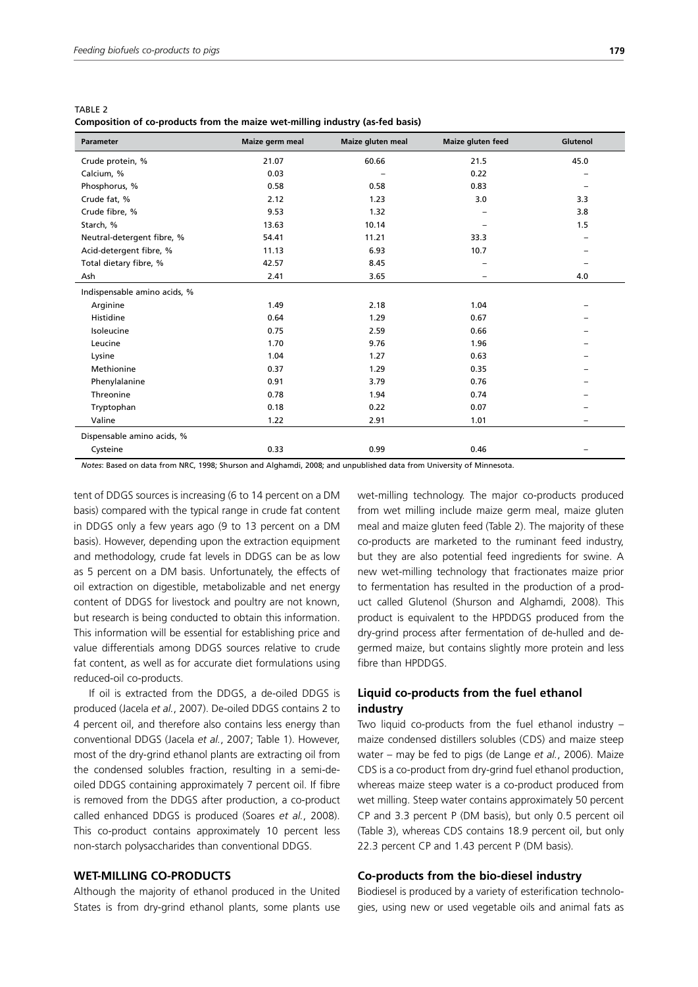| TABLE 2 |                                                                               |  |  |
|---------|-------------------------------------------------------------------------------|--|--|
|         | Composition of co-products from the maize wet-milling industry (as-fed basis) |  |  |

| <b>Parameter</b>             | Maize germ meal | Maize gluten meal | Maize gluten feed | Glutenol                 |
|------------------------------|-----------------|-------------------|-------------------|--------------------------|
| Crude protein, %             | 21.07           | 60.66             | 21.5              | 45.0                     |
| Calcium, %                   | 0.03            |                   | 0.22              |                          |
| Phosphorus, %                | 0.58            | 0.58              | 0.83              |                          |
| Crude fat, %                 | 2.12            | 1.23              | 3.0               | 3.3                      |
| Crude fibre, %               | 9.53            | 1.32              |                   | 3.8                      |
| Starch, %                    | 13.63           | 10.14             |                   | 1.5                      |
| Neutral-detergent fibre, %   | 54.41           | 11.21             | 33.3              | $\overline{\phantom{0}}$ |
| Acid-detergent fibre, %      | 11.13           | 6.93              | 10.7              |                          |
| Total dietary fibre, %       | 42.57           | 8.45              |                   |                          |
| Ash                          | 2.41            | 3.65              |                   | 4.0                      |
| Indispensable amino acids, % |                 |                   |                   |                          |
| Arginine                     | 1.49            | 2.18              | 1.04              |                          |
| Histidine                    | 0.64            | 1.29              | 0.67              |                          |
| Isoleucine                   | 0.75            | 2.59              | 0.66              |                          |
| Leucine                      | 1.70            | 9.76              | 1.96              |                          |
| Lysine                       | 1.04            | 1.27              | 0.63              |                          |
| Methionine                   | 0.37            | 1.29              | 0.35              |                          |
| Phenylalanine                | 0.91            | 3.79              | 0.76              |                          |
| Threonine                    | 0.78            | 1.94              | 0.74              |                          |
| Tryptophan                   | 0.18            | 0.22              | 0.07              |                          |
| Valine                       | 1.22            | 2.91              | 1.01              |                          |
| Dispensable amino acids, %   |                 |                   |                   |                          |
| Cysteine                     | 0.33            | 0.99              | 0.46              |                          |

*Notes*: Based on data from NRC, 1998; Shurson and Alghamdi, 2008; and unpublished data from University of Minnesota.

tent of DDGS sources is increasing (6 to 14 percent on a DM basis) compared with the typical range in crude fat content in DDGS only a few years ago (9 to 13 percent on a DM basis). However, depending upon the extraction equipment and methodology, crude fat levels in DDGS can be as low as 5 percent on a DM basis. Unfortunately, the effects of oil extraction on digestible, metabolizable and net energy content of DDGS for livestock and poultry are not known, but research is being conducted to obtain this information. This information will be essential for establishing price and value differentials among DDGS sources relative to crude fat content, as well as for accurate diet formulations using reduced-oil co-products.

If oil is extracted from the DDGS, a de-oiled DDGS is produced (Jacela *et al.*, 2007). De-oiled DDGS contains 2 to 4 percent oil, and therefore also contains less energy than conventional DDGS (Jacela *et al.*, 2007; Table 1). However, most of the dry-grind ethanol plants are extracting oil from the condensed solubles fraction, resulting in a semi-deoiled DDGS containing approximately 7 percent oil. If fibre is removed from the DDGS after production, a co-product called enhanced DDGS is produced (Soares *et al.*, 2008). This co-product contains approximately 10 percent less non-starch polysaccharides than conventional DDGS.

## **WET-MILLING CO-PRODUCTS**

Although the majority of ethanol produced in the United States is from dry-grind ethanol plants, some plants use wet-milling technology. The major co-products produced from wet milling include maize germ meal, maize gluten meal and maize gluten feed (Table 2). The majority of these co-products are marketed to the ruminant feed industry, but they are also potential feed ingredients for swine. A new wet-milling technology that fractionates maize prior to fermentation has resulted in the production of a product called Glutenol (Shurson and Alghamdi, 2008). This product is equivalent to the HPDDGS produced from the dry-grind process after fermentation of de-hulled and degermed maize, but contains slightly more protein and less fibre than HPDDGS.

## **Liquid co-products from the fuel ethanol industry**

Two liquid co-products from the fuel ethanol industry – maize condensed distillers solubles (CDS) and maize steep water – may be fed to pigs (de Lange *et al.*, 2006). Maize CDS is a co-product from dry-grind fuel ethanol production, whereas maize steep water is a co-product produced from wet milling. Steep water contains approximately 50 percent CP and 3.3 percent P (DM basis), but only 0.5 percent oil (Table 3), whereas CDS contains 18.9 percent oil, but only 22.3 percent CP and 1.43 percent P (DM basis).

## **Co-products from the bio-diesel industry**

Biodiesel is produced by a variety of esterification technologies, using new or used vegetable oils and animal fats as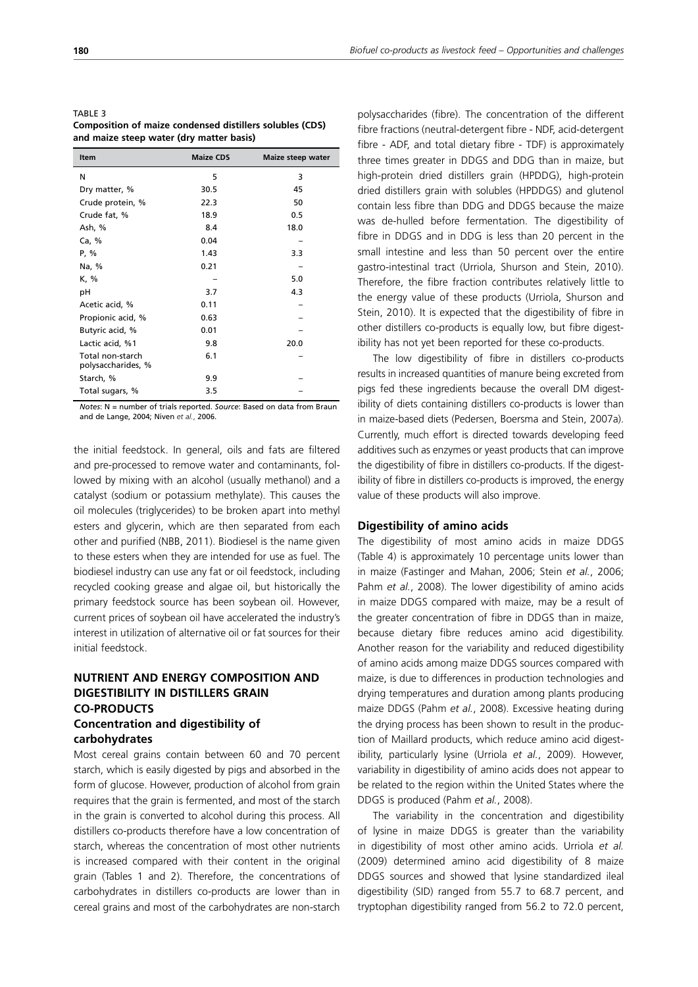| TABLE 3                                                         |
|-----------------------------------------------------------------|
| <b>Composition of maize condensed distillers solubles (CDS)</b> |
| and maize steep water (dry matter basis)                        |

| Item                                   | <b>Maize CDS</b> | Maize steep water |
|----------------------------------------|------------------|-------------------|
| N                                      | 5                | 3                 |
| Dry matter, %                          | 30.5             | 45                |
| Crude protein, %                       | 22.3             | 50                |
| Crude fat, %                           | 18.9             | 0.5               |
| Ash, %                                 | 8.4              | 18.0              |
| Ca, %                                  | 0.04             |                   |
| P, %                                   | 1.43             | 3.3               |
| Na, %                                  | 0.21             |                   |
| K, %                                   |                  | 5.0               |
| рH                                     | 3.7              | 4.3               |
| Acetic acid, %                         | 0.11             |                   |
| Propionic acid, %                      | 0.63             |                   |
| Butyric acid, %                        | 0.01             |                   |
| Lactic acid, %1                        | 9.8              | 20.0              |
| Total non-starch<br>polysaccharides, % | 6.1              |                   |
| Starch, %                              | 9.9              |                   |
| Total sugars, %                        | 3.5              |                   |

*Notes*: N = number of trials reported. *Source*: Based on data from Braun and de Lange, 2004; Niven *et al.*, 2006.

the initial feedstock. In general, oils and fats are filtered and pre-processed to remove water and contaminants, followed by mixing with an alcohol (usually methanol) and a catalyst (sodium or potassium methylate). This causes the oil molecules (triglycerides) to be broken apart into methyl esters and glycerin, which are then separated from each other and purified (NBB, 2011). Biodiesel is the name given to these esters when they are intended for use as fuel. The biodiesel industry can use any fat or oil feedstock, including recycled cooking grease and algae oil, but historically the primary feedstock source has been soybean oil. However, current prices of soybean oil have accelerated the industry's interest in utilization of alternative oil or fat sources for their initial feedstock.

# **NUTRIENT AND ENERGY COMPOSITION AND DIGESTIBILITY IN DISTILLERS GRAIN CO-PRODUCTS Concentration and digestibility of**

## **carbohydrates**

Most cereal grains contain between 60 and 70 percent starch, which is easily digested by pigs and absorbed in the form of glucose. However, production of alcohol from grain requires that the grain is fermented, and most of the starch in the grain is converted to alcohol during this process. All distillers co-products therefore have a low concentration of starch, whereas the concentration of most other nutrients is increased compared with their content in the original grain (Tables 1 and 2). Therefore, the concentrations of carbohydrates in distillers co-products are lower than in cereal grains and most of the carbohydrates are non-starch polysaccharides (fibre). The concentration of the different fibre fractions (neutral-detergent fibre - NDF, acid-detergent fibre - ADF, and total dietary fibre - TDF) is approximately three times greater in DDGS and DDG than in maize, but high-protein dried distillers grain (HPDDG), high-protein dried distillers grain with solubles (HPDDGS) and glutenol contain less fibre than DDG and DDGS because the maize was de-hulled before fermentation. The digestibility of fibre in DDGS and in DDG is less than 20 percent in the small intestine and less than 50 percent over the entire gastro-intestinal tract (Urriola, Shurson and Stein, 2010). Therefore, the fibre fraction contributes relatively little to the energy value of these products (Urriola, Shurson and Stein, 2010). It is expected that the digestibility of fibre in other distillers co-products is equally low, but fibre digestibility has not yet been reported for these co-products.

The low digestibility of fibre in distillers co-products results in increased quantities of manure being excreted from pigs fed these ingredients because the overall DM digestibility of diets containing distillers co-products is lower than in maize-based diets (Pedersen, Boersma and Stein, 2007a). Currently, much effort is directed towards developing feed additives such as enzymes or yeast products that can improve the digestibility of fibre in distillers co-products. If the digestibility of fibre in distillers co-products is improved, the energy value of these products will also improve.

#### **Digestibility of amino acids**

The digestibility of most amino acids in maize DDGS (Table 4) is approximately 10 percentage units lower than in maize (Fastinger and Mahan, 2006; Stein *et al.*, 2006; Pahm *et al.*, 2008). The lower digestibility of amino acids in maize DDGS compared with maize, may be a result of the greater concentration of fibre in DDGS than in maize, because dietary fibre reduces amino acid digestibility. Another reason for the variability and reduced digestibility of amino acids among maize DDGS sources compared with maize, is due to differences in production technologies and drying temperatures and duration among plants producing maize DDGS (Pahm *et al.*, 2008). Excessive heating during the drying process has been shown to result in the production of Maillard products, which reduce amino acid digestibility, particularly lysine (Urriola *et al.*, 2009). However, variability in digestibility of amino acids does not appear to be related to the region within the United States where the DDGS is produced (Pahm *et al.*, 2008).

The variability in the concentration and digestibility of lysine in maize DDGS is greater than the variability in digestibility of most other amino acids. Urriola *et al.* (2009) determined amino acid digestibility of 8 maize DDGS sources and showed that lysine standardized ileal digestibility (SID) ranged from 55.7 to 68.7 percent, and tryptophan digestibility ranged from 56.2 to 72.0 percent,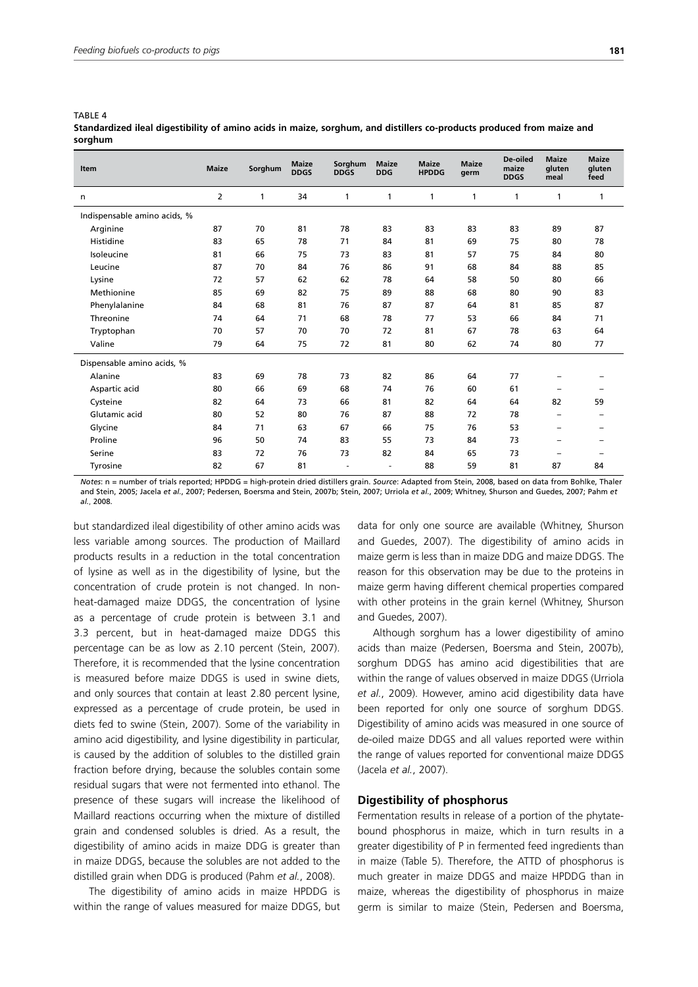TARI F 4

## **Standardized ileal digestibility of amino acids in maize, sorghum, and distillers co-products produced from maize and sorghum**

| <b>Item</b>                  | <b>Maize</b>   | Sorghum | <b>Maize</b><br><b>DDGS</b> | Sorghum<br><b>DDGS</b> | <b>Maize</b><br><b>DDG</b> | <b>Maize</b><br><b>HPDDG</b> | <b>Maize</b><br>germ | De-oiled<br>maize<br><b>DDGS</b> | <b>Maize</b><br>gluten<br>meal | <b>Maize</b><br>gluten<br>feed |
|------------------------------|----------------|---------|-----------------------------|------------------------|----------------------------|------------------------------|----------------------|----------------------------------|--------------------------------|--------------------------------|
| n                            | $\overline{2}$ | 1       | 34                          | 1                      | 1                          | 1                            | 1                    | 1                                | 1                              | $\mathbf{1}$                   |
| Indispensable amino acids, % |                |         |                             |                        |                            |                              |                      |                                  |                                |                                |
| Arginine                     | 87             | 70      | 81                          | 78                     | 83                         | 83                           | 83                   | 83                               | 89                             | 87                             |
| Histidine                    | 83             | 65      | 78                          | 71                     | 84                         | 81                           | 69                   | 75                               | 80                             | 78                             |
| Isoleucine                   | 81             | 66      | 75                          | 73                     | 83                         | 81                           | 57                   | 75                               | 84                             | 80                             |
| Leucine                      | 87             | 70      | 84                          | 76                     | 86                         | 91                           | 68                   | 84                               | 88                             | 85                             |
| Lysine                       | 72             | 57      | 62                          | 62                     | 78                         | 64                           | 58                   | 50                               | 80                             | 66                             |
| Methionine                   | 85             | 69      | 82                          | 75                     | 89                         | 88                           | 68                   | 80                               | 90                             | 83                             |
| Phenylalanine                | 84             | 68      | 81                          | 76                     | 87                         | 87                           | 64                   | 81                               | 85                             | 87                             |
| Threonine                    | 74             | 64      | 71                          | 68                     | 78                         | 77                           | 53                   | 66                               | 84                             | 71                             |
| Tryptophan                   | 70             | 57      | 70                          | 70                     | 72                         | 81                           | 67                   | 78                               | 63                             | 64                             |
| Valine                       | 79             | 64      | 75                          | 72                     | 81                         | 80                           | 62                   | 74                               | 80                             | 77                             |
| Dispensable amino acids, %   |                |         |                             |                        |                            |                              |                      |                                  |                                |                                |
| Alanine                      | 83             | 69      | 78                          | 73                     | 82                         | 86                           | 64                   | 77                               |                                |                                |
| Aspartic acid                | 80             | 66      | 69                          | 68                     | 74                         | 76                           | 60                   | 61                               |                                |                                |
| Cysteine                     | 82             | 64      | 73                          | 66                     | 81                         | 82                           | 64                   | 64                               | 82                             | 59                             |
| Glutamic acid                | 80             | 52      | 80                          | 76                     | 87                         | 88                           | 72                   | 78                               |                                |                                |
| Glycine                      | 84             | 71      | 63                          | 67                     | 66                         | 75                           | 76                   | 53                               | -                              |                                |
| Proline                      | 96             | 50      | 74                          | 83                     | 55                         | 73                           | 84                   | 73                               | $\equiv$                       |                                |
| Serine                       | 83             | 72      | 76                          | 73                     | 82                         | 84                           | 65                   | 73                               |                                |                                |
| Tyrosine                     | 82             | 67      | 81                          |                        | ٠                          | 88                           | 59                   | 81                               | 87                             | 84                             |

*Notes*: n = number of trials reported; HPDDG = high-protein dried distillers grain. *Source*: Adapted from Stein, 2008, based on data from Bohlke, Thaler and Stein, 2005; Jacela *et al.*, 2007; Pedersen, Boersma and Stein, 2007b; Stein, 2007; Urriola *et al.*, 2009; Whitney, Shurson and Guedes, 2007; Pahm *et al.*, 2008.

but standardized ileal digestibility of other amino acids was less variable among sources. The production of Maillard products results in a reduction in the total concentration of lysine as well as in the digestibility of lysine, but the concentration of crude protein is not changed. In nonheat-damaged maize DDGS, the concentration of lysine as a percentage of crude protein is between 3.1 and 3.3 percent, but in heat-damaged maize DDGS this percentage can be as low as 2.10 percent (Stein, 2007). Therefore, it is recommended that the lysine concentration is measured before maize DDGS is used in swine diets, and only sources that contain at least 2.80 percent lysine, expressed as a percentage of crude protein, be used in diets fed to swine (Stein, 2007). Some of the variability in amino acid digestibility, and lysine digestibility in particular, is caused by the addition of solubles to the distilled grain fraction before drying, because the solubles contain some residual sugars that were not fermented into ethanol. The presence of these sugars will increase the likelihood of Maillard reactions occurring when the mixture of distilled grain and condensed solubles is dried. As a result, the digestibility of amino acids in maize DDG is greater than in maize DDGS, because the solubles are not added to the distilled grain when DDG is produced (Pahm *et al.*, 2008).

The digestibility of amino acids in maize HPDDG is within the range of values measured for maize DDGS, but data for only one source are available (Whitney, Shurson and Guedes, 2007). The digestibility of amino acids in maize germ is less than in maize DDG and maize DDGS. The reason for this observation may be due to the proteins in maize germ having different chemical properties compared with other proteins in the grain kernel (Whitney, Shurson and Guedes, 2007).

Although sorghum has a lower digestibility of amino acids than maize (Pedersen, Boersma and Stein, 2007b), sorghum DDGS has amino acid digestibilities that are within the range of values observed in maize DDGS (Urriola *et al.*, 2009). However, amino acid digestibility data have been reported for only one source of sorghum DDGS. Digestibility of amino acids was measured in one source of de-oiled maize DDGS and all values reported were within the range of values reported for conventional maize DDGS (Jacela *et al.*, 2007).

## **Digestibility of phosphorus**

Fermentation results in release of a portion of the phytatebound phosphorus in maize, which in turn results in a greater digestibility of P in fermented feed ingredients than in maize (Table 5). Therefore, the ATTD of phosphorus is much greater in maize DDGS and maize HPDDG than in maize, whereas the digestibility of phosphorus in maize germ is similar to maize (Stein, Pedersen and Boersma,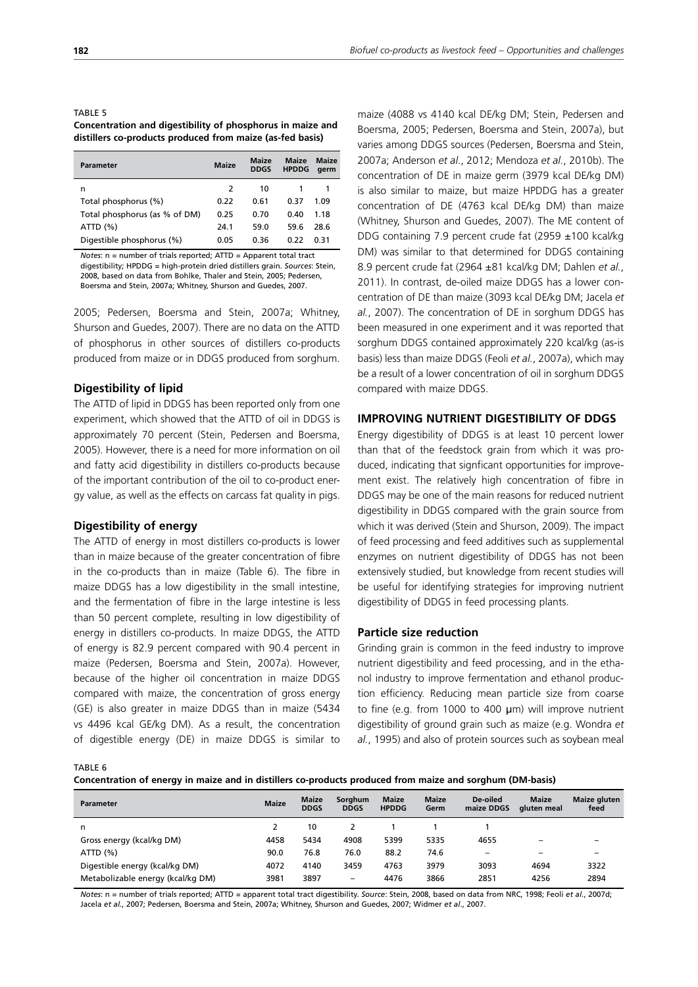TABLE 5 **Concentration and digestibility of phosphorus in maize and distillers co-products produced from maize (as-fed basis)**

| <b>Parameter</b>              | <b>Maize</b> | <b>Maize</b><br><b>DDGS</b> | <b>Maize</b><br><b>HPDDG</b> | <b>Maize</b><br>aerm |
|-------------------------------|--------------|-----------------------------|------------------------------|----------------------|
| n                             | 2            | 10                          |                              |                      |
| Total phosphorus (%)          | 0.22         | 0.61                        | 0.37                         | 1.09                 |
| Total phosphorus (as % of DM) | 0.25         | 0.70                        | 0.40                         | 1.18                 |
| ATTD(%)                       | 24.1         | 59.0                        | 59.6                         | 28.6                 |
| Digestible phosphorus (%)     | 0.05         | 0.36                        | 0.22                         | በ 31                 |

*Notes*: n = number of trials reported; ATTD = Apparent total tract digestibility; HPDDG = high-protein dried distillers grain. *Sources*: Stein, 2008, based on data from Bohlke, Thaler and Stein, 2005; Pedersen, Boersma and Stein, 2007a; Whitney, Shurson and Guedes, 2007.

2005; Pedersen, Boersma and Stein, 2007a; Whitney, Shurson and Guedes, 2007). There are no data on the ATTD of phosphorus in other sources of distillers co-products produced from maize or in DDGS produced from sorghum.

#### **Digestibility of lipid**

The ATTD of lipid in DDGS has been reported only from one experiment, which showed that the ATTD of oil in DDGS is approximately 70 percent (Stein, Pedersen and Boersma, 2005). However, there is a need for more information on oil and fatty acid digestibility in distillers co-products because of the important contribution of the oil to co-product energy value, as well as the effects on carcass fat quality in pigs.

#### **Digestibility of energy**

The ATTD of energy in most distillers co-products is lower than in maize because of the greater concentration of fibre in the co-products than in maize (Table 6). The fibre in maize DDGS has a low digestibility in the small intestine, and the fermentation of fibre in the large intestine is less than 50 percent complete, resulting in low digestibility of energy in distillers co-products. In maize DDGS, the ATTD of energy is 82.9 percent compared with 90.4 percent in maize (Pedersen, Boersma and Stein, 2007a). However, because of the higher oil concentration in maize DDGS compared with maize, the concentration of gross energy (GE) is also greater in maize DDGS than in maize (5434 vs 4496 kcal GE/kg DM). As a result, the concentration of digestible energy (DE) in maize DDGS is similar to maize (4088 vs 4140 kcal DE/kg DM; Stein, Pedersen and Boersma, 2005; Pedersen, Boersma and Stein, 2007a), but varies among DDGS sources (Pedersen, Boersma and Stein, 2007a; Anderson *et al*., 2012; Mendoza *et al.*, 2010b). The concentration of DE in maize germ (3979 kcal DE/kg DM) is also similar to maize, but maize HPDDG has a greater concentration of DE (4763 kcal DE/kg DM) than maize (Whitney, Shurson and Guedes, 2007). The ME content of DDG containing 7.9 percent crude fat (2959 ±100 kcal/kg DM) was similar to that determined for DDGS containing 8.9 percent crude fat (2964 ±81 kcal/kg DM; Dahlen *et al.*, 2011). In contrast, de-oiled maize DDGS has a lower concentration of DE than maize (3093 kcal DE/kg DM; Jacela *et al.*, 2007). The concentration of DE in sorghum DDGS has been measured in one experiment and it was reported that sorghum DDGS contained approximately 220 kcal/kg (as-is basis) less than maize DDGS (Feoli *et al.*, 2007a), which may be a result of a lower concentration of oil in sorghum DDGS compared with maize DDGS.

## **IMPROVING NUTRIENT DIGESTIBILITY OF DDGS**

Energy digestibility of DDGS is at least 10 percent lower than that of the feedstock grain from which it was produced, indicating that signficant opportunities for improvement exist. The relatively high concentration of fibre in DDGS may be one of the main reasons for reduced nutrient digestibility in DDGS compared with the grain source from which it was derived (Stein and Shurson, 2009). The impact of feed processing and feed additives such as supplemental enzymes on nutrient digestibility of DDGS has not been extensively studied, but knowledge from recent studies will be useful for identifying strategies for improving nutrient digestibility of DDGS in feed processing plants.

#### **Particle size reduction**

Grinding grain is common in the feed industry to improve nutrient digestibility and feed processing, and in the ethanol industry to improve fermentation and ethanol production efficiency. Reducing mean particle size from coarse to fine (e.g. from 1000 to 400 μm) will improve nutrient digestibility of ground grain such as maize (e.g. Wondra *et al.*, 1995) and also of protein sources such as soybean meal

TABLE 6

**Concentration of energy in maize and in distillers co-products produced from maize and sorghum (DM-basis)**

| <b>Parameter</b>                  | <b>Maize</b> | <b>Maize</b><br><b>DDGS</b> | Sorghum<br><b>DDGS</b> | <b>Maize</b><br><b>HPDDG</b> | <b>Maize</b><br>Germ | De-oiled<br>maize DDGS | <b>Maize</b><br>aluten meal | <b>Maize gluten</b><br>feed |
|-----------------------------------|--------------|-----------------------------|------------------------|------------------------------|----------------------|------------------------|-----------------------------|-----------------------------|
| n                                 |              | 10                          |                        |                              |                      |                        |                             |                             |
| Gross energy (kcal/kg DM)         | 4458         | 5434                        | 4908                   | 5399                         | 5335                 | 4655                   | -                           | -                           |
| ATTD(%)                           | 90.0         | 76.8                        | 76.0                   | 88.2                         | 74.6                 | -                      | $\overline{\phantom{a}}$    | -                           |
| Digestible energy (kcal/kg DM)    | 4072         | 4140                        | 3459                   | 4763                         | 3979                 | 3093                   | 4694                        | 3322                        |
| Metabolizable energy (kcal/kg DM) | 3981         | 3897                        | -                      | 4476                         | 3866                 | 2851                   | 4256                        | 2894                        |

*Notes*: n = number of trials reported; ATTD = apparent total tract digestibility. *Source*: Stein, 2008, based on data from NRC, 1998; Feoli *et al.*, 2007d; Jacela *et al.*, 2007; Pedersen, Boersma and Stein, 2007a; Whitney, Shurson and Guedes, 2007; Widmer *et al*., 2007.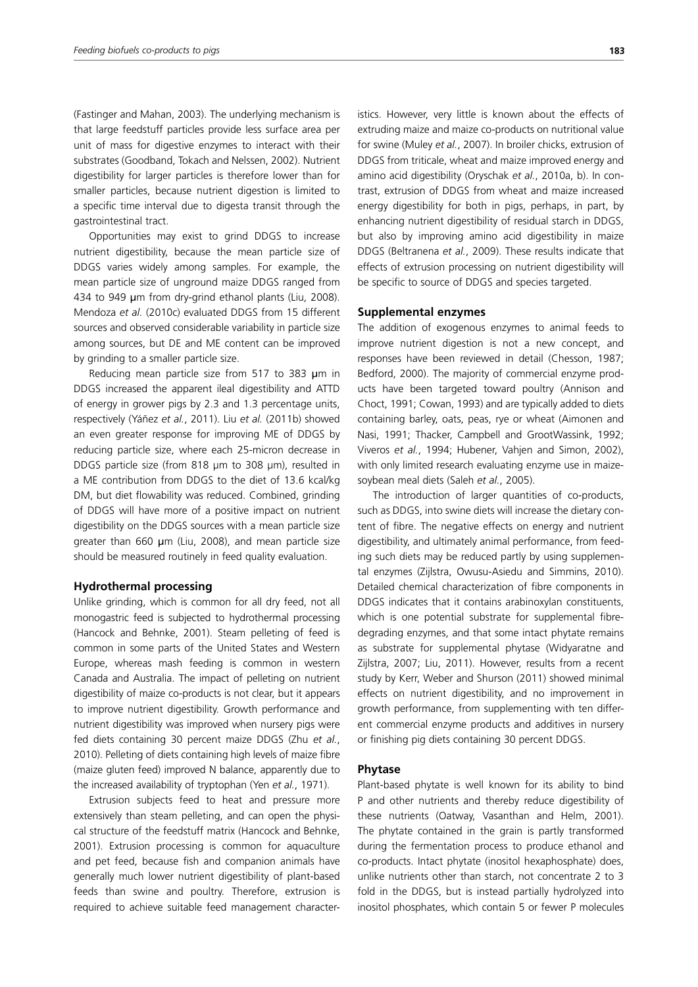(Fastinger and Mahan, 2003). The underlying mechanism is that large feedstuff particles provide less surface area per unit of mass for digestive enzymes to interact with their substrates (Goodband, Tokach and Nelssen, 2002). Nutrient digestibility for larger particles is therefore lower than for smaller particles, because nutrient digestion is limited to a specific time interval due to digesta transit through the gastrointestinal tract.

Opportunities may exist to grind DDGS to increase nutrient digestibility, because the mean particle size of DDGS varies widely among samples. For example, the mean particle size of unground maize DDGS ranged from 434 to 949 um from dry-grind ethanol plants (Liu, 2008). Mendoza *et al.* (2010c) evaluated DDGS from 15 different sources and observed considerable variability in particle size among sources, but DE and ME content can be improved by grinding to a smaller particle size.

Reducing mean particle size from 517 to 383 um in DDGS increased the apparent ileal digestibility and ATTD of energy in grower pigs by 2.3 and 1.3 percentage units, respectively (Yáñez *et al.*, 2011). Liu *et al.* (2011b) showed an even greater response for improving ME of DDGS by reducing particle size, where each 25-micron decrease in DDGS particle size (from 818 µm to 308 µm), resulted in a ME contribution from DDGS to the diet of 13.6 kcal/kg DM, but diet flowability was reduced. Combined, grinding of DDGS will have more of a positive impact on nutrient digestibility on the DDGS sources with a mean particle size greater than 660 μm (Liu, 2008), and mean particle size should be measured routinely in feed quality evaluation.

#### **Hydrothermal processing**

Unlike grinding, which is common for all dry feed, not all monogastric feed is subjected to hydrothermal processing (Hancock and Behnke, 2001). Steam pelleting of feed is common in some parts of the United States and Western Europe, whereas mash feeding is common in western Canada and Australia. The impact of pelleting on nutrient digestibility of maize co-products is not clear, but it appears to improve nutrient digestibility. Growth performance and nutrient digestibility was improved when nursery pigs were fed diets containing 30 percent maize DDGS (Zhu *et al.*, 2010). Pelleting of diets containing high levels of maize fibre (maize gluten feed) improved N balance, apparently due to the increased availability of tryptophan (Yen *et al.*, 1971).

Extrusion subjects feed to heat and pressure more extensively than steam pelleting, and can open the physical structure of the feedstuff matrix (Hancock and Behnke, 2001). Extrusion processing is common for aquaculture and pet feed, because fish and companion animals have generally much lower nutrient digestibility of plant-based feeds than swine and poultry. Therefore, extrusion is required to achieve suitable feed management characteristics. However, very little is known about the effects of extruding maize and maize co-products on nutritional value for swine (Muley *et al.*, 2007). In broiler chicks, extrusion of DDGS from triticale, wheat and maize improved energy and amino acid digestibility (Oryschak *et al.*, 2010a, b). In contrast, extrusion of DDGS from wheat and maize increased energy digestibility for both in pigs, perhaps, in part, by enhancing nutrient digestibility of residual starch in DDGS, but also by improving amino acid digestibility in maize DDGS (Beltranena *et al.*, 2009). These results indicate that effects of extrusion processing on nutrient digestibility will be specific to source of DDGS and species targeted.

#### **Supplemental enzymes**

The addition of exogenous enzymes to animal feeds to improve nutrient digestion is not a new concept, and responses have been reviewed in detail (Chesson, 1987; Bedford, 2000). The majority of commercial enzyme products have been targeted toward poultry (Annison and Choct, 1991; Cowan, 1993) and are typically added to diets containing barley, oats, peas, rye or wheat (Aimonen and Nasi, 1991; Thacker, Campbell and GrootWassink, 1992; Viveros *et al.*, 1994; Hubener, Vahjen and Simon, 2002), with only limited research evaluating enzyme use in maizesoybean meal diets (Saleh *et al.*, 2005).

The introduction of larger quantities of co-products, such as DDGS, into swine diets will increase the dietary content of fibre. The negative effects on energy and nutrient digestibility, and ultimately animal performance, from feeding such diets may be reduced partly by using supplemental enzymes (Zijlstra, Owusu-Asiedu and Simmins, 2010). Detailed chemical characterization of fibre components in DDGS indicates that it contains arabinoxylan constituents, which is one potential substrate for supplemental fibredegrading enzymes, and that some intact phytate remains as substrate for supplemental phytase (Widyaratne and Zijlstra, 2007; Liu, 2011). However, results from a recent study by Kerr, Weber and Shurson (2011) showed minimal effects on nutrient digestibility, and no improvement in growth performance, from supplementing with ten different commercial enzyme products and additives in nursery or finishing pig diets containing 30 percent DDGS.

#### **Phytase**

Plant-based phytate is well known for its ability to bind P and other nutrients and thereby reduce digestibility of these nutrients (Oatway, Vasanthan and Helm, 2001). The phytate contained in the grain is partly transformed during the fermentation process to produce ethanol and co-products. Intact phytate (inositol hexaphosphate) does, unlike nutrients other than starch, not concentrate 2 to 3 fold in the DDGS, but is instead partially hydrolyzed into inositol phosphates, which contain 5 or fewer P molecules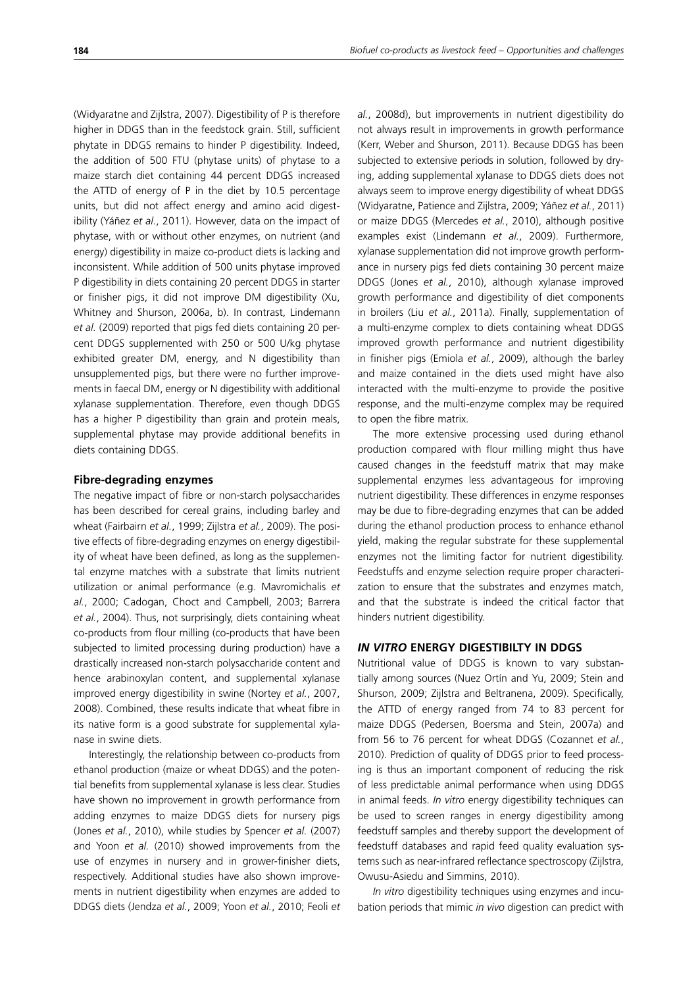(Widyaratne and Zijlstra, 2007). Digestibility of P is therefore higher in DDGS than in the feedstock grain. Still, sufficient phytate in DDGS remains to hinder P digestibility. Indeed, the addition of 500 FTU (phytase units) of phytase to a maize starch diet containing 44 percent DDGS increased the ATTD of energy of P in the diet by 10.5 percentage units, but did not affect energy and amino acid digestibility (Yáñez *et al.*, 2011). However, data on the impact of phytase, with or without other enzymes, on nutrient (and energy) digestibility in maize co-product diets is lacking and inconsistent. While addition of 500 units phytase improved P digestibility in diets containing 20 percent DDGS in starter or finisher pigs, it did not improve DM digestibility (Xu, Whitney and Shurson, 2006a, b). In contrast, Lindemann *et al.* (2009) reported that pigs fed diets containing 20 percent DDGS supplemented with 250 or 500 U/kg phytase exhibited greater DM, energy, and N digestibility than unsupplemented pigs, but there were no further improvements in faecal DM, energy or N digestibility with additional xylanase supplementation. Therefore, even though DDGS has a higher P digestibility than grain and protein meals, supplemental phytase may provide additional benefits in diets containing DDGS.

#### **Fibre-degrading enzymes**

The negative impact of fibre or non-starch polysaccharides has been described for cereal grains, including barley and wheat (Fairbairn *et al.*, 1999; Zijlstra *et al.*, 2009). The positive effects of fibre-degrading enzymes on energy digestibility of wheat have been defined, as long as the supplemental enzyme matches with a substrate that limits nutrient utilization or animal performance (e.g. Mavromichalis *et al.*, 2000; Cadogan, Choct and Campbell, 2003; Barrera *et al.*, 2004). Thus, not surprisingly, diets containing wheat co-products from flour milling (co-products that have been subjected to limited processing during production) have a drastically increased non-starch polysaccharide content and hence arabinoxylan content, and supplemental xylanase improved energy digestibility in swine (Nortey *et al.*, 2007, 2008). Combined, these results indicate that wheat fibre in its native form is a good substrate for supplemental xylanase in swine diets.

Interestingly, the relationship between co-products from ethanol production (maize or wheat DDGS) and the potential benefits from supplemental xylanase is less clear. Studies have shown no improvement in growth performance from adding enzymes to maize DDGS diets for nursery pigs (Jones *et al.*, 2010), while studies by Spencer *et al.* (2007) and Yoon *et al.* (2010) showed improvements from the use of enzymes in nursery and in grower-finisher diets, respectively. Additional studies have also shown improvements in nutrient digestibility when enzymes are added to DDGS diets (Jendza *et al.*, 2009; Yoon *et al.*, 2010; Feoli *et*  *al.*, 2008d), but improvements in nutrient digestibility do not always result in improvements in growth performance (Kerr, Weber and Shurson, 2011). Because DDGS has been subjected to extensive periods in solution, followed by drying, adding supplemental xylanase to DDGS diets does not always seem to improve energy digestibility of wheat DDGS (Widyaratne, Patience and Zijlstra, 2009; Yáñez *et al.*, 2011) or maize DDGS (Mercedes *et al.*, 2010), although positive examples exist (Lindemann *et al.*, 2009). Furthermore, xylanase supplementation did not improve growth performance in nursery pigs fed diets containing 30 percent maize DDGS (Jones *et al.*, 2010), although xylanase improved growth performance and digestibility of diet components in broilers (Liu *et al.*, 2011a). Finally, supplementation of a multi-enzyme complex to diets containing wheat DDGS improved growth performance and nutrient digestibility in finisher pigs (Emiola *et al.*, 2009), although the barley and maize contained in the diets used might have also interacted with the multi-enzyme to provide the positive response, and the multi-enzyme complex may be required to open the fibre matrix.

The more extensive processing used during ethanol production compared with flour milling might thus have caused changes in the feedstuff matrix that may make supplemental enzymes less advantageous for improving nutrient digestibility. These differences in enzyme responses may be due to fibre-degrading enzymes that can be added during the ethanol production process to enhance ethanol yield, making the regular substrate for these supplemental enzymes not the limiting factor for nutrient digestibility. Feedstuffs and enzyme selection require proper characterization to ensure that the substrates and enzymes match, and that the substrate is indeed the critical factor that hinders nutrient digestibility.

## *IN VITRO* **ENERGY DIGESTIBILTY IN DDGS**

Nutritional value of DDGS is known to vary substantially among sources (Nuez Ortín and Yu, 2009; Stein and Shurson, 2009; Zijlstra and Beltranena, 2009). Specifically, the ATTD of energy ranged from 74 to 83 percent for maize DDGS (Pedersen, Boersma and Stein, 2007a) and from 56 to 76 percent for wheat DDGS (Cozannet *et al.*, 2010). Prediction of quality of DDGS prior to feed processing is thus an important component of reducing the risk of less predictable animal performance when using DDGS in animal feeds. *In vitro* energy digestibility techniques can be used to screen ranges in energy digestibility among feedstuff samples and thereby support the development of feedstuff databases and rapid feed quality evaluation systems such as near-infrared reflectance spectroscopy (Zijlstra, Owusu-Asiedu and Simmins, 2010).

*In vitro* digestibility techniques using enzymes and incubation periods that mimic *in vivo* digestion can predict with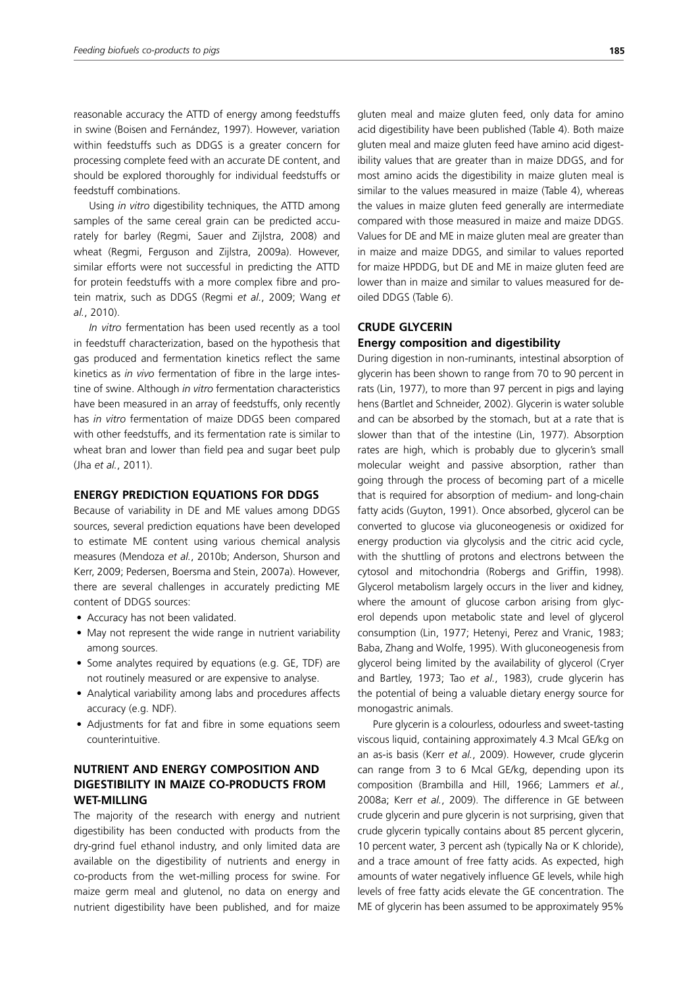reasonable accuracy the ATTD of energy among feedstuffs in swine (Boisen and Fernández, 1997). However, variation within feedstuffs such as DDGS is a greater concern for processing complete feed with an accurate DE content, and should be explored thoroughly for individual feedstuffs or feedstuff combinations.

Using *in vitro* digestibility techniques, the ATTD among samples of the same cereal grain can be predicted accurately for barley (Regmi, Sauer and Zijlstra, 2008) and wheat (Regmi, Ferguson and Zijlstra, 2009a). However, similar efforts were not successful in predicting the ATTD for protein feedstuffs with a more complex fibre and protein matrix, such as DDGS (Regmi *et al.*, 2009; Wang *et al.*, 2010).

*In vitro* fermentation has been used recently as a tool in feedstuff characterization, based on the hypothesis that gas produced and fermentation kinetics reflect the same kinetics as *in vivo* fermentation of fibre in the large intestine of swine. Although *in vitro* fermentation characteristics have been measured in an array of feedstuffs, only recently has *in vitro* fermentation of maize DDGS been compared with other feedstuffs, and its fermentation rate is similar to wheat bran and lower than field pea and sugar beet pulp (Jha *et al.*, 2011).

## **ENERGY PREDICTION EQUATIONS FOR DDGS**

Because of variability in DE and ME values among DDGS sources, several prediction equations have been developed to estimate ME content using various chemical analysis measures (Mendoza *et al.*, 2010b; Anderson, Shurson and Kerr, 2009; Pedersen, Boersma and Stein, 2007a). However, there are several challenges in accurately predicting ME content of DDGS sources:

- Accuracy has not been validated.
- May not represent the wide range in nutrient variability among sources.
- Some analytes required by equations (e.g. GE, TDF) are not routinely measured or are expensive to analyse.
- Analytical variability among labs and procedures affects accuracy (e.g. NDF).
- Adjustments for fat and fibre in some equations seem counterintuitive.

# **NUTRIENT AND ENERGY COMPOSITION AND DIGESTIBILITY IN MAIZE CO-PRODUCTS FROM WET-MILLING**

The majority of the research with energy and nutrient digestibility has been conducted with products from the dry-grind fuel ethanol industry, and only limited data are available on the digestibility of nutrients and energy in co-products from the wet-milling process for swine. For maize germ meal and glutenol, no data on energy and nutrient digestibility have been published, and for maize gluten meal and maize gluten feed, only data for amino acid digestibility have been published (Table 4). Both maize gluten meal and maize gluten feed have amino acid digestibility values that are greater than in maize DDGS, and for most amino acids the digestibility in maize gluten meal is similar to the values measured in maize (Table 4), whereas the values in maize gluten feed generally are intermediate compared with those measured in maize and maize DDGS. Values for DE and ME in maize gluten meal are greater than in maize and maize DDGS, and similar to values reported for maize HPDDG, but DE and ME in maize gluten feed are lower than in maize and similar to values measured for deoiled DDGS (Table 6).

## **CRUDE GLYCERIN Energy composition and digestibility**

# During digestion in non-ruminants, intestinal absorption of glycerin has been shown to range from 70 to 90 percent in rats (Lin, 1977), to more than 97 percent in pigs and laying

hens (Bartlet and Schneider, 2002). Glycerin is water soluble and can be absorbed by the stomach, but at a rate that is slower than that of the intestine (Lin, 1977). Absorption rates are high, which is probably due to glycerin's small molecular weight and passive absorption, rather than going through the process of becoming part of a micelle that is required for absorption of medium- and long-chain fatty acids (Guyton, 1991). Once absorbed, glycerol can be converted to glucose via gluconeogenesis or oxidized for energy production via glycolysis and the citric acid cycle, with the shuttling of protons and electrons between the cytosol and mitochondria (Robergs and Griffin, 1998). Glycerol metabolism largely occurs in the liver and kidney, where the amount of glucose carbon arising from glycerol depends upon metabolic state and level of glycerol consumption (Lin, 1977; Hetenyi, Perez and Vranic, 1983; Baba, Zhang and Wolfe, 1995). With gluconeogenesis from glycerol being limited by the availability of glycerol (Cryer and Bartley, 1973; Tao *et al.*, 1983), crude glycerin has the potential of being a valuable dietary energy source for monogastric animals.

Pure glycerin is a colourless, odourless and sweet-tasting viscous liquid, containing approximately 4.3 Mcal GE/kg on an as-is basis (Kerr *et al.*, 2009). However, crude glycerin can range from 3 to 6 Mcal GE/kg, depending upon its composition (Brambilla and Hill, 1966; Lammers *et al.*, 2008a; Kerr *et al.*, 2009). The difference in GE between crude glycerin and pure glycerin is not surprising, given that crude glycerin typically contains about 85 percent glycerin, 10 percent water, 3 percent ash (typically Na or K chloride), and a trace amount of free fatty acids. As expected, high amounts of water negatively influence GE levels, while high levels of free fatty acids elevate the GE concentration. The ME of glycerin has been assumed to be approximately 95%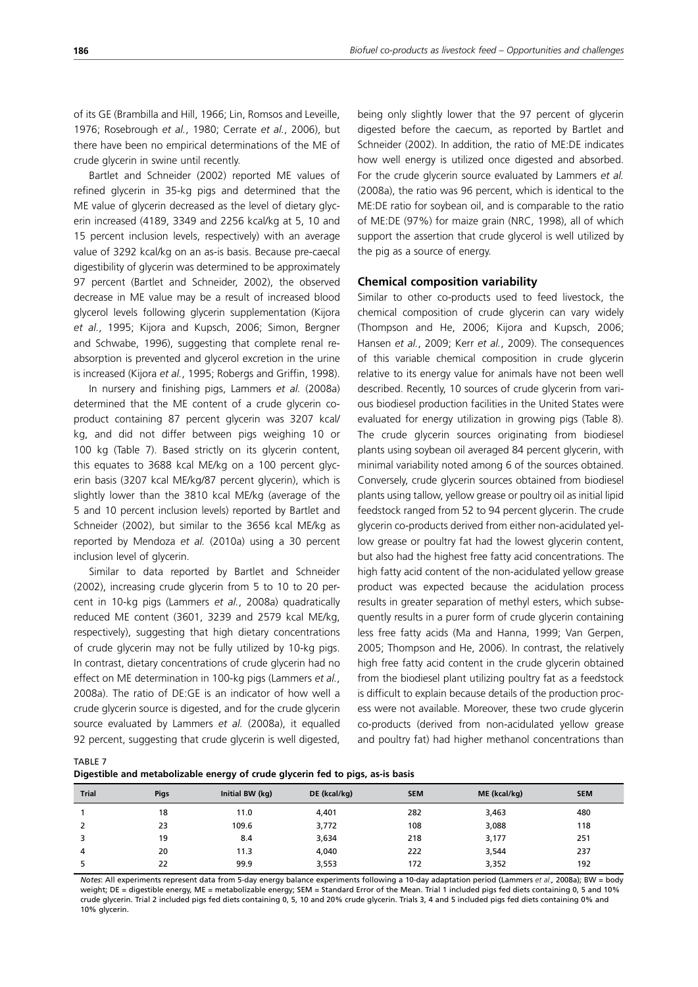of its GE (Brambilla and Hill, 1966; Lin, Romsos and Leveille, 1976; Rosebrough *et al.*, 1980; Cerrate *et al.*, 2006), but there have been no empirical determinations of the ME of crude glycerin in swine until recently.

Bartlet and Schneider (2002) reported ME values of refined glycerin in 35-kg pigs and determined that the ME value of glycerin decreased as the level of dietary glycerin increased (4189, 3349 and 2256 kcal/kg at 5, 10 and 15 percent inclusion levels, respectively) with an average value of 3292 kcal/kg on an as-is basis. Because pre-caecal digestibility of glycerin was determined to be approximately 97 percent (Bartlet and Schneider, 2002), the observed decrease in ME value may be a result of increased blood glycerol levels following glycerin supplementation (Kijora *et al.*, 1995; Kijora and Kupsch, 2006; Simon, Bergner and Schwabe, 1996), suggesting that complete renal reabsorption is prevented and glycerol excretion in the urine is increased (Kijora *et al.*, 1995; Robergs and Griffin, 1998).

In nursery and finishing pigs, Lammers *et al.* (2008a) determined that the ME content of a crude glycerin coproduct containing 87 percent glycerin was 3207 kcal/ kg, and did not differ between pigs weighing 10 or 100 kg (Table 7). Based strictly on its glycerin content, this equates to 3688 kcal ME/kg on a 100 percent glycerin basis (3207 kcal ME/kg/87 percent glycerin), which is slightly lower than the 3810 kcal ME/kg (average of the 5 and 10 percent inclusion levels) reported by Bartlet and Schneider (2002), but similar to the 3656 kcal ME/kg as reported by Mendoza *et al.* (2010a) using a 30 percent inclusion level of glycerin.

Similar to data reported by Bartlet and Schneider (2002), increasing crude glycerin from 5 to 10 to 20 percent in 10-kg pigs (Lammers *et al.*, 2008a) quadratically reduced ME content (3601, 3239 and 2579 kcal ME/kg, respectively), suggesting that high dietary concentrations of crude glycerin may not be fully utilized by 10-kg pigs. In contrast, dietary concentrations of crude glycerin had no effect on ME determination in 100-kg pigs (Lammers *et al.*, 2008a). The ratio of DE:GE is an indicator of how well a crude glycerin source is digested, and for the crude glycerin source evaluated by Lammers *et al.* (2008a), it equalled 92 percent, suggesting that crude glycerin is well digested, being only slightly lower that the 97 percent of glycerin digested before the caecum, as reported by Bartlet and Schneider (2002). In addition, the ratio of ME:DE indicates how well energy is utilized once digested and absorbed. For the crude glycerin source evaluated by Lammers *et al.* (2008a), the ratio was 96 percent, which is identical to the ME:DE ratio for soybean oil, and is comparable to the ratio of ME:DE (97%) for maize grain (NRC, 1998), all of which support the assertion that crude glycerol is well utilized by the pig as a source of energy.

#### **Chemical composition variability**

Similar to other co-products used to feed livestock, the chemical composition of crude glycerin can vary widely (Thompson and He, 2006; Kijora and Kupsch, 2006; Hansen *et al.*, 2009; Kerr *et al.*, 2009). The consequences of this variable chemical composition in crude glycerin relative to its energy value for animals have not been well described. Recently, 10 sources of crude glycerin from various biodiesel production facilities in the United States were evaluated for energy utilization in growing pigs (Table 8). The crude glycerin sources originating from biodiesel plants using soybean oil averaged 84 percent glycerin, with minimal variability noted among 6 of the sources obtained. Conversely, crude glycerin sources obtained from biodiesel plants using tallow, yellow grease or poultry oil as initial lipid feedstock ranged from 52 to 94 percent glycerin. The crude glycerin co-products derived from either non-acidulated yellow grease or poultry fat had the lowest glycerin content, but also had the highest free fatty acid concentrations. The high fatty acid content of the non-acidulated yellow grease product was expected because the acidulation process results in greater separation of methyl esters, which subsequently results in a purer form of crude glycerin containing less free fatty acids (Ma and Hanna, 1999; Van Gerpen, 2005; Thompson and He, 2006). In contrast, the relatively high free fatty acid content in the crude glycerin obtained from the biodiesel plant utilizing poultry fat as a feedstock is difficult to explain because details of the production process were not available. Moreover, these two crude glycerin co-products (derived from non-acidulated yellow grease and poultry fat) had higher methanol concentrations than

TABLE 7

| Digestible and metabolizable energy of crude glycerin fed to pigs, as-is basis |  |  |
|--------------------------------------------------------------------------------|--|--|
|                                                                                |  |  |

| <b>Trial</b> | <b>Pigs</b> | Initial BW (kg) | DE (kcal/kg) | <b>SEM</b> | ME (kcal/kg) | <b>SEM</b> |
|--------------|-------------|-----------------|--------------|------------|--------------|------------|
|              | 18          | 11.0            | 4,401        | 282        | 3,463        | 480        |
| 2            | 23          | 109.6           | 3,772        | 108        | 3,088        | 118        |
| 3            | 19          | 8.4             | 3,634        | 218        | 3,177        | 251        |
| 4            | 20          | 11.3            | 4,040        | 222        | 3,544        | 237        |
|              | 22          | 99.9            | 3,553        | 172        | 3,352        | 192        |

*Notes*: All experiments represent data from 5-day energy balance experiments following a 10-day adaptation period (Lammers *et al.,* 2008a); BW = body weight; DE = digestible energy, ME = metabolizable energy; SEM = Standard Error of the Mean. Trial 1 included pigs fed diets containing 0, 5 and 10% crude glycerin. Trial 2 included pigs fed diets containing 0, 5, 10 and 20% crude glycerin. Trials 3, 4 and 5 included pigs fed diets containing 0% and 10% glycerin.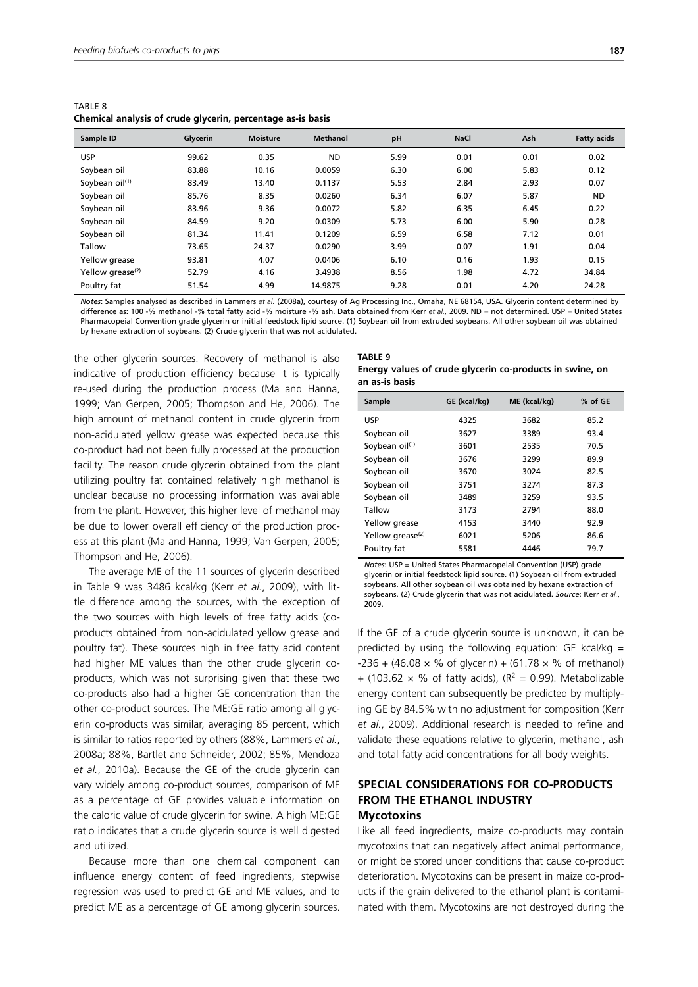| TABLE 8 |  |                                                             |  |
|---------|--|-------------------------------------------------------------|--|
|         |  | Chemical analysis of crude glycerin, percentage as-is basis |  |

| Sample ID                    | Glycerin | <b>Moisture</b> | <b>Methanol</b> | pH   | <b>NaCl</b> | Ash  | <b>Fatty acids</b> |
|------------------------------|----------|-----------------|-----------------|------|-------------|------|--------------------|
| <b>USP</b>                   | 99.62    | 0.35            | <b>ND</b>       | 5.99 | 0.01        | 0.01 | 0.02               |
| Soybean oil                  | 83.88    | 10.16           | 0.0059          | 6.30 | 6.00        | 5.83 | 0.12               |
| Soybean oil <sup>(1)</sup>   | 83.49    | 13.40           | 0.1137          | 5.53 | 2.84        | 2.93 | 0.07               |
| Soybean oil                  | 85.76    | 8.35            | 0.0260          | 6.34 | 6.07        | 5.87 | <b>ND</b>          |
| Soybean oil                  | 83.96    | 9.36            | 0.0072          | 5.82 | 6.35        | 6.45 | 0.22               |
| Soybean oil                  | 84.59    | 9.20            | 0.0309          | 5.73 | 6.00        | 5.90 | 0.28               |
| Soybean oil                  | 81.34    | 11.41           | 0.1209          | 6.59 | 6.58        | 7.12 | 0.01               |
| Tallow                       | 73.65    | 24.37           | 0.0290          | 3.99 | 0.07        | 1.91 | 0.04               |
| Yellow grease                | 93.81    | 4.07            | 0.0406          | 6.10 | 0.16        | 1.93 | 0.15               |
| Yellow grease <sup>(2)</sup> | 52.79    | 4.16            | 3.4938          | 8.56 | 1.98        | 4.72 | 34.84              |
| Poultry fat                  | 51.54    | 4.99            | 14.9875         | 9.28 | 0.01        | 4.20 | 24.28              |

*Notes*: Samples analysed as described in Lammers *et al.* (2008a), courtesy of Ag Processing Inc., Omaha, NE 68154, USA. Glycerin content determined by difference as: 100 -% methanol -% total fatty acid -% moisture -% ash. Data obtained from Kerr *et al.,* 2009. ND = not determined. USP = United States Pharmacopeial Convention grade glycerin or initial feedstock lipid source. (1) Soybean oil from extruded soybeans. All other soybean oil was obtained by hexane extraction of soybeans. (2) Crude glycerin that was not acidulated.

the other glycerin sources. Recovery of methanol is also indicative of production efficiency because it is typically re-used during the production process (Ma and Hanna, 1999; Van Gerpen, 2005; Thompson and He, 2006). The high amount of methanol content in crude glycerin from non-acidulated yellow grease was expected because this co-product had not been fully processed at the production facility. The reason crude glycerin obtained from the plant utilizing poultry fat contained relatively high methanol is unclear because no processing information was available from the plant. However, this higher level of methanol may be due to lower overall efficiency of the production process at this plant (Ma and Hanna, 1999; Van Gerpen, 2005; Thompson and He, 2006).

The average ME of the 11 sources of glycerin described in Table 9 was 3486 kcal/kg (Kerr *et al.*, 2009), with little difference among the sources, with the exception of the two sources with high levels of free fatty acids (coproducts obtained from non-acidulated yellow grease and poultry fat). These sources high in free fatty acid content had higher ME values than the other crude glycerin coproducts, which was not surprising given that these two co-products also had a higher GE concentration than the other co-product sources. The ME:GE ratio among all glycerin co-products was similar, averaging 85 percent, which is similar to ratios reported by others (88%, Lammers *et al.*, 2008a; 88%, Bartlet and Schneider, 2002; 85%, Mendoza *et al.*, 2010a). Because the GE of the crude glycerin can vary widely among co-product sources, comparison of ME as a percentage of GE provides valuable information on the caloric value of crude glycerin for swine. A high ME:GE ratio indicates that a crude glycerin source is well digested and utilized.

Because more than one chemical component can influence energy content of feed ingredients, stepwise regression was used to predict GE and ME values, and to predict ME as a percentage of GE among glycerin sources.

#### **TABLE 9 Energy values of crude glycerin co-products in swine, on an as-is basis**

| Sample                       | GE (kcal/kg) | ME (kcal/kg) | % of GE |
|------------------------------|--------------|--------------|---------|
|                              |              |              |         |
| USP                          | 4325         | 3682         | 85.2    |
| Soybean oil                  | 3627         | 3389         | 93.4    |
| Soybean oil <sup>(1)</sup>   | 3601         | 2535         | 70.5    |
| Soybean oil                  | 3676         | 3299         | 89.9    |
| Soybean oil                  | 3670         | 3024         | 82.5    |
| Soybean oil                  | 3751         | 3274         | 87.3    |
| Soybean oil                  | 3489         | 3259         | 93.5    |
| Tallow                       | 3173         | 2794         | 88.0    |
| Yellow grease                | 4153         | 3440         | 92.9    |
| Yellow grease <sup>(2)</sup> | 6021         | 5206         | 86.6    |
| Poultry fat                  | 5581         | 4446         | 79.7    |

*Notes*: USP = United States Pharmacopeial Convention (USP) grade glycerin or initial feedstock lipid source. (1) Soybean oil from extruded soybeans. All other soybean oil was obtained by hexane extraction of soybeans. (2) Crude glycerin that was not acidulated. *Source*: Kerr *et al.*, 2009.

If the GE of a crude glycerin source is unknown, it can be predicted by using the following equation: GE  $kcal/kg =$  $-236 + (46.08 \times \% \text{ of } q$  (solution + (61.78  $\times \%$  of methanol) + (103.62  $\times$  % of fatty acids), ( $R^2$  = 0.99). Metabolizable energy content can subsequently be predicted by multiplying GE by 84.5% with no adjustment for composition (Kerr *et al.*, 2009). Additional research is needed to refine and validate these equations relative to glycerin, methanol, ash and total fatty acid concentrations for all body weights.

## **SPECIAL CONSIDERATIONS FOR CO-PRODUCTS FROM THE ETHANOL INDUSTRY Mycotoxins**

Like all feed ingredients, maize co-products may contain mycotoxins that can negatively affect animal performance, or might be stored under conditions that cause co-product deterioration. Mycotoxins can be present in maize co-products if the grain delivered to the ethanol plant is contaminated with them. Mycotoxins are not destroyed during the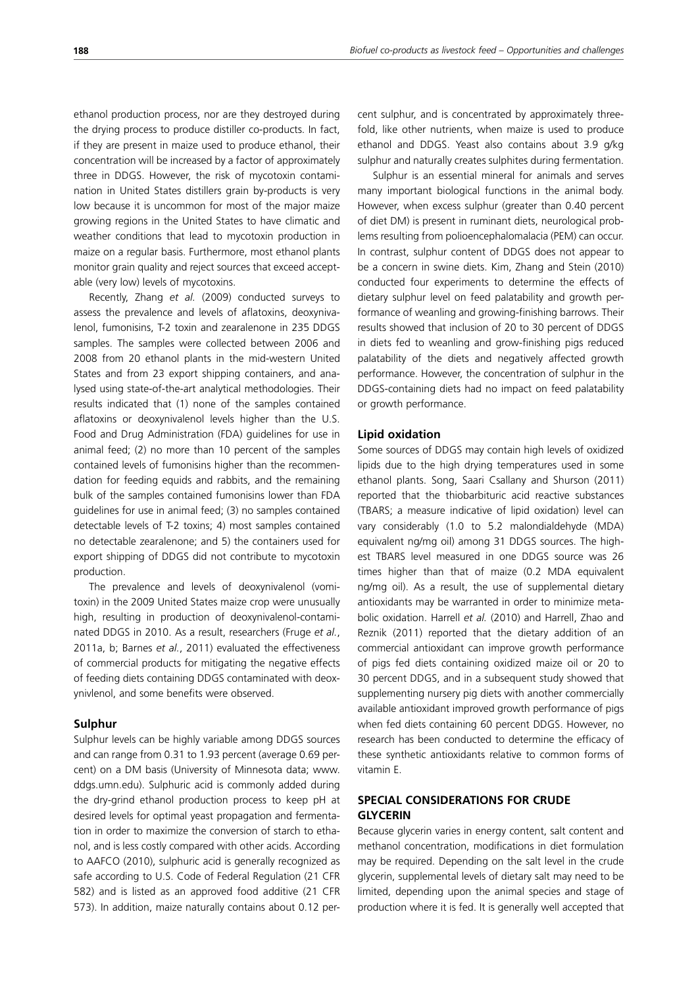ethanol production process, nor are they destroyed during the drying process to produce distiller co-products. In fact, if they are present in maize used to produce ethanol, their concentration will be increased by a factor of approximately three in DDGS. However, the risk of mycotoxin contamination in United States distillers grain by-products is very low because it is uncommon for most of the major maize growing regions in the United States to have climatic and weather conditions that lead to mycotoxin production in maize on a regular basis. Furthermore, most ethanol plants monitor grain quality and reject sources that exceed acceptable (very low) levels of mycotoxins.

Recently, Zhang *et al.* (2009) conducted surveys to assess the prevalence and levels of aflatoxins, deoxynivalenol, fumonisins, T-2 toxin and zearalenone in 235 DDGS samples. The samples were collected between 2006 and 2008 from 20 ethanol plants in the mid-western United States and from 23 export shipping containers, and analysed using state-of-the-art analytical methodologies. Their results indicated that (1) none of the samples contained aflatoxins or deoxynivalenol levels higher than the U.S. Food and Drug Administration (FDA) guidelines for use in animal feed; (2) no more than 10 percent of the samples contained levels of fumonisins higher than the recommendation for feeding equids and rabbits, and the remaining bulk of the samples contained fumonisins lower than FDA guidelines for use in animal feed; (3) no samples contained detectable levels of T-2 toxins; 4) most samples contained no detectable zearalenone; and 5) the containers used for export shipping of DDGS did not contribute to mycotoxin production.

The prevalence and levels of deoxynivalenol (vomitoxin) in the 2009 United States maize crop were unusually high, resulting in production of deoxynivalenol-contaminated DDGS in 2010. As a result, researchers (Fruge *et al.*, 2011a, b; Barnes *et al.*, 2011) evaluated the effectiveness of commercial products for mitigating the negative effects of feeding diets containing DDGS contaminated with deoxynivlenol, and some benefits were observed.

## **Sulphur**

Sulphur levels can be highly variable among DDGS sources and can range from 0.31 to 1.93 percent (average 0.69 percent) on a DM basis (University of Minnesota data; www. ddgs.umn.edu). Sulphuric acid is commonly added during the dry-grind ethanol production process to keep pH at desired levels for optimal yeast propagation and fermentation in order to maximize the conversion of starch to ethanol, and is less costly compared with other acids. According to AAFCO (2010), sulphuric acid is generally recognized as safe according to U.S. Code of Federal Regulation (21 CFR 582) and is listed as an approved food additive (21 CFR 573). In addition, maize naturally contains about 0.12 percent sulphur, and is concentrated by approximately threefold, like other nutrients, when maize is used to produce ethanol and DDGS. Yeast also contains about 3.9 g/kg sulphur and naturally creates sulphites during fermentation.

Sulphur is an essential mineral for animals and serves many important biological functions in the animal body. However, when excess sulphur (greater than 0.40 percent of diet DM) is present in ruminant diets, neurological problems resulting from polioencephalomalacia (PEM) can occur. In contrast, sulphur content of DDGS does not appear to be a concern in swine diets. Kim, Zhang and Stein (2010) conducted four experiments to determine the effects of dietary sulphur level on feed palatability and growth performance of weanling and growing-finishing barrows. Their results showed that inclusion of 20 to 30 percent of DDGS in diets fed to weanling and grow-finishing pigs reduced palatability of the diets and negatively affected growth performance. However, the concentration of sulphur in the DDGS-containing diets had no impact on feed palatability or growth performance.

#### **Lipid oxidation**

Some sources of DDGS may contain high levels of oxidized lipids due to the high drying temperatures used in some ethanol plants. Song, Saari Csallany and Shurson (2011) reported that the thiobarbituric acid reactive substances (TBARS; a measure indicative of lipid oxidation) level can vary considerably (1.0 to 5.2 malondialdehyde (MDA) equivalent ng/mg oil) among 31 DDGS sources. The highest TBARS level measured in one DDGS source was 26 times higher than that of maize (0.2 MDA equivalent ng/mg oil). As a result, the use of supplemental dietary antioxidants may be warranted in order to minimize metabolic oxidation. Harrell *et al.* (2010) and Harrell, Zhao and Reznik (2011) reported that the dietary addition of an commercial antioxidant can improve growth performance of pigs fed diets containing oxidized maize oil or 20 to 30 percent DDGS, and in a subsequent study showed that supplementing nursery pig diets with another commercially available antioxidant improved growth performance of pigs when fed diets containing 60 percent DDGS. However, no research has been conducted to determine the efficacy of these synthetic antioxidants relative to common forms of vitamin E.

# **SPECIAL CONSIDERATIONS FOR CRUDE GLYCERIN**

Because glycerin varies in energy content, salt content and methanol concentration, modifications in diet formulation may be required. Depending on the salt level in the crude glycerin, supplemental levels of dietary salt may need to be limited, depending upon the animal species and stage of production where it is fed. It is generally well accepted that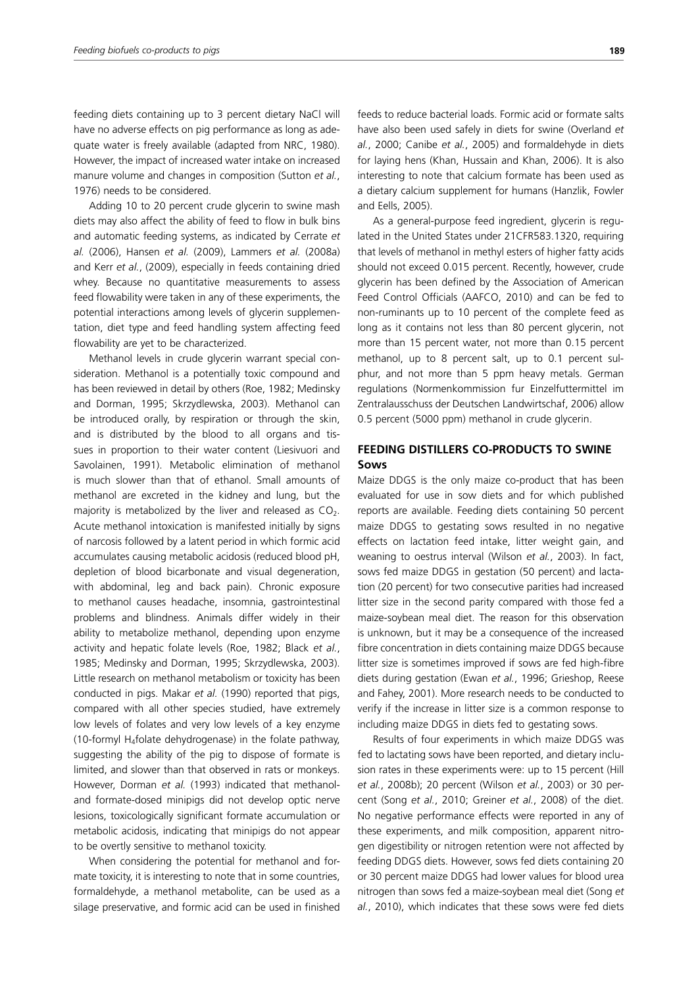feeding diets containing up to 3 percent dietary NaCl will have no adverse effects on pig performance as long as adequate water is freely available (adapted from NRC, 1980). However, the impact of increased water intake on increased manure volume and changes in composition (Sutton *et al.*, 1976) needs to be considered.

Adding 10 to 20 percent crude glycerin to swine mash diets may also affect the ability of feed to flow in bulk bins and automatic feeding systems, as indicated by Cerrate *et al.* (2006), Hansen *et al.* (2009), Lammers *et al.* (2008a) and Kerr *et al.*, (2009), especially in feeds containing dried whey. Because no quantitative measurements to assess feed flowability were taken in any of these experiments, the potential interactions among levels of glycerin supplementation, diet type and feed handling system affecting feed flowability are yet to be characterized.

Methanol levels in crude glycerin warrant special consideration. Methanol is a potentially toxic compound and has been reviewed in detail by others (Roe, 1982; Medinsky and Dorman, 1995; Skrzydlewska, 2003). Methanol can be introduced orally, by respiration or through the skin, and is distributed by the blood to all organs and tissues in proportion to their water content (Liesivuori and Savolainen, 1991). Metabolic elimination of methanol is much slower than that of ethanol. Small amounts of methanol are excreted in the kidney and lung, but the majority is metabolized by the liver and released as  $CO<sub>2</sub>$ . Acute methanol intoxication is manifested initially by signs of narcosis followed by a latent period in which formic acid accumulates causing metabolic acidosis (reduced blood pH, depletion of blood bicarbonate and visual degeneration, with abdominal, leg and back pain). Chronic exposure to methanol causes headache, insomnia, gastrointestinal problems and blindness. Animals differ widely in their ability to metabolize methanol, depending upon enzyme activity and hepatic folate levels (Roe, 1982; Black *et al.*, 1985; Medinsky and Dorman, 1995; Skrzydlewska, 2003). Little research on methanol metabolism or toxicity has been conducted in pigs. Makar *et al.* (1990) reported that pigs, compared with all other species studied, have extremely low levels of folates and very low levels of a key enzyme (10-formyl H<sub>4</sub>folate dehydrogenase) in the folate pathway, suggesting the ability of the pig to dispose of formate is limited, and slower than that observed in rats or monkeys. However, Dorman *et al.* (1993) indicated that methanoland formate-dosed minipigs did not develop optic nerve lesions, toxicologically significant formate accumulation or metabolic acidosis, indicating that minipigs do not appear to be overtly sensitive to methanol toxicity.

When considering the potential for methanol and formate toxicity, it is interesting to note that in some countries, formaldehyde, a methanol metabolite, can be used as a silage preservative, and formic acid can be used in finished

feeds to reduce bacterial loads. Formic acid or formate salts have also been used safely in diets for swine (Overland *et al.*, 2000; Canibe *et al.*, 2005) and formaldehyde in diets for laying hens (Khan, Hussain and Khan, 2006). It is also interesting to note that calcium formate has been used as a dietary calcium supplement for humans (Hanzlik, Fowler and Eells, 2005).

As a general-purpose feed ingredient, glycerin is regulated in the United States under 21CFR583.1320, requiring that levels of methanol in methyl esters of higher fatty acids should not exceed 0.015 percent. Recently, however, crude glycerin has been defined by the Association of American Feed Control Officials (AAFCO, 2010) and can be fed to non-ruminants up to 10 percent of the complete feed as long as it contains not less than 80 percent glycerin, not more than 15 percent water, not more than 0.15 percent methanol, up to 8 percent salt, up to 0.1 percent sulphur, and not more than 5 ppm heavy metals. German regulations (Normenkommission fur Einzelfuttermittel im Zentralausschuss der Deutschen Landwirtschaf, 2006) allow 0.5 percent (5000 ppm) methanol in crude glycerin.

# **FEEDING DISTILLERS CO-PRODUCTS TO SWINE Sows**

Maize DDGS is the only maize co-product that has been evaluated for use in sow diets and for which published reports are available. Feeding diets containing 50 percent maize DDGS to gestating sows resulted in no negative effects on lactation feed intake, litter weight gain, and weaning to oestrus interval (Wilson *et al.*, 2003). In fact, sows fed maize DDGS in gestation (50 percent) and lactation (20 percent) for two consecutive parities had increased litter size in the second parity compared with those fed a maize-soybean meal diet. The reason for this observation is unknown, but it may be a consequence of the increased fibre concentration in diets containing maize DDGS because litter size is sometimes improved if sows are fed high-fibre diets during gestation (Ewan *et al.*, 1996; Grieshop, Reese and Fahey, 2001). More research needs to be conducted to verify if the increase in litter size is a common response to including maize DDGS in diets fed to gestating sows.

Results of four experiments in which maize DDGS was fed to lactating sows have been reported, and dietary inclusion rates in these experiments were: up to 15 percent (Hill *et al.*, 2008b); 20 percent (Wilson *et al.*, 2003) or 30 percent (Song *et al.*, 2010; Greiner *et al.*, 2008) of the diet. No negative performance effects were reported in any of these experiments, and milk composition, apparent nitrogen digestibility or nitrogen retention were not affected by feeding DDGS diets. However, sows fed diets containing 20 or 30 percent maize DDGS had lower values for blood urea nitrogen than sows fed a maize-soybean meal diet (Song *et al.*, 2010), which indicates that these sows were fed diets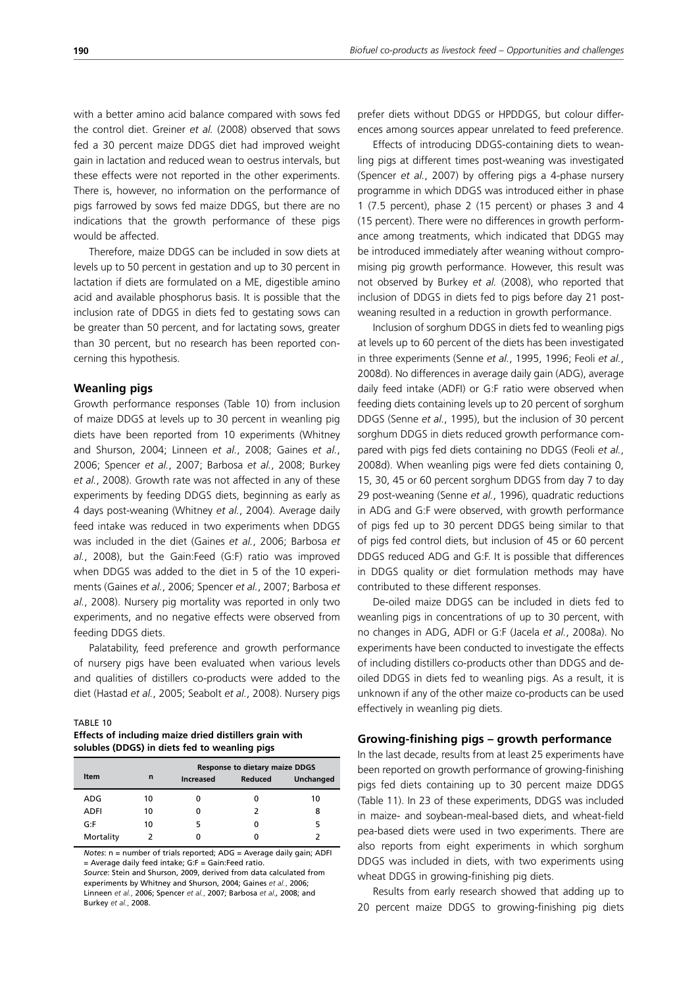with a better amino acid balance compared with sows fed the control diet. Greiner *et al.* (2008) observed that sows fed a 30 percent maize DDGS diet had improved weight gain in lactation and reduced wean to oestrus intervals, but these effects were not reported in the other experiments. There is, however, no information on the performance of pigs farrowed by sows fed maize DDGS, but there are no indications that the growth performance of these pigs would be affected.

Therefore, maize DDGS can be included in sow diets at levels up to 50 percent in gestation and up to 30 percent in lactation if diets are formulated on a ME, digestible amino acid and available phosphorus basis. It is possible that the inclusion rate of DDGS in diets fed to gestating sows can be greater than 50 percent, and for lactating sows, greater than 30 percent, but no research has been reported concerning this hypothesis.

#### **Weanling pigs**

Growth performance responses (Table 10) from inclusion of maize DDGS at levels up to 30 percent in weanling pig diets have been reported from 10 experiments (Whitney and Shurson, 2004; Linneen *et al.*, 2008; Gaines *et al.*, 2006; Spencer *et al.*, 2007; Barbosa *et al.*, 2008; Burkey *et al.*, 2008). Growth rate was not affected in any of these experiments by feeding DDGS diets, beginning as early as 4 days post-weaning (Whitney *et al.*, 2004). Average daily feed intake was reduced in two experiments when DDGS was included in the diet (Gaines *et al.*, 2006; Barbosa *et al.*, 2008), but the Gain:Feed (G:F) ratio was improved when DDGS was added to the diet in 5 of the 10 experiments (Gaines *et al.*, 2006; Spencer *et al.*, 2007; Barbosa *et al.*, 2008). Nursery pig mortality was reported in only two experiments, and no negative effects were observed from feeding DDGS diets.

Palatability, feed preference and growth performance of nursery pigs have been evaluated when various levels and qualities of distillers co-products were added to the diet (Hastad *et al.*, 2005; Seabolt *et al.*, 2008). Nursery pigs

#### TABLE 10

**Effects of including maize dried distillers grain with solubles (DDGS) in diets fed to weanling pigs**

|             |             | <b>Response to dietary maize DDGS</b> |                |           |  |  |  |  |
|-------------|-------------|---------------------------------------|----------------|-----------|--|--|--|--|
| <b>Item</b> | $\mathbf n$ | Increased                             | <b>Reduced</b> | Unchanged |  |  |  |  |
| ADG         | 10          |                                       |                | 10        |  |  |  |  |
| ADFI        | 10          |                                       | $\mathcal{L}$  | 8         |  |  |  |  |
| G: F        | 10          |                                       |                |           |  |  |  |  |
| Mortality   |             |                                       |                |           |  |  |  |  |

*Notes*: n = number of trials reported; ADG = Average daily gain; ADFI = Average daily feed intake; G:F = Gain:Feed ratio. *Source*: Stein and Shurson, 2009, derived from data calculated from experiments by Whitney and Shurson, 2004; Gaines *et al.*, 2006; Linneen *et al.*, 2006; Spencer *et al.*, 2007; Barbosa *et al.,* 2008; and Burkey *et al.*, 2008.

prefer diets without DDGS or HPDDGS, but colour differences among sources appear unrelated to feed preference.

Effects of introducing DDGS-containing diets to weanling pigs at different times post-weaning was investigated (Spencer *et al.*, 2007) by offering pigs a 4-phase nursery programme in which DDGS was introduced either in phase 1 (7.5 percent), phase 2 (15 percent) or phases 3 and 4 (15 percent). There were no differences in growth performance among treatments, which indicated that DDGS may be introduced immediately after weaning without compromising pig growth performance. However, this result was not observed by Burkey *et al.* (2008), who reported that inclusion of DDGS in diets fed to pigs before day 21 postweaning resulted in a reduction in growth performance.

Inclusion of sorghum DDGS in diets fed to weanling pigs at levels up to 60 percent of the diets has been investigated in three experiments (Senne *et al.*, 1995, 1996; Feoli *et al.*, 2008d). No differences in average daily gain (ADG), average daily feed intake (ADFI) or G:F ratio were observed when feeding diets containing levels up to 20 percent of sorghum DDGS (Senne *et al.*, 1995), but the inclusion of 30 percent sorghum DDGS in diets reduced growth performance compared with pigs fed diets containing no DDGS (Feoli *et al.*, 2008d). When weanling pigs were fed diets containing 0, 15, 30, 45 or 60 percent sorghum DDGS from day 7 to day 29 post-weaning (Senne *et al.*, 1996), quadratic reductions in ADG and G:F were observed, with growth performance of pigs fed up to 30 percent DDGS being similar to that of pigs fed control diets, but inclusion of 45 or 60 percent DDGS reduced ADG and G:F. It is possible that differences in DDGS quality or diet formulation methods may have contributed to these different responses.

De-oiled maize DDGS can be included in diets fed to weanling pigs in concentrations of up to 30 percent, with no changes in ADG, ADFI or G:F (Jacela *et al.*, 2008a). No experiments have been conducted to investigate the effects of including distillers co-products other than DDGS and deoiled DDGS in diets fed to weanling pigs. As a result, it is unknown if any of the other maize co-products can be used effectively in weanling pig diets.

#### **Growing-finishing pigs – growth performance**

In the last decade, results from at least 25 experiments have been reported on growth performance of growing-finishing pigs fed diets containing up to 30 percent maize DDGS (Table 11). In 23 of these experiments, DDGS was included in maize- and soybean-meal-based diets, and wheat-field pea-based diets were used in two experiments. There are also reports from eight experiments in which sorghum DDGS was included in diets, with two experiments using wheat DDGS in growing-finishing pig diets.

Results from early research showed that adding up to 20 percent maize DDGS to growing-finishing pig diets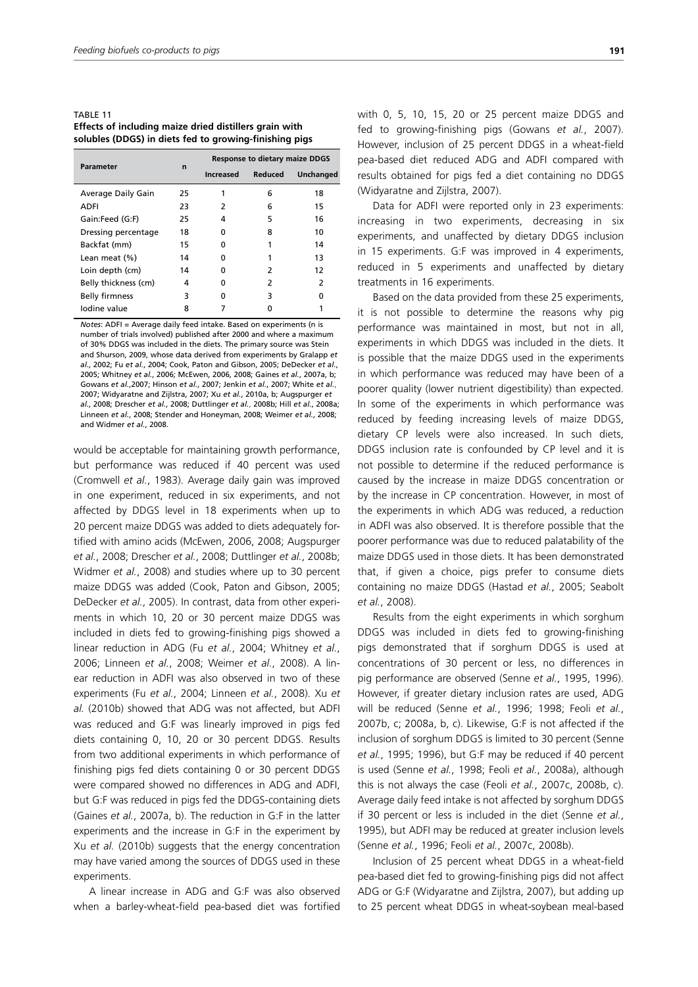TABLE 11 **Effects of including maize dried distillers grain with solubles (DDGS) in diets fed to growing-finishing pigs**

| Parameter             | $\mathbf n$ | <b>Response to dietary maize DDGS</b> |         |           |  |
|-----------------------|-------------|---------------------------------------|---------|-----------|--|
|                       |             | <b>Increased</b>                      | Reduced | Unchanged |  |
| Average Daily Gain    | 25          |                                       | 6       | 18        |  |
| ADFI                  | 23          | 2                                     | 6       | 15        |  |
| Gain:Feed (G:F)       | 25          | 4                                     | 5       | 16        |  |
| Dressing percentage   | 18          | n                                     | 8       | 10        |  |
| Backfat (mm)          | 15          | n                                     |         | 14        |  |
| Lean meat (%)         | 14          | n                                     |         | 13        |  |
| Loin depth (cm)       | 14          | n                                     | 2       | 12        |  |
| Belly thickness (cm)  | 4           | ŋ                                     | 2       | 2         |  |
| <b>Belly firmness</b> | 3           | ŋ                                     | 3       | ŋ         |  |
| Iodine value          | 8           |                                       |         |           |  |

*Notes*: ADFI = Average daily feed intake. Based on experiments (n is number of trials involved) published after 2000 and where a maximum of 30% DDGS was included in the diets. The primary source was Stein and Shurson, 2009, whose data derived from experiments by Gralapp *et al.*, 2002; Fu *et al.*, 2004; Cook, Paton and Gibson, 2005; DeDecker *et al.*, 2005; Whitney *et al.*, 2006; McEwen, 2006, 2008; Gaines *et al.*, 2007a, b; Gowans *et al.*,2007; Hinson *et al.*, 2007; Jenkin *et al.*, 2007; White *et al.*, 2007; Widyaratne and Zijlstra, 2007; Xu *et al.*, 2010a, b; Augspurger *et al.*, 2008; Drescher *et al.*, 2008; Duttlinger *et al.*, 2008b; Hill *et al.*, 2008a; Linneen *et al.*, 2008; Stender and Honeyman, 2008; Weimer *et al.*, 2008; and Widmer *et al.*, 2008.

would be acceptable for maintaining growth performance, but performance was reduced if 40 percent was used (Cromwell *et al.*, 1983). Average daily gain was improved in one experiment, reduced in six experiments, and not affected by DDGS level in 18 experiments when up to 20 percent maize DDGS was added to diets adequately fortified with amino acids (McEwen, 2006, 2008; Augspurger *et al.*, 2008; Drescher *et al.*, 2008; Duttlinger *et al.*, 2008b; Widmer *et al.*, 2008) and studies where up to 30 percent maize DDGS was added (Cook, Paton and Gibson, 2005; DeDecker *et al.*, 2005). In contrast, data from other experiments in which 10, 20 or 30 percent maize DDGS was included in diets fed to growing-finishing pigs showed a linear reduction in ADG (Fu *et al.*, 2004; Whitney *et al.*, 2006; Linneen *et al.*, 2008; Weimer *et al.*, 2008). A linear reduction in ADFI was also observed in two of these experiments (Fu *et al.*, 2004; Linneen *et al.*, 2008). Xu *et al.* (2010b) showed that ADG was not affected, but ADFI was reduced and G:F was linearly improved in pigs fed diets containing 0, 10, 20 or 30 percent DDGS. Results from two additional experiments in which performance of finishing pigs fed diets containing 0 or 30 percent DDGS were compared showed no differences in ADG and ADFI, but G:F was reduced in pigs fed the DDGS-containing diets (Gaines *et al.*, 2007a, b). The reduction in G:F in the latter experiments and the increase in G:F in the experiment by Xu *et al.* (2010b) suggests that the energy concentration may have varied among the sources of DDGS used in these experiments.

A linear increase in ADG and G:F was also observed when a barley-wheat-field pea-based diet was fortified

with 0, 5, 10, 15, 20 or 25 percent maize DDGS and fed to growing-finishing pigs (Gowans *et al.*, 2007). However, inclusion of 25 percent DDGS in a wheat-field pea-based diet reduced ADG and ADFI compared with results obtained for pigs fed a diet containing no DDGS (Widyaratne and Zijlstra, 2007).

Data for ADFI were reported only in 23 experiments: increasing in two experiments, decreasing in six experiments, and unaffected by dietary DDGS inclusion in 15 experiments. G:F was improved in 4 experiments, reduced in 5 experiments and unaffected by dietary treatments in 16 experiments.

Based on the data provided from these 25 experiments, it is not possible to determine the reasons why pig performance was maintained in most, but not in all, experiments in which DDGS was included in the diets. It is possible that the maize DDGS used in the experiments in which performance was reduced may have been of a poorer quality (lower nutrient digestibility) than expected. In some of the experiments in which performance was reduced by feeding increasing levels of maize DDGS, dietary CP levels were also increased. In such diets, DDGS inclusion rate is confounded by CP level and it is not possible to determine if the reduced performance is caused by the increase in maize DDGS concentration or by the increase in CP concentration. However, in most of the experiments in which ADG was reduced, a reduction in ADFI was also observed. It is therefore possible that the poorer performance was due to reduced palatability of the maize DDGS used in those diets. It has been demonstrated that, if given a choice, pigs prefer to consume diets containing no maize DDGS (Hastad *et al.*, 2005; Seabolt *et al.*, 2008).

Results from the eight experiments in which sorghum DDGS was included in diets fed to growing-finishing pigs demonstrated that if sorghum DDGS is used at concentrations of 30 percent or less, no differences in pig performance are observed (Senne *et al.*, 1995, 1996). However, if greater dietary inclusion rates are used, ADG will be reduced (Senne *et al.*, 1996; 1998; Feoli *et al.*, 2007b, c; 2008a, b, c). Likewise, G:F is not affected if the inclusion of sorghum DDGS is limited to 30 percent (Senne *et al.*, 1995; 1996), but G:F may be reduced if 40 percent is used (Senne *et al.*, 1998; Feoli *et al.*, 2008a), although this is not always the case (Feoli *et al.*, 2007c, 2008b, c). Average daily feed intake is not affected by sorghum DDGS if 30 percent or less is included in the diet (Senne *et al.*, 1995), but ADFI may be reduced at greater inclusion levels (Senne *et al.*, 1996; Feoli *et al.*, 2007c, 2008b).

Inclusion of 25 percent wheat DDGS in a wheat-field pea-based diet fed to growing-finishing pigs did not affect ADG or G:F (Widyaratne and Zijlstra, 2007), but adding up to 25 percent wheat DDGS in wheat-soybean meal-based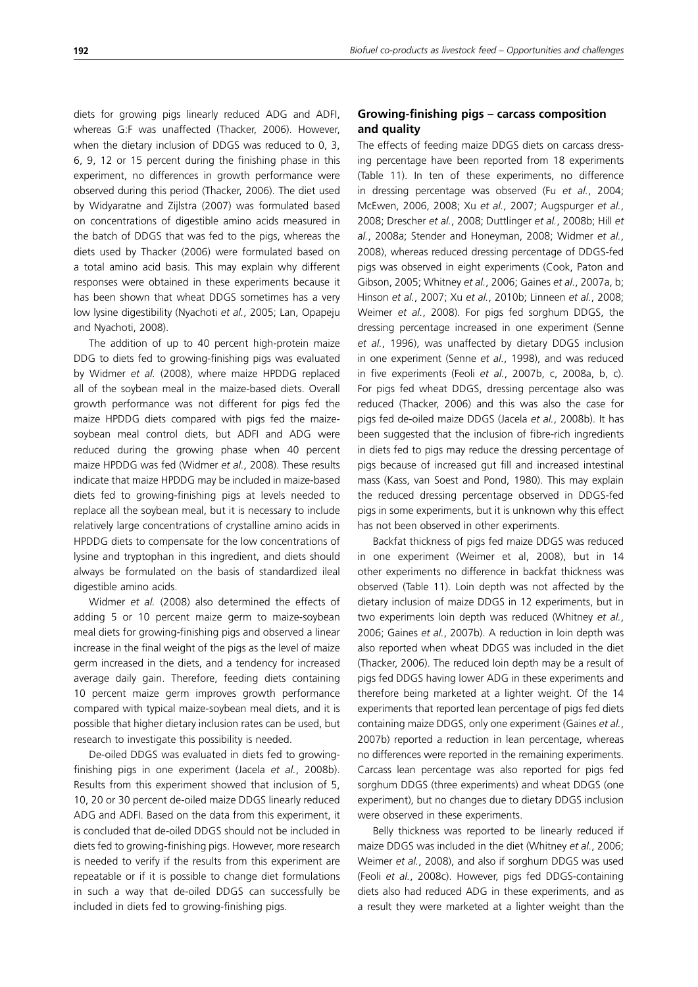diets for growing pigs linearly reduced ADG and ADFI, whereas G:F was unaffected (Thacker, 2006). However, when the dietary inclusion of DDGS was reduced to 0, 3, 6, 9, 12 or 15 percent during the finishing phase in this experiment, no differences in growth performance were observed during this period (Thacker, 2006). The diet used by Widyaratne and Zijlstra (2007) was formulated based on concentrations of digestible amino acids measured in the batch of DDGS that was fed to the pigs, whereas the diets used by Thacker (2006) were formulated based on a total amino acid basis. This may explain why different responses were obtained in these experiments because it has been shown that wheat DDGS sometimes has a very low lysine digestibility (Nyachoti *et al.*, 2005; Lan, Opapeju and Nyachoti, 2008).

The addition of up to 40 percent high-protein maize DDG to diets fed to growing-finishing pigs was evaluated by Widmer *et al.* (2008), where maize HPDDG replaced all of the soybean meal in the maize-based diets. Overall growth performance was not different for pigs fed the maize HPDDG diets compared with pigs fed the maizesoybean meal control diets, but ADFI and ADG were reduced during the growing phase when 40 percent maize HPDDG was fed (Widmer *et al.*, 2008). These results indicate that maize HPDDG may be included in maize-based diets fed to growing-finishing pigs at levels needed to replace all the soybean meal, but it is necessary to include relatively large concentrations of crystalline amino acids in HPDDG diets to compensate for the low concentrations of lysine and tryptophan in this ingredient, and diets should always be formulated on the basis of standardized ileal digestible amino acids.

Widmer *et al.* (2008) also determined the effects of adding 5 or 10 percent maize germ to maize-soybean meal diets for growing-finishing pigs and observed a linear increase in the final weight of the pigs as the level of maize germ increased in the diets, and a tendency for increased average daily gain. Therefore, feeding diets containing 10 percent maize germ improves growth performance compared with typical maize-soybean meal diets, and it is possible that higher dietary inclusion rates can be used, but research to investigate this possibility is needed.

De-oiled DDGS was evaluated in diets fed to growingfinishing pigs in one experiment (Jacela *et al.*, 2008b). Results from this experiment showed that inclusion of 5, 10, 20 or 30 percent de-oiled maize DDGS linearly reduced ADG and ADFI. Based on the data from this experiment, it is concluded that de-oiled DDGS should not be included in diets fed to growing-finishing pigs. However, more research is needed to verify if the results from this experiment are repeatable or if it is possible to change diet formulations in such a way that de-oiled DDGS can successfully be included in diets fed to growing-finishing pigs.

# **Growing-finishing pigs – carcass composition and quality**

The effects of feeding maize DDGS diets on carcass dressing percentage have been reported from 18 experiments (Table 11). In ten of these experiments, no difference in dressing percentage was observed (Fu *et al.*, 2004; McEwen, 2006, 2008; Xu *et al.*, 2007; Augspurger *et al.*, 2008; Drescher *et al.*, 2008; Duttlinger *et al.*, 2008b; Hill *et al.*, 2008a; Stender and Honeyman, 2008; Widmer *et al.*, 2008), whereas reduced dressing percentage of DDGS-fed pigs was observed in eight experiments (Cook, Paton and Gibson, 2005; Whitney *et al.*, 2006; Gaines *et al.*, 2007a, b; Hinson *et al.*, 2007; Xu *et al.*, 2010b; Linneen *et al.*, 2008; Weimer *et al.*, 2008). For pigs fed sorghum DDGS, the dressing percentage increased in one experiment (Senne *et al.*, 1996), was unaffected by dietary DDGS inclusion in one experiment (Senne *et al.*, 1998), and was reduced in five experiments (Feoli *et al.*, 2007b, c, 2008a, b, c). For pigs fed wheat DDGS, dressing percentage also was reduced (Thacker, 2006) and this was also the case for pigs fed de-oiled maize DDGS (Jacela *et al.*, 2008b). It has been suggested that the inclusion of fibre-rich ingredients in diets fed to pigs may reduce the dressing percentage of pigs because of increased gut fill and increased intestinal mass (Kass, van Soest and Pond, 1980). This may explain the reduced dressing percentage observed in DDGS-fed pigs in some experiments, but it is unknown why this effect has not been observed in other experiments.

Backfat thickness of pigs fed maize DDGS was reduced in one experiment (Weimer et al, 2008), but in 14 other experiments no difference in backfat thickness was observed (Table 11). Loin depth was not affected by the dietary inclusion of maize DDGS in 12 experiments, but in two experiments loin depth was reduced (Whitney *et al.*, 2006; Gaines *et al.*, 2007b). A reduction in loin depth was also reported when wheat DDGS was included in the diet (Thacker, 2006). The reduced loin depth may be a result of pigs fed DDGS having lower ADG in these experiments and therefore being marketed at a lighter weight. Of the 14 experiments that reported lean percentage of pigs fed diets containing maize DDGS, only one experiment (Gaines *et al.*, 2007b) reported a reduction in lean percentage, whereas no differences were reported in the remaining experiments. Carcass lean percentage was also reported for pigs fed sorghum DDGS (three experiments) and wheat DDGS (one experiment), but no changes due to dietary DDGS inclusion were observed in these experiments.

Belly thickness was reported to be linearly reduced if maize DDGS was included in the diet (Whitney *et al.*, 2006; Weimer *et al.*, 2008), and also if sorghum DDGS was used (Feoli *et al.*, 2008c). However, pigs fed DDGS-containing diets also had reduced ADG in these experiments, and as a result they were marketed at a lighter weight than the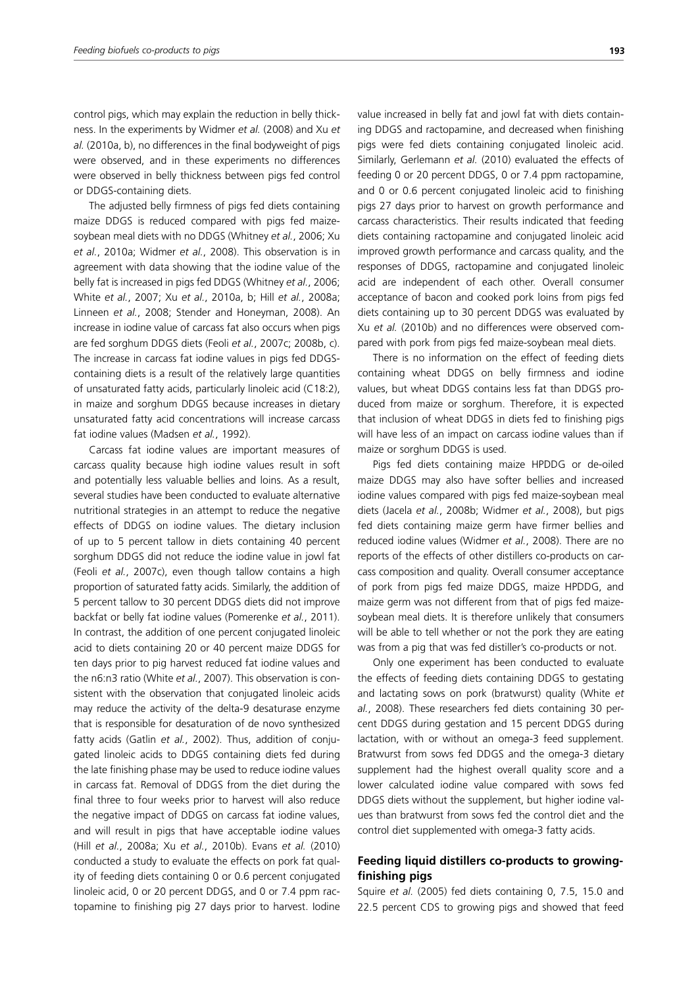control pigs, which may explain the reduction in belly thickness. In the experiments by Widmer *et al.* (2008) and Xu *et al.* (2010a, b), no differences in the final bodyweight of pigs were observed, and in these experiments no differences were observed in belly thickness between pigs fed control or DDGS-containing diets.

The adjusted belly firmness of pigs fed diets containing maize DDGS is reduced compared with pigs fed maizesoybean meal diets with no DDGS (Whitney *et al.*, 2006; Xu *et al.*, 2010a; Widmer *et al.*, 2008). This observation is in agreement with data showing that the iodine value of the belly fat is increased in pigs fed DDGS (Whitney *et al.*, 2006; White *et al.*, 2007; Xu *et al.*, 2010a, b; Hill *et al.*, 2008a; Linneen *et al.*, 2008; Stender and Honeyman, 2008). An increase in iodine value of carcass fat also occurs when pigs are fed sorghum DDGS diets (Feoli *et al.*, 2007c; 2008b, c). The increase in carcass fat iodine values in pigs fed DDGScontaining diets is a result of the relatively large quantities of unsaturated fatty acids, particularly linoleic acid (C18:2), in maize and sorghum DDGS because increases in dietary unsaturated fatty acid concentrations will increase carcass fat iodine values (Madsen *et al.*, 1992).

Carcass fat iodine values are important measures of carcass quality because high iodine values result in soft and potentially less valuable bellies and loins. As a result, several studies have been conducted to evaluate alternative nutritional strategies in an attempt to reduce the negative effects of DDGS on iodine values. The dietary inclusion of up to 5 percent tallow in diets containing 40 percent sorghum DDGS did not reduce the iodine value in jowl fat (Feoli *et al.*, 2007c), even though tallow contains a high proportion of saturated fatty acids. Similarly, the addition of 5 percent tallow to 30 percent DDGS diets did not improve backfat or belly fat iodine values (Pomerenke *et al.*, 2011). In contrast, the addition of one percent conjugated linoleic acid to diets containing 20 or 40 percent maize DDGS for ten days prior to pig harvest reduced fat iodine values and the n6:n3 ratio (White *et al.*, 2007). This observation is consistent with the observation that conjugated linoleic acids may reduce the activity of the delta-9 desaturase enzyme that is responsible for desaturation of de novo synthesized fatty acids (Gatlin *et al.*, 2002). Thus, addition of conjugated linoleic acids to DDGS containing diets fed during the late finishing phase may be used to reduce iodine values in carcass fat. Removal of DDGS from the diet during the final three to four weeks prior to harvest will also reduce the negative impact of DDGS on carcass fat iodine values, and will result in pigs that have acceptable iodine values (Hill *et al.*, 2008a; Xu *et al.*, 2010b). Evans *et al.* (2010) conducted a study to evaluate the effects on pork fat quality of feeding diets containing 0 or 0.6 percent conjugated linoleic acid, 0 or 20 percent DDGS, and 0 or 7.4 ppm ractopamine to finishing pig 27 days prior to harvest. Iodine value increased in belly fat and jowl fat with diets containing DDGS and ractopamine, and decreased when finishing pigs were fed diets containing conjugated linoleic acid. Similarly, Gerlemann *et al.* (2010) evaluated the effects of feeding 0 or 20 percent DDGS, 0 or 7.4 ppm ractopamine, and 0 or 0.6 percent conjugated linoleic acid to finishing pigs 27 days prior to harvest on growth performance and carcass characteristics. Their results indicated that feeding diets containing ractopamine and conjugated linoleic acid improved growth performance and carcass quality, and the responses of DDGS, ractopamine and conjugated linoleic acid are independent of each other. Overall consumer acceptance of bacon and cooked pork loins from pigs fed diets containing up to 30 percent DDGS was evaluated by Xu *et al.* (2010b) and no differences were observed compared with pork from pigs fed maize-soybean meal diets.

There is no information on the effect of feeding diets containing wheat DDGS on belly firmness and iodine values, but wheat DDGS contains less fat than DDGS produced from maize or sorghum. Therefore, it is expected that inclusion of wheat DDGS in diets fed to finishing pigs will have less of an impact on carcass iodine values than if maize or sorghum DDGS is used.

Pigs fed diets containing maize HPDDG or de-oiled maize DDGS may also have softer bellies and increased iodine values compared with pigs fed maize-soybean meal diets (Jacela *et al.*, 2008b; Widmer *et al.*, 2008), but pigs fed diets containing maize germ have firmer bellies and reduced iodine values (Widmer *et al.*, 2008). There are no reports of the effects of other distillers co-products on carcass composition and quality. Overall consumer acceptance of pork from pigs fed maize DDGS, maize HPDDG, and maize germ was not different from that of pigs fed maizesoybean meal diets. It is therefore unlikely that consumers will be able to tell whether or not the pork they are eating was from a pig that was fed distiller's co-products or not.

Only one experiment has been conducted to evaluate the effects of feeding diets containing DDGS to gestating and lactating sows on pork (bratwurst) quality (White *et al.*, 2008). These researchers fed diets containing 30 percent DDGS during gestation and 15 percent DDGS during lactation, with or without an omega-3 feed supplement. Bratwurst from sows fed DDGS and the omega-3 dietary supplement had the highest overall quality score and a lower calculated iodine value compared with sows fed DDGS diets without the supplement, but higher iodine values than bratwurst from sows fed the control diet and the control diet supplemented with omega-3 fatty acids.

## **Feeding liquid distillers co-products to growingfinishing pigs**

Squire *et al.* (2005) fed diets containing 0, 7.5, 15.0 and 22.5 percent CDS to growing pigs and showed that feed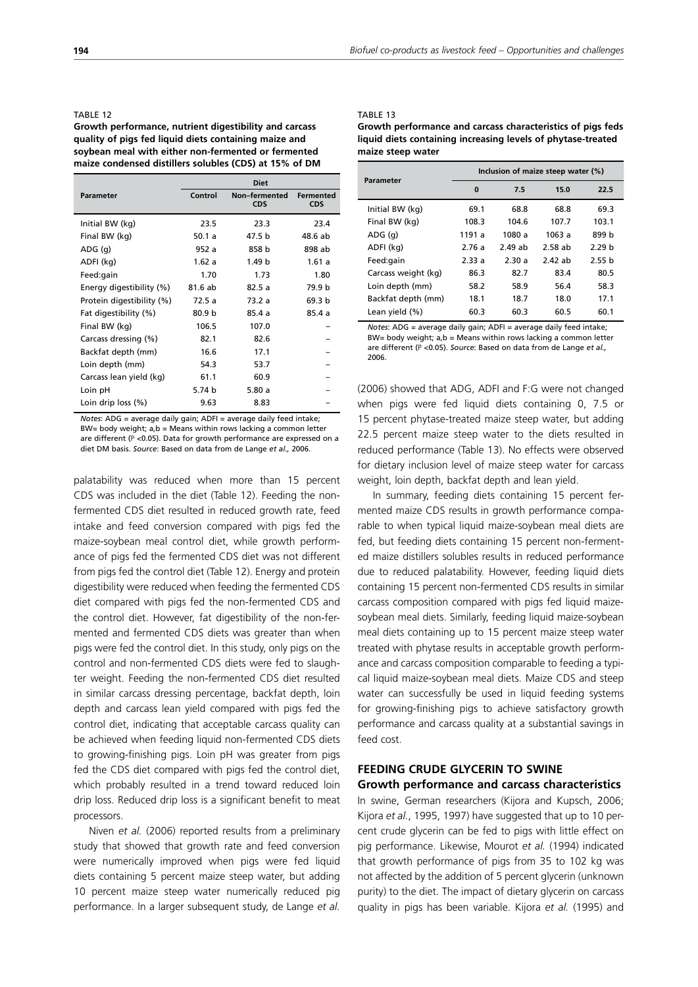#### TABLE 12

**Growth performance, nutrient digestibility and carcass quality of pigs fed liquid diets containing maize and soybean meal with either non-fermented or fermented maize condensed distillers solubles (CDS) at 15% of DM**

|                           | <b>Diet</b> |                             |                                |  |  |
|---------------------------|-------------|-----------------------------|--------------------------------|--|--|
| <b>Parameter</b>          | Control     | Non-fermented<br><b>CDS</b> | <b>Fermented</b><br><b>CDS</b> |  |  |
| Initial BW (kg)           | 23.5        | 23.3                        | 23.4                           |  |  |
| Final BW (kg)             | 50.1 a      | 47.5 b                      | 48.6 ab                        |  |  |
| ADG(q)                    | 952 a       | 858 b                       | 898 ab                         |  |  |
| ADFI (kg)                 | 1.62a       | 1.49 <sub>b</sub>           | 1.61a                          |  |  |
| Feed:gain                 | 1.70        | 1.73                        | 1.80                           |  |  |
| Energy digestibility (%)  | 81.6 ab     | 82.5a                       | 79.9 b                         |  |  |
| Protein digestibility (%) | 72.5 a      | 73.2 a                      | 69.3 b                         |  |  |
| Fat digestibility (%)     | 80.9 b      | 85.4 a                      | 85.4 a                         |  |  |
| Final BW (kg)             | 106.5       | 107.0                       |                                |  |  |
| Carcass dressing (%)      | 82.1        | 82.6                        |                                |  |  |
| Backfat depth (mm)        | 16.6        | 17.1                        |                                |  |  |
| Loin depth (mm)           | 54.3        | 53.7                        |                                |  |  |
| Carcass lean yield (kg)   | 61.1        | 60.9                        |                                |  |  |
| Loin pH                   | 5.74 b      | 5.80a                       |                                |  |  |
| Loin drip loss (%)        | 9.63        | 8.83                        |                                |  |  |

*Notes*: ADG = average daily gain; ADFI = average daily feed intake; BW= body weight; a,b = Means within rows lacking a common letter are different  $(P < 0.05)$ . Data for growth performance are expressed on a diet DM basis. *Source*: Based on data from de Lange *et al.,* 2006.

palatability was reduced when more than 15 percent CDS was included in the diet (Table 12). Feeding the nonfermented CDS diet resulted in reduced growth rate, feed intake and feed conversion compared with pigs fed the maize-soybean meal control diet, while growth performance of pigs fed the fermented CDS diet was not different from pigs fed the control diet (Table 12). Energy and protein digestibility were reduced when feeding the fermented CDS diet compared with pigs fed the non-fermented CDS and the control diet. However, fat digestibility of the non-fermented and fermented CDS diets was greater than when pigs were fed the control diet. In this study, only pigs on the control and non-fermented CDS diets were fed to slaughter weight. Feeding the non-fermented CDS diet resulted in similar carcass dressing percentage, backfat depth, loin depth and carcass lean yield compared with pigs fed the control diet, indicating that acceptable carcass quality can be achieved when feeding liquid non-fermented CDS diets to growing-finishing pigs. Loin pH was greater from pigs fed the CDS diet compared with pigs fed the control diet, which probably resulted in a trend toward reduced loin drip loss. Reduced drip loss is a significant benefit to meat processors.

Niven *et al.* (2006) reported results from a preliminary study that showed that growth rate and feed conversion were numerically improved when pigs were fed liquid diets containing 5 percent maize steep water, but adding 10 percent maize steep water numerically reduced pig performance. In a larger subsequent study, de Lange *et al.*

#### TABLE 13

| Growth performance and carcass characteristics of pigs feds  |
|--------------------------------------------------------------|
| liquid diets containing increasing levels of phytase-treated |
| maize steep water                                            |

| Parameter           | Inclusion of maize steep water (%) |         |         |                   |  |
|---------------------|------------------------------------|---------|---------|-------------------|--|
|                     | $\bf{0}$                           | 7.5     | 15.0    | 22.5              |  |
| Initial BW (kg)     | 69.1                               | 68.8    | 68.8    | 69.3              |  |
| Final BW (kg)       | 108.3                              | 104.6   | 107.7   | 103.1             |  |
| ADG (q)             | 1191 a                             | 1080 a  | 1063 a  | 899 h             |  |
| ADFI (kg)           | 2.76 a                             | 2.49 ah | 2.58 ab | 2.29 h            |  |
| Feed:gain           | 2.33a                              | 2.30a   | 2.42 ah | 2.55 <sub>b</sub> |  |
| Carcass weight (kg) | 86.3                               | 82.7    | 83.4    | 80.5              |  |
| Loin depth (mm)     | 58.2                               | 58.9    | 56.4    | 58.3              |  |
| Backfat depth (mm)  | 18.1                               | 18.7    | 18.0    | 17.1              |  |
| Lean yield (%)      | 60.3                               | 60.3    | 60.5    | 60.1              |  |

*Notes*: ADG = average daily gain; ADFI = average daily feed intake; BW= body weight; a,b = Means within rows lacking a common letter are different (P <0.05). *Source*: Based on data from de Lange *et al.,* 2006.

(2006) showed that ADG, ADFI and F:G were not changed when pigs were fed liquid diets containing 0, 7.5 or 15 percent phytase-treated maize steep water, but adding 22.5 percent maize steep water to the diets resulted in reduced performance (Table 13). No effects were observed for dietary inclusion level of maize steep water for carcass weight, loin depth, backfat depth and lean yield.

In summary, feeding diets containing 15 percent fermented maize CDS results in growth performance comparable to when typical liquid maize-soybean meal diets are fed, but feeding diets containing 15 percent non-fermented maize distillers solubles results in reduced performance due to reduced palatability. However, feeding liquid diets containing 15 percent non-fermented CDS results in similar carcass composition compared with pigs fed liquid maizesoybean meal diets. Similarly, feeding liquid maize-soybean meal diets containing up to 15 percent maize steep water treated with phytase results in acceptable growth performance and carcass composition comparable to feeding a typical liquid maize-soybean meal diets. Maize CDS and steep water can successfully be used in liquid feeding systems for growing-finishing pigs to achieve satisfactory growth performance and carcass quality at a substantial savings in feed cost.

## **FEEDING CRUDE GLYCERIN TO SWINE Growth performance and carcass characteristics**

In swine, German researchers (Kijora and Kupsch, 2006; Kijora *et al.*, 1995, 1997) have suggested that up to 10 percent crude glycerin can be fed to pigs with little effect on pig performance. Likewise, Mourot *et al.* (1994) indicated that growth performance of pigs from 35 to 102 kg was not affected by the addition of 5 percent glycerin (unknown purity) to the diet. The impact of dietary glycerin on carcass quality in pigs has been variable. Kijora *et al.* (1995) and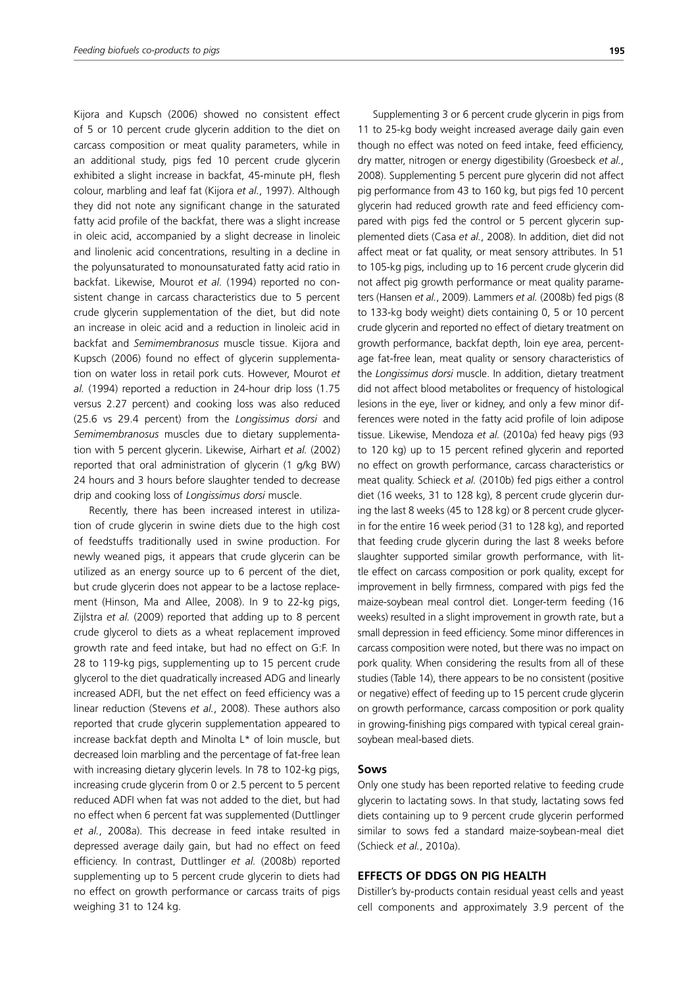Kijora and Kupsch (2006) showed no consistent effect of 5 or 10 percent crude glycerin addition to the diet on carcass composition or meat quality parameters, while in an additional study, pigs fed 10 percent crude glycerin exhibited a slight increase in backfat, 45-minute pH, flesh colour, marbling and leaf fat (Kijora *et al.*, 1997). Although they did not note any significant change in the saturated fatty acid profile of the backfat, there was a slight increase in oleic acid, accompanied by a slight decrease in linoleic and linolenic acid concentrations, resulting in a decline in the polyunsaturated to monounsaturated fatty acid ratio in backfat. Likewise, Mourot *et al.* (1994) reported no consistent change in carcass characteristics due to 5 percent crude glycerin supplementation of the diet, but did note an increase in oleic acid and a reduction in linoleic acid in backfat and *Semimembranosus* muscle tissue. Kijora and Kupsch (2006) found no effect of glycerin supplementation on water loss in retail pork cuts. However, Mourot *et al.* (1994) reported a reduction in 24-hour drip loss (1.75 versus 2.27 percent) and cooking loss was also reduced (25.6 vs 29.4 percent) from the *Longissimus dorsi* and *Semimembranosus* muscles due to dietary supplementation with 5 percent glycerin. Likewise, Airhart *et al.* (2002) reported that oral administration of glycerin (1 g/kg BW) 24 hours and 3 hours before slaughter tended to decrease drip and cooking loss of *Longissimus dorsi* muscle.

Recently, there has been increased interest in utilization of crude glycerin in swine diets due to the high cost of feedstuffs traditionally used in swine production. For newly weaned pigs, it appears that crude glycerin can be utilized as an energy source up to 6 percent of the diet, but crude glycerin does not appear to be a lactose replacement (Hinson, Ma and Allee, 2008). In 9 to 22-kg pigs, Zijlstra *et al.* (2009) reported that adding up to 8 percent crude glycerol to diets as a wheat replacement improved growth rate and feed intake, but had no effect on G:F. In 28 to 119-kg pigs, supplementing up to 15 percent crude glycerol to the diet quadratically increased ADG and linearly increased ADFI, but the net effect on feed efficiency was a linear reduction (Stevens *et al.*, 2008). These authors also reported that crude glycerin supplementation appeared to increase backfat depth and Minolta L\* of loin muscle, but decreased loin marbling and the percentage of fat-free lean with increasing dietary glycerin levels. In 78 to 102-kg pigs, increasing crude glycerin from 0 or 2.5 percent to 5 percent reduced ADFI when fat was not added to the diet, but had no effect when 6 percent fat was supplemented (Duttlinger *et al.*, 2008a). This decrease in feed intake resulted in depressed average daily gain, but had no effect on feed efficiency. In contrast, Duttlinger *et al.* (2008b) reported supplementing up to 5 percent crude glycerin to diets had no effect on growth performance or carcass traits of pigs weighing 31 to 124 kg.

Supplementing 3 or 6 percent crude glycerin in pigs from 11 to 25-kg body weight increased average daily gain even though no effect was noted on feed intake, feed efficiency, dry matter, nitrogen or energy digestibility (Groesbeck *et al.*, 2008). Supplementing 5 percent pure glycerin did not affect pig performance from 43 to 160 kg, but pigs fed 10 percent glycerin had reduced growth rate and feed efficiency compared with pigs fed the control or 5 percent glycerin supplemented diets (Casa *et al.*, 2008). In addition, diet did not affect meat or fat quality, or meat sensory attributes. In 51 to 105-kg pigs, including up to 16 percent crude glycerin did not affect pig growth performance or meat quality parameters (Hansen *et al.*, 2009). Lammers *et al.* (2008b) fed pigs (8 to 133-kg body weight) diets containing 0, 5 or 10 percent crude glycerin and reported no effect of dietary treatment on growth performance, backfat depth, loin eye area, percentage fat-free lean, meat quality or sensory characteristics of the *Longissimus dorsi* muscle. In addition, dietary treatment did not affect blood metabolites or frequency of histological lesions in the eye, liver or kidney, and only a few minor differences were noted in the fatty acid profile of loin adipose tissue. Likewise, Mendoza *et al.* (2010a) fed heavy pigs (93 to 120 kg) up to 15 percent refined glycerin and reported no effect on growth performance, carcass characteristics or meat quality. Schieck *et al.* (2010b) fed pigs either a control diet (16 weeks, 31 to 128 kg), 8 percent crude glycerin during the last 8 weeks (45 to 128 kg) or 8 percent crude glycerin for the entire 16 week period (31 to 128 kg), and reported that feeding crude glycerin during the last 8 weeks before slaughter supported similar growth performance, with little effect on carcass composition or pork quality, except for improvement in belly firmness, compared with pigs fed the maize-soybean meal control diet. Longer-term feeding (16 weeks) resulted in a slight improvement in growth rate, but a small depression in feed efficiency. Some minor differences in carcass composition were noted, but there was no impact on pork quality. When considering the results from all of these studies (Table 14), there appears to be no consistent (positive or negative) effect of feeding up to 15 percent crude glycerin on growth performance, carcass composition or pork quality in growing-finishing pigs compared with typical cereal grainsoybean meal-based diets.

#### **Sows**

Only one study has been reported relative to feeding crude glycerin to lactating sows. In that study, lactating sows fed diets containing up to 9 percent crude glycerin performed similar to sows fed a standard maize-soybean-meal diet (Schieck *et al.*, 2010a).

## **EFFECTS OF DDGS ON PIG HEALTH**

Distiller's by-products contain residual yeast cells and yeast cell components and approximately 3.9 percent of the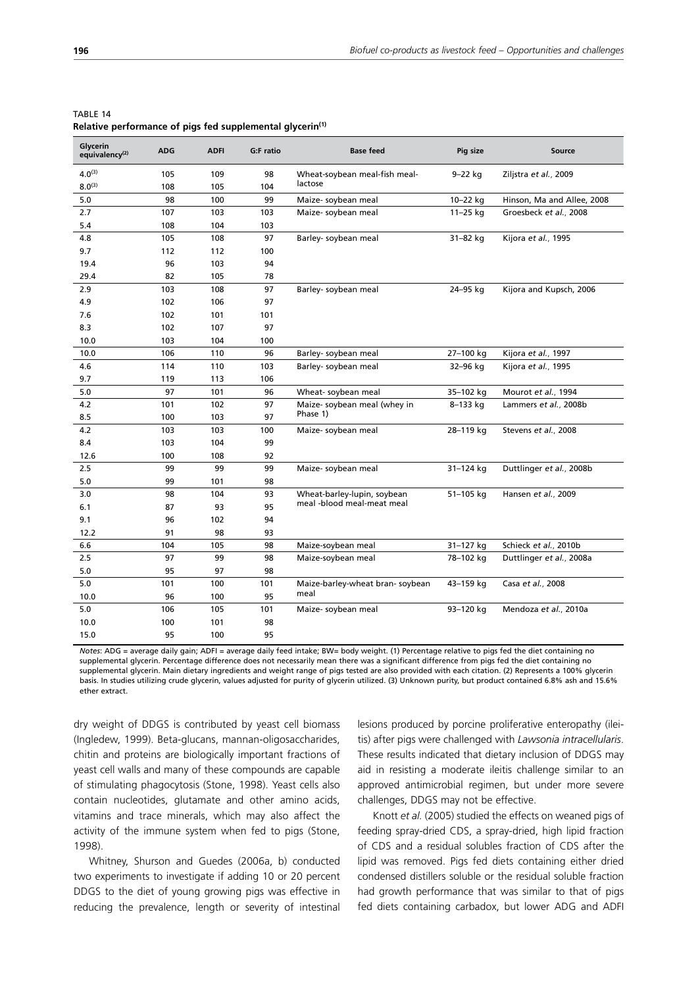| Glycerin<br>equivalency <sup>(2)</sup> | <b>ADG</b> | <b>ADFI</b> | G:F ratio | <b>Base feed</b>                | Pig size     | Source                     |
|----------------------------------------|------------|-------------|-----------|---------------------------------|--------------|----------------------------|
| $4.0^{(3)}$                            | 105        | 109         | 98        | Wheat-soybean meal-fish meal-   | 9-22 kg      | Ziljstra et al., 2009      |
| $8.0^{(3)}$                            | 108        | 105         | 104       | lactose                         |              |                            |
| 5.0                                    | 98         | 100         | 99        | Maize- soybean meal             | 10-22 kg     | Hinson, Ma and Allee, 2008 |
| 2.7                                    | 107        | 103         | 103       | Maize- soybean meal             | $11 - 25$ kg | Groesbeck et al., 2008     |
| 5.4                                    | 108        | 104         | 103       |                                 |              |                            |
| 4.8                                    | 105        | 108         | 97        | Barley- soybean meal            | 31-82 kg     | Kijora et al., 1995        |
| 9.7                                    | 112        | 112         | 100       |                                 |              |                            |
| 19.4                                   | 96         | 103         | 94        |                                 |              |                            |
| 29.4                                   | 82         | 105         | 78        |                                 |              |                            |
| 2.9                                    | 103        | 108         | 97        | Barley- soybean meal            | 24-95 kg     | Kijora and Kupsch, 2006    |
| 4.9                                    | 102        | 106         | 97        |                                 |              |                            |
| 7.6                                    | 102        | 101         | 101       |                                 |              |                            |
| 8.3                                    | 102        | 107         | 97        |                                 |              |                            |
| 10.0                                   | 103        | 104         | 100       |                                 |              |                            |
| 10.0                                   | 106        | 110         | 96        | Barley- soybean meal            | 27-100 kg    | Kijora et al., 1997        |
| 4.6                                    | 114        | 110         | 103       | Barley-soybean meal             | 32-96 kg     | Kijora et al., 1995        |
| 9.7                                    | 119        | 113         | 106       |                                 |              |                            |
| 5.0                                    | 97         | 101         | 96        | Wheat-soybean meal              | 35-102 kg    | Mourot et al., 1994        |
| 4.2                                    | 101        | 102         | 97        | Maize-soybean meal (whey in     | 8-133 kg     | Lammers et al., 2008b      |
| 8.5                                    | 100        | 103         | 97        | Phase 1)                        |              |                            |
| 4.2                                    | 103        | 103         | 100       | Maize- soybean meal             | 28-119 kg    | Stevens et al., 2008       |
| 8.4                                    | 103        | 104         | 99        |                                 |              |                            |
| 12.6                                   | 100        | 108         | 92        |                                 |              |                            |
| 2.5                                    | 99         | 99          | 99        | Maize- soybean meal             | 31-124 kg    | Duttlinger et al., 2008b   |
| 5.0                                    | 99         | 101         | 98        |                                 |              |                            |
| 3.0                                    | 98         | 104         | 93        | Wheat-barley-lupin, soybean     | 51-105 kg    | Hansen et al., 2009        |
| 6.1                                    | 87         | 93          | 95        | meal -blood meal-meat meal      |              |                            |
| 9.1                                    | 96         | 102         | 94        |                                 |              |                            |
| 12.2                                   | 91         | 98          | 93        |                                 |              |                            |
| 6.6                                    | 104        | 105         | 98        | Maize-soybean meal              | 31-127 kg    | Schieck et al., 2010b      |
| 2.5                                    | 97         | 99          | 98        | Maize-soybean meal              | 78-102 kg    | Duttlinger et al., 2008a   |
| 5.0                                    | 95         | 97          | 98        |                                 |              |                            |
| 5.0                                    | 101        | 100         | 101       | Maize-barley-wheat bran-soybean | 43-159 kg    | Casa et al., 2008          |
| 10.0                                   | 96         | 100         | 95        | meal                            |              |                            |
| 5.0                                    | 106        | 105         | 101       | Maize- soybean meal             | 93-120 kg    | Mendoza et al., 2010a      |
| 10.0                                   | 100        | 101         | 98        |                                 |              |                            |
| 15.0                                   | 95         | 100         | 95        |                                 |              |                            |

TABLE 14 **Relative performance of pigs fed supplemental glycerin(1)**

*Notes*: ADG = average daily gain; ADFI = average daily feed intake; BW= body weight. (1) Percentage relative to pigs fed the diet containing no supplemental glycerin. Percentage difference does not necessarily mean there was a significant difference from pigs fed the diet containing no supplemental glycerin. Main dietary ingredients and weight range of pigs tested are also provided with each citation. (2) Represents a 100% glycerin basis. In studies utilizing crude glycerin, values adjusted for purity of glycerin utilized. (3) Unknown purity, but product contained 6.8% ash and 15.6% ether extract.

dry weight of DDGS is contributed by yeast cell biomass (Ingledew, 1999). Beta-glucans, mannan-oligosaccharides, chitin and proteins are biologically important fractions of yeast cell walls and many of these compounds are capable of stimulating phagocytosis (Stone, 1998). Yeast cells also contain nucleotides, glutamate and other amino acids, vitamins and trace minerals, which may also affect the activity of the immune system when fed to pigs (Stone, 1998).

Whitney, Shurson and Guedes (2006a, b) conducted two experiments to investigate if adding 10 or 20 percent DDGS to the diet of young growing pigs was effective in reducing the prevalence, length or severity of intestinal lesions produced by porcine proliferative enteropathy (ileitis) after pigs were challenged with *Lawsonia intracellularis*. These results indicated that dietary inclusion of DDGS may aid in resisting a moderate ileitis challenge similar to an approved antimicrobial regimen, but under more severe challenges, DDGS may not be effective.

Knott *et al.* (2005) studied the effects on weaned pigs of feeding spray-dried CDS, a spray-dried, high lipid fraction of CDS and a residual solubles fraction of CDS after the lipid was removed. Pigs fed diets containing either dried condensed distillers soluble or the residual soluble fraction had growth performance that was similar to that of pigs fed diets containing carbadox, but lower ADG and ADFI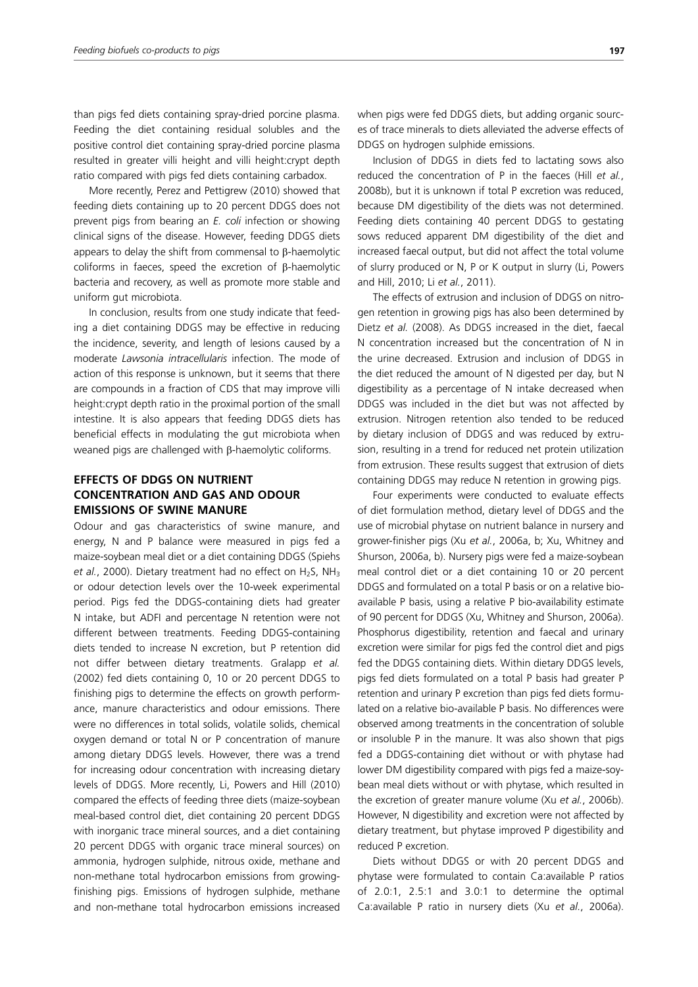than pigs fed diets containing spray-dried porcine plasma. Feeding the diet containing residual solubles and the positive control diet containing spray-dried porcine plasma resulted in greater villi height and villi height:crypt depth ratio compared with pigs fed diets containing carbadox.

More recently, Perez and Pettigrew (2010) showed that feeding diets containing up to 20 percent DDGS does not prevent pigs from bearing an *E. coli* infection or showing clinical signs of the disease. However, feeding DDGS diets appears to delay the shift from commensal to β-haemolytic coliforms in faeces, speed the excretion of β-haemolytic bacteria and recovery, as well as promote more stable and uniform gut microbiota.

In conclusion, results from one study indicate that feeding a diet containing DDGS may be effective in reducing the incidence, severity, and length of lesions caused by a moderate *Lawsonia intracellularis* infection. The mode of action of this response is unknown, but it seems that there are compounds in a fraction of CDS that may improve villi height:crypt depth ratio in the proximal portion of the small intestine. It is also appears that feeding DDGS diets has beneficial effects in modulating the gut microbiota when weaned pigs are challenged with β-haemolytic coliforms.

## **EFFECTS OF DDGS ON NUTRIENT CONCENTRATION AND GAS AND ODOUR EMISSIONS OF SWINE MANURE**

Odour and gas characteristics of swine manure, and energy, N and P balance were measured in pigs fed a maize-soybean meal diet or a diet containing DDGS (Spiehs et al., 2000). Dietary treatment had no effect on H<sub>2</sub>S, NH<sub>3</sub> or odour detection levels over the 10-week experimental period. Pigs fed the DDGS-containing diets had greater N intake, but ADFI and percentage N retention were not different between treatments. Feeding DDGS-containing diets tended to increase N excretion, but P retention did not differ between dietary treatments. Gralapp *et al.* (2002) fed diets containing 0, 10 or 20 percent DDGS to finishing pigs to determine the effects on growth performance, manure characteristics and odour emissions. There were no differences in total solids, volatile solids, chemical oxygen demand or total N or P concentration of manure among dietary DDGS levels. However, there was a trend for increasing odour concentration with increasing dietary levels of DDGS. More recently, Li, Powers and Hill (2010) compared the effects of feeding three diets (maize-soybean meal-based control diet, diet containing 20 percent DDGS with inorganic trace mineral sources, and a diet containing 20 percent DDGS with organic trace mineral sources) on ammonia, hydrogen sulphide, nitrous oxide, methane and non-methane total hydrocarbon emissions from growingfinishing pigs. Emissions of hydrogen sulphide, methane and non-methane total hydrocarbon emissions increased when pigs were fed DDGS diets, but adding organic sources of trace minerals to diets alleviated the adverse effects of DDGS on hydrogen sulphide emissions.

Inclusion of DDGS in diets fed to lactating sows also reduced the concentration of P in the faeces (Hill *et al.*, 2008b), but it is unknown if total P excretion was reduced, because DM digestibility of the diets was not determined. Feeding diets containing 40 percent DDGS to gestating sows reduced apparent DM digestibility of the diet and increased faecal output, but did not affect the total volume of slurry produced or N, P or K output in slurry (Li, Powers and Hill, 2010; Li *et al.*, 2011).

The effects of extrusion and inclusion of DDGS on nitrogen retention in growing pigs has also been determined by Dietz *et al.* (2008). As DDGS increased in the diet, faecal N concentration increased but the concentration of N in the urine decreased. Extrusion and inclusion of DDGS in the diet reduced the amount of N digested per day, but N digestibility as a percentage of N intake decreased when DDGS was included in the diet but was not affected by extrusion. Nitrogen retention also tended to be reduced by dietary inclusion of DDGS and was reduced by extrusion, resulting in a trend for reduced net protein utilization from extrusion. These results suggest that extrusion of diets containing DDGS may reduce N retention in growing pigs.

Four experiments were conducted to evaluate effects of diet formulation method, dietary level of DDGS and the use of microbial phytase on nutrient balance in nursery and grower-finisher pigs (Xu *et al.*, 2006a, b; Xu, Whitney and Shurson, 2006a, b). Nursery pigs were fed a maize-soybean meal control diet or a diet containing 10 or 20 percent DDGS and formulated on a total P basis or on a relative bioavailable P basis, using a relative P bio-availability estimate of 90 percent for DDGS (Xu, Whitney and Shurson, 2006a). Phosphorus digestibility, retention and faecal and urinary excretion were similar for pigs fed the control diet and pigs fed the DDGS containing diets. Within dietary DDGS levels, pigs fed diets formulated on a total P basis had greater P retention and urinary P excretion than pigs fed diets formulated on a relative bio-available P basis. No differences were observed among treatments in the concentration of soluble or insoluble P in the manure. It was also shown that pigs fed a DDGS-containing diet without or with phytase had lower DM digestibility compared with pigs fed a maize-soybean meal diets without or with phytase, which resulted in the excretion of greater manure volume (Xu *et al.*, 2006b). However, N digestibility and excretion were not affected by dietary treatment, but phytase improved P digestibility and reduced P excretion.

Diets without DDGS or with 20 percent DDGS and phytase were formulated to contain Ca:available P ratios of 2.0:1, 2.5:1 and 3.0:1 to determine the optimal Ca:available P ratio in nursery diets (Xu *et al.*, 2006a).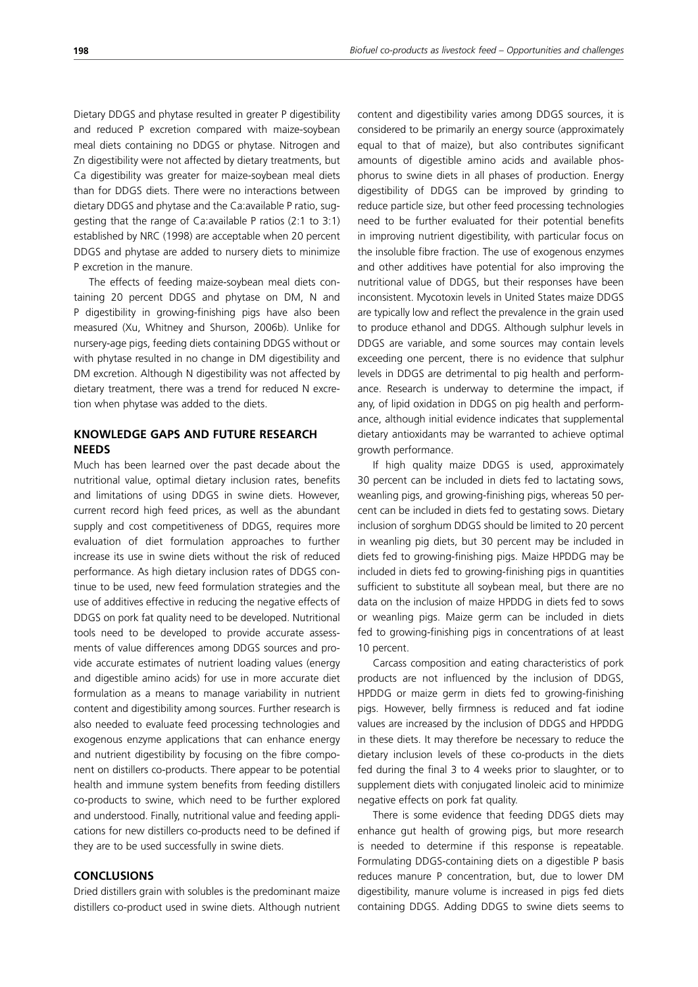Dietary DDGS and phytase resulted in greater P digestibility and reduced P excretion compared with maize-soybean meal diets containing no DDGS or phytase. Nitrogen and Zn digestibility were not affected by dietary treatments, but Ca digestibility was greater for maize-soybean meal diets than for DDGS diets. There were no interactions between dietary DDGS and phytase and the Ca:available P ratio, suggesting that the range of Ca:available P ratios (2:1 to 3:1) established by NRC (1998) are acceptable when 20 percent DDGS and phytase are added to nursery diets to minimize P excretion in the manure.

The effects of feeding maize-soybean meal diets containing 20 percent DDGS and phytase on DM, N and P digestibility in growing-finishing pigs have also been measured (Xu, Whitney and Shurson, 2006b). Unlike for nursery-age pigs, feeding diets containing DDGS without or with phytase resulted in no change in DM digestibility and DM excretion. Although N digestibility was not affected by dietary treatment, there was a trend for reduced N excretion when phytase was added to the diets.

## **KNOWLEDGE GAPS AND FUTURE RESEARCH NEEDS**

Much has been learned over the past decade about the nutritional value, optimal dietary inclusion rates, benefits and limitations of using DDGS in swine diets. However, current record high feed prices, as well as the abundant supply and cost competitiveness of DDGS, requires more evaluation of diet formulation approaches to further increase its use in swine diets without the risk of reduced performance. As high dietary inclusion rates of DDGS continue to be used, new feed formulation strategies and the use of additives effective in reducing the negative effects of DDGS on pork fat quality need to be developed. Nutritional tools need to be developed to provide accurate assessments of value differences among DDGS sources and provide accurate estimates of nutrient loading values (energy and digestible amino acids) for use in more accurate diet formulation as a means to manage variability in nutrient content and digestibility among sources. Further research is also needed to evaluate feed processing technologies and exogenous enzyme applications that can enhance energy and nutrient digestibility by focusing on the fibre component on distillers co-products. There appear to be potential health and immune system benefits from feeding distillers co-products to swine, which need to be further explored and understood. Finally, nutritional value and feeding applications for new distillers co-products need to be defined if they are to be used successfully in swine diets.

## **CONCLUSIONS**

Dried distillers grain with solubles is the predominant maize distillers co-product used in swine diets. Although nutrient content and digestibility varies among DDGS sources, it is considered to be primarily an energy source (approximately equal to that of maize), but also contributes significant amounts of digestible amino acids and available phosphorus to swine diets in all phases of production. Energy digestibility of DDGS can be improved by grinding to reduce particle size, but other feed processing technologies need to be further evaluated for their potential benefits in improving nutrient digestibility, with particular focus on the insoluble fibre fraction. The use of exogenous enzymes and other additives have potential for also improving the nutritional value of DDGS, but their responses have been inconsistent. Mycotoxin levels in United States maize DDGS are typically low and reflect the prevalence in the grain used to produce ethanol and DDGS. Although sulphur levels in DDGS are variable, and some sources may contain levels exceeding one percent, there is no evidence that sulphur levels in DDGS are detrimental to pig health and performance. Research is underway to determine the impact, if any, of lipid oxidation in DDGS on pig health and performance, although initial evidence indicates that supplemental dietary antioxidants may be warranted to achieve optimal growth performance.

If high quality maize DDGS is used, approximately 30 percent can be included in diets fed to lactating sows, weanling pigs, and growing-finishing pigs, whereas 50 percent can be included in diets fed to gestating sows. Dietary inclusion of sorghum DDGS should be limited to 20 percent in weanling pig diets, but 30 percent may be included in diets fed to growing-finishing pigs. Maize HPDDG may be included in diets fed to growing-finishing pigs in quantities sufficient to substitute all soybean meal, but there are no data on the inclusion of maize HPDDG in diets fed to sows or weanling pigs. Maize germ can be included in diets fed to growing-finishing pigs in concentrations of at least 10 percent.

Carcass composition and eating characteristics of pork products are not influenced by the inclusion of DDGS, HPDDG or maize germ in diets fed to growing-finishing pigs. However, belly firmness is reduced and fat iodine values are increased by the inclusion of DDGS and HPDDG in these diets. It may therefore be necessary to reduce the dietary inclusion levels of these co-products in the diets fed during the final 3 to 4 weeks prior to slaughter, or to supplement diets with conjugated linoleic acid to minimize negative effects on pork fat quality.

There is some evidence that feeding DDGS diets may enhance gut health of growing pigs, but more research is needed to determine if this response is repeatable. Formulating DDGS-containing diets on a digestible P basis reduces manure P concentration, but, due to lower DM digestibility, manure volume is increased in pigs fed diets containing DDGS. Adding DDGS to swine diets seems to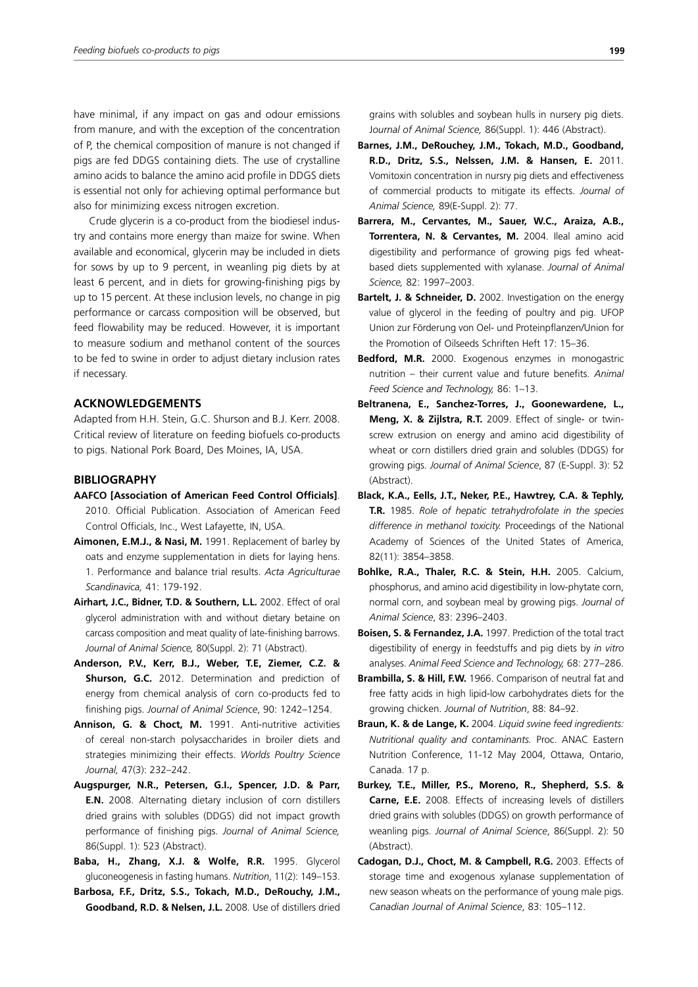have minimal, if any impact on gas and odour emissions from manure, and with the exception of the concentration of P, the chemical composition of manure is not changed if pigs are fed DDGS containing diets. The use of crystalline amino acids to balance the amino acid profile in DDGS diets is essential not only for achieving optimal performance but also for minimizing excess nitrogen excretion.

Crude glycerin is a co-product from the biodiesel industry and contains more energy than maize for swine. When available and economical, glycerin may be included in diets for sows by up to 9 percent, in weanling pig diets by at least 6 percent, and in diets for growing-finishing pigs by up to 15 percent. At these inclusion levels, no change in pig performance or carcass composition will be observed, but feed flowability may be reduced. However, it is important to measure sodium and methanol content of the sources to be fed to swine in order to adjust dietary inclusion rates if necessary.

## **ACKNOWLEDGEMENTS**

Adapted from H.H. Stein, G.C. Shurson and B.J. Kerr. 2008. Critical review of literature on feeding biofuels co-products to pigs. National Pork Board, Des Moines, IA, USA.

## **BIBLIOGRAPHY**

- **AAFCO [Association of American Feed Control Officials]**. 2010. Official Publication. Association of American Feed Control Officials, Inc., West Lafayette, IN, USA.
- **Aimonen, E.M.J., & Nasi, M.** 1991. Replacement of barley by oats and enzyme supplementation in diets for laying hens. 1. Performance and balance trial results. *Acta Agriculturae Scandinavica,* 41: 179-192.
- **Airhart, J.C., Bidner, T.D. & Southern, L.L.** 2002. Effect of oral glycerol administration with and without dietary betaine on carcass composition and meat quality of late-finishing barrows. *Journal of Animal Science,* 80(Suppl. 2): 71 (Abstract).
- **Anderson, P.V., Kerr, B.J., Weber, T.E, Ziemer, C.Z. & Shurson, G.C.** 2012. Determination and prediction of energy from chemical analysis of corn co-products fed to finishing pigs. *Journal of Animal Science*, 90: 1242–1254.
- **Annison, G. & Choct, M.** 1991. Anti-nutritive activities of cereal non-starch polysaccharides in broiler diets and strategies minimizing their effects. *Worlds Poultry Science Journal,* 47(3): 232–242.
- **Augspurger, N.R., Petersen, G.I., Spencer, J.D. & Parr, E.N.** 2008. Alternating dietary inclusion of corn distillers dried grains with solubles (DDGS) did not impact growth performance of finishing pigs. *Journal of Animal Science,*  86(Suppl. 1): 523 (Abstract).
- **Baba, H., Zhang, X.J. & Wolfe, R.R.** 1995. Glycerol gluconeogenesis in fasting humans. *Nutrition*, 11(2): 149–153.
- **Barbosa, F.F., Dritz, S.S., Tokach, M.D., DeRouchy, J.M., Goodband, R.D. & Nelsen, J.L.** 2008. Use of distillers dried

grains with solubles and soybean hulls in nursery pig diets. J*ournal of Animal Science,* 86(Suppl. 1): 446 (Abstract).

- **Barnes, J.M., DeRouchey, J.M., Tokach, M.D., Goodband, R.D., Dritz, S.S., Nelssen, J.M. & Hansen, E.** 2011. Vomitoxin concentration in nursry pig diets and effectiveness of commercial products to mitigate its effects. *Journal of Animal Science,* 89(E-Suppl. 2): 77.
- **Barrera, M., Cervantes, M., Sauer, W.C., Araiza, A.B., Torrentera, N. & Cervantes, M.** 2004. Ileal amino acid digestibility and performance of growing pigs fed wheatbased diets supplemented with xylanase. *Journal of Animal Science,* 82: 1997–2003.
- **Bartelt, J. & Schneider, D.** 2002. Investigation on the energy value of glycerol in the feeding of poultry and pig. UFOP Union zur Förderung von Oel- und Proteinpflanzen/Union for the Promotion of Oilseeds Schriften Heft 17: 15–36.
- **Bedford, M.R.** 2000. Exogenous enzymes in monogastric nutrition – their current value and future benefits. *Animal Feed Science and Technology,* 86: 1–13.
- **Beltranena, E., Sanchez-Torres, J., Goonewardene, L., Meng, X. & Zijlstra, R.T.** 2009. Effect of single- or twinscrew extrusion on energy and amino acid digestibility of wheat or corn distillers dried grain and solubles (DDGS) for growing pigs. *Journal of Animal Science*, 87 (E-Suppl. 3): 52 (Abstract).
- **Black, K.A., Eells, J.T., Neker, P.E., Hawtrey, C.A. & Tephly, T.R.** 1985. *Role of hepatic tetrahydrofolate in the species difference in methanol toxicity.* Proceedings of the National Academy of Sciences of the United States of America, 82(11): 3854–3858.
- **Bohlke, R.A., Thaler, R.C. & Stein, H.H.** 2005. Calcium, phosphorus, and amino acid digestibility in low-phytate corn, normal corn, and soybean meal by growing pigs. *Journal of Animal Science*, 83: 2396–2403.
- **Boisen, S. & Fernandez, J.A.** 1997. Prediction of the total tract digestibility of energy in feedstuffs and pig diets by *in vitro* analyses. *Animal Feed Science and Technology,* 68: 277–286.
- **Brambilla, S. & Hill, F.W.** 1966. Comparison of neutral fat and free fatty acids in high lipid-low carbohydrates diets for the growing chicken. *Journal of Nutrition*, 88: 84–92.
- **Braun, K. & de Lange, K.** 2004. *Liquid swine feed ingredients: Nutritional quality and contaminants.* Proc. ANAC Eastern Nutrition Conference, 11-12 May 2004, Ottawa, Ontario, Canada. 17 p.
- **Burkey, T.E., Miller, P.S., Moreno, R., Shepherd, S.S. & Carne, E.E.** 2008. Effects of increasing levels of distillers dried grains with solubles (DDGS) on growth performance of weanling pigs. *Journal of Animal Science*, 86(Suppl. 2): 50 (Abstract).
- **Cadogan, D.J., Choct, M. & Campbell, R.G.** 2003. Effects of storage time and exogenous xylanase supplementation of new season wheats on the performance of young male pigs. *Canadian Journal of Animal Science*, 83: 105–112.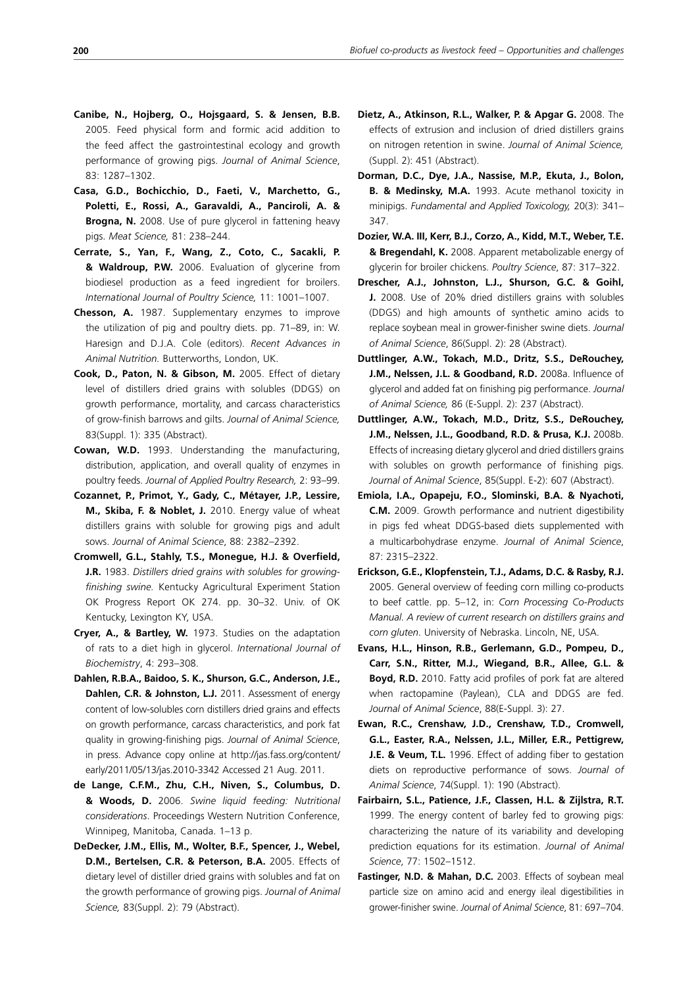- **Canibe, N., Hojberg, O., Hojsgaard, S. & Jensen, B.B.** 2005. Feed physical form and formic acid addition to the feed affect the gastrointestinal ecology and growth performance of growing pigs. *Journal of Animal Science*, 83: 1287–1302.
- **Casa, G.D., Bochicchio, D., Faeti, V., Marchetto, G., Poletti, E., Rossi, A., Garavaldi, A., Panciroli, A. & Brogna, N.** 2008. Use of pure glycerol in fattening heavy pigs. *Meat Science,* 81: 238–244.
- **Cerrate, S., Yan, F., Wang, Z., Coto, C., Sacakli, P. & Waldroup, P.W.** 2006. Evaluation of glycerine from biodiesel production as a feed ingredient for broilers. *International Journal of Poultry Science,* 11: 1001–1007.
- **Chesson, A.** 1987. Supplementary enzymes to improve the utilization of pig and poultry diets. pp. 71–89, in: W. Haresign and D.J.A. Cole (editors). *Recent Advances in Animal Nutrition.* Butterworths, London, UK.
- **Cook, D., Paton, N. & Gibson, M.** 2005. Effect of dietary level of distillers dried grains with solubles (DDGS) on growth performance, mortality, and carcass characteristics of grow-finish barrows and gilts. *Journal of Animal Science,* 83(Suppl. 1): 335 (Abstract).
- **Cowan, W.D.** 1993. Understanding the manufacturing, distribution, application, and overall quality of enzymes in poultry feeds. *Journal of Applied Poultry Research,* 2: 93–99.
- **Cozannet, P., Primot, Y., Gady, C., Métayer, J.P., Lessire, M., Skiba, F. & Noblet, J.** 2010. Energy value of wheat distillers grains with soluble for growing pigs and adult sows. *Journal of Animal Science*, 88: 2382–2392.
- **Cromwell, G.L., Stahly, T.S., Monegue, H.J. & Overfield, J.R.** 1983. *Distillers dried grains with solubles for growingfinishing swine.* Kentucky Agricultural Experiment Station OK Progress Report OK 274. pp. 30–32. Univ. of OK Kentucky, Lexington KY, USA.
- **Cryer, A., & Bartley, W.** 1973. Studies on the adaptation of rats to a diet high in glycerol. *International Journal of Biochemistry*, 4: 293–308.
- **Dahlen, R.B.A., Baidoo, S. K., Shurson, G.C., Anderson, J.E., Dahlen, C.R. & Johnston, L.J.** 2011. Assessment of energy content of low-solubles corn distillers dried grains and effects on growth performance, carcass characteristics, and pork fat quality in growing-finishing pigs. *Journal of Animal Science*, in press. Advance copy online at http://jas.fass.org/content/ early/2011/05/13/jas.2010-3342 Accessed 21 Aug. 2011.
- **de Lange, C.F.M., Zhu, C.H., Niven, S., Columbus, D. & Woods, D.** 2006. *Swine liquid feeding: Nutritional considerations*. Proceedings Western Nutrition Conference, Winnipeg, Manitoba, Canada. 1–13 p.
- **DeDecker, J.M., Ellis, M., Wolter, B.F., Spencer, J., Webel, D.M., Bertelsen, C.R. & Peterson, B.A.** 2005. Effects of dietary level of distiller dried grains with solubles and fat on the growth performance of growing pigs. *Journal of Animal Science,* 83(Suppl. 2): 79 (Abstract).
- **Dietz, A., Atkinson, R.L., Walker, P. & Apgar G.** 2008. The effects of extrusion and inclusion of dried distillers grains on nitrogen retention in swine. *Journal of Animal Science,* (Suppl. 2): 451 (Abstract).
- **Dorman, D.C., Dye, J.A., Nassise, M.P., Ekuta, J., Bolon, B. & Medinsky, M.A.** 1993. Acute methanol toxicity in minipigs. *Fundamental and Applied Toxicology,* 20(3): 341– 347.
- **Dozier, W.A. III, Kerr, B.J., Corzo, A., Kidd, M.T., Weber, T.E. & Bregendahl, K.** 2008. Apparent metabolizable energy of glycerin for broiler chickens. *Poultry Science*, 87: 317–322.
- **Drescher, A.J., Johnston, L.J., Shurson, G.C. & Goihl, J.** 2008. Use of 20% dried distillers grains with solubles (DDGS) and high amounts of synthetic amino acids to replace soybean meal in grower-finisher swine diets. *Journal of Animal Science*, 86(Suppl. 2): 28 (Abstract).
- **Duttlinger, A.W., Tokach, M.D., Dritz, S.S., DeRouchey, J.M., Nelssen, J.L. & Goodband, R.D.** 2008a. Influence of glycerol and added fat on finishing pig performance. *Journal of Animal Science,* 86 (E-Suppl. 2): 237 (Abstract).
- **Duttlinger, A.W., Tokach, M.D., Dritz, S.S., DeRouchey, J.M., Nelssen, J.L., Goodband, R.D. & Prusa, K.J.** 2008b. Effects of increasing dietary glycerol and dried distillers grains with solubles on growth performance of finishing pigs. *Journal of Animal Science*, 85(Suppl. E-2): 607 (Abstract).
- **Emiola, I.A., Opapeju, F.O., Slominski, B.A. & Nyachoti, C.M.** 2009. Growth performance and nutrient digestibility in pigs fed wheat DDGS-based diets supplemented with a multicarbohydrase enzyme. *Journal of Animal Science*, 87: 2315–2322.
- **Erickson, G.E., Klopfenstein, T.J., Adams, D.C. & Rasby, R.J.** 2005. General overview of feeding corn milling co-products to beef cattle. pp. 5–12, in: *Corn Processing Co-Products Manual. A review of current research on distillers grains and corn gluten*. University of Nebraska. Lincoln, NE, USA.
- **Evans, H.L., Hinson, R.B., Gerlemann, G.D., Pompeu, D., Carr, S.N., Ritter, M.J., Wiegand, B.R., Allee, G.L. & Boyd, R.D.** 2010. Fatty acid profiles of pork fat are altered when ractopamine (Paylean), CLA and DDGS are fed. *Journal of Animal Science*, 88(E-Suppl. 3): 27.
- **Ewan, R.C., Crenshaw, J.D., Crenshaw, T.D., Cromwell, G.L., Easter, R.A., Nelssen, J.L., Miller, E.R., Pettigrew, J.E. & Veum, T.L.** 1996. Effect of adding fiber to gestation diets on reproductive performance of sows. *Journal of Animal Science*, 74(Suppl. 1): 190 (Abstract).
- **Fairbairn, S.L., Patience, J.F., Classen, H.L. & Zijlstra, R.T.**  1999. The energy content of barley fed to growing pigs: characterizing the nature of its variability and developing prediction equations for its estimation. *Journal of Animal Science*, 77: 1502–1512.
- **Fastinger, N.D. & Mahan, D.C.** 2003. Effects of soybean meal particle size on amino acid and energy ileal digestibilities in grower-finisher swine. *Journal of Animal Science*, 81: 697–704.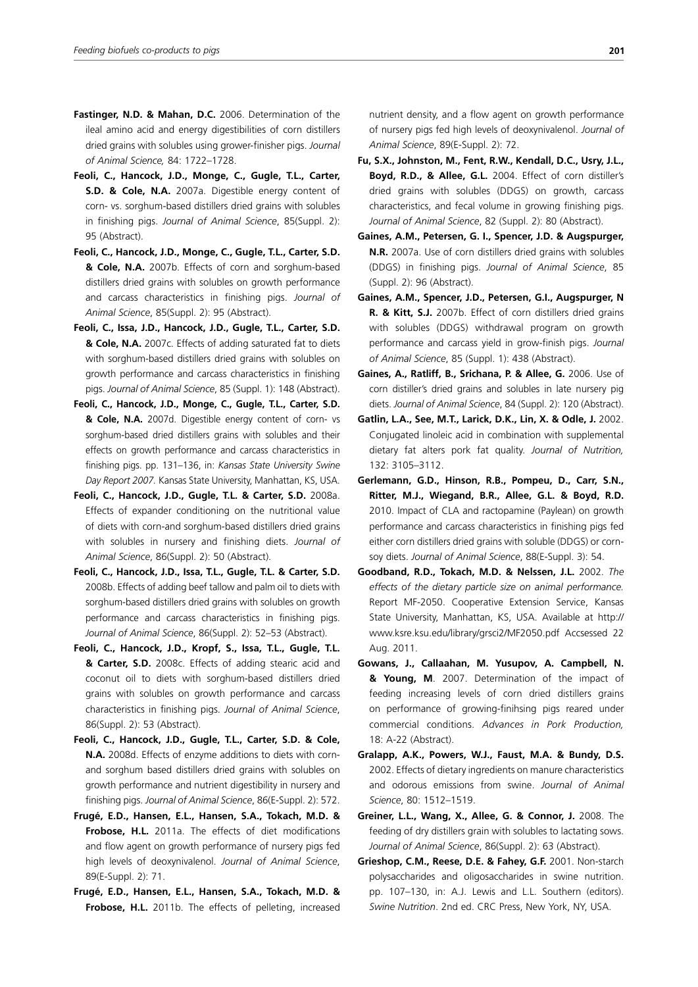- **Fastinger, N.D. & Mahan, D.C.** 2006. Determination of the ileal amino acid and energy digestibilities of corn distillers dried grains with solubles using grower-finisher pigs. *Journal of Animal Science,* 84: 1722–1728.
- **Feoli, C., Hancock, J.D., Monge, C., Gugle, T.L., Carter, S.D. & Cole, N.A.** 2007a. Digestible energy content of corn- vs. sorghum-based distillers dried grains with solubles in finishing pigs. *Journal of Animal Science*, 85(Suppl. 2): 95 (Abstract).
- **Feoli, C., Hancock, J.D., Monge, C., Gugle, T.L., Carter, S.D. & Cole, N.A.** 2007b. Effects of corn and sorghum-based distillers dried grains with solubles on growth performance and carcass characteristics in finishing pigs. *Journal of Animal Science*, 85(Suppl. 2): 95 (Abstract).
- **Feoli, C., Issa, J.D., Hancock, J.D., Gugle, T.L., Carter, S.D. & Cole, N.A.** 2007c. Effects of adding saturated fat to diets with sorghum-based distillers dried grains with solubles on growth performance and carcass characteristics in finishing pigs. *Journal of Animal Science*, 85 (Suppl. 1): 148 (Abstract).
- **Feoli, C., Hancock, J.D., Monge, C., Gugle, T.L., Carter, S.D. & Cole, N.A.** 2007d. Digestible energy content of corn- vs sorghum-based dried distillers grains with solubles and their effects on growth performance and carcass characteristics in finishing pigs. pp. 131–136, in: *Kansas State University Swine Day Report 2007.* Kansas State University, Manhattan, KS, USA.
- **Feoli, C., Hancock, J.D., Gugle, T.L. & Carter, S.D.** 2008a. Effects of expander conditioning on the nutritional value of diets with corn-and sorghum-based distillers dried grains with solubles in nursery and finishing diets. *Journal of Animal Science*, 86(Suppl. 2): 50 (Abstract).
- **Feoli, C., Hancock, J.D., Issa, T.L., Gugle, T.L. & Carter, S.D.** 2008b. Effects of adding beef tallow and palm oil to diets with sorghum-based distillers dried grains with solubles on growth performance and carcass characteristics in finishing pigs. *Journal of Animal Science*, 86(Suppl. 2): 52–53 (Abstract).
- **Feoli, C., Hancock, J.D., Kropf, S., Issa, T.L., Gugle, T.L. & Carter, S.D.** 2008c. Effects of adding stearic acid and coconut oil to diets with sorghum-based distillers dried grains with solubles on growth performance and carcass characteristics in finishing pigs. *Journal of Animal Science*, 86(Suppl. 2): 53 (Abstract).
- **Feoli, C., Hancock, J.D., Gugle, T.L., Carter, S.D. & Cole, N.A.** 2008d. Effects of enzyme additions to diets with cornand sorghum based distillers dried grains with solubles on growth performance and nutrient digestibility in nursery and finishing pigs. *Journal of Animal Science*, 86(E-Suppl. 2): 572.
- **Frugé, E.D., Hansen, E.L., Hansen, S.A., Tokach, M.D. & Frobose, H.L.** 2011a. The effects of diet modifications and flow agent on growth performance of nursery pigs fed high levels of deoxynivalenol. *Journal of Animal Science*, 89(E-Suppl. 2): 71.
- **Frugé, E.D., Hansen, E.L., Hansen, S.A., Tokach, M.D. & Frobose, H.L.** 2011b. The effects of pelleting, increased

nutrient density, and a flow agent on growth performance of nursery pigs fed high levels of deoxynivalenol. *Journal of Animal Science*, 89(E-Suppl. 2): 72.

- **Fu, S.X., Johnston, M., Fent, R.W., Kendall, D.C., Usry, J.L., Boyd, R.D., & Allee, G.L.** 2004. Effect of corn distiller's dried grains with solubles (DDGS) on growth, carcass characteristics, and fecal volume in growing finishing pigs. *Journal of Animal Science*, 82 (Suppl. 2): 80 (Abstract).
- **Gaines, A.M., Petersen, G. I., Spencer, J.D. & Augspurger, N.R.** 2007a. Use of corn distillers dried grains with solubles (DDGS) in finishing pigs. *Journal of Animal Science*, 85 (Suppl. 2): 96 (Abstract).
- **Gaines, A.M., Spencer, J.D., Petersen, G.I., Augspurger, N R. & Kitt, S.J.** 2007b. Effect of corn distillers dried grains with solubles (DDGS) withdrawal program on growth performance and carcass yield in grow-finish pigs. *Journal of Animal Science*, 85 (Suppl. 1): 438 (Abstract).
- **Gaines, A., Ratliff, B., Srichana, P. & Allee, G.** 2006. Use of corn distiller's dried grains and solubles in late nursery pig diets. *Journal of Animal Science*, 84 (Suppl. 2): 120 (Abstract).
- **Gatlin, L.A., See, M.T., Larick, D.K., Lin, X. & Odle, J.** 2002. Conjugated linoleic acid in combination with supplemental dietary fat alters pork fat quality. *Journal of Nutrition,*  132: 3105–3112.
- **Gerlemann, G.D., Hinson, R.B., Pompeu, D., Carr, S.N., Ritter, M.J., Wiegand, B.R., Allee, G.L. & Boyd, R.D.** 2010. Impact of CLA and ractopamine (Paylean) on growth performance and carcass characteristics in finishing pigs fed either corn distillers dried grains with soluble (DDGS) or cornsoy diets. *Journal of Animal Science*, 88(E-Suppl. 3): 54.
- **Goodband, R.D., Tokach, M.D. & Nelssen, J.L.** 2002. *The effects of the dietary particle size on animal performance.*  Report MF-2050. Cooperative Extension Service, Kansas State University, Manhattan, KS, USA. Available at http:// www.ksre.ksu.edu/library/grsci2/MF2050.pdf Accsessed 22 Aug. 2011.
- **Gowans, J., Callaahan, M. Yusupov, A. Campbell, N. & Young, M**. 2007. Determination of the impact of feeding increasing levels of corn dried distillers grains on performance of growing-finihsing pigs reared under commercial conditions. *Advances in Pork Production,*  18: A-22 (Abstract).
- **Gralapp, A.K., Powers, W.J., Faust, M.A. & Bundy, D.S.** 2002. Effects of dietary ingredients on manure characteristics and odorous emissions from swine. *Journal of Animal Science*, 80: 1512–1519.
- **Greiner, L.L., Wang, X., Allee, G. & Connor, J.** 2008. The feeding of dry distillers grain with solubles to lactating sows. *Journal of Animal Science*, 86(Suppl. 2): 63 (Abstract).
- **Grieshop, C.M., Reese, D.E. & Fahey, G.F.** 2001. Non-starch polysaccharides and oligosaccharides in swine nutrition. pp. 107–130, in: A.J. Lewis and L.L. Southern (editors). *Swine Nutrition*. 2nd ed. CRC Press, New York, NY, USA.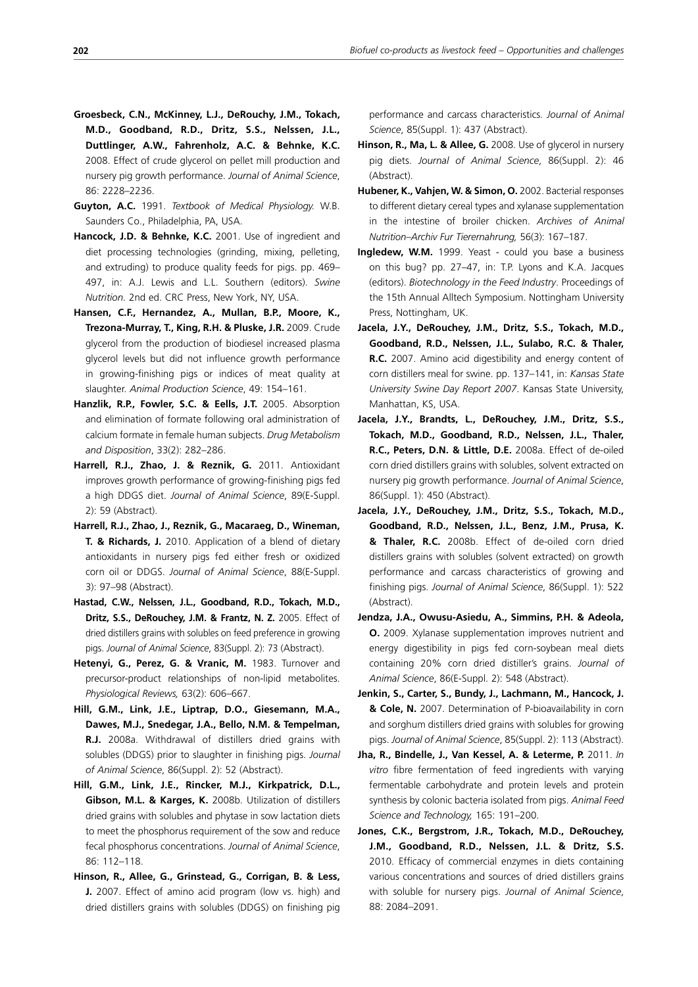- **Groesbeck, C.N., McKinney, L.J., DeRouchy, J.M., Tokach, M.D., Goodband, R.D., Dritz, S.S., Nelssen, J.L., Duttlinger, A.W., Fahrenholz, A.C. & Behnke, K.C.** 2008. Effect of crude glycerol on pellet mill production and nursery pig growth performance. *Journal of Animal Science*, 86: 2228–2236.
- **Guyton, A.C.** 1991. *Textbook of Medical Physiology.* W.B. Saunders Co., Philadelphia, PA, USA.
- **Hancock, J.D. & Behnke, K.C.** 2001. Use of ingredient and diet processing technologies (grinding, mixing, pelleting, and extruding) to produce quality feeds for pigs. pp. 469– 497, in: A.J. Lewis and L.L. Southern (editors). *Swine Nutrition.* 2nd ed. CRC Press, New York, NY, USA.
- **Hansen, C.F., Hernandez, A., Mullan, B.P., Moore, K., Trezona-Murray, T., King, R.H. & Pluske, J.R.** 2009. Crude glycerol from the production of biodiesel increased plasma glycerol levels but did not influence growth performance in growing-finishing pigs or indices of meat quality at slaughter. *Animal Production Science*, 49: 154–161.
- **Hanzlik, R.P., Fowler, S.C. & Eells, J.T.** 2005. Absorption and elimination of formate following oral administration of calcium formate in female human subjects. *Drug Metabolism and Disposition*, 33(2): 282–286.
- **Harrell, R.J., Zhao, J. & Reznik, G.** 2011. Antioxidant improves growth performance of growing-finishing pigs fed a high DDGS diet. *Journal of Animal Science*, 89(E-Suppl. 2): 59 (Abstract).
- **Harrell, R.J., Zhao, J., Reznik, G., Macaraeg, D., Wineman, T. & Richards, J.** 2010. Application of a blend of dietary antioxidants in nursery pigs fed either fresh or oxidized corn oil or DDGS. *Journal of Animal Science*, 88(E-Suppl. 3): 97–98 (Abstract).
- **Hastad, C.W., Nelssen, J.L., Goodband, R.D., Tokach, M.D., Dritz, S.S., DeRouchey, J.M. & Frantz, N. Z.** 2005. Effect of dried distillers grains with solubles on feed preference in growing pigs. *Journal of Animal Science*, 83(Suppl. 2): 73 (Abstract).
- **Hetenyi, G., Perez, G. & Vranic, M.** 1983. Turnover and precursor-product relationships of non-lipid metabolites. *Physiological Reviews,* 63(2): 606–667.
- **Hill, G.M., Link, J.E., Liptrap, D.O., Giesemann, M.A., Dawes, M.J., Snedegar, J.A., Bello, N.M. & Tempelman, R.J.** 2008a. Withdrawal of distillers dried grains with solubles (DDGS) prior to slaughter in finishing pigs. *Journal of Animal Science*, 86(Suppl. 2): 52 (Abstract).
- **Hill, G.M., Link, J.E., Rincker, M.J., Kirkpatrick, D.L., Gibson, M.L. & Karges, K.** 2008b. Utilization of distillers dried grains with solubles and phytase in sow lactation diets to meet the phosphorus requirement of the sow and reduce fecal phosphorus concentrations. *Journal of Animal Science*, 86: 112–118.
- **Hinson, R., Allee, G., Grinstead, G., Corrigan, B. & Less, J.** 2007. Effect of amino acid program (low vs. high) and dried distillers grains with solubles (DDGS) on finishing pig

performance and carcass characteristics. *Journal of Animal Science*, 85(Suppl. 1): 437 (Abstract).

- **Hinson, R., Ma, L. & Allee, G.** 2008. Use of glycerol in nursery pig diets. *Journal of Animal Science*, 86(Suppl. 2): 46 (Abstract).
- **Hubener, K., Vahjen, W. & Simon, O.** 2002. Bacterial responses to different dietary cereal types and xylanase supplementation in the intestine of broiler chicken. *Archives of Animal Nutrition–Archiv Fur Tierernahrung,* 56(3): 167–187.
- **Ingledew, W.M.** 1999. Yeast could you base a business on this bug? pp. 27–47, in: T.P. Lyons and K.A. Jacques (editors). *Biotechnology in the Feed Industry*. Proceedings of the 15th Annual Alltech Symposium. Nottingham University Press, Nottingham, UK.
- **Jacela, J.Y., DeRouchey, J.M., Dritz, S.S., Tokach, M.D., Goodband, R.D., Nelssen, J.L., Sulabo, R.C. & Thaler, R.C.** 2007. Amino acid digestibility and energy content of corn distillers meal for swine. pp. 137–141, in: *Kansas State University Swine Day Report 2007*. Kansas State University, Manhattan, KS, USA.
- **Jacela, J.Y., Brandts, L., DeRouchey, J.M., Dritz, S.S., Tokach, M.D., Goodband, R.D., Nelssen, J.L., Thaler, R.C., Peters, D.N. & Little, D.E.** 2008a. Effect of de-oiled corn dried distillers grains with solubles, solvent extracted on nursery pig growth performance. *Journal of Animal Science*, 86(Suppl. 1): 450 (Abstract).
- **Jacela, J.Y., DeRouchey, J.M., Dritz, S.S., Tokach, M.D., Goodband, R.D., Nelssen, J.L., Benz, J.M., Prusa, K. & Thaler, R.C.** 2008b. Effect of de-oiled corn dried distillers grains with solubles (solvent extracted) on growth performance and carcass characteristics of growing and finishing pigs. *Journal of Animal Science*, 86(Suppl. 1): 522 (Abstract).
- **Jendza, J.A., Owusu-Asiedu, A., Simmins, P.H. & Adeola, O.** 2009. Xylanase supplementation improves nutrient and energy digestibility in pigs fed corn-soybean meal diets containing 20% corn dried distiller's grains. *Journal of Animal Science*, 86(E-Suppl. 2): 548 (Abstract).
- **Jenkin, S., Carter, S., Bundy, J., Lachmann, M., Hancock, J. & Cole, N.** 2007. Determination of P-bioavailability in corn and sorghum distillers dried grains with solubles for growing pigs. *Journal of Animal Science*, 85(Suppl. 2): 113 (Abstract).
- **Jha, R., Bindelle, J., Van Kessel, A. & Leterme, P.** 2011. *In vitro* fibre fermentation of feed ingredients with varying fermentable carbohydrate and protein levels and protein synthesis by colonic bacteria isolated from pigs. *Animal Feed Science and Technology,* 165: 191–200.
- **Jones, C.K., Bergstrom, J.R., Tokach, M.D., DeRouchey, J.M., Goodband, R.D., Nelssen, J.L. & Dritz, S.S.** 2010. Efficacy of commercial enzymes in diets containing various concentrations and sources of dried distillers grains with soluble for nursery pigs. *Journal of Animal Science*, 88: 2084–2091.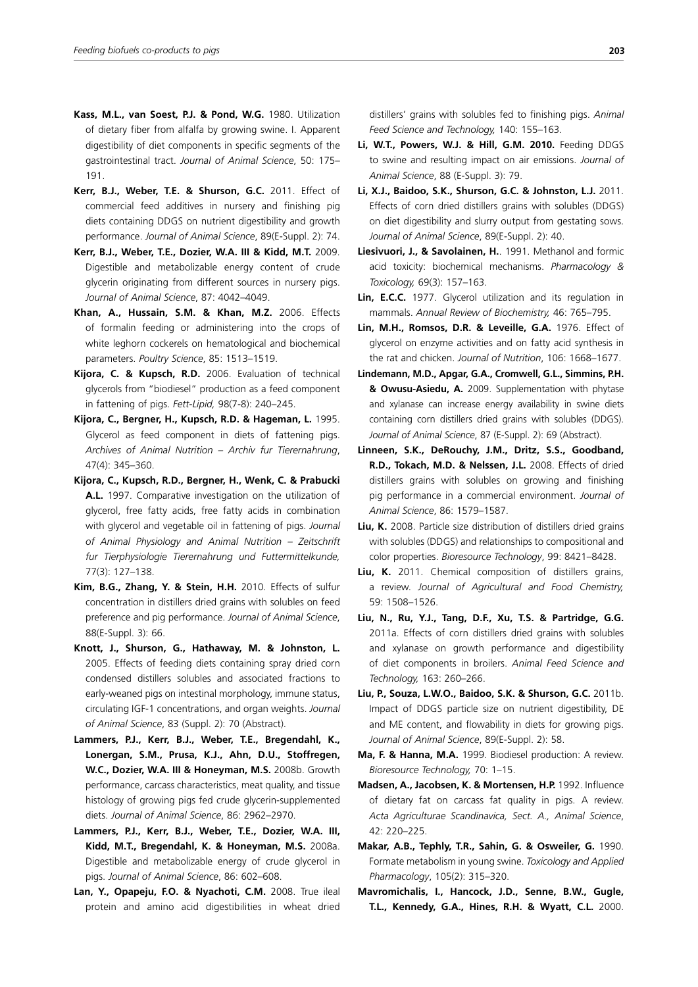- **Kass, M.L., van Soest, P.J. & Pond, W.G.** 1980. Utilization of dietary fiber from alfalfa by growing swine. I. Apparent digestibility of diet components in specific segments of the gastrointestinal tract. *Journal of Animal Science*, 50: 175-191.
- **Kerr, B.J., Weber, T.E. & Shurson, G.C.** 2011. Effect of commercial feed additives in nursery and finishing pig diets containing DDGS on nutrient digestibility and growth performance. *Journal of Animal Science*, 89(E-Suppl. 2): 74.
- **Kerr, B.J., Weber, T.E., Dozier, W.A. III & Kidd, M.T.** 2009. Digestible and metabolizable energy content of crude glycerin originating from different sources in nursery pigs. *Journal of Animal Science*, 87: 4042–4049.
- **Khan, A., Hussain, S.M. & Khan, M.Z.** 2006. Effects of formalin feeding or administering into the crops of white leghorn cockerels on hematological and biochemical parameters. *Poultry Science*, 85: 1513–1519.
- **Kijora, C. & Kupsch, R.D.** 2006. Evaluation of technical glycerols from "biodiesel" production as a feed component in fattening of pigs. *Fett-Lipid,* 98(7-8): 240–245.
- **Kijora, C., Bergner, H., Kupsch, R.D. & Hageman, L.** 1995. Glycerol as feed component in diets of fattening pigs. *Archives of Animal Nutrition – Archiv fur Tierernahrung*, 47(4): 345–360.
- **Kijora, C., Kupsch, R.D., Bergner, H., Wenk, C. & Prabucki A.L.** 1997. Comparative investigation on the utilization of glycerol, free fatty acids, free fatty acids in combination with glycerol and vegetable oil in fattening of pigs. *Journal of Animal Physiology and Animal Nutrition – Zeitschrift fur Tierphysiologie Tierernahrung und Futtermittelkunde,*  77(3): 127–138.
- **Kim, B.G., Zhang, Y. & Stein, H.H.** 2010. Effects of sulfur concentration in distillers dried grains with solubles on feed preference and pig performance. *Journal of Animal Science*, 88(E-Suppl. 3): 66.
- **Knott, J., Shurson, G., Hathaway, M. & Johnston, L.** 2005. Effects of feeding diets containing spray dried corn condensed distillers solubles and associated fractions to early-weaned pigs on intestinal morphology, immune status, circulating IGF-1 concentrations, and organ weights. *Journal of Animal Science*, 83 (Suppl. 2): 70 (Abstract).
- **Lammers, P.J., Kerr, B.J., Weber, T.E., Bregendahl, K., Lonergan, S.M., Prusa, K.J., Ahn, D.U., Stoffregen, W.C., Dozier, W.A. III & Honeyman, M.S.** 2008b. Growth performance, carcass characteristics, meat quality, and tissue histology of growing pigs fed crude glycerin-supplemented diets. *Journal of Animal Science*, 86: 2962–2970.
- **Lammers, P.J., Kerr, B.J., Weber, T.E., Dozier, W.A. III, Kidd, M.T., Bregendahl, K. & Honeyman, M.S.** 2008a. Digestible and metabolizable energy of crude glycerol in pigs. *Journal of Animal Science*, 86: 602–608.
- **Lan, Y., Opapeju, F.O. & Nyachoti, C.M.** 2008. True ileal protein and amino acid digestibilities in wheat dried

distillers' grains with solubles fed to finishing pigs. *Animal Feed Science and Technology,* 140: 155–163.

- **Li, W.T., Powers, W.J. & Hill, G.M. 2010.** Feeding DDGS to swine and resulting impact on air emissions. *Journal of Animal Science*, 88 (E-Suppl. 3): 79.
- **Li, X.J., Baidoo, S.K., Shurson, G.C. & Johnston, L.J.** 2011. Effects of corn dried distillers grains with solubles (DDGS) on diet digestibility and slurry output from gestating sows. *Journal of Animal Science*, 89(E-Suppl. 2): 40.
- **Liesivuori, J., & Savolainen, H.**. 1991. Methanol and formic acid toxicity: biochemical mechanisms. *Pharmacology & Toxicology,* 69(3): 157–163.
- **Lin, E.C.C.** 1977. Glycerol utilization and its regulation in mammals. *Annual Review of Biochemistry,* 46: 765–795.
- **Lin, M.H., Romsos, D.R. & Leveille, G.A.** 1976. Effect of glycerol on enzyme activities and on fatty acid synthesis in the rat and chicken. *Journal of Nutrition*, 106: 1668–1677.
- **Lindemann, M.D., Apgar, G.A., Cromwell, G.L., Simmins, P.H. & Owusu-Asiedu, A.** 2009. Supplementation with phytase and xylanase can increase energy availability in swine diets containing corn distillers dried grains with solubles (DDGS). *Journal of Animal Science*, 87 (E-Suppl. 2): 69 (Abstract).
- **Linneen, S.K., DeRouchy, J.M., Dritz, S.S., Goodband, R.D., Tokach, M.D. & Nelssen, J.L.** 2008. Effects of dried distillers grains with solubles on growing and finishing pig performance in a commercial environment. *Journal of Animal Science*, 86: 1579–1587.
- **Liu, K.** 2008. Particle size distribution of distillers dried grains with solubles (DDGS) and relationships to compositional and color properties. *Bioresource Technology*, 99: 8421–8428.
- **Liu, K.** 2011. Chemical composition of distillers grains, a review. *Journal of Agricultural and Food Chemistry,*  59: 1508–1526.
- **Liu, N., Ru, Y.J., Tang, D.F., Xu, T.S. & Partridge, G.G.**  2011a. Effects of corn distillers dried grains with solubles and xylanase on growth performance and digestibility of diet components in broilers. *Animal Feed Science and Technology,* 163: 260–266.
- **Liu, P., Souza, L.W.O., Baidoo, S.K. & Shurson, G.C.** 2011b. Impact of DDGS particle size on nutrient digestibility, DE and ME content, and flowability in diets for growing pigs. *Journal of Animal Science*, 89(E-Suppl. 2): 58.
- **Ma, F. & Hanna, M.A.** 1999. Biodiesel production: A review. *Bioresource Technology,* 70: 1–15.
- **Madsen, A., Jacobsen, K. & Mortensen, H.P.** 1992. Influence of dietary fat on carcass fat quality in pigs. A review. *Acta Agriculturae Scandinavica, Sect. A., Animal Science*, 42: 220–225.
- **Makar, A.B., Tephly, T.R., Sahin, G. & Osweiler, G.** 1990. Formate metabolism in young swine. *Toxicology and Applied Pharmacology*, 105(2): 315–320.
- **Mavromichalis, I., Hancock, J.D., Senne, B.W., Gugle, T.L., Kennedy, G.A., Hines, R.H. & Wyatt, C.L.** 2000.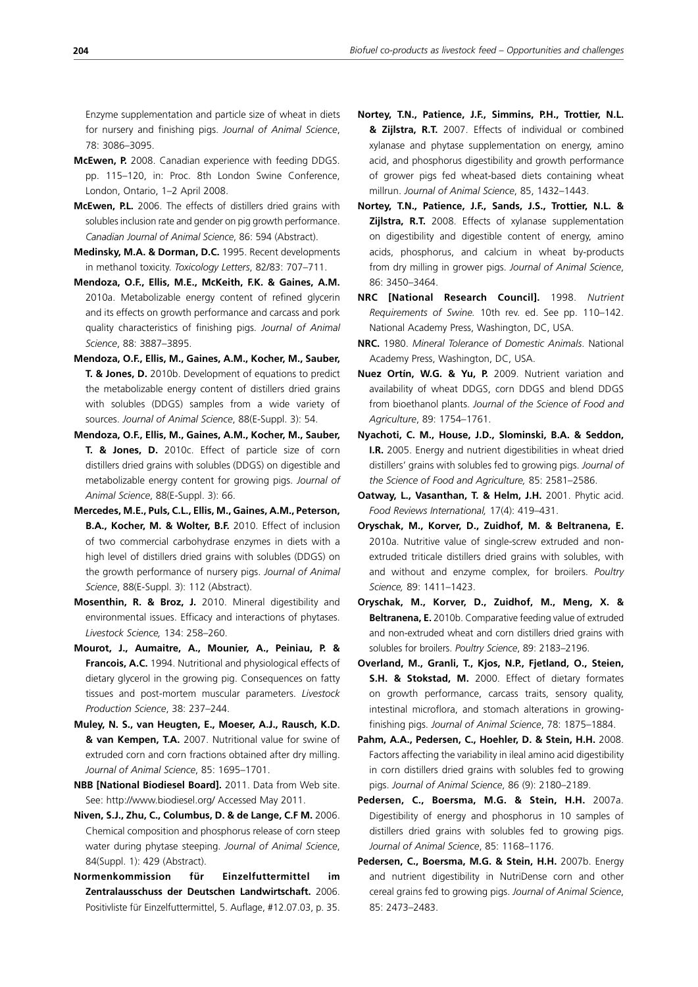Enzyme supplementation and particle size of wheat in diets for nursery and finishing pigs. *Journal of Animal Science*, 78: 3086–3095.

- **McEwen, P.** 2008. Canadian experience with feeding DDGS. pp. 115–120, in: Proc. 8th London Swine Conference, London, Ontario, 1–2 April 2008.
- **McEwen, P.L.** 2006. The effects of distillers dried grains with solubles inclusion rate and gender on pig growth performance. *Canadian Journal of Animal Science*, 86: 594 (Abstract).
- **Medinsky, M.A. & Dorman, D.C.** 1995. Recent developments in methanol toxicity. *Toxicology Letters*, 82/83: 707–711.
- **Mendoza, O.F., Ellis, M.E., McKeith, F.K. & Gaines, A.M.** 2010a. Metabolizable energy content of refined glycerin and its effects on growth performance and carcass and pork quality characteristics of finishing pigs. *Journal of Animal Science*, 88: 3887–3895.
- **Mendoza, O.F., Ellis, M., Gaines, A.M., Kocher, M., Sauber, T. & Jones, D.** 2010b. Development of equations to predict the metabolizable energy content of distillers dried grains with solubles (DDGS) samples from a wide variety of sources. *Journal of Animal Science*, 88(E-Suppl. 3): 54.
- **Mendoza, O.F., Ellis, M., Gaines, A.M., Kocher, M., Sauber, T. & Jones, D.** 2010c. Effect of particle size of corn distillers dried grains with solubles (DDGS) on digestible and metabolizable energy content for growing pigs. *Journal of Animal Science*, 88(E-Suppl. 3): 66.
- **Mercedes, M.E., Puls, C.L., Ellis, M., Gaines, A.M., Peterson, B.A., Kocher, M. & Wolter, B.F.** 2010. Effect of inclusion of two commercial carbohydrase enzymes in diets with a high level of distillers dried grains with solubles (DDGS) on the growth performance of nursery pigs. *Journal of Animal Science*, 88(E-Suppl. 3): 112 (Abstract).
- **Mosenthin, R. & Broz, J.** 2010. Mineral digestibility and environmental issues. Efficacy and interactions of phytases. *Livestock Science,* 134: 258–260.
- **Mourot, J., Aumaitre, A., Mounier, A., Peiniau, P. & Francois, A.C.** 1994. Nutritional and physiological effects of dietary glycerol in the growing pig. Consequences on fatty tissues and post-mortem muscular parameters. *Livestock Production Science*, 38: 237–244.
- **Muley, N. S., van Heugten, E., Moeser, A.J., Rausch, K.D. & van Kempen, T.A.** 2007. Nutritional value for swine of extruded corn and corn fractions obtained after dry milling. *Journal of Animal Science*, 85: 1695–1701.
- **NBB [National Biodiesel Board].** 2011. Data from Web site. See: http://www.biodiesel.org/ Accessed May 2011.
- **Niven, S.J., Zhu, C., Columbus, D. & de Lange, C.F M.** 2006. Chemical composition and phosphorus release of corn steep water during phytase steeping. *Journal of Animal Science*, 84(Suppl. 1): 429 (Abstract).
- **Normenkommission für Einzelfuttermittel im Zentralausschuss der Deutschen Landwirtschaft.** 2006. Positivliste für Einzelfuttermittel, 5. Auflage, #12.07.03, p. 35.
- **Nortey, T.N., Patience, J.F., Simmins, P.H., Trottier, N.L. & Zijlstra, R.T.** 2007. Effects of individual or combined xylanase and phytase supplementation on energy, amino acid, and phosphorus digestibility and growth performance of grower pigs fed wheat-based diets containing wheat millrun. *Journal of Animal Science*, 85, 1432–1443.
- **Nortey, T.N., Patience, J.F., Sands, J.S., Trottier, N.L. & Zijlstra, R.T.** 2008. Effects of xylanase supplementation on digestibility and digestible content of energy, amino acids, phosphorus, and calcium in wheat by-products from dry milling in grower pigs. *Journal of Animal Science*, 86: 3450–3464.
- **NRC [National Research Council].** 1998. *Nutrient Requirements of Swine.* 10th rev. ed. See pp. 110–142. National Academy Press, Washington, DC, USA.
- **NRC.** 1980. *Mineral Tolerance of Domestic Animals*. National Academy Press, Washington, DC, USA.
- **Nuez Ortín, W.G. & Yu, P.** 2009. Nutrient variation and availability of wheat DDGS, corn DDGS and blend DDGS from bioethanol plants. *Journal of the Science of Food and Agriculture*, 89: 1754–1761.
- **Nyachoti, C. M., House, J.D., Slominski, B.A. & Seddon, I.R.** 2005. Energy and nutrient digestibilities in wheat dried distillers' grains with solubles fed to growing pigs. *Journal of the Science of Food and Agriculture,* 85: 2581–2586.
- **Oatway, L., Vasanthan, T. & Helm, J.H.** 2001. Phytic acid. *Food Reviews International,* 17(4): 419–431.
- **Oryschak, M., Korver, D., Zuidhof, M. & Beltranena, E.**  2010a. Nutritive value of single-screw extruded and nonextruded triticale distillers dried grains with solubles, with and without and enzyme complex, for broilers. *Poultry Science,* 89: 1411–1423.
- **Oryschak, M., Korver, D., Zuidhof, M., Meng, X. & Beltranena, E.** 2010b. Comparative feeding value of extruded and non-extruded wheat and corn distillers dried grains with solubles for broilers. *Poultry Science*, 89: 2183–2196.
- **Overland, M., Granli, T., Kjos, N.P., Fjetland, O., Steien, S.H. & Stokstad, M.** 2000. Effect of dietary formates on growth performance, carcass traits, sensory quality, intestinal microflora, and stomach alterations in growingfinishing pigs. *Journal of Animal Science*, 78: 1875–1884.
- **Pahm, A.A., Pedersen, C., Hoehler, D. & Stein, H.H.** 2008. Factors affecting the variability in ileal amino acid digestibility in corn distillers dried grains with solubles fed to growing pigs. *Journal of Animal Science*, 86 (9): 2180–2189.
- **Pedersen, C., Boersma, M.G. & Stein, H.H.** 2007a. Digestibility of energy and phosphorus in 10 samples of distillers dried grains with solubles fed to growing pigs. *Journal of Animal Science*, 85: 1168–1176.
- **Pedersen, C., Boersma, M.G. & Stein, H.H.** 2007b. Energy and nutrient digestibility in NutriDense corn and other cereal grains fed to growing pigs. *Journal of Animal Science*, 85: 2473–2483.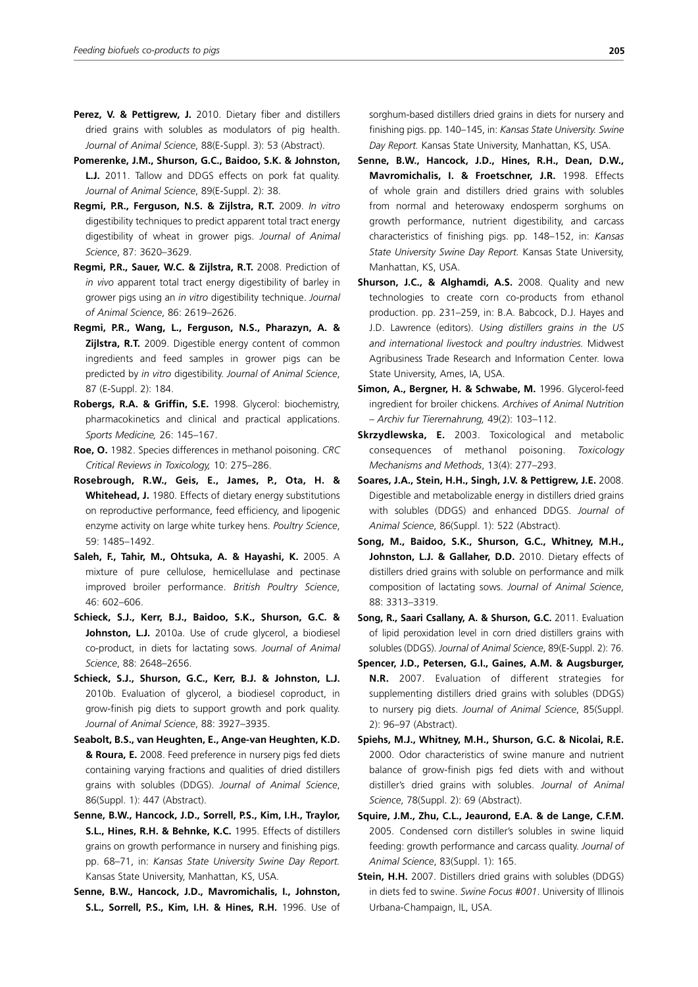- Perez, V. & Pettigrew, J. 2010. Dietary fiber and distillers dried grains with solubles as modulators of pig health. *Journal of Animal Science*, 88(E-Suppl. 3): 53 (Abstract).
- **Pomerenke, J.M., Shurson, G.C., Baidoo, S.K. & Johnston, L.J.** 2011. Tallow and DDGS effects on pork fat quality. *Journal of Animal Science*, 89(E-Suppl. 2): 38.
- **Regmi, P.R., Ferguson, N.S. & Zijlstra, R.T.** 2009. *In vitro* digestibility techniques to predict apparent total tract energy digestibility of wheat in grower pigs. *Journal of Animal Science*, 87: 3620–3629.
- **Regmi, P.R., Sauer, W.C. & Zijlstra, R.T.** 2008. Prediction of *in vivo* apparent total tract energy digestibility of barley in grower pigs using an *in vitro* digestibility technique. *Journal of Animal Science*, 86: 2619–2626.
- **Regmi, P.R., Wang, L., Ferguson, N.S., Pharazyn, A. & Zijlstra, R.T.** 2009. Digestible energy content of common ingredients and feed samples in grower pigs can be predicted by *in vitro* digestibility. *Journal of Animal Science*, 87 (E-Suppl. 2): 184.
- **Robergs, R.A. & Griffin, S.E.** 1998. Glycerol: biochemistry, pharmacokinetics and clinical and practical applications. *Sports Medicine,* 26: 145–167.
- **Roe, O.** 1982. Species differences in methanol poisoning. *CRC Critical Reviews in Toxicology,* 10: 275–286.
- **Rosebrough, R.W., Geis, E., James, P., Ota, H. & Whitehead, J.** 1980. Effects of dietary energy substitutions on reproductive performance, feed efficiency, and lipogenic enzyme activity on large white turkey hens. *Poultry Science*, 59: 1485–1492.
- **Saleh, F., Tahir, M., Ohtsuka, A. & Hayashi, K.** 2005. A mixture of pure cellulose, hemicellulase and pectinase improved broiler performance. *British Poultry Science*, 46: 602–606.
- **Schieck, S.J., Kerr, B.J., Baidoo, S.K., Shurson, G.C. &**  Johnston, L.J. 2010a. Use of crude glycerol, a biodiesel co-product, in diets for lactating sows. *Journal of Animal Science*, 88: 2648–2656.
- **Schieck, S.J., Shurson, G.C., Kerr, B.J. & Johnston, L.J.**  2010b. Evaluation of glycerol, a biodiesel coproduct, in grow-finish pig diets to support growth and pork quality. *Journal of Animal Science*, 88: 3927–3935.
- **Seabolt, B.S., van Heughten, E., Ange-van Heughten, K.D. & Roura, E.** 2008. Feed preference in nursery pigs fed diets containing varying fractions and qualities of dried distillers grains with solubles (DDGS). *Journal of Animal Science*, 86(Suppl. 1): 447 (Abstract).
- **Senne, B.W., Hancock, J.D., Sorrell, P.S., Kim, I.H., Traylor, S.L., Hines, R.H. & Behnke, K.C.** 1995. Effects of distillers grains on growth performance in nursery and finishing pigs. pp. 68–71, in: *Kansas State University Swine Day Report.* Kansas State University, Manhattan, KS, USA.
- **Senne, B.W., Hancock, J.D., Mavromichalis, I., Johnston, S.L., Sorrell, P.S., Kim, I.H. & Hines, R.H.** 1996. Use of

sorghum-based distillers dried grains in diets for nursery and finishing pigs. pp. 140–145, in: *Kansas State University. Swine Day Report.* Kansas State University, Manhattan, KS, USA.

- **Senne, B.W., Hancock, J.D., Hines, R.H., Dean, D.W., Mavromichalis, I. & Froetschner, J.R.** 1998. Effects of whole grain and distillers dried grains with solubles from normal and heterowaxy endosperm sorghums on growth performance, nutrient digestibility, and carcass characteristics of finishing pigs. pp. 148–152, in: *Kansas State University Swine Day Report.* Kansas State University, Manhattan, KS, USA.
- **Shurson, J.C., & Alghamdi, A.S.** 2008. Quality and new technologies to create corn co-products from ethanol production. pp. 231–259, in: B.A. Babcock, D.J. Hayes and J.D. Lawrence (editors). *Using distillers grains in the US and international livestock and poultry industries.* Midwest Agribusiness Trade Research and Information Center. Iowa State University, Ames, IA, USA.
- **Simon, A., Bergner, H. & Schwabe, M.** 1996. Glycerol-feed ingredient for broiler chickens. *Archives of Animal Nutrition – Archiv fur Tierernahrung,* 49(2): 103–112.
- **Skrzydlewska, E.** 2003. Toxicological and metabolic consequences of methanol poisoning. *Toxicology Mechanisms and Methods*, 13(4): 277–293.
- **Soares, J.A., Stein, H.H., Singh, J.V. & Pettigrew, J.E.** 2008. Digestible and metabolizable energy in distillers dried grains with solubles (DDGS) and enhanced DDGS. *Journal of Animal Science*, 86(Suppl. 1): 522 (Abstract).
- **Song, M., Baidoo, S.K., Shurson, G.C., Whitney, M.H.,**  Johnston, L.J. & Gallaher, D.D. 2010. Dietary effects of distillers dried grains with soluble on performance and milk composition of lactating sows. *Journal of Animal Science*, 88: 3313–3319.
- **Song, R., Saari Csallany, A. & Shurson, G.C.** 2011. Evaluation of lipid peroxidation level in corn dried distillers grains with solubles (DDGS). *Journal of Animal Science*, 89(E-Suppl. 2): 76.
- **Spencer, J.D., Petersen, G.I., Gaines, A.M. & Augsburger, N.R.** 2007. Evaluation of different strategies for supplementing distillers dried grains with solubles (DDGS) to nursery pig diets. *Journal of Animal Science*, 85(Suppl. 2): 96–97 (Abstract).
- **Spiehs, M.J., Whitney, M.H., Shurson, G.C. & Nicolai, R.E.**  2000. Odor characteristics of swine manure and nutrient balance of grow-finish pigs fed diets with and without distiller's dried grains with solubles. *Journal of Animal Science*, 78(Suppl. 2): 69 (Abstract).
- **Squire, J.M., Zhu, C.L., Jeaurond, E.A. & de Lange, C.F.M.**  2005. Condensed corn distiller's solubles in swine liquid feeding: growth performance and carcass quality. *Journal of Animal Science*, 83(Suppl. 1): 165.
- **Stein, H.H.** 2007. Distillers dried grains with solubles (DDGS) in diets fed to swine. *Swine Focus #001*. University of Illinois Urbana-Champaign, IL, USA.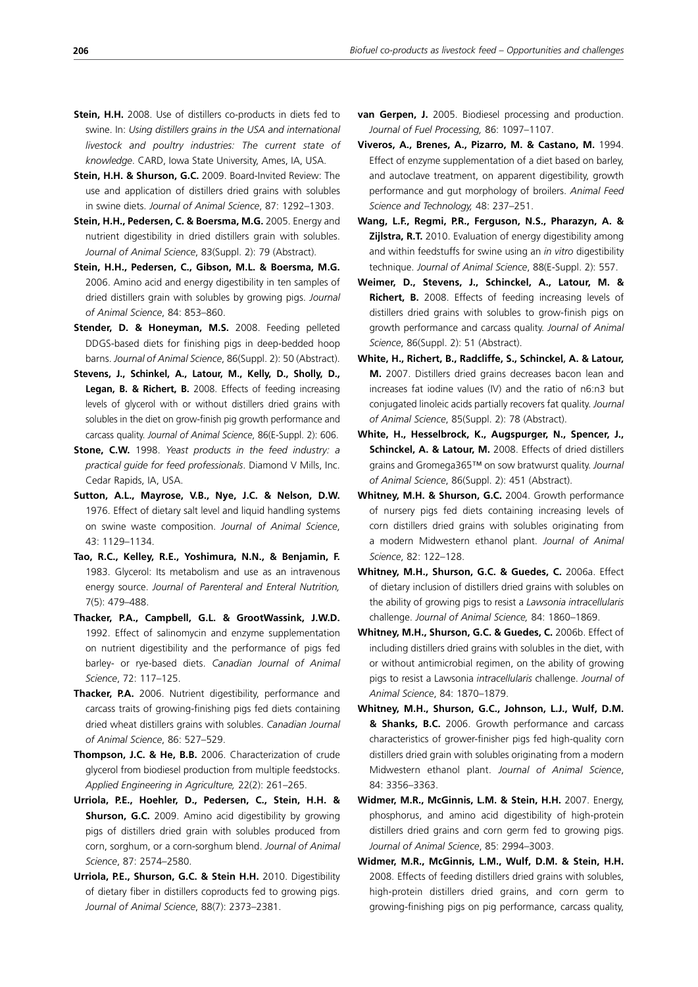- **Stein, H.H. & Shurson, G.C.** 2009. Board-Invited Review: The use and application of distillers dried grains with solubles in swine diets. *Journal of Animal Science*, 87: 1292–1303.
- **Stein, H.H., Pedersen, C. & Boersma, M.G.** 2005. Energy and nutrient digestibility in dried distillers grain with solubles. *Journal of Animal Science*, 83(Suppl. 2): 79 (Abstract).
- **Stein, H.H., Pedersen, C., Gibson, M.L. & Boersma, M.G.** 2006. Amino acid and energy digestibility in ten samples of dried distillers grain with solubles by growing pigs. *Journal of Animal Science*, 84: 853–860.
- **Stender, D. & Honeyman, M.S.** 2008. Feeding pelleted DDGS-based diets for finishing pigs in deep-bedded hoop barns. *Journal of Animal Science*, 86(Suppl. 2): 50 (Abstract).
- **Stevens, J., Schinkel, A., Latour, M., Kelly, D., Sholly, D., Legan, B. & Richert, B.** 2008. Effects of feeding increasing levels of glycerol with or without distillers dried grains with solubles in the diet on grow-finish pig growth performance and carcass quality. *Journal of Animal Science*, 86(E-Suppl. 2): 606.
- **Stone, C.W.** 1998. *Yeast products in the feed industry: a practical guide for feed professionals*. Diamond V Mills, Inc. Cedar Rapids, IA, USA.
- **Sutton, A.L., Mayrose, V.B., Nye, J.C. & Nelson, D.W.**  1976. Effect of dietary salt level and liquid handling systems on swine waste composition. *Journal of Animal Science*, 43: 1129–1134.
- **Tao, R.C., Kelley, R.E., Yoshimura, N.N., & Benjamin, F.** 1983. Glycerol: Its metabolism and use as an intravenous energy source. *Journal of Parenteral and Enteral Nutrition,*  7(5): 479–488.
- **Thacker, P.A., Campbell, G.L. & GrootWassink, J.W.D.** 1992. Effect of salinomycin and enzyme supplementation on nutrient digestibility and the performance of pigs fed barley- or rye-based diets. *Canadian Journal of Animal Science*, 72: 117–125.
- **Thacker, P.A.** 2006. Nutrient digestibility, performance and carcass traits of growing-finishing pigs fed diets containing dried wheat distillers grains with solubles. *Canadian Journal of Animal Science*, 86: 527–529.
- **Thompson, J.C. & He, B.B.** 2006. Characterization of crude glycerol from biodiesel production from multiple feedstocks. *Applied Engineering in Agriculture,* 22(2): 261–265.
- **Urriola, P.E., Hoehler, D., Pedersen, C., Stein, H.H. & Shurson, G.C.** 2009. Amino acid digestibility by growing pigs of distillers dried grain with solubles produced from corn, sorghum, or a corn-sorghum blend. *Journal of Animal Science*, 87: 2574–2580.
- **Urriola, P.E., Shurson, G.C. & Stein H.H.** 2010. Digestibility of dietary fiber in distillers coproducts fed to growing pigs. *Journal of Animal Science*, 88(7): 2373–2381.
- **van Gerpen, J.** 2005. Biodiesel processing and production. *Journal of Fuel Processing,* 86: 1097–1107.
- **Viveros, A., Brenes, A., Pizarro, M. & Castano, M.** 1994. Effect of enzyme supplementation of a diet based on barley, and autoclave treatment, on apparent digestibility, growth performance and gut morphology of broilers. *Animal Feed Science and Technology,* 48: 237–251.
- **Wang, L.F., Regmi, P.R., Ferguson, N.S., Pharazyn, A. & Zijlstra, R.T.** 2010. Evaluation of energy digestibility among and within feedstuffs for swine using an *in vitro* digestibility technique. *Journal of Animal Science*, 88(E-Suppl. 2): 557.
- **Weimer, D., Stevens, J., Schinckel, A., Latour, M. & Richert, B.** 2008. Effects of feeding increasing levels of distillers dried grains with solubles to grow-finish pigs on growth performance and carcass quality. *Journal of Animal Science*, 86(Suppl. 2): 51 (Abstract).
- **White, H., Richert, B., Radcliffe, S., Schinckel, A. & Latour, M.** 2007. Distillers dried grains decreases bacon lean and increases fat iodine values (IV) and the ratio of n6:n3 but conjugated linoleic acids partially recovers fat quality. *Journal of Animal Science*, 85(Suppl. 2): 78 (Abstract).
- **White, H., Hesselbrock, K., Augspurger, N., Spencer, J., Schinckel, A. & Latour, M.** 2008. Effects of dried distillers grains and Gromega365™ on sow bratwurst quality. *Journal of Animal Science*, 86(Suppl. 2): 451 (Abstract).
- **Whitney, M.H. & Shurson, G.C.** 2004. Growth performance of nursery pigs fed diets containing increasing levels of corn distillers dried grains with solubles originating from a modern Midwestern ethanol plant. *Journal of Animal Science*, 82: 122–128.
- **Whitney, M.H., Shurson, G.C. & Guedes, C.** 2006a. Effect of dietary inclusion of distillers dried grains with solubles on the ability of growing pigs to resist a *Lawsonia intracellularis* challenge. *Journal of Animal Science,* 84: 1860–1869.
- **Whitney, M.H., Shurson, G.C. & Guedes, C.** 2006b. Effect of including distillers dried grains with solubles in the diet, with or without antimicrobial regimen, on the ability of growing pigs to resist a Lawsonia *intracellularis* challenge. *Journal of Animal Science*, 84: 1870–1879.
- **Whitney, M.H., Shurson, G.C., Johnson, L.J., Wulf, D.M. & Shanks, B.C.** 2006. Growth performance and carcass characteristics of grower-finisher pigs fed high-quality corn distillers dried grain with solubles originating from a modern Midwestern ethanol plant. *Journal of Animal Science*, 84: 3356–3363.
- **Widmer, M.R., McGinnis, L.M. & Stein, H.H.** 2007. Energy, phosphorus, and amino acid digestibility of high-protein distillers dried grains and corn germ fed to growing pigs. *Journal of Animal Science*, 85: 2994–3003.
- **Widmer, M.R., McGinnis, L.M., Wulf, D.M. & Stein, H.H.** 2008. Effects of feeding distillers dried grains with solubles, high-protein distillers dried grains, and corn germ to growing-finishing pigs on pig performance, carcass quality,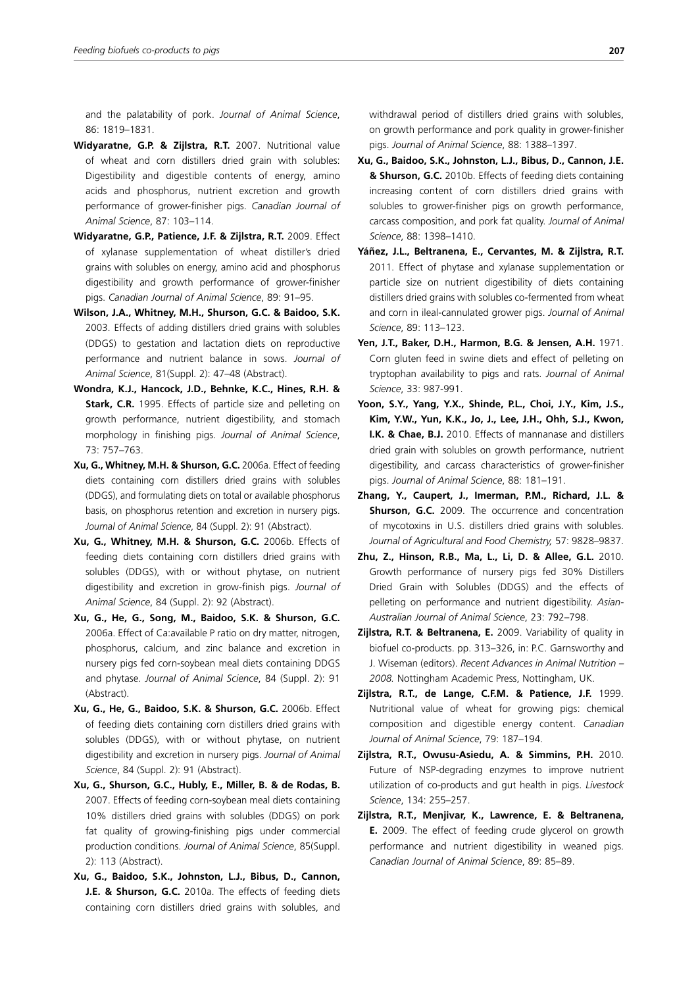and the palatability of pork. *Journal of Animal Science*, 86: 1819–1831.

- **Widyaratne, G.P. & Zijlstra, R.T.** 2007. Nutritional value of wheat and corn distillers dried grain with solubles: Digestibility and digestible contents of energy, amino acids and phosphorus, nutrient excretion and growth performance of grower-finisher pigs. *Canadian Journal of Animal Science*, 87: 103–114.
- **Widyaratne, G.P., Patience, J.F. & Zijlstra, R.T.** 2009. Effect of xylanase supplementation of wheat distiller's dried grains with solubles on energy, amino acid and phosphorus digestibility and growth performance of grower-finisher pigs. *Canadian Journal of Animal Science*, 89: 91–95.
- **Wilson, J.A., Whitney, M.H., Shurson, G.C. & Baidoo, S.K.** 2003. Effects of adding distillers dried grains with solubles (DDGS) to gestation and lactation diets on reproductive performance and nutrient balance in sows. *Journal of Animal Science*, 81(Suppl. 2): 47–48 (Abstract).
- **Wondra, K.J., Hancock, J.D., Behnke, K.C., Hines, R.H. & Stark, C.R.** 1995. Effects of particle size and pelleting on growth performance, nutrient digestibility, and stomach morphology in finishing pigs. *Journal of Animal Science*, 73: 757–763.
- **Xu, G., Whitney, M.H. & Shurson, G.C.** 2006a. Effect of feeding diets containing corn distillers dried grains with solubles (DDGS), and formulating diets on total or available phosphorus basis, on phosphorus retention and excretion in nursery pigs. *Journal of Animal Science*, 84 (Suppl. 2): 91 (Abstract).
- **Xu, G., Whitney, M.H. & Shurson, G.C.** 2006b. Effects of feeding diets containing corn distillers dried grains with solubles (DDGS), with or without phytase, on nutrient digestibility and excretion in grow-finish pigs. *Journal of Animal Science*, 84 (Suppl. 2): 92 (Abstract).
- **Xu, G., He, G., Song, M., Baidoo, S.K. & Shurson, G.C.**  2006a. Effect of Ca:available P ratio on dry matter, nitrogen, phosphorus, calcium, and zinc balance and excretion in nursery pigs fed corn-soybean meal diets containing DDGS and phytase. *Journal of Animal Science*, 84 (Suppl. 2): 91 (Abstract).
- **Xu, G., He, G., Baidoo, S.K. & Shurson, G.C.** 2006b. Effect of feeding diets containing corn distillers dried grains with solubles (DDGS), with or without phytase, on nutrient digestibility and excretion in nursery pigs. *Journal of Animal Science*, 84 (Suppl. 2): 91 (Abstract).
- **Xu, G., Shurson, G.C., Hubly, E., Miller, B. & de Rodas, B.** 2007. Effects of feeding corn-soybean meal diets containing 10% distillers dried grains with solubles (DDGS) on pork fat quality of growing-finishing pigs under commercial production conditions. *Journal of Animal Science*, 85(Suppl. 2): 113 (Abstract).
- **Xu, G., Baidoo, S.K., Johnston, L.J., Bibus, D., Cannon, J.E. & Shurson, G.C.** 2010a. The effects of feeding diets containing corn distillers dried grains with solubles, and

withdrawal period of distillers dried grains with solubles. on growth performance and pork quality in grower-finisher pigs. *Journal of Animal Science*, 88: 1388–1397.

- **Xu, G., Baidoo, S.K., Johnston, L.J., Bibus, D., Cannon, J.E. & Shurson, G.C.** 2010b. Effects of feeding diets containing increasing content of corn distillers dried grains with solubles to grower-finisher pigs on growth performance, carcass composition, and pork fat quality. *Journal of Animal Science*, 88: 1398–1410.
- **Yáñez, J.L., Beltranena, E., Cervantes, M. & Zijlstra, R.T.** 2011. Effect of phytase and xylanase supplementation or particle size on nutrient digestibility of diets containing distillers dried grains with solubles co-fermented from wheat and corn in ileal-cannulated grower pigs. *Journal of Animal Science*, 89: 113–123.
- **Yen, J.T., Baker, D.H., Harmon, B.G. & Jensen, A.H.** 1971. Corn gluten feed in swine diets and effect of pelleting on tryptophan availability to pigs and rats. *Journal of Animal Science*, 33: 987-991.
- **Yoon, S.Y., Yang, Y.X., Shinde, P.L., Choi, J.Y., Kim, J.S., Kim, Y.W., Yun, K.K., Jo, J., Lee, J.H., Ohh, S.J., Kwon, I.K. & Chae, B.J.** 2010. Effects of mannanase and distillers dried grain with solubles on growth performance, nutrient digestibility, and carcass characteristics of grower-finisher pigs. *Journal of Animal Science*, 88: 181–191.
- **Zhang, Y., Caupert, J., Imerman, P.M., Richard, J.L. & Shurson, G.C.** 2009. The occurrence and concentration of mycotoxins in U.S. distillers dried grains with solubles. *Journal of Agricultural and Food Chemistry,* 57: 9828–9837.
- **Zhu, Z., Hinson, R.B., Ma, L., Li, D. & Allee, G.L.** 2010. Growth performance of nursery pigs fed 30% Distillers Dried Grain with Solubles (DDGS) and the effects of pelleting on performance and nutrient digestibility. *Asian-Australian Journal of Animal Science*, 23: 792–798.
- **Zijlstra, R.T. & Beltranena, E.** 2009. Variability of quality in biofuel co-products. pp. 313–326, in: P.C. Garnsworthy and J. Wiseman (editors). *Recent Advances in Animal Nutrition – 2008.* Nottingham Academic Press, Nottingham, UK.
- **Zijlstra, R.T., de Lange, C.F.M. & Patience, J.F.** 1999. Nutritional value of wheat for growing pigs: chemical composition and digestible energy content. *Canadian Journal of Animal Science*, 79: 187–194.
- **Zijlstra, R.T., Owusu-Asiedu, A. & Simmins, P.H.** 2010. Future of NSP-degrading enzymes to improve nutrient utilization of co-products and gut health in pigs. *Livestock Science*, 134: 255–257.
- **Zijlstra, R.T., Menjivar, K., Lawrence, E. & Beltranena, E.** 2009. The effect of feeding crude glycerol on growth performance and nutrient digestibility in weaned pigs. *Canadian Journal of Animal Science*, 89: 85–89.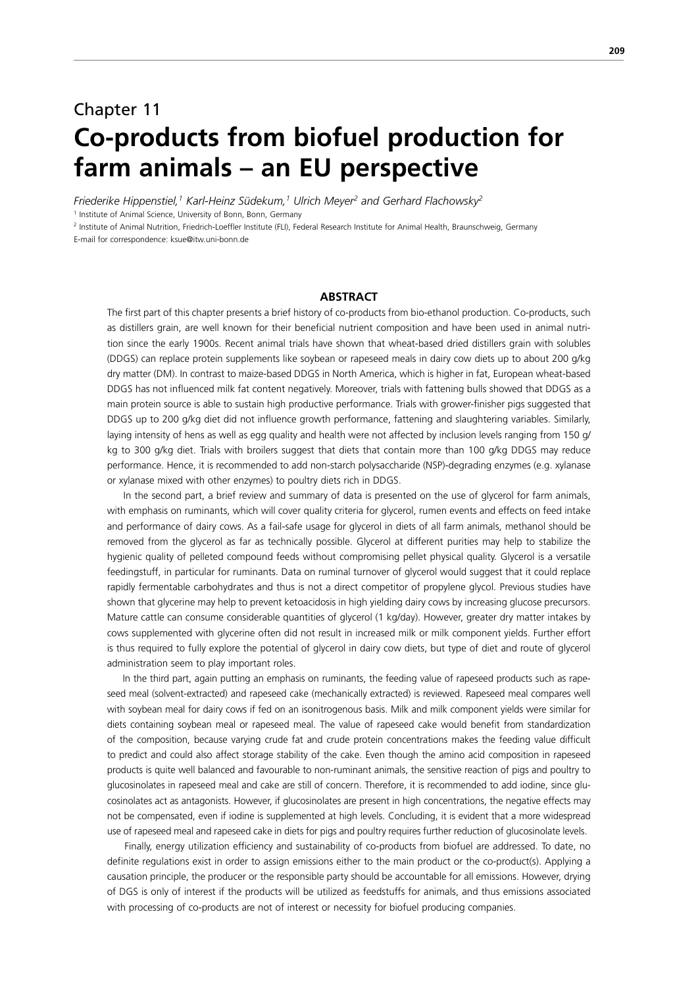# Chapter 11 **Co-products from biofuel production for farm animals – an EU perspective**

*Friederike Hippenstiel,1 Karl-Heinz Südekum,1 Ulrich Meyer2 and Gerhard Flachowsky2*

<sup>1</sup> Institute of Animal Science, University of Bonn, Bonn, Germany

2 Institute of Animal Nutrition, Friedrich-Loeffler Institute (FLI), Federal Research Institute for Animal Health, Braunschweig, Germany

E-mail for correspondence: ksue@itw.uni-bonn.de

## **ABSTRACT**

The first part of this chapter presents a brief history of co-products from bio-ethanol production. Co-products, such as distillers grain, are well known for their beneficial nutrient composition and have been used in animal nutrition since the early 1900s. Recent animal trials have shown that wheat-based dried distillers grain with solubles (DDGS) can replace protein supplements like soybean or rapeseed meals in dairy cow diets up to about 200 g/kg dry matter (DM). In contrast to maize-based DDGS in North America, which is higher in fat, European wheat-based DDGS has not influenced milk fat content negatively. Moreover, trials with fattening bulls showed that DDGS as a main protein source is able to sustain high productive performance. Trials with grower-finisher pigs suggested that DDGS up to 200 g/kg diet did not influence growth performance, fattening and slaughtering variables. Similarly, laying intensity of hens as well as egg quality and health were not affected by inclusion levels ranging from 150 g/ kg to 300 g/kg diet. Trials with broilers suggest that diets that contain more than 100 g/kg DDGS may reduce performance. Hence, it is recommended to add non-starch polysaccharide (NSP)-degrading enzymes (e.g. xylanase or xylanase mixed with other enzymes) to poultry diets rich in DDGS.

 In the second part, a brief review and summary of data is presented on the use of glycerol for farm animals, with emphasis on ruminants, which will cover quality criteria for glycerol, rumen events and effects on feed intake and performance of dairy cows. As a fail-safe usage for glycerol in diets of all farm animals, methanol should be removed from the glycerol as far as technically possible. Glycerol at different purities may help to stabilize the hygienic quality of pelleted compound feeds without compromising pellet physical quality. Glycerol is a versatile feedingstuff, in particular for ruminants. Data on ruminal turnover of glycerol would suggest that it could replace rapidly fermentable carbohydrates and thus is not a direct competitor of propylene glycol. Previous studies have shown that glycerine may help to prevent ketoacidosis in high yielding dairy cows by increasing glucose precursors. Mature cattle can consume considerable quantities of glycerol (1 kg/day). However, greater dry matter intakes by cows supplemented with glycerine often did not result in increased milk or milk component yields. Further effort is thus required to fully explore the potential of glycerol in dairy cow diets, but type of diet and route of glycerol administration seem to play important roles.

 In the third part, again putting an emphasis on ruminants, the feeding value of rapeseed products such as rapeseed meal (solvent-extracted) and rapeseed cake (mechanically extracted) is reviewed. Rapeseed meal compares well with soybean meal for dairy cows if fed on an isonitrogenous basis. Milk and milk component yields were similar for diets containing soybean meal or rapeseed meal. The value of rapeseed cake would benefit from standardization of the composition, because varying crude fat and crude protein concentrations makes the feeding value difficult to predict and could also affect storage stability of the cake. Even though the amino acid composition in rapeseed products is quite well balanced and favourable to non-ruminant animals, the sensitive reaction of pigs and poultry to glucosinolates in rapeseed meal and cake are still of concern. Therefore, it is recommended to add iodine, since glucosinolates act as antagonists. However, if glucosinolates are present in high concentrations, the negative effects may not be compensated, even if iodine is supplemented at high levels. Concluding, it is evident that a more widespread use of rapeseed meal and rapeseed cake in diets for pigs and poultry requires further reduction of glucosinolate levels.

 Finally, energy utilization efficiency and sustainability of co-products from biofuel are addressed. To date, no definite regulations exist in order to assign emissions either to the main product or the co-product(s). Applying a causation principle, the producer or the responsible party should be accountable for all emissions. However, drying of DGS is only of interest if the products will be utilized as feedstuffs for animals, and thus emissions associated with processing of co-products are not of interest or necessity for biofuel producing companies.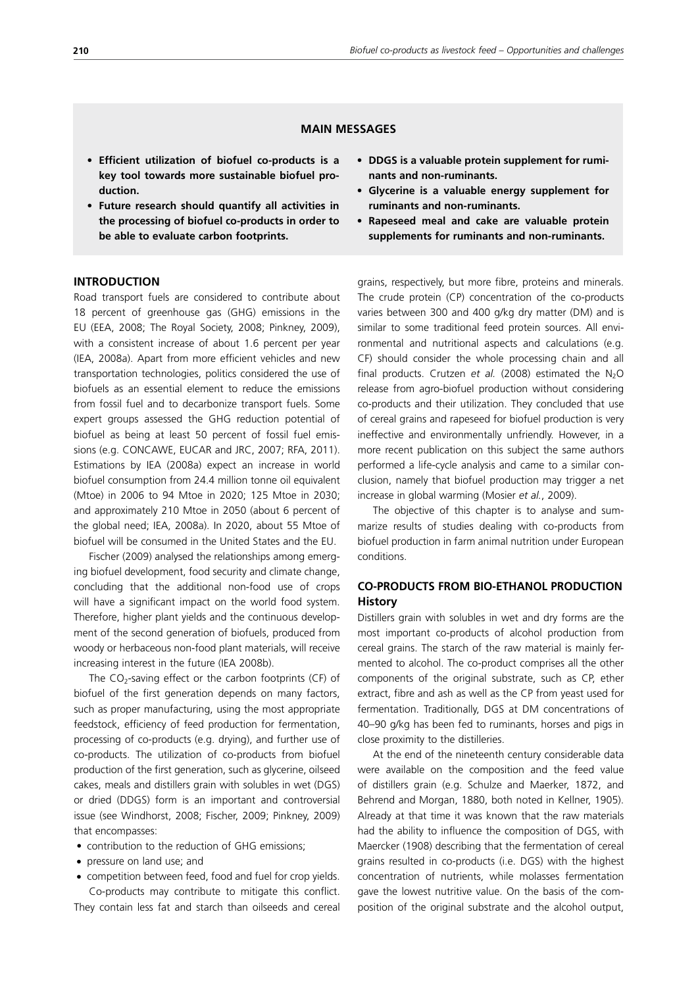# **MAIN MESSAGES**

- **• Efficient utilization of biofuel co-products is a key tool towards more sustainable biofuel production.**
- **• Future research should quantify all activities in the processing of biofuel co-products in order to be able to evaluate carbon footprints.**

## **INTRODUCTION**

Road transport fuels are considered to contribute about 18 percent of greenhouse gas (GHG) emissions in the EU (EEA, 2008; The Royal Society, 2008; Pinkney, 2009), with a consistent increase of about 1.6 percent per year (IEA, 2008a). Apart from more efficient vehicles and new transportation technologies, politics considered the use of biofuels as an essential element to reduce the emissions from fossil fuel and to decarbonize transport fuels. Some expert groups assessed the GHG reduction potential of biofuel as being at least 50 percent of fossil fuel emissions (e.g. CONCAWE, EUCAR and JRC, 2007; RFA, 2011). Estimations by IEA (2008a) expect an increase in world biofuel consumption from 24.4 million tonne oil equivalent (Mtoe) in 2006 to 94 Mtoe in 2020; 125 Mtoe in 2030; and approximately 210 Mtoe in 2050 (about 6 percent of the global need; IEA, 2008a). In 2020, about 55 Mtoe of biofuel will be consumed in the United States and the EU.

Fischer (2009) analysed the relationships among emerging biofuel development, food security and climate change, concluding that the additional non-food use of crops will have a significant impact on the world food system. Therefore, higher plant yields and the continuous development of the second generation of biofuels, produced from woody or herbaceous non-food plant materials, will receive increasing interest in the future (IEA 2008b).

The  $CO<sub>2</sub>$ -saving effect or the carbon footprints (CF) of biofuel of the first generation depends on many factors, such as proper manufacturing, using the most appropriate feedstock, efficiency of feed production for fermentation, processing of co-products (e.g. drying), and further use of co-products. The utilization of co-products from biofuel production of the first generation, such as glycerine, oilseed cakes, meals and distillers grain with solubles in wet (DGS) or dried (DDGS) form is an important and controversial issue (see Windhorst, 2008; Fischer, 2009; Pinkney, 2009) that encompasses:

- contribution to the reduction of GHG emissions;
- pressure on land use; and
- competition between feed, food and fuel for crop yields.

Co-products may contribute to mitigate this conflict. They contain less fat and starch than oilseeds and cereal

- **• DDGS is a valuable protein supplement for ruminants and non-ruminants.**
- **• Glycerine is a valuable energy supplement for ruminants and non-ruminants.**
- **• Rapeseed meal and cake are valuable protein supplements for ruminants and non-ruminants.**

grains, respectively, but more fibre, proteins and minerals. The crude protein (CP) concentration of the co-products varies between 300 and 400 g/kg dry matter (DM) and is similar to some traditional feed protein sources. All environmental and nutritional aspects and calculations (e.g. CF) should consider the whole processing chain and all final products. Crutzen *et al.* (2008) estimated the  $N_2O$ release from agro-biofuel production without considering co-products and their utilization. They concluded that use of cereal grains and rapeseed for biofuel production is very ineffective and environmentally unfriendly. However, in a more recent publication on this subject the same authors performed a life-cycle analysis and came to a similar conclusion, namely that biofuel production may trigger a net increase in global warming (Mosier *et al.*, 2009).

The objective of this chapter is to analyse and summarize results of studies dealing with co-products from biofuel production in farm animal nutrition under European conditions.

# **CO-PRODUCTS FROM BIO-ETHANOL PRODUCTION History**

Distillers grain with solubles in wet and dry forms are the most important co-products of alcohol production from cereal grains. The starch of the raw material is mainly fermented to alcohol. The co-product comprises all the other components of the original substrate, such as CP, ether extract, fibre and ash as well as the CP from yeast used for fermentation. Traditionally, DGS at DM concentrations of 40–90 g/kg has been fed to ruminants, horses and pigs in close proximity to the distilleries.

At the end of the nineteenth century considerable data were available on the composition and the feed value of distillers grain (e.g. Schulze and Maerker, 1872, and Behrend and Morgan, 1880, both noted in Kellner, 1905). Already at that time it was known that the raw materials had the ability to influence the composition of DGS, with Maercker (1908) describing that the fermentation of cereal grains resulted in co-products (i.e. DGS) with the highest concentration of nutrients, while molasses fermentation gave the lowest nutritive value. On the basis of the composition of the original substrate and the alcohol output,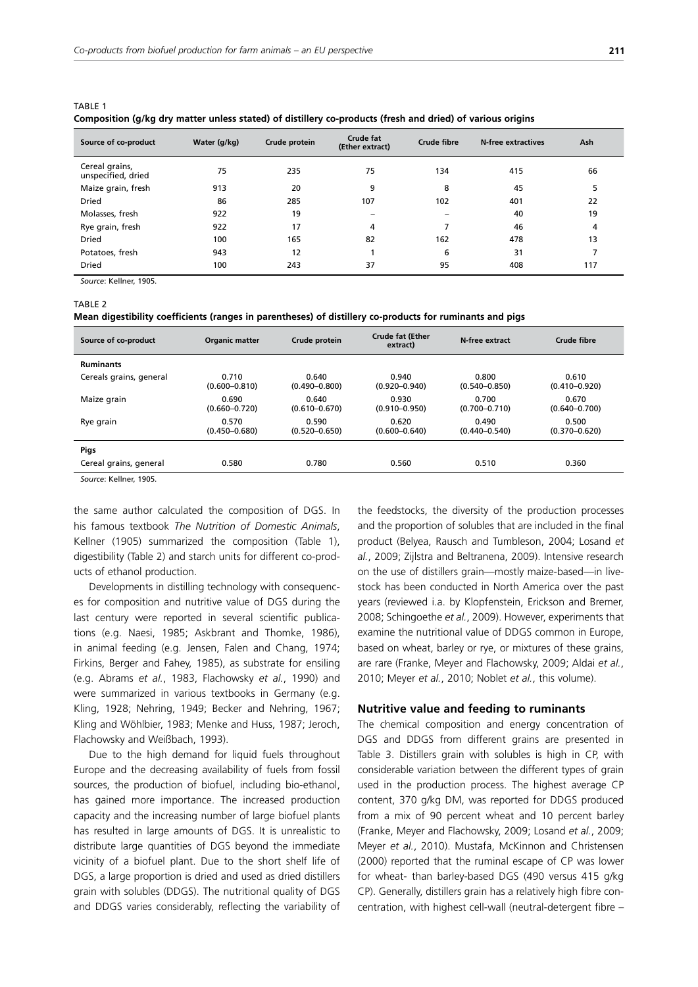| composition (gritg ary matter amoss stated) or alsthery to products (hesir and arrea) or ranous origins |              |               |                              |                    |                    |     |  |  |  |
|---------------------------------------------------------------------------------------------------------|--------------|---------------|------------------------------|--------------------|--------------------|-----|--|--|--|
| Source of co-product                                                                                    | Water (g/kg) | Crude protein | Crude fat<br>(Ether extract) | <b>Crude fibre</b> | N-free extractives | Ash |  |  |  |
| Cereal grains,<br>unspecified, dried                                                                    | 75           | 235           | 75                           | 134                | 415                | 66  |  |  |  |
| Maize grain, fresh                                                                                      | 913          | 20            | 9                            | 8                  | 45                 | 5   |  |  |  |
| <b>Dried</b>                                                                                            | 86           | 285           | 107                          | 102                | 401                | 22  |  |  |  |
| Molasses, fresh                                                                                         | 922          | 19            | $\overline{\phantom{0}}$     | -                  | 40                 | 19  |  |  |  |
| Rye grain, fresh                                                                                        | 922          | 17            | 4                            |                    | 46                 | 4   |  |  |  |
| <b>Dried</b>                                                                                            | 100          | 165           | 82                           | 162                | 478                | 13  |  |  |  |
| Potatoes, fresh                                                                                         | 943          | 12            |                              | 6                  | 31                 |     |  |  |  |
| <b>Dried</b>                                                                                            | 100          | 243           | 37                           | 95                 | 408                | 117 |  |  |  |

| <b>TABLE 1</b>                                                                                             |  |
|------------------------------------------------------------------------------------------------------------|--|
| Composition (g/kg dry matter unless stated) of distillery co-products (fresh and dried) of various origins |  |

*Source*: Kellner, 1905.

#### TARI F<sub>2</sub>

**Mean digestibility coefficients (ranges in parentheses) of distillery co-products for ruminants and pigs** 

| Source of co-product    | <b>Organic matter</b>      | Crude protein              | <b>Crude fat (Ether</b><br>extract) | N-free extract             | Crude fibre                |
|-------------------------|----------------------------|----------------------------|-------------------------------------|----------------------------|----------------------------|
| <b>Ruminants</b>        |                            |                            |                                     |                            |                            |
| Cereals grains, general | 0.710<br>$(0.600 - 0.810)$ | 0.640<br>$(0.490 - 0.800)$ | 0.940<br>$(0.920 - 0.940)$          | 0.800<br>$(0.540 - 0.850)$ | 0.610<br>$(0.410 - 0.920)$ |
| Maize grain             | 0.690<br>$(0.660 - 0.720)$ | 0.640<br>$(0.610 - 0.670)$ | 0.930<br>$(0.910 - 0.950)$          | 0.700<br>$(0.700 - 0.710)$ | 0.670<br>$(0.640 - 0.700)$ |
| Rye grain               | 0.570<br>$(0.450 - 0.680)$ | 0.590<br>$(0.520 - 0.650)$ | 0.620<br>$(0.600 - 0.640)$          | 0.490<br>$(0.440 - 0.540)$ | 0.500<br>$(0.370 - 0.620)$ |
| Pigs                    |                            |                            |                                     |                            |                            |
| Cereal grains, general  | 0.580                      | 0.780                      | 0.560                               | 0.510                      | 0.360                      |

*Source*: Kellner, 1905.

the same author calculated the composition of DGS. In his famous textbook *The Nutrition of Domestic Animals*, Kellner (1905) summarized the composition (Table 1), digestibility (Table 2) and starch units for different co-products of ethanol production.

Developments in distilling technology with consequences for composition and nutritive value of DGS during the last century were reported in several scientific publications (e.g. Naesi, 1985; Askbrant and Thomke, 1986), in animal feeding (e.g. Jensen, Falen and Chang, 1974; Firkins, Berger and Fahey, 1985), as substrate for ensiling (e.g. Abrams *et al.*, 1983, Flachowsky *et al.*, 1990) and were summarized in various textbooks in Germany (e.g. Kling, 1928; Nehring, 1949; Becker and Nehring, 1967; Kling and Wöhlbier, 1983; Menke and Huss, 1987; Jeroch, Flachowsky and Weißbach, 1993).

Due to the high demand for liquid fuels throughout Europe and the decreasing availability of fuels from fossil sources, the production of biofuel, including bio-ethanol, has gained more importance. The increased production capacity and the increasing number of large biofuel plants has resulted in large amounts of DGS. It is unrealistic to distribute large quantities of DGS beyond the immediate vicinity of a biofuel plant. Due to the short shelf life of DGS, a large proportion is dried and used as dried distillers grain with solubles (DDGS). The nutritional quality of DGS and DDGS varies considerably, reflecting the variability of the feedstocks, the diversity of the production processes and the proportion of solubles that are included in the final product (Belyea, Rausch and Tumbleson, 2004; Losand *et al.*, 2009; Zijlstra and Beltranena, 2009). Intensive research on the use of distillers grain—mostly maize-based—in livestock has been conducted in North America over the past years (reviewed i.a. by Klopfenstein, Erickson and Bremer, 2008; Schingoethe *et al.*, 2009). However, experiments that examine the nutritional value of DDGS common in Europe, based on wheat, barley or rye, or mixtures of these grains, are rare (Franke, Meyer and Flachowsky, 2009; Aldai *et al.*, 2010; Meyer *et al.*, 2010; Noblet *et al.*, this volume).

## **Nutritive value and feeding to ruminants**

The chemical composition and energy concentration of DGS and DDGS from different grains are presented in Table 3. Distillers grain with solubles is high in CP, with considerable variation between the different types of grain used in the production process. The highest average CP content, 370 g/kg DM, was reported for DDGS produced from a mix of 90 percent wheat and 10 percent barley (Franke, Meyer and Flachowsky, 2009; Losand *et al.*, 2009; Meyer *et al.*, 2010). Mustafa, McKinnon and Christensen (2000) reported that the ruminal escape of CP was lower for wheat- than barley-based DGS (490 versus 415 g/kg CP). Generally, distillers grain has a relatively high fibre concentration, with highest cell-wall (neutral-detergent fibre –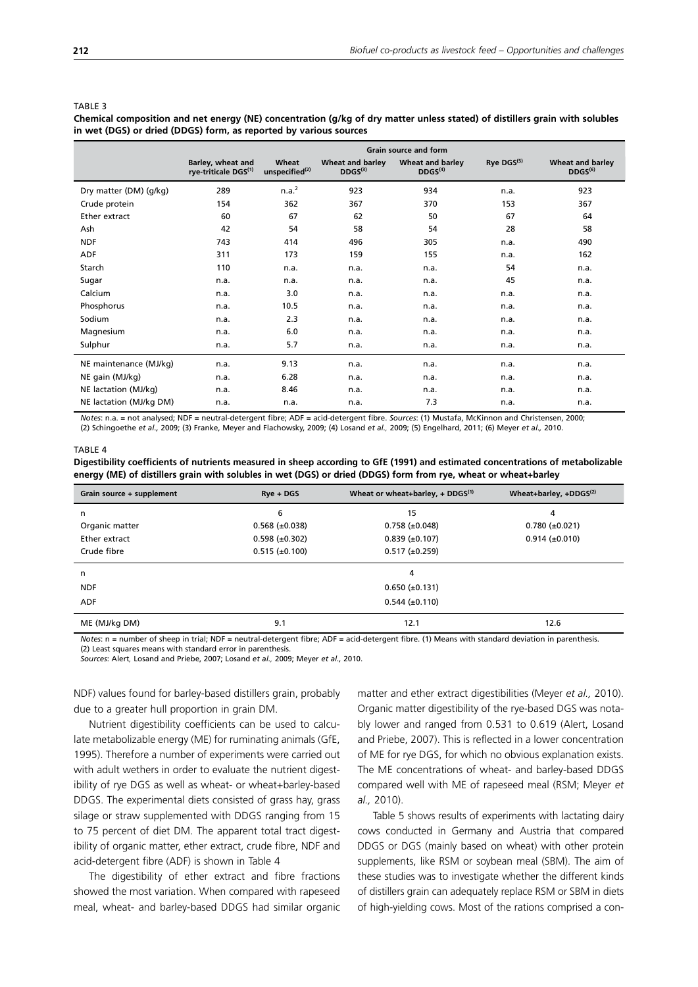**Chemical composition and net energy (NE) concentration (g/kg of dry matter unless stated) of distillers grain with solubles in wet (DGS) or dried (DDGS) form, as reported by various sources**

|                         | <b>Grain source and form</b>                          |                                     |                                         |                                                |                        |                                                |  |
|-------------------------|-------------------------------------------------------|-------------------------------------|-----------------------------------------|------------------------------------------------|------------------------|------------------------------------------------|--|
|                         | Barley, wheat and<br>rye-triticale DGS <sup>(1)</sup> | Wheat<br>unspecified <sup>(2)</sup> | Wheat and barley<br>DDGS <sup>(3)</sup> | <b>Wheat and barley</b><br>DDGS <sup>(4)</sup> | Rye DGS <sup>(5)</sup> | <b>Wheat and barley</b><br>DDGS <sup>(6)</sup> |  |
| Dry matter (DM) (g/kg)  | 289                                                   | n.a. <sup>2</sup>                   | 923                                     | 934                                            | n.a.                   | 923                                            |  |
| Crude protein           | 154                                                   | 362                                 | 367                                     | 370                                            | 153                    | 367                                            |  |
| Ether extract           | 60                                                    | 67                                  | 62                                      | 50                                             | 67                     | 64                                             |  |
| Ash                     | 42                                                    | 54                                  | 58                                      | 54                                             | 28                     | 58                                             |  |
| <b>NDF</b>              | 743                                                   | 414                                 | 496                                     | 305                                            | n.a.                   | 490                                            |  |
| <b>ADF</b>              | 311                                                   | 173                                 | 159                                     | 155                                            | n.a.                   | 162                                            |  |
| Starch                  | 110                                                   | n.a.                                | n.a.                                    | n.a.                                           | 54                     | n.a.                                           |  |
| Sugar                   | n.a.                                                  | n.a.                                | n.a.                                    | n.a.                                           | 45                     | n.a.                                           |  |
| Calcium                 | n.a.                                                  | 3.0                                 | n.a.                                    | n.a.                                           | n.a.                   | n.a.                                           |  |
| Phosphorus              | n.a.                                                  | 10.5                                | n.a.                                    | n.a.                                           | n.a.                   | n.a.                                           |  |
| Sodium                  | n.a.                                                  | 2.3                                 | n.a.                                    | n.a.                                           | n.a.                   | n.a.                                           |  |
| Magnesium               | n.a.                                                  | 6.0                                 | n.a.                                    | n.a.                                           | n.a.                   | n.a.                                           |  |
| Sulphur                 | n.a.                                                  | 5.7                                 | n.a.                                    | n.a.                                           | n.a.                   | n.a.                                           |  |
| NE maintenance (MJ/kg)  | n.a.                                                  | 9.13                                | n.a.                                    | n.a.                                           | n.a.                   | n.a.                                           |  |
| NE gain (MJ/kg)         | n.a.                                                  | 6.28                                | n.a.                                    | n.a.                                           | n.a.                   | n.a.                                           |  |
| NE lactation (MJ/kg)    | n.a.                                                  | 8.46                                | n.a.                                    | n.a.                                           | n.a.                   | n.a.                                           |  |
| NE lactation (MJ/kg DM) | n.a.                                                  | n.a.                                | n.a.                                    | 7.3                                            | n.a.                   | n.a.                                           |  |

*Notes*: n.a. = not analysed; NDF = neutral-detergent fibre; ADF = acid-detergent fibre. *Sources*: (1) Mustafa, McKinnon and Christensen, 2000; (2) Schingoethe *et al.,* 2009; (3) Franke, Meyer and Flachowsky, 2009; (4) Losand *et al.,* 2009; (5) Engelhard, 2011; (6) Meyer *et al.,* 2010.

#### TABLE 4

**Digestibility coefficients of nutrients measured in sheep according to GfE (1991) and estimated concentrations of metabolizable energy (ME) of distillers grain with solubles in wet (DGS) or dried (DDGS) form from rye, wheat or wheat+barley**

| Grain source + supplement | $Rve + DGS$           | Wheat+barley, +DDGS $(2)$ |                       |
|---------------------------|-----------------------|---------------------------|-----------------------|
| n                         | 6                     | 15                        | 4                     |
| Organic matter            | $0.568 \ (\pm 0.038)$ | $0.758 \ (\pm 0.048)$     | $0.780 \ (\pm 0.021)$ |
| Ether extract             | $0.598 \ (\pm 0.302)$ | $0.839 \ (\pm 0.107)$     | $0.914 \ (\pm 0.010)$ |
| Crude fibre               | $0.515 \ (\pm 0.100)$ | $0.517 (\pm 0.259)$       |                       |
| n                         |                       | 4                         |                       |
| <b>NDF</b>                |                       | $0.650 \ (\pm 0.131)$     |                       |
| <b>ADF</b>                |                       | $0.544 \ (\pm 0.110)$     |                       |
| ME (MJ/kg DM)             | 9.1                   | 12.1                      | 12.6                  |

*Notes*: n = number of sheep in trial; NDF = neutral-detergent fibre; ADF = acid-detergent fibre. (1) Means with standard deviation in parenthesis. (2) Least squares means with standard error in parenthesis.

*Sources*: Alert*,* Losand and Priebe, 2007; Losand *et al.,* 2009; Meyer *et al.,* 2010.

NDF) values found for barley-based distillers grain, probably due to a greater hull proportion in grain DM.

Nutrient digestibility coefficients can be used to calculate metabolizable energy (ME) for ruminating animals (GfE, 1995). Therefore a number of experiments were carried out with adult wethers in order to evaluate the nutrient digestibility of rye DGS as well as wheat- or wheat+barley-based DDGS. The experimental diets consisted of grass hay, grass silage or straw supplemented with DDGS ranging from 15 to 75 percent of diet DM. The apparent total tract digestibility of organic matter, ether extract, crude fibre, NDF and acid-detergent fibre (ADF) is shown in Table 4

The digestibility of ether extract and fibre fractions showed the most variation. When compared with rapeseed meal, wheat- and barley-based DDGS had similar organic matter and ether extract digestibilities (Meyer *et al.,* 2010). Organic matter digestibility of the rye-based DGS was notably lower and ranged from 0.531 to 0.619 (Alert, Losand and Priebe, 2007). This is reflected in a lower concentration of ME for rye DGS, for which no obvious explanation exists. The ME concentrations of wheat- and barley-based DDGS compared well with ME of rapeseed meal (RSM; Meyer *et al.,* 2010).

Table 5 shows results of experiments with lactating dairy cows conducted in Germany and Austria that compared DDGS or DGS (mainly based on wheat) with other protein supplements, like RSM or soybean meal (SBM). The aim of these studies was to investigate whether the different kinds of distillers grain can adequately replace RSM or SBM in diets of high-yielding cows. Most of the rations comprised a con-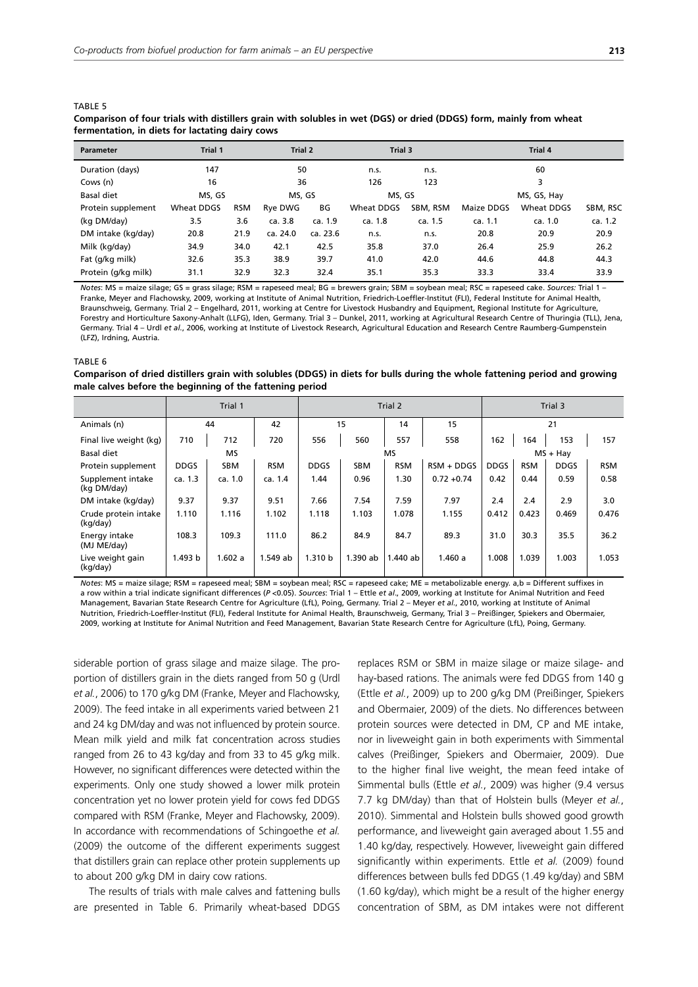|                     | fermentation, in diets for lactating dairy cows |            |          |                    |            |          |             |            |          |  |  |  |  |
|---------------------|-------------------------------------------------|------------|----------|--------------------|------------|----------|-------------|------------|----------|--|--|--|--|
| <b>Parameter</b>    | Trial 1                                         |            |          | Trial 2<br>Trial 3 |            | Trial 4  |             |            |          |  |  |  |  |
| Duration (days)     | 147                                             |            | 50       |                    | n.s.       | n.s.     |             | 60         |          |  |  |  |  |
| Cows (n)            | 16                                              |            | 36       |                    | 126        | 123      |             | 3          |          |  |  |  |  |
| Basal diet          | MS. GS                                          |            | MS, GS   |                    | MS, GS     |          | MS, GS, Hay |            |          |  |  |  |  |
| Protein supplement  | Wheat DDGS                                      | <b>RSM</b> | Rye DWG  | ВG                 | Wheat DDGS | SBM, RSM | Maize DDGS  | Wheat DDGS | SBM, RSC |  |  |  |  |
| (kg DM/day)         | 3.5                                             | 3.6        | ca. 3.8  | ca. 1.9            | ca. 1.8    | ca. 1.5  | ca. 1.1     | ca. 1.0    | ca. 1.2  |  |  |  |  |
| DM intake (kg/day)  | 20.8                                            | 21.9       | ca. 24.0 | ca. 23.6           | n.s.       | n.s.     | 20.8        | 20.9       | 20.9     |  |  |  |  |
| Milk (kg/day)       | 34.9                                            | 34.0       | 42.1     | 42.5               | 35.8       | 37.0     | 26.4        | 25.9       | 26.2     |  |  |  |  |
| Fat (g/kg milk)     | 32.6                                            | 35.3       | 38.9     | 39.7               | 41.0       | 42.0     | 44.6        | 44.8       | 44.3     |  |  |  |  |
| Protein (g/kg milk) | 31.1                                            | 32.9       | 32.3     | 32.4               | 35.1       | 35.3     | 33.3        | 33.4       | 33.9     |  |  |  |  |

**Comparison of four trials with distillers grain with solubles in wet (DGS) or dried (DDGS) form, mainly from wheat** 

*Notes*: MS = maize silage; GS = grass silage; RSM = rapeseed meal; BG = brewers grain; SBM = soybean meal; RSC = rapeseed cake. *Sources:* Trial 1 – Franke, Meyer and Flachowsky, 2009, working at Institute of Animal Nutrition, Friedrich-Loeffler-Institut (FLI), Federal Institute for Animal Health, Braunschweig, Germany. Trial 2 – Engelhard, 2011, working at Centre for Livestock Husbandry and Equipment, Regional Institute for Agriculture, Forestry and Horticulture Saxony-Anhalt (LLFG), Iden, Germany. Trial 3 – Dunkel, 2011, working at Agricultural Research Centre of Thuringia (TLL), Jena, Germany. Trial 4 – Urdl *et al.*, 2006, working at Institute of Livestock Research, Agricultural Education and Research Centre Raumberg-Gumpenstein (LFZ), Irdning, Austria.

TABLE 6

TABLE 5

#### **Comparison of dried distillers grain with solubles (DDGS) in diets for bulls during the whole fattening period and growing male calves before the beginning of the fattening period**

|                                  | Trial 1     |            |            | Trial 2     |            |            |               | Trial 3     |            |             |            |
|----------------------------------|-------------|------------|------------|-------------|------------|------------|---------------|-------------|------------|-------------|------------|
| Animals (n)                      |             | 44         | 42         |             | 15         | 14         | 15            |             |            | 21          |            |
| Final live weight (kg)           | 710         | 712        | 720        | 556         | 560        | 557        | 558           | 162         | 164        | 153         | 157        |
| Basal diet                       | MS          |            |            | МS          |            |            |               |             | $MS + Hay$ |             |            |
| Protein supplement               | <b>DDGS</b> | <b>SBM</b> | <b>RSM</b> | <b>DDGS</b> | <b>SBM</b> | <b>RSM</b> | $RSM + DDGS$  | <b>DDGS</b> | <b>RSM</b> | <b>DDGS</b> | <b>RSM</b> |
| Supplement intake<br>(kg DM/day) | ca. 1.3     | ca. 1.0    | ca. 1.4    | 1.44        | 0.96       | 1.30       | $0.72 + 0.74$ | 0.42        | 0.44       | 0.59        | 0.58       |
| DM intake (kg/day)               | 9.37        | 9.37       | 9.51       | 7.66        | 7.54       | 7.59       | 7.97          | 2.4         | 2.4        | 2.9         | 3.0        |
| Crude protein intake<br>(kg/day) | 1.110       | 1.116      | 1.102      | 1.118       | 1.103      | 1.078      | 1.155         | 0.412       | 0.423      | 0.469       | 0.476      |
| Energy intake<br>(MJ ME/day)     | 108.3       | 109.3      | 111.0      | 86.2        | 84.9       | 84.7       | 89.3          | 31.0        | 30.3       | 35.5        | 36.2       |
| Live weight gain<br>(kg/day)     | 1.493 b     | 1.602a     | 1.549 ab   | 1.310 b     | 1.390 ab   | 1.440 ab   | 1.460a        | 1.008       | 1.039      | 1.003       | 1.053      |

*Notes*: MS = maize silage; RSM = rapeseed meal; SBM = soybean meal; RSC = rapeseed cake; ME = metabolizable energy. a,b = Different suffixes in a row within a trial indicate significant differences (*P* <0.05). *Sources*: Trial 1 – Ettle *et al*., 2009, working at Institute for Animal Nutrition and Feed Management, Bavarian State Research Centre for Agriculture (LfL), Poing, Germany. Trial 2 – Meyer *et al.*, 2010, working at Institute of Animal Nutrition, Friedrich-Loeffler-Institut (FLI), Federal Institute for Animal Health, Braunschweig, Germany, Trial 3 – Preißinger, Spiekers and Obermaier, 2009, working at Institute for Animal Nutrition and Feed Management, Bavarian State Research Centre for Agriculture (LfL), Poing, Germany.

siderable portion of grass silage and maize silage. The proportion of distillers grain in the diets ranged from 50 g (Urdl *et al.*, 2006) to 170 g/kg DM (Franke, Meyer and Flachowsky, 2009). The feed intake in all experiments varied between 21 and 24 kg DM/day and was not influenced by protein source. Mean milk yield and milk fat concentration across studies ranged from 26 to 43 kg/day and from 33 to 45 g/kg milk. However, no significant differences were detected within the experiments. Only one study showed a lower milk protein concentration yet no lower protein yield for cows fed DDGS compared with RSM (Franke, Meyer and Flachowsky, 2009). In accordance with recommendations of Schingoethe *et al.* (2009) the outcome of the different experiments suggest that distillers grain can replace other protein supplements up to about 200 g/kg DM in dairy cow rations.

The results of trials with male calves and fattening bulls are presented in Table 6. Primarily wheat-based DDGS replaces RSM or SBM in maize silage or maize silage- and hay-based rations. The animals were fed DDGS from 140 g (Ettle *et al.*, 2009) up to 200 g/kg DM (Preißinger, Spiekers and Obermaier, 2009) of the diets. No differences between protein sources were detected in DM, CP and ME intake, nor in liveweight gain in both experiments with Simmental calves (Preißinger, Spiekers and Obermaier, 2009). Due to the higher final live weight, the mean feed intake of Simmental bulls (Ettle *et al.*, 2009) was higher (9.4 versus 7.7 kg DM/day) than that of Holstein bulls (Meyer *et al.*, 2010). Simmental and Holstein bulls showed good growth performance, and liveweight gain averaged about 1.55 and 1.40 kg/day, respectively. However, liveweight gain differed significantly within experiments. Ettle *et al.* (2009) found differences between bulls fed DDGS (1.49 kg/day) and SBM (1.60 kg/day), which might be a result of the higher energy concentration of SBM, as DM intakes were not different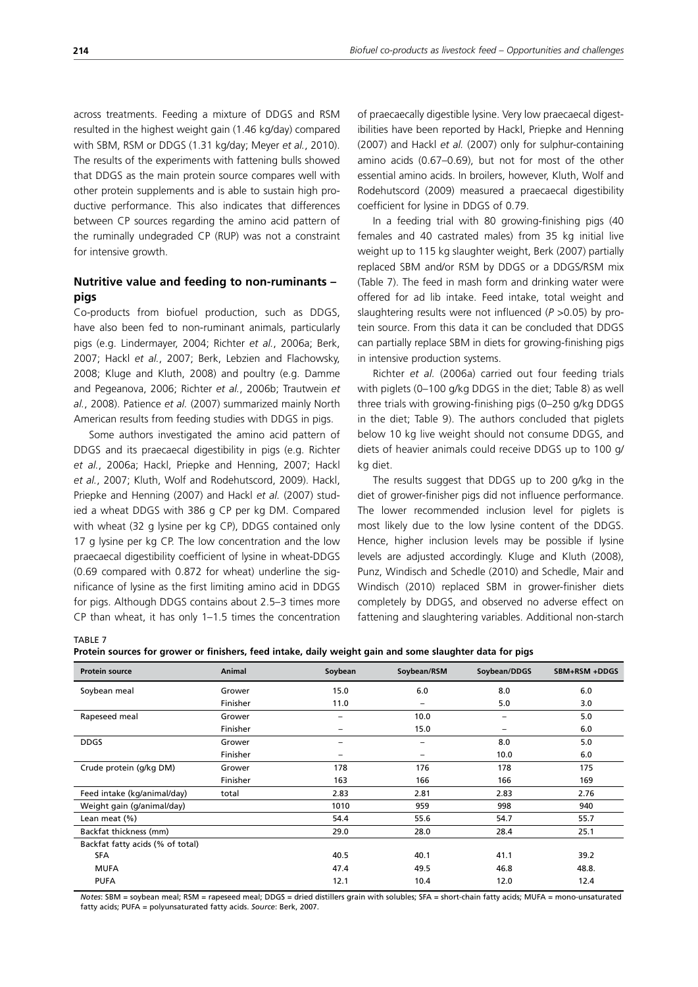across treatments. Feeding a mixture of DDGS and RSM resulted in the highest weight gain (1.46 kg/day) compared with SBM, RSM or DDGS (1.31 kg/day; Meyer *et al.*, 2010). The results of the experiments with fattening bulls showed that DDGS as the main protein source compares well with other protein supplements and is able to sustain high productive performance. This also indicates that differences between CP sources regarding the amino acid pattern of the ruminally undegraded CP (RUP) was not a constraint for intensive growth.

# **Nutritive value and feeding to non-ruminants – pigs**

Co-products from biofuel production, such as DDGS, have also been fed to non-ruminant animals, particularly pigs (e.g. Lindermayer, 2004; Richter *et al.*, 2006a; Berk, 2007; Hackl *et al.*, 2007; Berk, Lebzien and Flachowsky, 2008; Kluge and Kluth, 2008) and poultry (e.g. Damme and Pegeanova, 2006; Richter *et al.*, 2006b; Trautwein *et al.*, 2008). Patience *et al.* (2007) summarized mainly North American results from feeding studies with DDGS in pigs.

Some authors investigated the amino acid pattern of DDGS and its praecaecal digestibility in pigs (e.g. Richter *et al.*, 2006a; Hackl, Priepke and Henning, 2007; Hackl *et al.*, 2007; Kluth, Wolf and Rodehutscord, 2009). Hackl, Priepke and Henning (2007) and Hackl *et al.* (2007) studied a wheat DDGS with 386 g CP per kg DM. Compared with wheat (32 g lysine per kg CP), DDGS contained only 17 g lysine per kg CP. The low concentration and the low praecaecal digestibility coefficient of lysine in wheat-DDGS (0.69 compared with 0.872 for wheat) underline the significance of lysine as the first limiting amino acid in DDGS for pigs. Although DDGS contains about 2.5–3 times more CP than wheat, it has only 1–1.5 times the concentration of praecaecally digestible lysine. Very low praecaecal digestibilities have been reported by Hackl, Priepke and Henning (2007) and Hackl *et al.* (2007) only for sulphur-containing amino acids (0.67–0.69), but not for most of the other essential amino acids. In broilers, however, Kluth, Wolf and Rodehutscord (2009) measured a praecaecal digestibility coefficient for lysine in DDGS of 0.79.

In a feeding trial with 80 growing-finishing pigs (40 females and 40 castrated males) from 35 kg initial live weight up to 115 kg slaughter weight, Berk (2007) partially replaced SBM and/or RSM by DDGS or a DDGS/RSM mix (Table 7). The feed in mash form and drinking water were offered for ad lib intake. Feed intake, total weight and slaughtering results were not influenced (*P* >0.05) by protein source. From this data it can be concluded that DDGS can partially replace SBM in diets for growing-finishing pigs in intensive production systems.

Richter *et al.* (2006a) carried out four feeding trials with piglets (0–100 g/kg DDGS in the diet; Table 8) as well three trials with growing-finishing pigs (0–250 g/kg DDGS in the diet; Table 9). The authors concluded that piglets below 10 kg live weight should not consume DDGS, and diets of heavier animals could receive DDGS up to 100 g/ kg diet.

The results suggest that DDGS up to 200 g/kg in the diet of grower-finisher pigs did not influence performance. The lower recommended inclusion level for piglets is most likely due to the low lysine content of the DDGS. Hence, higher inclusion levels may be possible if lysine levels are adjusted accordingly. Kluge and Kluth (2008), Punz, Windisch and Schedle (2010) and Schedle, Mair and Windisch (2010) replaced SBM in grower-finisher diets completely by DDGS, and observed no adverse effect on fattening and slaughtering variables. Additional non-starch

TABLE 7

**Protein sources for grower or finishers, feed intake, daily weight gain and some slaughter data for pigs**

| <b>Protein source</b>            | Animal   | Soybean                  | Soybean/RSM | Soybean/DDGS    | SBM+RSM +DDGS |
|----------------------------------|----------|--------------------------|-------------|-----------------|---------------|
| Soybean meal                     | Grower   | 15.0                     | 6.0         | 8.0             | 6.0           |
|                                  | Finisher | 11.0                     | -           | 5.0             | 3.0           |
| Rapeseed meal                    | Grower   | $\overline{\phantom{0}}$ | 10.0        | $\qquad \qquad$ | 5.0           |
|                                  | Finisher | -                        | 15.0        | $\qquad \qquad$ | 6.0           |
| <b>DDGS</b>                      | Grower   | -                        |             | 8.0             | 5.0           |
|                                  | Finisher | -                        | -           | 10.0            | 6.0           |
| Crude protein (g/kg DM)          | Grower   | 178                      | 176         | 178             | 175           |
|                                  | Finisher | 163                      | 166         | 166             | 169           |
| Feed intake (kg/animal/day)      | total    | 2.83                     | 2.81        | 2.83            | 2.76          |
| Weight gain (g/animal/day)       |          | 1010                     | 959         | 998             | 940           |
| Lean meat (%)                    |          | 54.4                     | 55.6        | 54.7            | 55.7          |
| Backfat thickness (mm)           |          | 29.0                     | 28.0        | 28.4            | 25.1          |
| Backfat fatty acids (% of total) |          |                          |             |                 |               |
| <b>SFA</b>                       |          | 40.5                     | 40.1        | 41.1            | 39.2          |
| <b>MUFA</b>                      |          | 47.4                     | 49.5        | 46.8            | 48.8.         |
| <b>PUFA</b>                      |          | 12.1                     | 10.4        | 12.0            | 12.4          |

*Notes*: SBM = soybean meal; RSM = rapeseed meal; DDGS = dried distillers grain with solubles; SFA = short-chain fatty acids; MUFA = mono-unsaturated fatty acids; PUFA = polyunsaturated fatty acids. *Source*: Berk, 2007.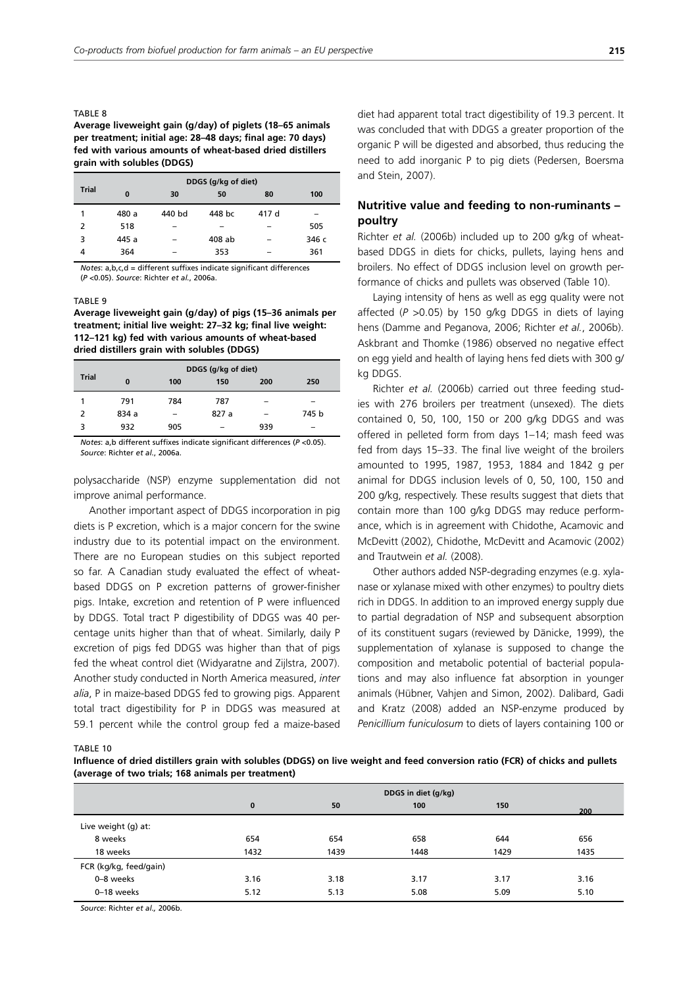#### TARI F 8

## **Average liveweight gain (g/day) of piglets (18–65 animals per treatment; initial age: 28–48 days; final age: 70 days) fed with various amounts of wheat-based dried distillers grain with solubles (DDGS)**

|              |          | DDGS (g/kg of diet) |        |       |       |  |  |  |  |  |  |
|--------------|----------|---------------------|--------|-------|-------|--|--|--|--|--|--|
| <b>Trial</b> | $\bf{0}$ | 30                  | 50     | 80    | 100   |  |  |  |  |  |  |
| 1            | 480 a    | 440 bd              | 448 bc | 417 d | -     |  |  |  |  |  |  |
| 2            | 518      | -                   |        |       | 505   |  |  |  |  |  |  |
| 3            | 445 a    |                     | 408 ab |       | 346 с |  |  |  |  |  |  |
| 4            | 364      | -                   | 353    |       | 361   |  |  |  |  |  |  |

*Notes*: a,b,c,d = different suffixes indicate significant differences (*P* <0.05). *Source*: Richter *et al.*, 2006a.

#### TARI F 9

**Average liveweight gain (g/day) of pigs (15–36 animals per treatment; initial live weight: 27–32 kg; final live weight: 112–121 kg) fed with various amounts of wheat-based dried distillers grain with solubles (DDGS)**

|              |          | DDGS (g/kg of diet) |       |          |       |  |  |  |  |  |  |
|--------------|----------|---------------------|-------|----------|-------|--|--|--|--|--|--|
| <b>Trial</b> | $\bf{0}$ | 100                 | 150   | 200      | 250   |  |  |  |  |  |  |
|              | 791      | 784                 | 787   | -        | -     |  |  |  |  |  |  |
| 2            | 834 a    | -                   | 827 a | $\equiv$ | 745 b |  |  |  |  |  |  |
| 3            | 932      | 905                 | -     | 939      | -     |  |  |  |  |  |  |

*Notes*: a,b different suffixes indicate significant differences (*P* <0.05). *Source*: Richter *et al.*, 2006a.

polysaccharide (NSP) enzyme supplementation did not improve animal performance.

Another important aspect of DDGS incorporation in pig diets is P excretion, which is a major concern for the swine industry due to its potential impact on the environment. There are no European studies on this subject reported so far. A Canadian study evaluated the effect of wheatbased DDGS on P excretion patterns of grower-finisher pigs. Intake, excretion and retention of P were influenced by DDGS. Total tract P digestibility of DDGS was 40 percentage units higher than that of wheat. Similarly, daily P excretion of pigs fed DDGS was higher than that of pigs fed the wheat control diet (Widyaratne and Zijlstra, 2007). Another study conducted in North America measured, *inter alia*, P in maize-based DDGS fed to growing pigs. Apparent total tract digestibility for P in DDGS was measured at 59.1 percent while the control group fed a maize-based diet had apparent total tract digestibility of 19.3 percent. It was concluded that with DDGS a greater proportion of the organic P will be digested and absorbed, thus reducing the need to add inorganic P to pig diets (Pedersen, Boersma and Stein, 2007).

# **Nutritive value and feeding to non-ruminants – poultry**

Richter *et al.* (2006b) included up to 200 g/kg of wheatbased DDGS in diets for chicks, pullets, laying hens and broilers. No effect of DDGS inclusion level on growth performance of chicks and pullets was observed (Table 10).

Laying intensity of hens as well as egg quality were not affected (*P* >0.05) by 150 g/kg DDGS in diets of laying hens (Damme and Peganova, 2006; Richter *et al.*, 2006b). Askbrant and Thomke (1986) observed no negative effect on egg yield and health of laying hens fed diets with 300 g/ kg DDGS.

Richter *et al.* (2006b) carried out three feeding studies with 276 broilers per treatment (unsexed). The diets contained 0, 50, 100, 150 or 200 g/kg DDGS and was offered in pelleted form from days 1–14; mash feed was fed from days 15–33. The final live weight of the broilers amounted to 1995, 1987, 1953, 1884 and 1842 g per animal for DDGS inclusion levels of 0, 50, 100, 150 and 200 g/kg, respectively. These results suggest that diets that contain more than 100 g/kg DDGS may reduce performance, which is in agreement with Chidothe, Acamovic and McDevitt (2002), Chidothe, McDevitt and Acamovic (2002) and Trautwein *et al.* (2008).

Other authors added NSP-degrading enzymes (e.g. xylanase or xylanase mixed with other enzymes) to poultry diets rich in DDGS. In addition to an improved energy supply due to partial degradation of NSP and subsequent absorption of its constituent sugars (reviewed by Dänicke, 1999), the supplementation of xylanase is supposed to change the composition and metabolic potential of bacterial populations and may also influence fat absorption in younger animals (Hübner, Vahjen and Simon, 2002). Dalibard, Gadi and Kratz (2008) added an NSP-enzyme produced by *Penicillium funiculosum* to diets of layers containing 100 or

TABLE 10

**Influence of dried distillers grain with solubles (DDGS) on live weight and feed conversion ratio (FCR) of chicks and pullets (average of two trials; 168 animals per treatment)**

|                        | $\bf{0}$ | 50   | 100  | 150  | 200  |
|------------------------|----------|------|------|------|------|
| Live weight (g) at:    |          |      |      |      |      |
| 8 weeks                | 654      | 654  | 658  | 644  | 656  |
| 18 weeks               | 1432     | 1439 | 1448 | 1429 | 1435 |
| FCR (kg/kg, feed/gain) |          |      |      |      |      |
| 0-8 weeks              | 3.16     | 3.18 | 3.17 | 3.17 | 3.16 |
| 0-18 weeks             | 5.12     | 5.13 | 5.08 | 5.09 | 5.10 |

*Source*: Richter *et al.,* 2006b.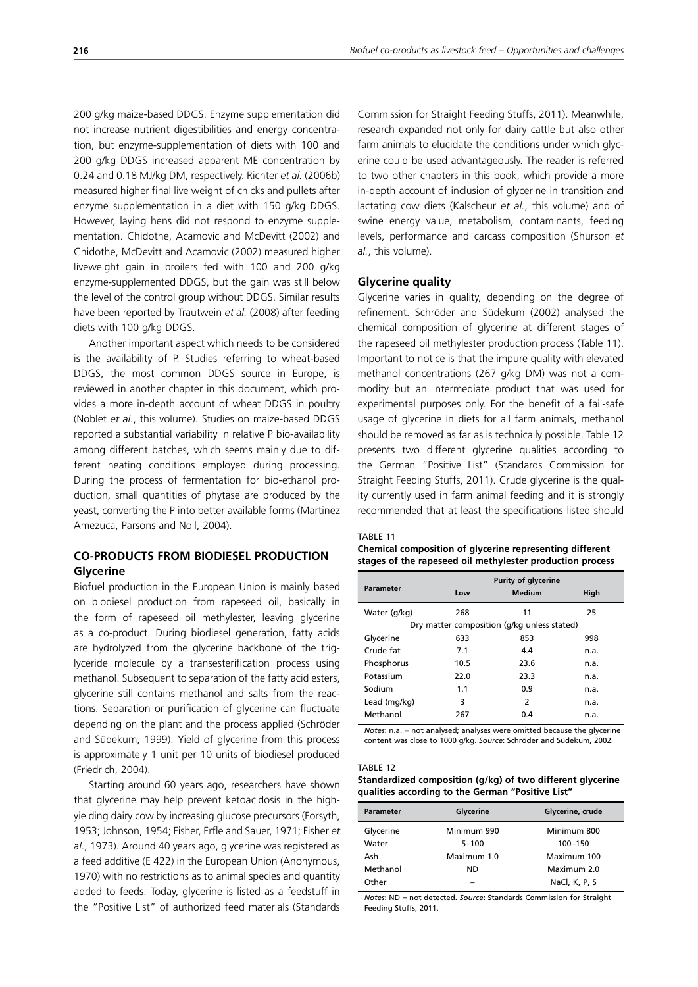200 g/kg maize-based DDGS. Enzyme supplementation did not increase nutrient digestibilities and energy concentration, but enzyme-supplementation of diets with 100 and 200 g/kg DDGS increased apparent ME concentration by 0.24 and 0.18 MJ/kg DM, respectively. Richter *et al.* (2006b) measured higher final live weight of chicks and pullets after enzyme supplementation in a diet with 150 g/kg DDGS. However, laying hens did not respond to enzyme supplementation. Chidothe, Acamovic and McDevitt (2002) and Chidothe, McDevitt and Acamovic (2002) measured higher liveweight gain in broilers fed with 100 and 200 g/kg enzyme-supplemented DDGS, but the gain was still below the level of the control group without DDGS. Similar results have been reported by Trautwein *et al.* (2008) after feeding diets with 100 g/kg DDGS.

Another important aspect which needs to be considered is the availability of P. Studies referring to wheat-based DDGS, the most common DDGS source in Europe, is reviewed in another chapter in this document, which provides a more in-depth account of wheat DDGS in poultry (Noblet *et al.*, this volume). Studies on maize-based DDGS reported a substantial variability in relative P bio-availability among different batches, which seems mainly due to different heating conditions employed during processing. During the process of fermentation for bio-ethanol production, small quantities of phytase are produced by the yeast, converting the P into better available forms (Martinez Amezuca, Parsons and Noll, 2004).

# **CO-PRODUCTS FROM BIODIESEL PRODUCTION Glycerine**

Biofuel production in the European Union is mainly based on biodiesel production from rapeseed oil, basically in the form of rapeseed oil methylester, leaving glycerine as a co-product. During biodiesel generation, fatty acids are hydrolyzed from the glycerine backbone of the triglyceride molecule by a transesterification process using methanol. Subsequent to separation of the fatty acid esters, glycerine still contains methanol and salts from the reactions. Separation or purification of glycerine can fluctuate depending on the plant and the process applied (Schröder and Südekum, 1999). Yield of glycerine from this process is approximately 1 unit per 10 units of biodiesel produced (Friedrich, 2004).

Starting around 60 years ago, researchers have shown that glycerine may help prevent ketoacidosis in the highyielding dairy cow by increasing glucose precursors (Forsyth, 1953; Johnson, 1954; Fisher, Erfle and Sauer, 1971; Fisher *et al*., 1973). Around 40 years ago, glycerine was registered as a feed additive (E 422) in the European Union (Anonymous, 1970) with no restrictions as to animal species and quantity added to feeds. Today, glycerine is listed as a feedstuff in the "Positive List" of authorized feed materials (Standards Commission for Straight Feeding Stuffs, 2011). Meanwhile, research expanded not only for dairy cattle but also other farm animals to elucidate the conditions under which glycerine could be used advantageously. The reader is referred to two other chapters in this book, which provide a more in-depth account of inclusion of glycerine in transition and lactating cow diets (Kalscheur *et al.*, this volume) and of swine energy value, metabolism, contaminants, feeding levels, performance and carcass composition (Shurson *et al.*, this volume).

## **Glycerine quality**

Glycerine varies in quality, depending on the degree of refinement. Schröder and Südekum (2002) analysed the chemical composition of glycerine at different stages of the rapeseed oil methylester production process (Table 11). Important to notice is that the impure quality with elevated methanol concentrations (267 g/kg DM) was not a commodity but an intermediate product that was used for experimental purposes only. For the benefit of a fail-safe usage of glycerine in diets for all farm animals, methanol should be removed as far as is technically possible. Table 12 presents two different glycerine qualities according to the German "Positive List" (Standards Commission for Straight Feeding Stuffs, 2011). Crude glycerine is the quality currently used in farm animal feeding and it is strongly recommended that at least the specifications listed should

## TABLE 11

|  | Chemical composition of glycerine representing different  |  |
|--|-----------------------------------------------------------|--|
|  | stages of the rapeseed oil methylester production process |  |

|                  |      | <b>Purity of glycerine</b>                  |      |
|------------------|------|---------------------------------------------|------|
| <b>Parameter</b> | Low  | <b>Medium</b>                               | High |
| Water (g/kg)     | 268  | 11                                          | 25   |
|                  |      | Dry matter composition (g/kg unless stated) |      |
| Glycerine        | 633  | 853                                         | 998  |
| Crude fat        | 7.1  | 4.4                                         | n.a. |
| Phosphorus       | 10.5 | 23.6                                        | n.a. |
| Potassium        | 22.O | 23.3                                        | n.a. |
| Sodium           | 1.1  | 0.9                                         | n.a. |
| Lead (mg/kg)     | 3    | 2                                           | n.a. |
| Methanol         | 267  | 0.4                                         | n.a. |

*Notes*: n.a. = not analysed; analyses were omitted because the glycerine content was close to 1000 g/kg. *Source*: Schröder and Südekum, 2002.

#### TABLE 12

**Standardized composition (g/kg) of two different glycerine qualities according to the German "Positive List"**

| Parameter | Glycerine   | Glycerine, crude |
|-----------|-------------|------------------|
| Glycerine | Minimum 990 | Minimum 800      |
| Water     | $5 - 100$   | 100-150          |
| Ash       | Maximum 1.0 | Maximum 100      |
| Methanol  | <b>ND</b>   | Maximum 2.0      |
| Other     |             | NaCl, K, P, S    |

*Notes*: ND = not detected. *Source*: Standards Commission for Straight Feeding Stuffs, 2011.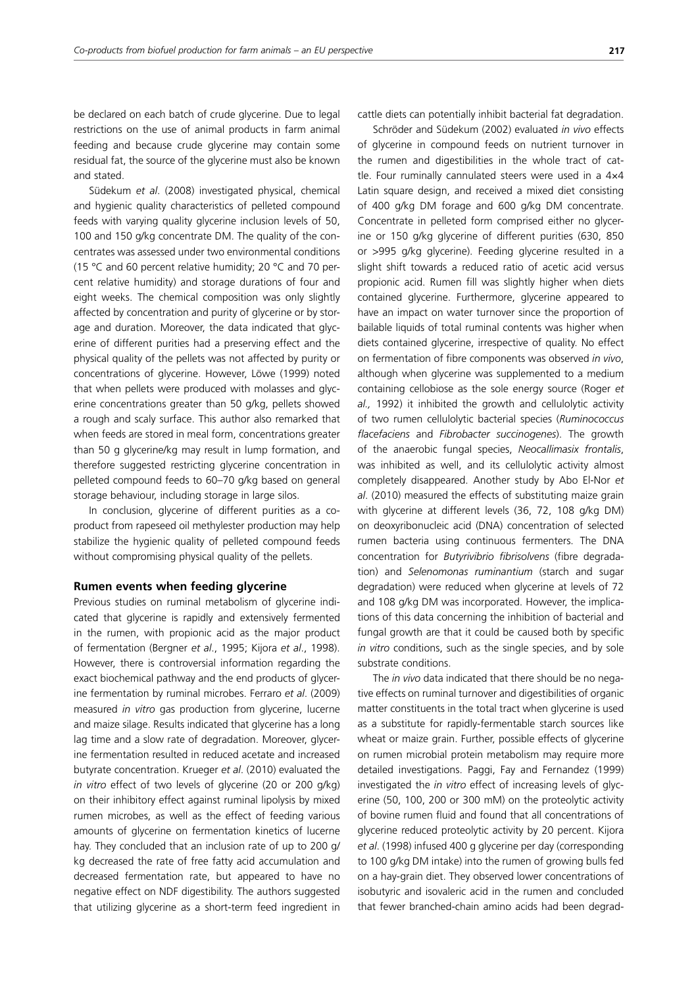be declared on each batch of crude glycerine. Due to legal restrictions on the use of animal products in farm animal feeding and because crude glycerine may contain some residual fat, the source of the glycerine must also be known and stated.

Südekum *et al*. (2008) investigated physical, chemical and hygienic quality characteristics of pelleted compound feeds with varying quality glycerine inclusion levels of 50, 100 and 150 g/kg concentrate DM. The quality of the concentrates was assessed under two environmental conditions (15 °C and 60 percent relative humidity; 20 °C and 70 percent relative humidity) and storage durations of four and eight weeks. The chemical composition was only slightly affected by concentration and purity of glycerine or by storage and duration. Moreover, the data indicated that glycerine of different purities had a preserving effect and the physical quality of the pellets was not affected by purity or concentrations of glycerine. However, Löwe (1999) noted that when pellets were produced with molasses and glycerine concentrations greater than 50 g/kg, pellets showed a rough and scaly surface. This author also remarked that when feeds are stored in meal form, concentrations greater than 50 g glycerine/kg may result in lump formation, and therefore suggested restricting glycerine concentration in pelleted compound feeds to 60–70 g/kg based on general storage behaviour, including storage in large silos.

In conclusion, glycerine of different purities as a coproduct from rapeseed oil methylester production may help stabilize the hygienic quality of pelleted compound feeds without compromising physical quality of the pellets.

#### **Rumen events when feeding glycerine**

Previous studies on ruminal metabolism of glycerine indicated that glycerine is rapidly and extensively fermented in the rumen, with propionic acid as the major product of fermentation (Bergner *et al*., 1995; Kijora *et al*., 1998). However, there is controversial information regarding the exact biochemical pathway and the end products of glycerine fermentation by ruminal microbes. Ferraro *et al*. (2009) measured *in vitro* gas production from glycerine, lucerne and maize silage. Results indicated that glycerine has a long lag time and a slow rate of degradation. Moreover, glycerine fermentation resulted in reduced acetate and increased butyrate concentration. Krueger *et al*. (2010) evaluated the *in vitro* effect of two levels of glycerine (20 or 200 g/kg) on their inhibitory effect against ruminal lipolysis by mixed rumen microbes, as well as the effect of feeding various amounts of glycerine on fermentation kinetics of lucerne hay. They concluded that an inclusion rate of up to 200 g/ kg decreased the rate of free fatty acid accumulation and decreased fermentation rate, but appeared to have no negative effect on NDF digestibility. The authors suggested that utilizing glycerine as a short-term feed ingredient in cattle diets can potentially inhibit bacterial fat degradation.

Schröder and Südekum (2002) evaluated *in vivo* effects of glycerine in compound feeds on nutrient turnover in the rumen and digestibilities in the whole tract of cattle. Four ruminally cannulated steers were used in a 4×4 Latin square design, and received a mixed diet consisting of 400 g/kg DM forage and 600 g/kg DM concentrate. Concentrate in pelleted form comprised either no glycerine or 150 g/kg glycerine of different purities (630, 850 or >995 g/kg glycerine). Feeding glycerine resulted in a slight shift towards a reduced ratio of acetic acid versus propionic acid. Rumen fill was slightly higher when diets contained glycerine. Furthermore, glycerine appeared to have an impact on water turnover since the proportion of bailable liquids of total ruminal contents was higher when diets contained glycerine, irrespective of quality. No effect on fermentation of fibre components was observed *in vivo*, although when glycerine was supplemented to a medium containing cellobiose as the sole energy source (Roger *et al.,* 1992) it inhibited the growth and cellulolytic activity of two rumen cellulolytic bacterial species (*Ruminococcus flacefaciens* and *Fibrobacter succinogenes*). The growth of the anaerobic fungal species, *Neocallimasix frontalis*, was inhibited as well, and its cellulolytic activity almost completely disappeared. Another study by Abo El-Nor *et al*. (2010) measured the effects of substituting maize grain with glycerine at different levels (36, 72, 108 g/kg DM) on deoxyribonucleic acid (DNA) concentration of selected rumen bacteria using continuous fermenters. The DNA concentration for *Butyrivibrio fibrisolvens* (fibre degradation) and *Selenomonas ruminantium* (starch and sugar degradation) were reduced when glycerine at levels of 72 and 108 g/kg DM was incorporated. However, the implications of this data concerning the inhibition of bacterial and fungal growth are that it could be caused both by specific *in vitro* conditions, such as the single species, and by sole substrate conditions.

The *in vivo* data indicated that there should be no negative effects on ruminal turnover and digestibilities of organic matter constituents in the total tract when glycerine is used as a substitute for rapidly-fermentable starch sources like wheat or maize grain. Further, possible effects of glycerine on rumen microbial protein metabolism may require more detailed investigations. Paggi, Fay and Fernandez (1999) investigated the *in vitro* effect of increasing levels of glycerine (50, 100, 200 or 300 mM) on the proteolytic activity of bovine rumen fluid and found that all concentrations of glycerine reduced proteolytic activity by 20 percent. Kijora *et al*. (1998) infused 400 g glycerine per day (corresponding to 100 g/kg DM intake) into the rumen of growing bulls fed on a hay-grain diet. They observed lower concentrations of isobutyric and isovaleric acid in the rumen and concluded that fewer branched-chain amino acids had been degrad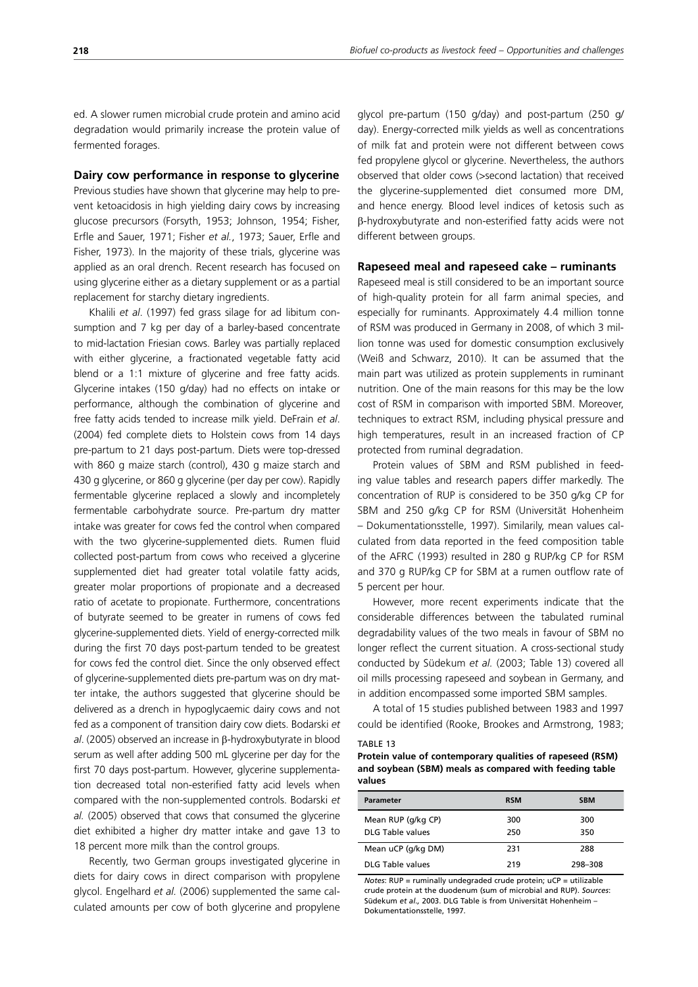ed. A slower rumen microbial crude protein and amino acid degradation would primarily increase the protein value of fermented forages.

#### **Dairy cow performance in response to glycerine**

Previous studies have shown that glycerine may help to prevent ketoacidosis in high yielding dairy cows by increasing glucose precursors (Forsyth, 1953; Johnson, 1954; Fisher, Erfle and Sauer, 1971; Fisher *et al.*, 1973; Sauer, Erfle and Fisher, 1973). In the majority of these trials, glycerine was applied as an oral drench. Recent research has focused on using glycerine either as a dietary supplement or as a partial replacement for starchy dietary ingredients.

Khalili *et al*. (1997) fed grass silage for ad libitum consumption and 7 kg per day of a barley-based concentrate to mid-lactation Friesian cows. Barley was partially replaced with either glycerine, a fractionated vegetable fatty acid blend or a 1:1 mixture of glycerine and free fatty acids. Glycerine intakes (150 g/day) had no effects on intake or performance, although the combination of glycerine and free fatty acids tended to increase milk yield. DeFrain *et al*. (2004) fed complete diets to Holstein cows from 14 days pre-partum to 21 days post-partum. Diets were top-dressed with 860 g maize starch (control), 430 g maize starch and 430 g glycerine, or 860 g glycerine (per day per cow). Rapidly fermentable glycerine replaced a slowly and incompletely fermentable carbohydrate source. Pre-partum dry matter intake was greater for cows fed the control when compared with the two glycerine-supplemented diets. Rumen fluid collected post-partum from cows who received a glycerine supplemented diet had greater total volatile fatty acids, greater molar proportions of propionate and a decreased ratio of acetate to propionate. Furthermore, concentrations of butyrate seemed to be greater in rumens of cows fed glycerine-supplemented diets. Yield of energy-corrected milk during the first 70 days post-partum tended to be greatest for cows fed the control diet. Since the only observed effect of glycerine-supplemented diets pre-partum was on dry matter intake, the authors suggested that glycerine should be delivered as a drench in hypoglycaemic dairy cows and not fed as a component of transition dairy cow diets. Bodarski *et al*. (2005) observed an increase in β-hydroxybutyrate in blood serum as well after adding 500 mL glycerine per day for the first 70 days post-partum. However, glycerine supplementation decreased total non-esterified fatty acid levels when compared with the non-supplemented controls. Bodarski *et al.* (2005) observed that cows that consumed the glycerine diet exhibited a higher dry matter intake and gave 13 to 18 percent more milk than the control groups.

Recently, two German groups investigated glycerine in diets for dairy cows in direct comparison with propylene glycol. Engelhard *et al.* (2006) supplemented the same calculated amounts per cow of both glycerine and propylene glycol pre-partum (150 g/day) and post-partum (250 g/ day). Energy-corrected milk yields as well as concentrations of milk fat and protein were not different between cows fed propylene glycol or glycerine. Nevertheless, the authors observed that older cows (>second lactation) that received the glycerine-supplemented diet consumed more DM, and hence energy. Blood level indices of ketosis such as β-hydroxybutyrate and non-esterified fatty acids were not different between groups.

#### **Rapeseed meal and rapeseed cake – ruminants**

Rapeseed meal is still considered to be an important source of high-quality protein for all farm animal species, and especially for ruminants. Approximately 4.4 million tonne of RSM was produced in Germany in 2008, of which 3 million tonne was used for domestic consumption exclusively (Weiß and Schwarz, 2010). It can be assumed that the main part was utilized as protein supplements in ruminant nutrition. One of the main reasons for this may be the low cost of RSM in comparison with imported SBM. Moreover, techniques to extract RSM, including physical pressure and high temperatures, result in an increased fraction of CP protected from ruminal degradation.

Protein values of SBM and RSM published in feeding value tables and research papers differ markedly. The concentration of RUP is considered to be 350 g/kg CP for SBM and 250 g/kg CP for RSM (Universität Hohenheim – Dokumentationsstelle, 1997). Similarily, mean values calculated from data reported in the feed composition table of the AFRC (1993) resulted in 280 g RUP/kg CP for RSM and 370 g RUP/kg CP for SBM at a rumen outflow rate of 5 percent per hour.

However, more recent experiments indicate that the considerable differences between the tabulated ruminal degradability values of the two meals in favour of SBM no longer reflect the current situation. A cross-sectional study conducted by Südekum *et al.* (2003; Table 13) covered all oil mills processing rapeseed and soybean in Germany, and in addition encompassed some imported SBM samples.

A total of 15 studies published between 1983 and 1997 could be identified (Rooke, Brookes and Armstrong, 1983;

#### TABLE 13

**Protein value of contemporary qualities of rapeseed (RSM) and soybean (SBM) meals as compared with feeding table values**

| <b>Parameter</b>   | <b>RSM</b> | <b>SBM</b> |
|--------------------|------------|------------|
| Mean RUP (g/kg CP) | 300        | 300        |
| DLG Table values   | 250        | 350        |
| Mean uCP (g/kg DM) | 231        | 288        |
| DLG Table values   | 219        | 298-308    |

*Notes*: RUP = ruminally undegraded crude protein; uCP = utilizable crude protein at the duodenum (sum of microbial and RUP). *Sources*: Südekum *et al.,* 2003. DLG Table is from Universität Hohenheim – Dokumentationsstelle, 1997.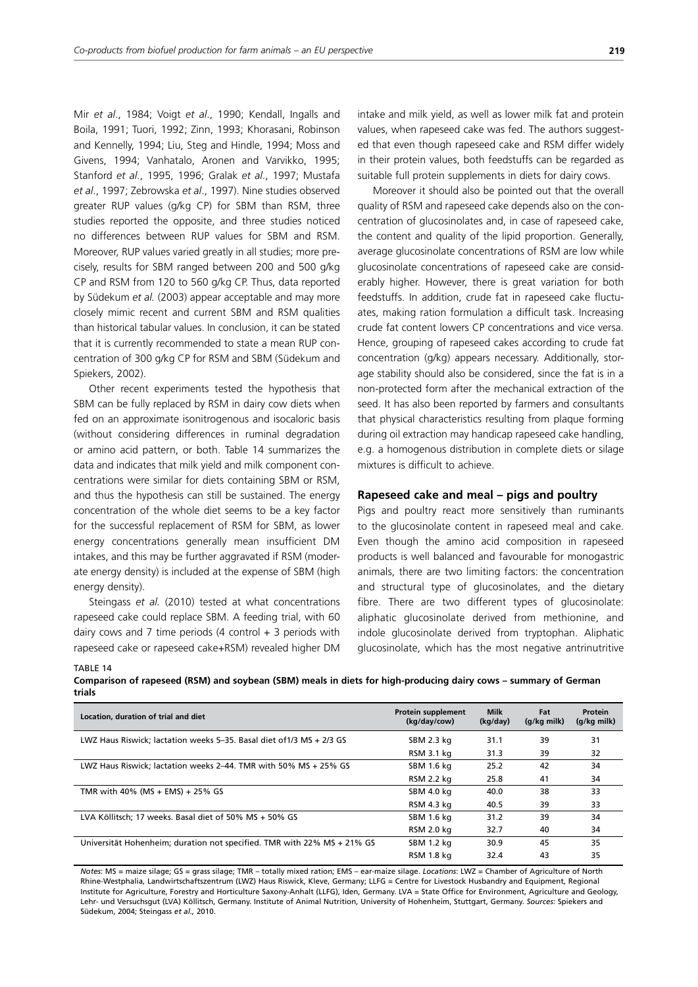Mir *et al*., 1984; Voigt *et al*., 1990; Kendall, Ingalls and Boila, 1991; Tuori, 1992; Zinn, 1993; Khorasani, Robinson and Kennelly, 1994; Liu, Steg and Hindle, 1994; Moss and Givens, 1994; Vanhatalo, Aronen and Varvikko, 1995; Stanford *et al*., 1995, 1996; Gralak *et al*., 1997; Mustafa *et al*., 1997; Zebrowska *et al*., 1997). Nine studies observed greater RUP values (g/kg CP) for SBM than RSM, three studies reported the opposite, and three studies noticed no differences between RUP values for SBM and RSM. Moreover, RUP values varied greatly in all studies; more precisely, results for SBM ranged between 200 and 500 g/kg CP and RSM from 120 to 560 g/kg CP. Thus, data reported by Südekum *et al.* (2003) appear acceptable and may more closely mimic recent and current SBM and RSM qualities than historical tabular values. In conclusion, it can be stated that it is currently recommended to state a mean RUP concentration of 300 g/kg CP for RSM and SBM (Südekum and Spiekers, 2002).

Other recent experiments tested the hypothesis that SBM can be fully replaced by RSM in dairy cow diets when fed on an approximate isonitrogenous and isocaloric basis (without considering differences in ruminal degradation or amino acid pattern, or both. Table 14 summarizes the data and indicates that milk yield and milk component concentrations were similar for diets containing SBM or RSM, and thus the hypothesis can still be sustained. The energy concentration of the whole diet seems to be a key factor for the successful replacement of RSM for SBM, as lower energy concentrations generally mean insufficient DM intakes, and this may be further aggravated if RSM (moderate energy density) is included at the expense of SBM (high energy density).

Steingass *et al.* (2010) tested at what concentrations rapeseed cake could replace SBM. A feeding trial, with 60 dairy cows and 7 time periods (4 control  $+$  3 periods with rapeseed cake or rapeseed cake+RSM) revealed higher DM intake and milk yield, as well as lower milk fat and protein values, when rapeseed cake was fed. The authors suggested that even though rapeseed cake and RSM differ widely in their protein values, both feedstuffs can be regarded as suitable full protein supplements in diets for dairy cows.

Moreover it should also be pointed out that the overall quality of RSM and rapeseed cake depends also on the concentration of glucosinolates and, in case of rapeseed cake, the content and quality of the lipid proportion. Generally, average glucosinolate concentrations of RSM are low while glucosinolate concentrations of rapeseed cake are considerably higher. However, there is great variation for both feedstuffs. In addition, crude fat in rapeseed cake fluctuates, making ration formulation a difficult task. Increasing crude fat content lowers CP concentrations and vice versa. Hence, grouping of rapeseed cakes according to crude fat concentration (g/kg) appears necessary. Additionally, storage stability should also be considered, since the fat is in a non-protected form after the mechanical extraction of the seed. It has also been reported by farmers and consultants that physical characteristics resulting from plaque forming during oil extraction may handicap rapeseed cake handling, e.g. a homogenous distribution in complete diets or silage mixtures is difficult to achieve.

# **Rapeseed cake and meal – pigs and poultry**

Pigs and poultry react more sensitively than ruminants to the glucosinolate content in rapeseed meal and cake. Even though the amino acid composition in rapeseed products is well balanced and favourable for monogastric animals, there are two limiting factors: the concentration and structural type of glucosinolates, and the dietary fibre. There are two different types of glucosinolate: aliphatic glucosinolate derived from methionine, and indole glucosinolate derived from tryptophan. Aliphatic glucosinolate, which has the most negative antrinutritive

TABLE 14

| Comparison of rapeseed (RSM) and soybean (SBM) meals in diets for high-producing dairy cows – summary of German |  |  |
|-----------------------------------------------------------------------------------------------------------------|--|--|
| trials                                                                                                          |  |  |

| Location, duration of trial and diet                                    | Protein supplement<br>(kg/day/cow) | <b>Milk</b><br>(kg/day) | Fat<br>(g/kg milk) | Protein<br>(g/kg milk) |
|-------------------------------------------------------------------------|------------------------------------|-------------------------|--------------------|------------------------|
| LWZ Haus Riswick; lactation weeks 5–35. Basal diet of 1/3 MS + 2/3 GS   | SBM 2.3 kg                         | 31.1                    | 39                 | 31                     |
|                                                                         | RSM 3.1 kg                         | 31.3                    | 39                 | 32                     |
| LWZ Haus Riswick; lactation weeks 2-44. TMR with 50% MS + 25% GS        | SBM 1.6 kg                         | 25.2                    | 42                 | 34                     |
|                                                                         | RSM 2.2 kg                         | 25.8                    | 41                 | 34                     |
| TMR with 40% (MS + EMS) + 25% GS                                        | SBM 4.0 kg                         | 40.0                    | 38                 | 33                     |
|                                                                         | RSM 4.3 kg                         | 40.5                    | 39                 | 33                     |
| LVA Köllitsch: 17 weeks. Basal diet of 50% MS + 50% GS                  | SBM 1.6 kg                         | 31.2                    | 39                 | 34                     |
|                                                                         | RSM 2.0 kg                         | 32.7                    | 40                 | 34                     |
| Universität Hohenheim; duration not specified. TMR with 22% MS + 21% GS | SBM 1.2 kg                         | 30.9                    | 45                 | 35                     |
|                                                                         | RSM 1.8 ka                         | 32.4                    | 43                 | 35                     |

*Notes*: MS = maize silage; GS = grass silage; TMR – totally mixed ration; EMS – ear-maize silage. *Locations*: LWZ = Chamber of Agriculture of North Rhine-Westphalia, Landwirtschaftszentrum (LWZ) Haus Riswick, Kleve, Germany; LLFG = Centre for Livestock Husbandry and Equipment, Regional Institute for Agriculture, Forestry and Horticulture Saxony-Anhalt (LLFG), Iden, Germany. LVA = State Office for Environment, Agriculture and Geology, Lehr- und Versuchsgut (LVA) Köllitsch, Germany. Institute of Animal Nutrition, University of Hohenheim, Stuttgart, Germany. *Sources*: Spiekers and Südekum, 2004; Steingass *et al.,* 2010.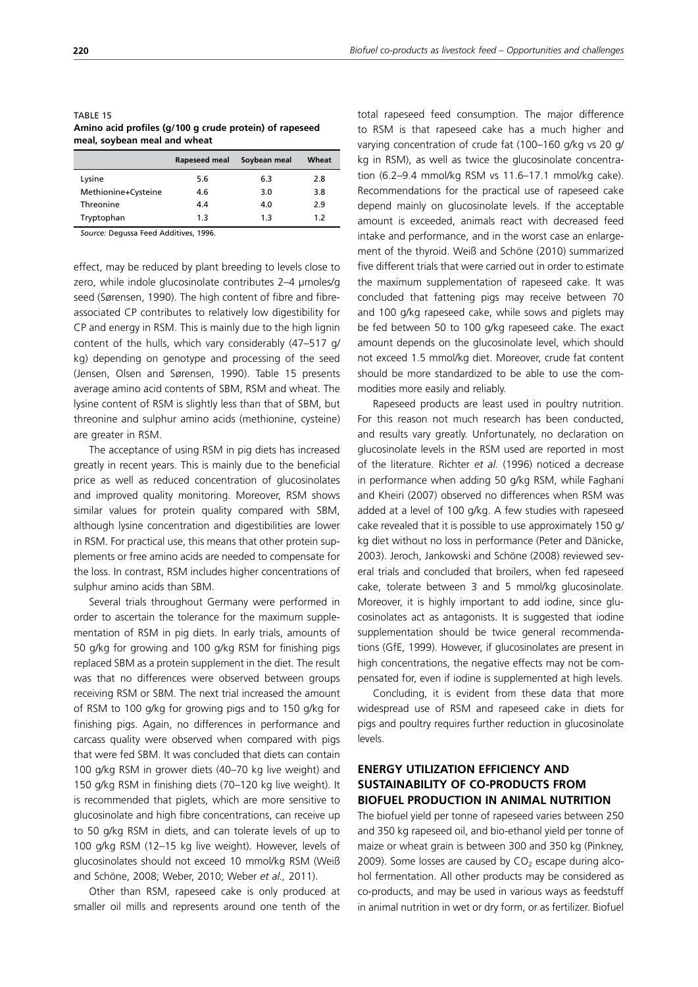| meal, soybean meal and wheat                            |  |
|---------------------------------------------------------|--|
| Amino acid profiles (g/100 g crude protein) of rapeseed |  |
| IADLE 13                                                |  |

|                     | Rapeseed meal | Soybean meal | Wheat |
|---------------------|---------------|--------------|-------|
| Lysine              | 5.6           | 6.3          | 2.8   |
| Methionine+Cysteine | 4.6           | 3.0          | 3.8   |
| Threonine           | 44            | 4.0          | 2.9   |
| Tryptophan          | 1.3           | 1.3          | 1.2   |

*Source:* Degussa Feed Additives, 1996.

effect, may be reduced by plant breeding to levels close to zero, while indole glucosinolate contributes 2–4 µmoles/g seed (Sørensen, 1990). The high content of fibre and fibreassociated CP contributes to relatively low digestibility for CP and energy in RSM. This is mainly due to the high lignin content of the hulls, which vary considerably (47–517 g/ kg) depending on genotype and processing of the seed (Jensen, Olsen and Sørensen, 1990). Table 15 presents average amino acid contents of SBM, RSM and wheat. The lysine content of RSM is slightly less than that of SBM, but threonine and sulphur amino acids (methionine, cysteine) are greater in RSM.

The acceptance of using RSM in pig diets has increased greatly in recent years. This is mainly due to the beneficial price as well as reduced concentration of glucosinolates and improved quality monitoring. Moreover, RSM shows similar values for protein quality compared with SBM, although lysine concentration and digestibilities are lower in RSM. For practical use, this means that other protein supplements or free amino acids are needed to compensate for the loss. In contrast, RSM includes higher concentrations of sulphur amino acids than SBM.

Several trials throughout Germany were performed in order to ascertain the tolerance for the maximum supplementation of RSM in pig diets. In early trials, amounts of 50 g/kg for growing and 100 g/kg RSM for finishing pigs replaced SBM as a protein supplement in the diet. The result was that no differences were observed between groups receiving RSM or SBM. The next trial increased the amount of RSM to 100 g/kg for growing pigs and to 150 g/kg for finishing pigs. Again, no differences in performance and carcass quality were observed when compared with pigs that were fed SBM. It was concluded that diets can contain 100 g/kg RSM in grower diets (40–70 kg live weight) and 150 g/kg RSM in finishing diets (70–120 kg live weight). It is recommended that piglets, which are more sensitive to glucosinolate and high fibre concentrations, can receive up to 50 g/kg RSM in diets, and can tolerate levels of up to 100 g/kg RSM (12–15 kg live weight). However, levels of glucosinolates should not exceed 10 mmol/kg RSM (Weiß and Schöne, 2008; Weber, 2010; Weber *et al.,* 2011).

Other than RSM, rapeseed cake is only produced at smaller oil mills and represents around one tenth of the total rapeseed feed consumption. The major difference to RSM is that rapeseed cake has a much higher and varying concentration of crude fat (100–160 g/kg vs 20 g/ kg in RSM), as well as twice the glucosinolate concentration (6.2–9.4 mmol/kg RSM vs 11.6–17.1 mmol/kg cake). Recommendations for the practical use of rapeseed cake depend mainly on glucosinolate levels. If the acceptable amount is exceeded, animals react with decreased feed intake and performance, and in the worst case an enlargement of the thyroid. Weiß and Schöne (2010) summarized five different trials that were carried out in order to estimate the maximum supplementation of rapeseed cake. It was concluded that fattening pigs may receive between 70 and 100 g/kg rapeseed cake, while sows and piglets may be fed between 50 to 100 g/kg rapeseed cake. The exact amount depends on the glucosinolate level, which should not exceed 1.5 mmol/kg diet. Moreover, crude fat content should be more standardized to be able to use the commodities more easily and reliably.

Rapeseed products are least used in poultry nutrition. For this reason not much research has been conducted, and results vary greatly. Unfortunately, no declaration on glucosinolate levels in the RSM used are reported in most of the literature. Richter *et al.* (1996) noticed a decrease in performance when adding 50 g/kg RSM, while Faghani and Kheiri (2007) observed no differences when RSM was added at a level of 100 g/kg. A few studies with rapeseed cake revealed that it is possible to use approximately 150 g/ kg diet without no loss in performance (Peter and Dänicke, 2003). Jeroch, Jankowski and Schöne (2008) reviewed several trials and concluded that broilers, when fed rapeseed cake, tolerate between 3 and 5 mmol/kg glucosinolate. Moreover, it is highly important to add iodine, since glucosinolates act as antagonists. It is suggested that iodine supplementation should be twice general recommendations (GfE, 1999). However, if glucosinolates are present in high concentrations, the negative effects may not be compensated for, even if iodine is supplemented at high levels.

Concluding, it is evident from these data that more widespread use of RSM and rapeseed cake in diets for pigs and poultry requires further reduction in glucosinolate levels.

# **ENERGY UTILIZATION EFFICIENCY AND SUSTAINABILITY OF CO-PRODUCTS FROM BIOFUEL PRODUCTION IN ANIMAL NUTRITION**

The biofuel yield per tonne of rapeseed varies between 250 and 350 kg rapeseed oil, and bio-ethanol yield per tonne of maize or wheat grain is between 300 and 350 kg (Pinkney, 2009). Some losses are caused by  $CO<sub>2</sub>$  escape during alcohol fermentation. All other products may be considered as co-products, and may be used in various ways as feedstuff in animal nutrition in wet or dry form, or as fertilizer. Biofuel

TABLE 15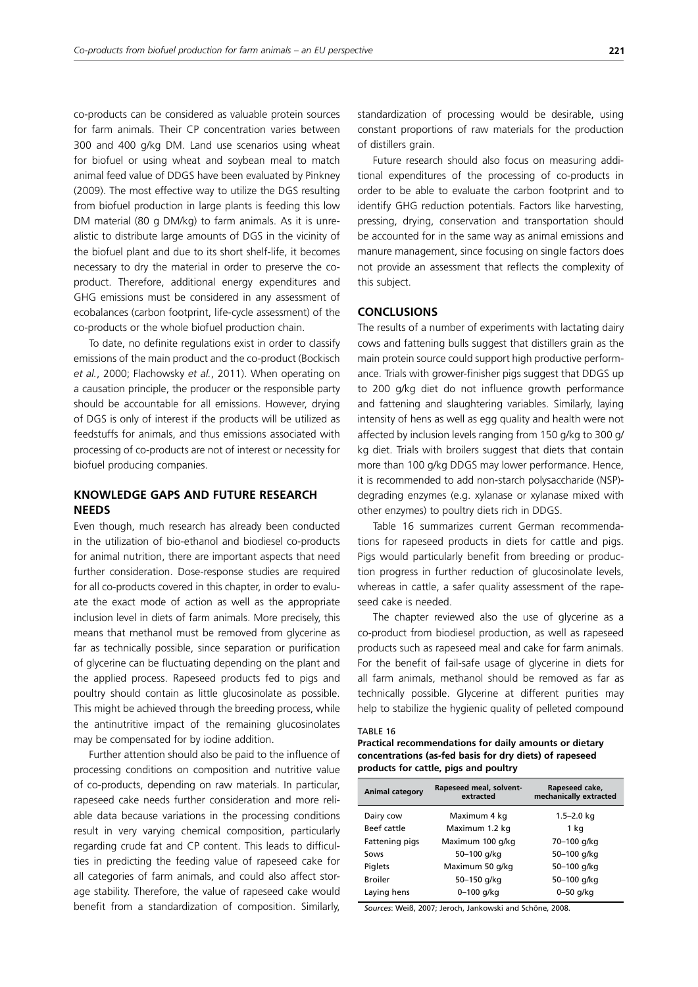co-products can be considered as valuable protein sources for farm animals. Their CP concentration varies between 300 and 400 g/kg DM. Land use scenarios using wheat for biofuel or using wheat and soybean meal to match animal feed value of DDGS have been evaluated by Pinkney (2009). The most effective way to utilize the DGS resulting from biofuel production in large plants is feeding this low DM material (80 g DM/kg) to farm animals. As it is unrealistic to distribute large amounts of DGS in the vicinity of the biofuel plant and due to its short shelf-life, it becomes necessary to dry the material in order to preserve the coproduct. Therefore, additional energy expenditures and GHG emissions must be considered in any assessment of ecobalances (carbon footprint, life-cycle assessment) of the co-products or the whole biofuel production chain.

To date, no definite regulations exist in order to classify emissions of the main product and the co-product (Bockisch *et al.*, 2000; Flachowsky *et al.*, 2011). When operating on a causation principle, the producer or the responsible party should be accountable for all emissions. However, drying of DGS is only of interest if the products will be utilized as feedstuffs for animals, and thus emissions associated with processing of co-products are not of interest or necessity for biofuel producing companies.

# **KNOWLEDGE GAPS AND FUTURE RESEARCH NEEDS**

Even though, much research has already been conducted in the utilization of bio-ethanol and biodiesel co-products for animal nutrition, there are important aspects that need further consideration. Dose-response studies are required for all co-products covered in this chapter, in order to evaluate the exact mode of action as well as the appropriate inclusion level in diets of farm animals. More precisely, this means that methanol must be removed from glycerine as far as technically possible, since separation or purification of glycerine can be fluctuating depending on the plant and the applied process. Rapeseed products fed to pigs and poultry should contain as little glucosinolate as possible. This might be achieved through the breeding process, while the antinutritive impact of the remaining glucosinolates may be compensated for by iodine addition.

Further attention should also be paid to the influence of processing conditions on composition and nutritive value of co-products, depending on raw materials. In particular, rapeseed cake needs further consideration and more reliable data because variations in the processing conditions result in very varying chemical composition, particularly regarding crude fat and CP content. This leads to difficulties in predicting the feeding value of rapeseed cake for all categories of farm animals, and could also affect storage stability. Therefore, the value of rapeseed cake would benefit from a standardization of composition. Similarly, standardization of processing would be desirable, using constant proportions of raw materials for the production of distillers grain.

Future research should also focus on measuring additional expenditures of the processing of co-products in order to be able to evaluate the carbon footprint and to identify GHG reduction potentials. Factors like harvesting, pressing, drying, conservation and transportation should be accounted for in the same way as animal emissions and manure management, since focusing on single factors does not provide an assessment that reflects the complexity of this subject.

## **CONCLUSIONS**

The results of a number of experiments with lactating dairy cows and fattening bulls suggest that distillers grain as the main protein source could support high productive performance. Trials with grower-finisher pigs suggest that DDGS up to 200 g/kg diet do not influence growth performance and fattening and slaughtering variables. Similarly, laying intensity of hens as well as egg quality and health were not affected by inclusion levels ranging from 150 g/kg to 300 g/ kg diet. Trials with broilers suggest that diets that contain more than 100 g/kg DDGS may lower performance. Hence, it is recommended to add non-starch polysaccharide (NSP) degrading enzymes (e.g. xylanase or xylanase mixed with other enzymes) to poultry diets rich in DDGS.

Table 16 summarizes current German recommendations for rapeseed products in diets for cattle and pigs. Pigs would particularly benefit from breeding or production progress in further reduction of glucosinolate levels, whereas in cattle, a safer quality assessment of the rapeseed cake is needed.

The chapter reviewed also the use of glycerine as a co-product from biodiesel production, as well as rapeseed products such as rapeseed meal and cake for farm animals. For the benefit of fail-safe usage of glycerine in diets for all farm animals, methanol should be removed as far as technically possible. Glycerine at different purities may help to stabilize the hygienic quality of pelleted compound

#### TABLE 16

**Practical recommendations for daily amounts or dietary concentrations (as-fed basis for dry diets) of rapeseed products for cattle, pigs and poultry** 

| <b>Animal category</b> | Rapeseed meal, solvent-<br>extracted | Rapeseed cake,<br>mechanically extracted |
|------------------------|--------------------------------------|------------------------------------------|
| Dairy cow              | Maximum 4 kg                         | $1.5 - 2.0$ kg                           |
| Beef cattle            | Maximum 1.2 kg                       | 1 kg                                     |
| Fattening pigs         | Maximum 100 g/kg                     | 70-100 g/kg                              |
| Sows                   | 50-100 g/kg                          | 50-100 g/kg                              |
| Piglets                | Maximum 50 g/kg                      | 50-100 g/kg                              |
| <b>Broiler</b>         | 50-150 g/kg                          | 50-100 g/kg                              |
| Laying hens            | $0 - 100$ g/kg                       | $0 - 50$ g/kg                            |

*Sources*: Weiß, 2007; Jeroch, Jankowski and Schöne, 2008.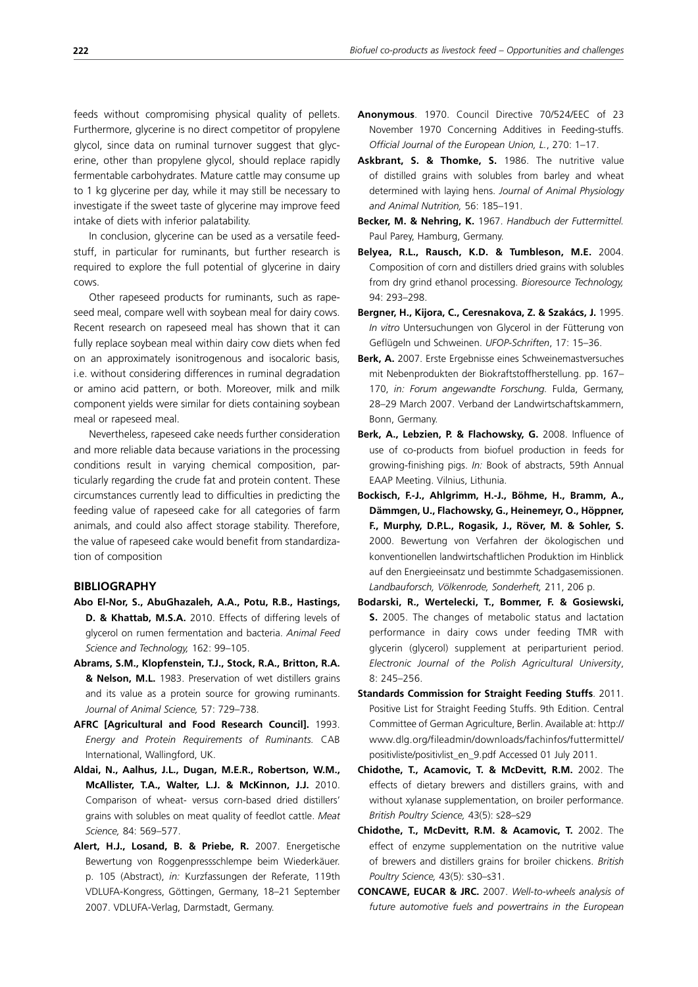feeds without compromising physical quality of pellets. Furthermore, glycerine is no direct competitor of propylene glycol, since data on ruminal turnover suggest that glycerine, other than propylene glycol, should replace rapidly fermentable carbohydrates. Mature cattle may consume up to 1 kg glycerine per day, while it may still be necessary to investigate if the sweet taste of glycerine may improve feed intake of diets with inferior palatability.

In conclusion, glycerine can be used as a versatile feedstuff, in particular for ruminants, but further research is required to explore the full potential of glycerine in dairy cows.

Other rapeseed products for ruminants, such as rapeseed meal, compare well with soybean meal for dairy cows. Recent research on rapeseed meal has shown that it can fully replace soybean meal within dairy cow diets when fed on an approximately isonitrogenous and isocaloric basis, i.e. without considering differences in ruminal degradation or amino acid pattern, or both. Moreover, milk and milk component yields were similar for diets containing soybean meal or rapeseed meal.

Nevertheless, rapeseed cake needs further consideration and more reliable data because variations in the processing conditions result in varying chemical composition, particularly regarding the crude fat and protein content. These circumstances currently lead to difficulties in predicting the feeding value of rapeseed cake for all categories of farm animals, and could also affect storage stability. Therefore, the value of rapeseed cake would benefit from standardization of composition

## **BIBLIOGRAPHY**

- **Abo El-Nor, S., AbuGhazaleh, A.A., Potu, R.B., Hastings, D. & Khattab, M.S.A.** 2010. Effects of differing levels of glycerol on rumen fermentation and bacteria. *Animal Feed Science and Technology,* 162: 99–105.
- **Abrams, S.M., Klopfenstein, T.J., Stock, R.A., Britton, R.A. & Nelson, M.L.** 1983. Preservation of wet distillers grains and its value as a protein source for growing ruminants. *Journal of Animal Science,* 57: 729–738.
- **AFRC [Agricultural and Food Research Council].** 1993. *Energy and Protein Requirements of Ruminants.* CAB International, Wallingford, UK.
- **Aldai, N., Aalhus, J.L., Dugan, M.E.R., Robertson, W.M., McAllister, T.A., Walter, L.J. & McKinnon, J.J.** 2010. Comparison of wheat- versus corn-based dried distillers' grains with solubles on meat quality of feedlot cattle. *Meat Science,* 84: 569–577.
- **Alert, H.J., Losand, B. & Priebe, R.** 2007. Energetische Bewertung von Roggenpressschlempe beim Wiederkäuer. p. 105 (Abstract), *in:* Kurzfassungen der Referate, 119th VDLUFA-Kongress, Göttingen, Germany, 18–21 September 2007. VDLUFA-Verlag, Darmstadt, Germany.
- **Anonymous**. 1970. Council Directive 70/524/EEC of 23 November 1970 Concerning Additives in Feeding-stuffs. *Official Journal of the European Union, L.*, 270: 1–17.
- Askbrant, S. & Thomke, S. 1986. The nutritive value of distilled grains with solubles from barley and wheat determined with laying hens. *Journal of Animal Physiology and Animal Nutrition,* 56: 185–191.
- **Becker, M. & Nehring, K.** 1967. *Handbuch der Futtermittel.* Paul Parey, Hamburg, Germany.
- **Belyea, R.L., Rausch, K.D. & Tumbleson, M.E.** 2004. Composition of corn and distillers dried grains with solubles from dry grind ethanol processing. *Bioresource Technology,* 94: 293–298.
- **Bergner, H., Kijora, C., Ceresnakova, Z. & Szakács, J.** 1995. *In vitro* Untersuchungen von Glycerol in der Fütterung von Geflügeln und Schweinen. *UFOP-Schriften*, 17: 15–36.
- **Berk, A.** 2007. Erste Ergebnisse eines Schweinemastversuches mit Nebenprodukten der Biokraftstoffherstellung. pp. 167– 170, *in: Forum angewandte Forschung.* Fulda, Germany, 28–29 March 2007. Verband der Landwirtschaftskammern, Bonn, Germany.
- **Berk, A., Lebzien, P. & Flachowsky, G.** 2008. Influence of use of co-products from biofuel production in feeds for growing-finishing pigs. *In:* Book of abstracts, 59th Annual EAAP Meeting. Vilnius, Lithunia.
- **Bockisch, F.-J., Ahlgrimm, H.-J., Böhme, H., Bramm, A., Dämmgen, U., Flachowsky, G., Heinemeyr, O., Höppner, F., Murphy, D.P.L., Rogasik, J., Röver, M. & Sohler, S.** 2000. Bewertung von Verfahren der ökologischen und konventionellen landwirtschaftlichen Produktion im Hinblick auf den Energieeinsatz und bestimmte Schadgasemissionen. *Landbauforsch, Völkenrode, Sonderheft,* 211, 206 p.
- **Bodarski, R., Wertelecki, T., Bommer, F. & Gosiewski, S.** 2005. The changes of metabolic status and lactation performance in dairy cows under feeding TMR with glycerin (glycerol) supplement at periparturient period. *Electronic Journal of the Polish Agricultural University*, 8: 245–256.
- **Standards Commission for Straight Feeding Stuffs**. 2011. Positive List for Straight Feeding Stuffs. 9th Edition. Central Committee of German Agriculture, Berlin. Available at: http:// www.dlg.org/fileadmin/downloads/fachinfos/futtermittel/ positivliste/positivlist\_en\_9.pdf Accessed 01 July 2011.
- **Chidothe, T., Acamovic, T. & McDevitt, R.M.** 2002. The effects of dietary brewers and distillers grains, with and without xylanase supplementation, on broiler performance. *British Poultry Science,* 43(5): s28–s29
- **Chidothe, T., McDevitt, R.M. & Acamovic, T.** 2002. The effect of enzyme supplementation on the nutritive value of brewers and distillers grains for broiler chickens. *British Poultry Science,* 43(5): s30–s31.
- **CONCAWE, EUCAR & JRC.** 2007. *Well-to-wheels analysis of future automotive fuels and powertrains in the European*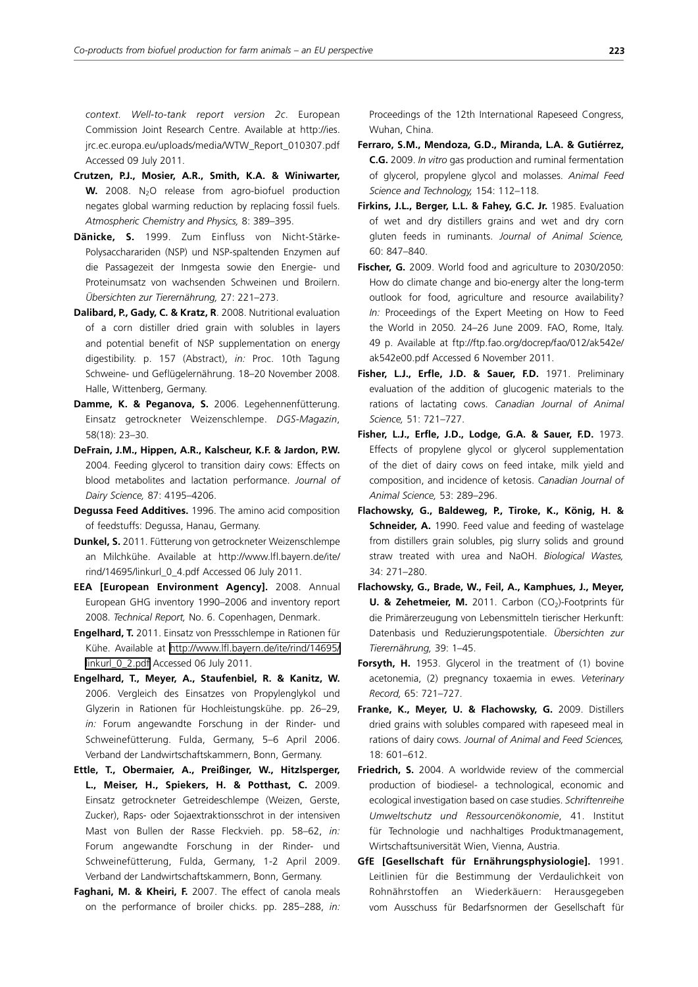*context. Well-to-tank report version 2c*. European Commission Joint Research Centre. Available at http://ies. jrc.ec.europa.eu/uploads/media/WTW\_Report\_010307.pdf Accessed 09 July 2011.

- **Crutzen, P.J., Mosier, A.R., Smith, K.A. & Winiwarter, W.** 2008. N<sub>2</sub>O release from agro-biofuel production negates global warming reduction by replacing fossil fuels. *Atmospheric Chemistry and Physics,* 8: 389–395.
- **Dänicke, S.** 1999. Zum Einfluss von Nicht-Stärke-Polysaccharariden (NSP) und NSP-spaltenden Enzymen auf die Passagezeit der Inmgesta sowie den Energie- und Proteinumsatz von wachsenden Schweinen und Broilern. *Übersichten zur Tierernährung,* 27: 221–273.
- **Dalibard, P., Gady, C. & Kratz, R**. 2008. Nutritional evaluation of a corn distiller dried grain with solubles in layers and potential benefit of NSP supplementation on energy digestibility. p. 157 (Abstract), *in:* Proc. 10th Tagung Schweine- und Geflügelernährung. 18–20 November 2008. Halle, Wittenberg, Germany.
- **Damme, K. & Peganova, S.** 2006. Legehennenfütterung. Einsatz getrockneter Weizenschlempe. *DGS-Magazin*, 58(18): 23–30.
- **DeFrain, J.M., Hippen, A.R., Kalscheur, K.F. & Jardon, P.W.**  2004. Feeding glycerol to transition dairy cows: Effects on blood metabolites and lactation performance. *Journal of Dairy Science,* 87: 4195–4206.
- **Degussa Feed Additives.** 1996. The amino acid composition of feedstuffs: Degussa, Hanau, Germany.
- **Dunkel, S.** 2011. Fütterung von getrockneter Weizenschlempe an Milchkühe. Available at http://www.lfl.bayern.de/ite/ rind/14695/linkurl\_0\_4.pdf Accessed 06 July 2011.
- **EEA [European Environment Agency].** 2008. Annual European GHG inventory 1990–2006 and inventory report 2008. *Technical Report,* No. 6. Copenhagen, Denmark.
- **Engelhard, T.** 2011. Einsatz von Pressschlempe in Rationen für Kühe. Available at [http://www.lfl.bayern.de/ite/rind/14695/](http://www.lfl.bayern.de/ite/rind/14695/linkurl_0_2.pdf) [linkurl\\_0\\_2.pdf](http://www.lfl.bayern.de/ite/rind/14695/linkurl_0_2.pdf) Accessed 06 July 2011.
- **Engelhard, T., Meyer, A., Staufenbiel, R. & Kanitz, W.** 2006. Vergleich des Einsatzes von Propylenglykol und Glyzerin in Rationen für Hochleistungskühe. pp. 26–29, *in:* Forum angewandte Forschung in der Rinder- und Schweinefütterung. Fulda, Germany, 5–6 April 2006. Verband der Landwirtschaftskammern, Bonn, Germany.
- **Ettle, T., Obermaier, A., Preißinger, W., Hitzlsperger, L., Meiser, H., Spiekers, H. & Potthast, C.** 2009. Einsatz getrockneter Getreideschlempe (Weizen, Gerste, Zucker), Raps- oder Sojaextraktionsschrot in der intensiven Mast von Bullen der Rasse Fleckvieh. pp. 58–62, *in:* Forum angewandte Forschung in der Rinder- und Schweinefütterung, Fulda, Germany, 1-2 April 2009. Verband der Landwirtschaftskammern, Bonn, Germany.
- **Faghani, M. & Kheiri, F.** 2007. The effect of canola meals on the performance of broiler chicks. pp. 285–288, *in:*

Proceedings of the 12th International Rapeseed Congress, Wuhan, China.

- **Ferraro, S.M., Mendoza, G.D., Miranda, L.A. & Gutiérrez, C.G.** 2009. *In vitro* gas production and ruminal fermentation of glycerol, propylene glycol and molasses. *Animal Feed Science and Technology,* 154: 112–118.
- **Firkins, J.L., Berger, L.L. & Fahey, G.C. Jr.** 1985. Evaluation of wet and dry distillers grains and wet and dry corn gluten feeds in ruminants. *Journal of Animal Science,* 60: 847–840.
- Fischer, G. 2009. World food and agriculture to 2030/2050: How do climate change and bio-energy alter the long-term outlook for food, agriculture and resource availability? *In:* Proceedings of the Expert Meeting on How to Feed the World in 2050*.* 24–26 June 2009. FAO, Rome, Italy. 49 p. Available at ftp://ftp.fao.org/docrep/fao/012/ak542e/ ak542e00.pdf Accessed 6 November 2011.
- **Fisher, L.J., Erfle, J.D. & Sauer, F.D.** 1971. Preliminary evaluation of the addition of glucogenic materials to the rations of lactating cows. *Canadian Journal of Animal Science,* 51: 721–727.
- **Fisher, L.J., Erfle, J.D., Lodge, G.A. & Sauer, F.D.** 1973. Effects of propylene glycol or glycerol supplementation of the diet of dairy cows on feed intake, milk yield and composition, and incidence of ketosis. *Canadian Journal of Animal Science,* 53: 289–296.
- **Flachowsky, G., Baldeweg, P., Tiroke, K., König, H. & Schneider, A.** 1990. Feed value and feeding of wastelage from distillers grain solubles, pig slurry solids and ground straw treated with urea and NaOH. *Biological Wastes,*  34: 271–280.
- **Flachowsky, G., Brade, W., Feil, A., Kamphues, J., Meyer, U. & Zehetmeier, M.** 2011. Carbon (CO<sub>2</sub>)-Footprints für die Primärerzeugung von Lebensmitteln tierischer Herkunft: Datenbasis und Reduzierungspotentiale. *Übersichten zur Tierernährung,* 39: 1–45.
- **Forsyth, H.** 1953. Glycerol in the treatment of (1) bovine acetonemia, (2) pregnancy toxaemia in ewes. *Veterinary Record,* 65: 721–727.
- **Franke, K., Meyer, U. & Flachowsky, G.** 2009. Distillers dried grains with solubles compared with rapeseed meal in rations of dairy cows. *Journal of Animal and Feed Sciences,* 18: 601–612.
- **Friedrich, S.** 2004. A worldwide review of the commercial production of biodiesel- a technological, economic and ecological investigation based on case studies. *Schriftenreihe Umweltschutz und Ressourcenökonomie*, 41. Institut für Technologie und nachhaltiges Produktmanagement, Wirtschaftsuniversität Wien, Vienna, Austria.
- **GfE [Gesellschaft für Ernährungsphysiologie].** 1991. Leitlinien für die Bestimmung der Verdaulichkeit von Rohnährstoffen an Wiederkäuern: Herausgegeben vom Ausschuss für Bedarfsnormen der Gesellschaft für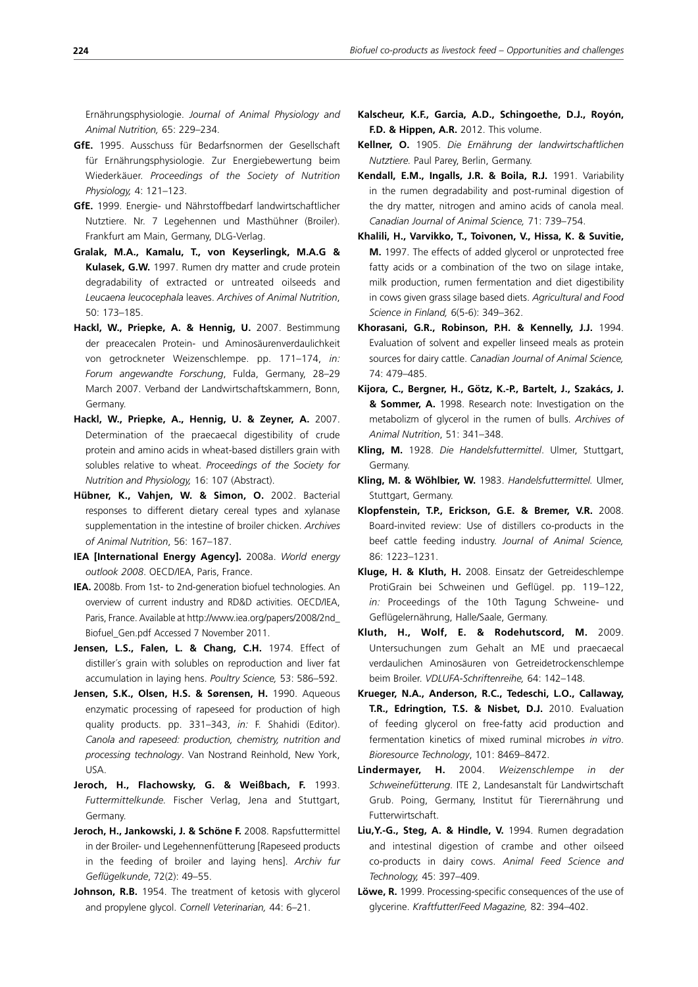Ernährungsphysiologie. *Journal of Animal Physiology and Animal Nutrition,* 65: 229–234.

- **GfE.** 1995. Ausschuss für Bedarfsnormen der Gesellschaft für Ernährungsphysiologie. Zur Energiebewertung beim Wiederkäuer. *Proceedings of the Society of Nutrition Physiology,* 4: 121–123.
- **GfE.** 1999. Energie- und Nährstoffbedarf landwirtschaftlicher Nutztiere. Nr. 7 Legehennen und Masthühner (Broiler). Frankfurt am Main, Germany, DLG-Verlag.
- **Gralak, M.A., Kamalu, T., von Keyserlingk, M.A.G & Kulasek, G.W.** 1997. Rumen dry matter and crude protein degradability of extracted or untreated oilseeds and *Leucaena leucocephala* leaves. *Archives of Animal Nutrition*, 50: 173–185.
- **Hackl, W., Priepke, A. & Hennig, U.** 2007. Bestimmung der preacecalen Protein- und Aminosäurenverdaulichkeit von getrockneter Weizenschlempe. pp. 171–174, *in: Forum angewandte Forschung*, Fulda, Germany, 28–29 March 2007. Verband der Landwirtschaftskammern, Bonn, Germany.
- **Hackl, W., Priepke, A., Hennig, U. & Zeyner, A.** 2007. Determination of the praecaecal digestibility of crude protein and amino acids in wheat-based distillers grain with solubles relative to wheat. *Proceedings of the Society for Nutrition and Physiology,* 16: 107 (Abstract).
- **Hübner, K., Vahjen, W. & Simon, O.** 2002. Bacterial responses to different dietary cereal types and xylanase supplementation in the intestine of broiler chicken. *Archives of Animal Nutrition*, 56: 167–187.
- **IEA [International Energy Agency].** 2008a. *World energy outlook 2008*. OECD/IEA, Paris, France.
- **IEA.** 2008b. From 1st- to 2nd-generation biofuel technologies. An overview of current industry and RD&D activities. OECD/IEA, Paris, France. Available at http://www.iea.org/papers/2008/2nd\_ Biofuel\_Gen.pdf Accessed 7 November 2011.
- **Jensen, L.S., Falen, L. & Chang, C.H.** 1974. Effect of distiller´s grain with solubles on reproduction and liver fat accumulation in laying hens. *Poultry Science,* 53: 586–592.
- **Jensen, S.K., Olsen, H.S. & Sørensen, H.** 1990. Aqueous enzymatic processing of rapeseed for production of high quality products. pp. 331–343, *in:* F. Shahidi (Editor). *Canola and rapeseed: production, chemistry, nutrition and processing technology*. Van Nostrand Reinhold, New York, USA.
- **Jeroch, H., Flachowsky, G. & Weißbach, F.** 1993. *Futtermittelkunde.* Fischer Verlag, Jena and Stuttgart, Germany.
- **Jeroch, H., Jankowski, J. & Schöne F.** 2008. Rapsfuttermittel in der Broiler- und Legehennenfütterung [Rapeseed products in the feeding of broiler and laying hens]. *Archiv fur Geflügelkunde*, 72(2): 49–55.
- Johnson, R.B. 1954. The treatment of ketosis with glycerol and propylene glycol. *Cornell Veterinarian,* 44: 6–21.
- **Kalscheur, K.F., Garcia, A.D., Schingoethe, D.J., Royón, F.D. & Hippen, A.R.** 2012. This volume.
- **Kellner, O.** 1905. *Die Ernährung der landwirtschaftlichen Nutztiere.* Paul Parey, Berlin, Germany.
- **Kendall, E.M., Ingalls, J.R. & Boila, R.J.** 1991. Variability in the rumen degradability and post-ruminal digestion of the dry matter, nitrogen and amino acids of canola meal. *Canadian Journal of Animal Science,* 71: 739–754.
- **Khalili, H., Varvikko, T., Toivonen, V., Hissa, K. & Suvitie, M.** 1997. The effects of added glycerol or unprotected free fatty acids or a combination of the two on silage intake, milk production, rumen fermentation and diet digestibility in cows given grass silage based diets. *Agricultural and Food Science in Finland,* 6(5-6): 349–362.
- **Khorasani, G.R., Robinson, P.H. & Kennelly, J.J.** 1994. Evaluation of solvent and expeller linseed meals as protein sources for dairy cattle. *Canadian Journal of Animal Science,* 74: 479–485.
- **Kijora, C., Bergner, H., Götz, K.-P., Bartelt, J., Szakács, J. & Sommer, A.** 1998. Research note: Investigation on the metabolizm of glycerol in the rumen of bulls. *Archives of Animal Nutrition*, 51: 341–348.
- **Kling, M.** 1928. *Die Handelsfuttermittel*. Ulmer, Stuttgart, Germany.
- **Kling, M. & Wöhlbier, W.** 1983. *Handelsfuttermittel.* Ulmer, Stuttgart, Germany.
- **Klopfenstein, T.P., Erickson, G.E. & Bremer, V.R.** 2008. Board-invited review: Use of distillers co-products in the beef cattle feeding industry. *Journal of Animal Science,* 86: 1223–1231.
- **Kluge, H. & Kluth, H.** 2008. Einsatz der Getreideschlempe ProtiGrain bei Schweinen und Geflügel. pp. 119–122, *in:* Proceedings of the 10th Tagung Schweine- und Geflügelernährung, Halle/Saale, Germany.
- **Kluth, H., Wolf, E. & Rodehutscord, M.** 2009. Untersuchungen zum Gehalt an ME und praecaecal verdaulichen Aminosäuren von Getreidetrockenschlempe beim Broiler. *VDLUFA-Schriftenreihe,* 64: 142–148.
- **Krueger, N.A., Anderson, R.C., Tedeschi, L.O., Callaway, T.R., Edringtion, T.S. & Nisbet, D.J.** 2010. Evaluation of feeding glycerol on free-fatty acid production and fermentation kinetics of mixed ruminal microbes *in vitro*. *Bioresource Technology*, 101: 8469–8472.
- **Lindermayer, H.** 2004. *Weizenschlempe in der Schweinefütterung*. ITE 2, Landesanstalt für Landwirtschaft Grub. Poing, Germany, Institut für Tierernährung und Futterwirtschaft.
- **Liu,Y.-G., Steg, A. & Hindle, V.** 1994. Rumen degradation and intestinal digestion of crambe and other oilseed co-products in dairy cows. *Animal Feed Science and Technology,* 45: 397–409.
- **Löwe, R.** 1999. Processing-specific consequences of the use of glycerine. *Kraftfutter/Feed Magazine,* 82: 394–402.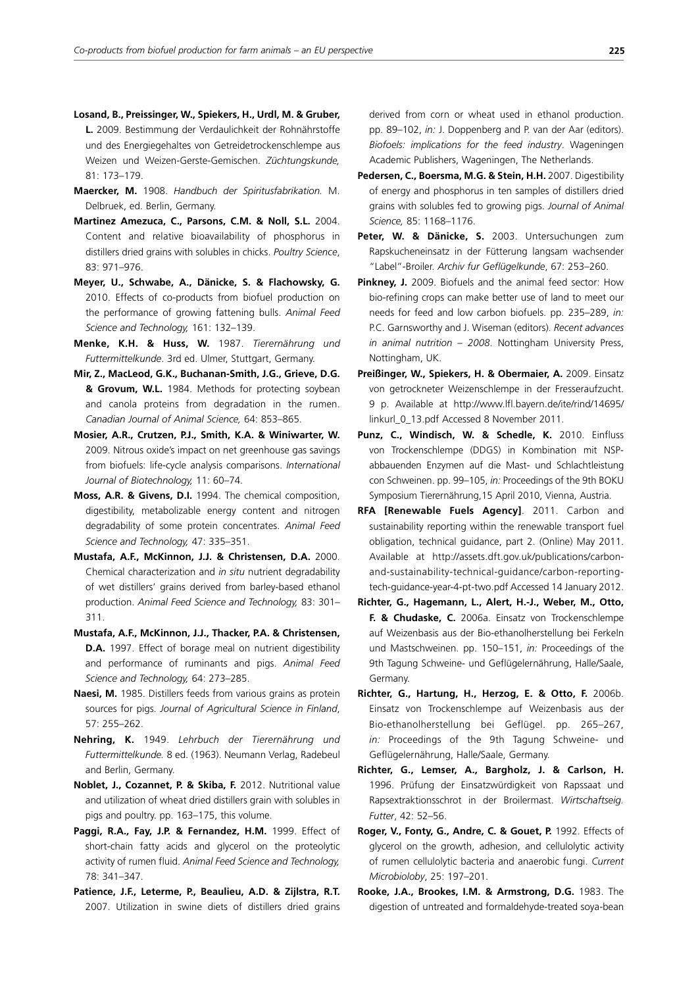- **Losand, B., Preissinger, W., Spiekers, H., Urdl, M. & Gruber, L.** 2009. Bestimmung der Verdaulichkeit der Rohnährstoffe und des Energiegehaltes von Getreidetrockenschlempe aus Weizen und Weizen-Gerste-Gemischen. *Züchtungskunde,* 81: 173–179.
- **Maercker, M.** 1908. *Handbuch der Spiritusfabrikation.* M. Delbruek, ed. Berlin, Germany.
- **Martinez Amezuca, C., Parsons, C.M. & Noll, S.L.** 2004. Content and relative bioavailability of phosphorus in distillers dried grains with solubles in chicks. *Poultry Science*, 83: 971–976.
- **Meyer, U., Schwabe, A., Dänicke, S. & Flachowsky, G.** 2010. Effects of co-products from biofuel production on the performance of growing fattening bulls. *Animal Feed Science and Technology,* 161: 132–139.
- **Menke, K.H. & Huss, W.** 1987. *Tierernährung und Futtermittelkunde*. 3rd ed. Ulmer, Stuttgart, Germany.
- **Mir, Z., MacLeod, G.K., Buchanan-Smith, J.G., Grieve, D.G. & Grovum, W.L.** 1984. Methods for protecting soybean and canola proteins from degradation in the rumen. *Canadian Journal of Animal Science,* 64: 853–865.
- **Mosier, A.R., Crutzen, P.J., Smith, K.A. & Winiwarter, W.**  2009. Nitrous oxide's impact on net greenhouse gas savings from biofuels: life-cycle analysis comparisons. *International Journal of Biotechnology,* 11: 60–74.
- **Moss, A.R. & Givens, D.I.** 1994. The chemical composition, digestibility, metabolizable energy content and nitrogen degradability of some protein concentrates. *Animal Feed Science and Technology,* 47: 335–351.
- **Mustafa, A.F., McKinnon, J.J. & Christensen, D.A.** 2000. Chemical characterization and *in situ* nutrient degradability of wet distillers' grains derived from barley-based ethanol production. *Animal Feed Science and Technology,* 83: 301– 311.
- **Mustafa, A.F., McKinnon, J.J., Thacker, P.A. & Christensen, D.A.** 1997. Effect of borage meal on nutrient digestibility and performance of ruminants and pigs. *Animal Feed Science and Technology,* 64: 273–285.
- **Naesi, M.** 1985. Distillers feeds from various grains as protein sources for pigs. *Journal of Agricultural Science in Finland*, 57: 255–262.
- **Nehring, K.** 1949. *Lehrbuch der Tierernährung und Futtermittelkunde.* 8 ed. (1963). Neumann Verlag, Radebeul and Berlin, Germany.
- Noblet, J., Cozannet, P. & Skiba, F. 2012. Nutritional value and utilization of wheat dried distillers grain with solubles in pigs and poultry. pp. 163–175, this volume.
- Paggi, R.A., Fay, J.P. & Fernandez, H.M. 1999. Effect of short-chain fatty acids and glycerol on the proteolytic activity of rumen fluid. *Animal Feed Science and Technology,* 78: 341–347.
- **Patience, J.F., Leterme, P., Beaulieu, A.D. & Zijlstra, R.T.**  2007. Utilization in swine diets of distillers dried grains

derived from corn or wheat used in ethanol production. pp. 89–102, *in:* J. Doppenberg and P. van der Aar (editors). *Biofoels: implications for the feed industry*. Wageningen Academic Publishers, Wageningen, The Netherlands.

- **Pedersen, C., Boersma, M.G. & Stein, H.H.** 2007. Digestibility of energy and phosphorus in ten samples of distillers dried grains with solubles fed to growing pigs. *Journal of Animal Science,* 85: 1168–1176.
- Peter, W. & Dänicke, S. 2003. Untersuchungen zum Rapskucheneinsatz in der Fütterung langsam wachsender "Label"-Broiler. *Archiv fur Geflügelkunde*, 67: 253–260.
- **Pinkney, J.** 2009. Biofuels and the animal feed sector: How bio-refining crops can make better use of land to meet our needs for feed and low carbon biofuels. pp. 235–289, *in:* P.C. Garnsworthy and J. Wiseman (editors). *Recent advances in animal nutrition – 2008*. Nottingham University Press, Nottingham, UK.
- Preißinger, W., Spiekers, H. & Obermaier, A. 2009. Einsatz von getrockneter Weizenschlempe in der Fresseraufzucht. 9 p. Available at http://www.lfl.bayern.de/ite/rind/14695/ linkurl\_0\_13.pdf Accessed 8 November 2011.
- **Punz, C., Windisch, W. & Schedle, K.** 2010. Einfluss von Trockenschlempe (DDGS) in Kombination mit NSPabbauenden Enzymen auf die Mast- und Schlachtleistung con Schweinen. pp. 99–105, *in:* Proceedings of the 9th BOKU Symposium Tierernährung,15 April 2010, Vienna, Austria.
- **RFA [Renewable Fuels Agency]**. 2011. Carbon and sustainability reporting within the renewable transport fuel obligation, technical guidance, part 2. (Online) May 2011. Available at http://assets.dft.gov.uk/publications/carbonand-sustainability-technical-guidance/carbon-reportingtech-guidance-year-4-pt-two.pdf Accessed 14 January 2012.
- **Richter, G., Hagemann, L., Alert, H.-J., Weber, M., Otto, F. & Chudaske, C.** 2006a. Einsatz von Trockenschlempe auf Weizenbasis aus der Bio-ethanolherstellung bei Ferkeln und Mastschweinen. pp. 150–151, *in:* Proceedings of the 9th Tagung Schweine- und Geflügelernährung, Halle/Saale, Germany.
- **Richter, G., Hartung, H., Herzog, E. & Otto, F.** 2006b. Einsatz von Trockenschlempe auf Weizenbasis aus der Bio-ethanolherstellung bei Geflügel. pp. 265–267, *in:* Proceedings of the 9th Tagung Schweine- und Geflügelernährung, Halle/Saale, Germany.
- **Richter, G., Lemser, A., Bargholz, J. & Carlson, H.**  1996. Prüfung der Einsatzwürdigkeit von Rapssaat und Rapsextraktionsschrot in der Broilermast. *Wirtschaftseig. Futter*, 42: 52–56.
- **Roger, V., Fonty, G., Andre, C. & Gouet, P.** 1992. Effects of glycerol on the growth, adhesion, and cellulolytic activity of rumen cellulolytic bacteria and anaerobic fungi. *Current Microbioloby*, 25: 197–201.
- **Rooke, J.A., Brookes, I.M. & Armstrong, D.G.** 1983. The digestion of untreated and formaldehyde-treated soya-bean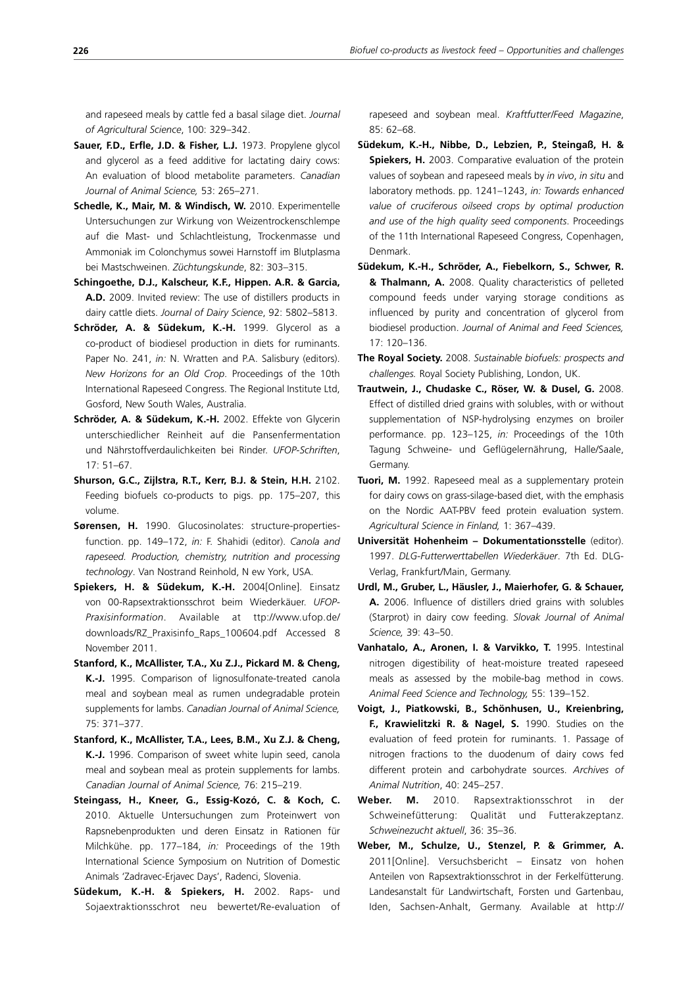and rapeseed meals by cattle fed a basal silage diet. *Journal of Agricultural Science*, 100: 329–342.

- **Sauer, F.D., Erfle, J.D. & Fisher, L.J.** 1973. Propylene glycol and glycerol as a feed additive for lactating dairy cows: An evaluation of blood metabolite parameters. *Canadian Journal of Animal Science,* 53: 265–271.
- **Schedle, K., Mair, M. & Windisch, W.** 2010. Experimentelle Untersuchungen zur Wirkung von Weizentrockenschlempe auf die Mast- und Schlachtleistung, Trockenmasse und Ammoniak im Colonchymus sowei Harnstoff im Blutplasma bei Mastschweinen. *Züchtungskunde*, 82: 303–315.
- **Schingoethe, D.J., Kalscheur, K.F., Hippen. A.R. & Garcia, A.D.** 2009. Invited review: The use of distillers products in dairy cattle diets. *Journal of Dairy Science*, 92: 5802–5813.
- **Schröder, A. & Südekum, K.-H.** 1999. Glycerol as a co-product of biodiesel production in diets for ruminants. Paper No. 241, *in:* N. Wratten and P.A. Salisbury (editors). *New Horizons for an Old Crop*. Proceedings of the 10th International Rapeseed Congress. The Regional Institute Ltd, Gosford, New South Wales, Australia.
- **Schröder, A. & Südekum, K.-H.** 2002. Effekte von Glycerin unterschiedlicher Reinheit auf die Pansenfermentation und Nährstoffverdaulichkeiten bei Rinder. *UFOP-Schriften*,  $17.51 - 67$
- **Shurson, G.C., Zijlstra, R.T., Kerr, B.J. & Stein, H.H.** 2102. Feeding biofuels co-products to pigs. pp. 175–207, this volume.
- **Sørensen, H.** 1990. Glucosinolates: structure-propertiesfunction. pp. 149–172, *in:* F. Shahidi (editor). *Canola and rapeseed. Production, chemistry, nutrition and processing technology*. Van Nostrand Reinhold, N ew York, USA.
- **Spiekers, H. & Südekum, K.-H.** 2004[Online]. Einsatz von 00-Rapsextraktionsschrot beim Wiederkäuer. *UFOP-Praxisinformation*. Available at ttp://www.ufop.de/ downloads/RZ\_Praxisinfo\_Raps\_100604.pdf Accessed 8 November 2011.
- **Stanford, K., McAllister, T.A., Xu Z.J., Pickard M. & Cheng, K.-J.** 1995. Comparison of lignosulfonate-treated canola meal and soybean meal as rumen undegradable protein supplements for lambs. *Canadian Journal of Animal Science,* 75: 371–377.
- **Stanford, K., McAllister, T.A., Lees, B.M., Xu Z.J. & Cheng, K.-J.** 1996. Comparison of sweet white lupin seed, canola meal and soybean meal as protein supplements for lambs. *Canadian Journal of Animal Science,* 76: 215–219.
- **Steingass, H., Kneer, G., Essig-Kozó, C. & Koch, C.** 2010. Aktuelle Untersuchungen zum Proteinwert von Rapsnebenprodukten und deren Einsatz in Rationen für Milchkühe. pp. 177–184, *in:* Proceedings of the 19th International Science Symposium on Nutrition of Domestic Animals 'Zadravec-Erjavec Days', Radenci, Slovenia.
- **Südekum, K.-H. & Spiekers, H.** 2002. Raps- und Sojaextraktionsschrot neu bewertet/Re-evaluation of

rapeseed and soybean meal. *Kraftfutter/Feed Magazine*, 85: 62–68.

- **Südekum, K.-H., Nibbe, D., Lebzien, P., Steingaß, H. & Spiekers, H.** 2003. Comparative evaluation of the protein values of soybean and rapeseed meals by *in vivo*, *in situ* and laboratory methods. pp. 1241–1243, *in: Towards enhanced value of cruciferous oilseed crops by optimal production and use of the high quality seed components*. Proceedings of the 11th International Rapeseed Congress, Copenhagen, Denmark.
- **Südekum, K.-H., Schröder, A., Fiebelkorn, S., Schwer, R. & Thalmann, A.** 2008. Quality characteristics of pelleted compound feeds under varying storage conditions as influenced by purity and concentration of glycerol from biodiesel production. *Journal of Animal and Feed Sciences,*  17: 120–136.
- **The Royal Society.** 2008. *Sustainable biofuels: prospects and challenges.* Royal Society Publishing, London, UK.
- **Trautwein, J., Chudaske C., Röser, W. & Dusel, G.** 2008. Effect of distilled dried grains with solubles, with or without supplementation of NSP-hydrolysing enzymes on broiler performance. pp. 123–125, *in:* Proceedings of the 10th Tagung Schweine- und Geflügelernährung, Halle/Saale, Germany.
- **Tuori, M.** 1992. Rapeseed meal as a supplementary protein for dairy cows on grass-silage-based diet, with the emphasis on the Nordic AAT-PBV feed protein evaluation system. *Agricultural Science in Finland,* 1: 367–439.
- **Universität Hohenheim Dokumentationsstelle** (editor). 1997. *DLG-Futterwerttabellen Wie der käuer*. 7th Ed. DLG-Verlag, Frankfurt/Main, Germany.
- **Urdl, M., Gruber, L., Häusler, J., Maierhofer, G. & Schauer, A.** 2006. Influence of distillers dried grains with solubles (Starprot) in dairy cow feeding. *Slovak Journal of Animal Science,* 39: 43–50.
- **Vanhatalo, A., Aronen, I. & Varvikko, T.** 1995. Intestinal nitrogen digestibility of heat-moisture treated rapeseed meals as assessed by the mobile-bag method in cows. *Animal Feed Science and Technology,* 55: 139–152.
- **Voigt, J., Piatkowski, B., Schönhusen, U., Kreienbring, F., Krawielitzki R. & Nagel, S.** 1990. Studies on the evaluation of feed protein for ruminants. 1. Passage of nitrogen fractions to the duodenum of dairy cows fed different protein and carbohydrate sources. *Archives of Animal Nutrition*, 40: 245–257.
- **Weber. M.** 2010. Rapsextraktionsschrot in der Schweinefütterung: Qualität und Futterakzeptanz. *Schweinezucht aktuell*, 36: 35–36.
- **Weber, M., Schulze, U., Stenzel, P. & Grimmer, A.**  2011[Online]. Versuchsbericht – Einsatz von hohen Anteilen von Rapsextraktionsschrot in der Ferkelfütterung. Landesanstalt für Landwirtschaft, Forsten und Gartenbau, Iden, Sachsen-Anhalt, Germany. Available at http://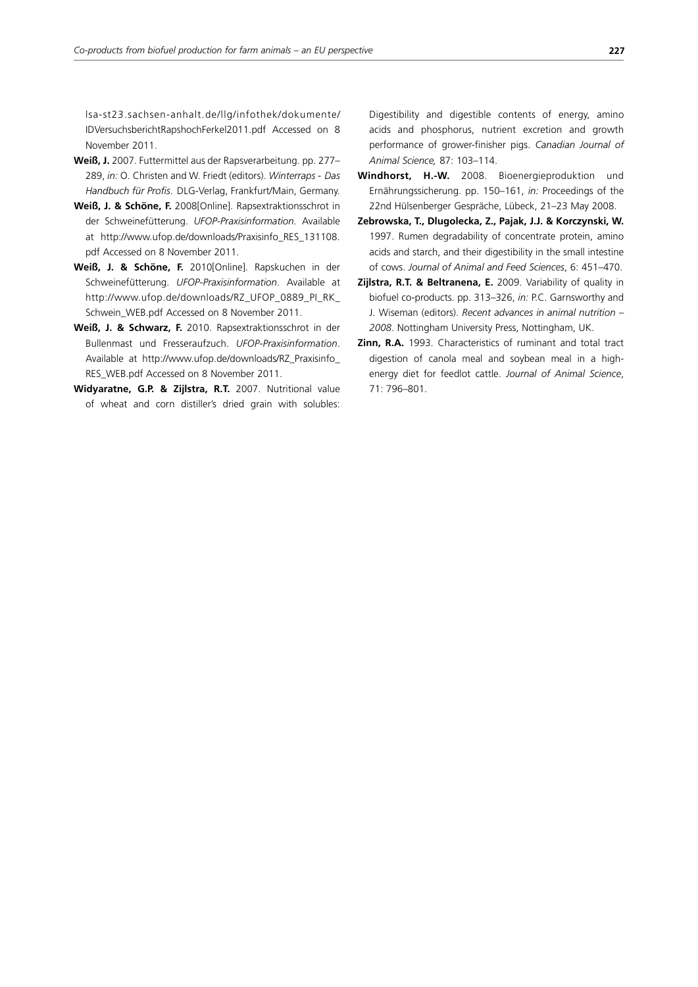lsa-st23.sachsen-anhalt.de/llg/infothek/dokumente/ IDVersuchsberichtRapshochFerkel2011.pdf Accessed on 8 November 2011.

- **Weiß, J.** 2007. Futtermittel aus der Rapsverarbeitung. pp. 277– 289, *in:* O. Christen and W. Friedt (editors). *Win ter raps - Das Handbuch für Profis*. DLG-Verlag, Frankfurt/Main, Germany.
- **Weiß, J. & Schöne, F.** 2008[Online]. Rapsextraktionsschrot in der Schweinefütterung. *UFOP-Praxisinformation.* Available at http://www.ufop.de/downloads/Praxisinfo\_RES\_131108. pdf Accessed on 8 November 2011.
- **Weiß, J. & Schöne, F.** 2010[Online]. Rapskuchen in der Schweinefütterung. *UFOP-Praxisinformation*. Available at http://www.ufop.de/downloads/RZ\_UFOP\_0889\_PI\_RK\_ Schwein\_WEB.pdf Accessed on 8 November 2011.
- **Weiß, J. & Schwarz, F.** 2010. Rapsextraktionsschrot in der Bullenmast und Fresseraufzuch. *UFOP-Praxisinformation*. Available at http://www.ufop.de/downloads/RZ\_Praxisinfo\_ RES\_WEB.pdf Accessed on 8 November 2011.
- **Widyaratne, G.P. & Zijlstra, R.T.** 2007. Nutritional value of wheat and corn distiller's dried grain with solubles:

Digestibility and digestible contents of energy, amino acids and phosphorus, nutrient excretion and growth performance of grower-finisher pigs. *Canadian Journal of Animal Science,* 87: 103–114.

- **Windhorst, H.-W.** 2008. Bioenergieproduktion und Ernährungssicherung. pp. 150–161, *in:* Proceedings of the 22nd Hülsenberger Gespräche, Lübeck, 21–23 May 2008.
- **Zebrowska, T., Dlugolecka, Z., Pajak, J.J. & Korczynski, W.**  1997. Rumen degradability of concentrate protein, amino acids and starch, and their digestibility in the small intestine of cows. *Journal of Animal and Feed Sciences*, 6: 451–470.
- **Zijlstra, R.T. & Beltranena, E.** 2009. Variability of quality in biofuel co-products. pp. 313–326, *in:* P.C. Garnsworthy and J. Wiseman (editors). *Recent advances in animal nutrition – 2008*. Nottingham University Press, Nottingham, UK.
- **Zinn, R.A.** 1993. Characteristics of ruminant and total tract digestion of canola meal and soybean meal in a highenergy diet for feedlot cattle. *Journal of Animal Science*, 71: 796–801.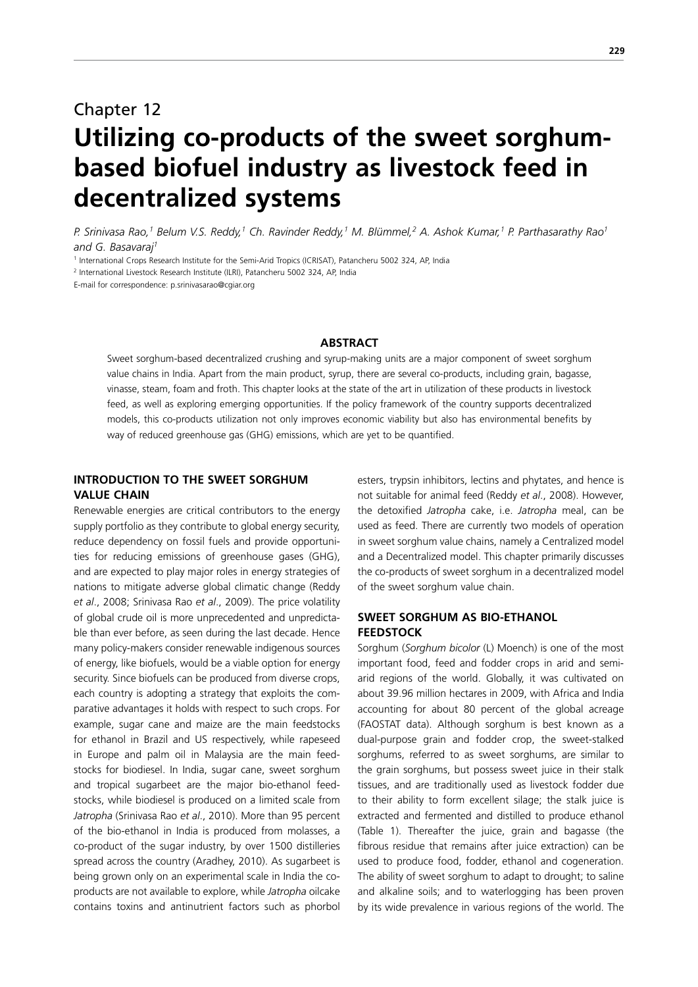# Chapter 12 **Utilizing co-products of the sweet sorghumbased biofuel industry as livestock feed in decentralized systems**

*P. Srinivasa Rao,1 Belum V.S. Reddy,1 Ch. Ravinder Reddy,1 M. Blümmel,2 A. Ashok Kumar,1 P. Parthasarathy Rao1 and G. Basavaraj1*

<sup>1</sup> International Crops Research Institute for the Semi-Arid Tropics (ICRISAT), Patancheru 5002 324, AP, India

2 International Livestock Research Institute (ILRI), Patancheru 5002 324, AP, India

E-mail for correspondence: p.srinivasarao@cgiar.org

# **ABSTRACT**

Sweet sorghum-based decentralized crushing and syrup-making units are a major component of sweet sorghum value chains in India. Apart from the main product, syrup, there are several co-products, including grain, bagasse, vinasse, steam, foam and froth. This chapter looks at the state of the art in utilization of these products in livestock feed, as well as exploring emerging opportunities. If the policy framework of the country supports decentralized models, this co-products utilization not only improves economic viability but also has environmental benefits by way of reduced greenhouse gas (GHG) emissions, which are yet to be quantified.

# **INTRODUCTION TO THE SWEET SORGHUM VALUE CHAIN**

Renewable energies are critical contributors to the energy supply portfolio as they contribute to global energy security, reduce dependency on fossil fuels and provide opportunities for reducing emissions of greenhouse gases (GHG), and are expected to play major roles in energy strategies of nations to mitigate adverse global climatic change (Reddy *et al*., 2008; Srinivasa Rao *et al*., 2009). The price volatility of global crude oil is more unprecedented and unpredictable than ever before, as seen during the last decade. Hence many policy-makers consider renewable indigenous sources of energy, like biofuels, would be a viable option for energy security. Since biofuels can be produced from diverse crops, each country is adopting a strategy that exploits the comparative advantages it holds with respect to such crops. For example, sugar cane and maize are the main feedstocks for ethanol in Brazil and US respectively, while rapeseed in Europe and palm oil in Malaysia are the main feedstocks for biodiesel. In India, sugar cane, sweet sorghum and tropical sugarbeet are the major bio-ethanol feedstocks, while biodiesel is produced on a limited scale from *Jatropha* (Srinivasa Rao *et al*., 2010). More than 95 percent of the bio-ethanol in India is produced from molasses, a co-product of the sugar industry, by over 1500 distilleries spread across the country (Aradhey, 2010). As sugarbeet is being grown only on an experimental scale in India the coproducts are not available to explore, while *Jatropha* oilcake contains toxins and antinutrient factors such as phorbol esters, trypsin inhibitors, lectins and phytates, and hence is not suitable for animal feed (Reddy *et al*., 2008). However, the detoxified *Jatropha* cake, i.e. *Jatropha* meal, can be used as feed. There are currently two models of operation in sweet sorghum value chains, namely a Centralized model and a Decentralized model. This chapter primarily discusses the co-products of sweet sorghum in a decentralized model of the sweet sorghum value chain.

# **SWEET SORGHUM AS BIO-ETHANOL FEEDSTOCK**

Sorghum (*Sorghum bicolor* (L) Moench) is one of the most important food, feed and fodder crops in arid and semiarid regions of the world. Globally, it was cultivated on about 39.96 million hectares in 2009, with Africa and India accounting for about 80 percent of the global acreage (FAOSTAT data). Although sorghum is best known as a dual-purpose grain and fodder crop, the sweet-stalked sorghums, referred to as sweet sorghums, are similar to the grain sorghums, but possess sweet juice in their stalk tissues, and are traditionally used as livestock fodder due to their ability to form excellent silage; the stalk juice is extracted and fermented and distilled to produce ethanol (Table 1). Thereafter the juice, grain and bagasse (the fibrous residue that remains after juice extraction) can be used to produce food, fodder, ethanol and cogeneration. The ability of sweet sorghum to adapt to drought; to saline and alkaline soils; and to waterlogging has been proven by its wide prevalence in various regions of the world. The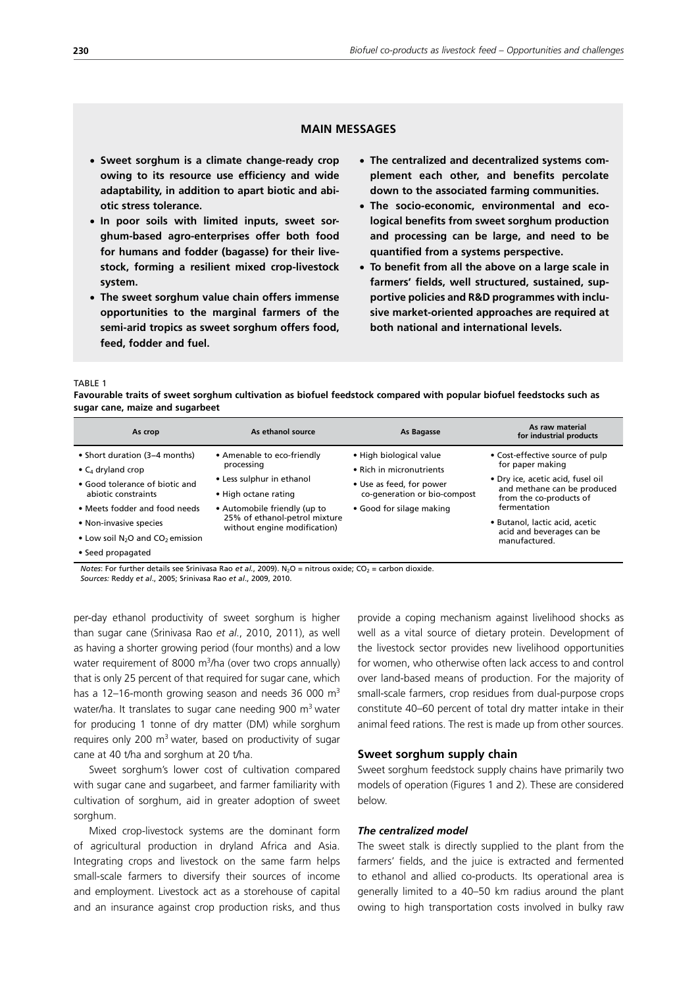# **MAIN MESSAGES**

- x **Sweet sorghum is a climate change-ready crop owing to its resource use efficiency and wide adaptability, in addition to apart biotic and abiotic stress tolerance.**
- In poor soils with limited inputs, sweet sor**ghum-based agro-enterprises offer both food for humans and fodder (bagasse) for their livestock, forming a resilient mixed crop-livestock system.**
- x **The sweet sorghum value chain offers immense opportunities to the marginal farmers of the semi-arid tropics as sweet sorghum offers food, feed, fodder and fuel.**
- The centralized and decentralized systems com**plement each other, and benefits percolate down to the associated farming communities.**
- x **The socio-economic, environmental and ecological benefits from sweet sorghum production and processing can be large, and need to be quantified from a systems perspective.**
- x **To benefit from all the above on a large scale in farmers' fields, well structured, sustained, supportive policies and R&D programmes with inclusive market-oriented approaches are required at both national and international levels.**

#### TABLE 1

**Favourable traits of sweet sorghum cultivation as biofuel feedstock compared with popular biofuel feedstocks such as sugar cane, maize and sugarbeet**

| As crop                                                                                                                                                                                                                                 | As ethanol source                                                                                                                                                                              | As Bagasse                                                                                                                                  | As raw material<br>for industrial products                                                                                                                                                                                                         |
|-----------------------------------------------------------------------------------------------------------------------------------------------------------------------------------------------------------------------------------------|------------------------------------------------------------------------------------------------------------------------------------------------------------------------------------------------|---------------------------------------------------------------------------------------------------------------------------------------------|----------------------------------------------------------------------------------------------------------------------------------------------------------------------------------------------------------------------------------------------------|
| • Short duration (3–4 months)<br>• $C_4$ dryland crop<br>• Good tolerance of biotic and<br>abiotic constraints<br>• Meets fodder and food needs<br>• Non-invasive species<br>• Low soil $N_2O$ and $CO_2$ emission<br>• Seed propagated | • Amenable to eco-friendly<br>processing<br>• Less sulphur in ethanol<br>• High octane rating<br>• Automobile friendly (up to<br>25% of ethanol-petrol mixture<br>without engine modification) | • High biological value<br>• Rich in micronutrients<br>• Use as feed, for power<br>co-generation or bio-compost<br>• Good for silage making | • Cost-effective source of pulp<br>for paper making<br>• Dry ice, acetic acid, fusel oil<br>and methane can be produced<br>from the co-products of<br>fermentation<br>• Butanol, lactic acid, acetic<br>acid and beverages can be<br>manufactured. |

*Notes*: For further details see Srinivasa Rao et al., 2009). N<sub>2</sub>O = nitrous oxide; CO<sub>2</sub> = carbon dioxide.

*Sources: Reddy et al., 2005; Srinivasa Rao et al., 2009, 2010.* 

per-day ethanol productivity of sweet sorghum is higher than sugar cane (Srinivasa Rao *et al*., 2010, 2011), as well as having a shorter growing period (four months) and a low water requirement of 8000  $\mathrm{m}^3$ /ha (over two crops annually) that is only 25 percent of that required for sugar cane, which has a 12–16-month growing season and needs 36 000  $m<sup>3</sup>$ water/ha. It translates to sugar cane needing 900  $m<sup>3</sup>$  water for producing 1 tonne of dry matter (DM) while sorghum requires only 200  $m<sup>3</sup>$  water, based on productivity of sugar cane at 40 t/ha and sorghum at 20 t/ha.

Sweet sorghum's lower cost of cultivation compared with sugar cane and sugarbeet, and farmer familiarity with cultivation of sorghum, aid in greater adoption of sweet sorghum.

Mixed crop-livestock systems are the dominant form of agricultural production in dryland Africa and Asia. Integrating crops and livestock on the same farm helps small-scale farmers to diversify their sources of income and employment. Livestock act as a storehouse of capital and an insurance against crop production risks, and thus provide a coping mechanism against livelihood shocks as well as a vital source of dietary protein. Development of the livestock sector provides new livelihood opportunities for women, who otherwise often lack access to and control over land-based means of production. For the majority of small-scale farmers, crop residues from dual-purpose crops constitute 40–60 percent of total dry matter intake in their animal feed rations. The rest is made up from other sources.

# **Sweet sorghum supply chain**

Sweet sorghum feedstock supply chains have primarily two models of operation (Figures 1 and 2). These are considered below.

#### *The centralized model*

The sweet stalk is directly supplied to the plant from the farmers' fields, and the juice is extracted and fermented to ethanol and allied co-products. Its operational area is generally limited to a 40–50 km radius around the plant owing to high transportation costs involved in bulky raw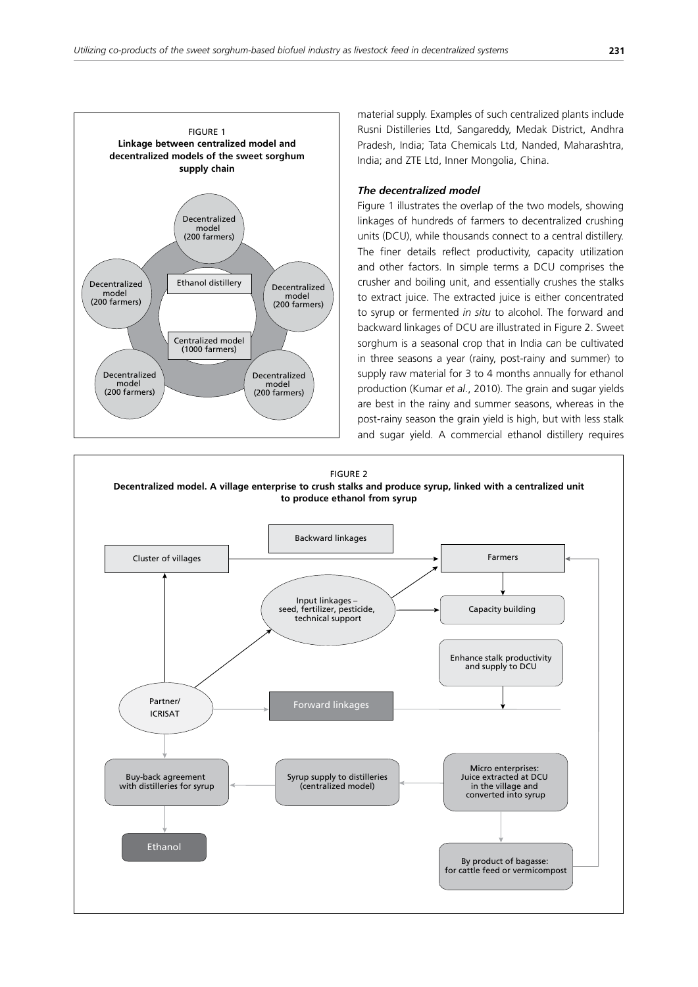

material supply. Examples of such centralized plants include Rusni Distilleries Ltd, Sangareddy, Medak District, Andhra Pradesh, India; Tata Chemicals Ltd, Nanded, Maharashtra, India; and ZTE Ltd, Inner Mongolia, China.

## *The decentralized model*

Figure 1 illustrates the overlap of the two models, showing linkages of hundreds of farmers to decentralized crushing units (DCU), while thousands connect to a central distillery. The finer details reflect productivity, capacity utilization and other factors. In simple terms a DCU comprises the crusher and boiling unit, and essentially crushes the stalks to extract juice. The extracted juice is either concentrated to syrup or fermented *in situ* to alcohol. The forward and backward linkages of DCU are illustrated in Figure 2. Sweet sorghum is a seasonal crop that in India can be cultivated in three seasons a year (rainy, post-rainy and summer) to supply raw material for 3 to 4 months annually for ethanol production (Kumar *et al*., 2010). The grain and sugar yields are best in the rainy and summer seasons, whereas in the post-rainy season the grain yield is high, but with less stalk and sugar yield. A commercial ethanol distillery requires

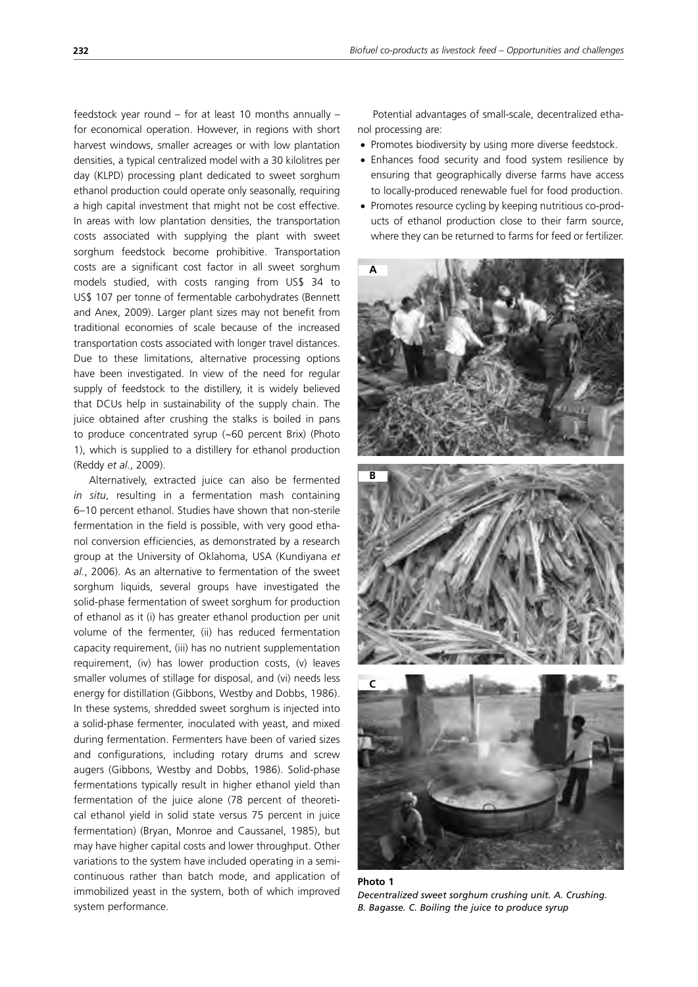feedstock year round – for at least 10 months annually – for economical operation. However, in regions with short harvest windows, smaller acreages or with low plantation densities, a typical centralized model with a 30 kilolitres per day (KLPD) processing plant dedicated to sweet sorghum ethanol production could operate only seasonally, requiring a high capital investment that might not be cost effective. In areas with low plantation densities, the transportation costs associated with supplying the plant with sweet sorghum feedstock become prohibitive. Transportation costs are a significant cost factor in all sweet sorghum models studied, with costs ranging from US\$ 34 to US\$ 107 per tonne of fermentable carbohydrates (Bennett and Anex, 2009). Larger plant sizes may not benefit from traditional economies of scale because of the increased transportation costs associated with longer travel distances. Due to these limitations, alternative processing options have been investigated. In view of the need for regular supply of feedstock to the distillery, it is widely believed that DCUs help in sustainability of the supply chain. The juice obtained after crushing the stalks is boiled in pans to produce concentrated syrup (*~*60 percent Brix) (Photo 1), which is supplied to a distillery for ethanol production (Reddy *et al*., 2009).

Alternatively, extracted juice can also be fermented *in situ*, resulting in a fermentation mash containing 6–10 percent ethanol. Studies have shown that non-sterile fermentation in the field is possible, with very good ethanol conversion efficiencies, as demonstrated by a research group at the University of Oklahoma, USA (Kundiyana *et al*., 2006). As an alternative to fermentation of the sweet sorghum liquids, several groups have investigated the solid-phase fermentation of sweet sorghum for production of ethanol as it (i) has greater ethanol production per unit volume of the fermenter, (ii) has reduced fermentation capacity requirement, (iii) has no nutrient supplementation requirement, (iv) has lower production costs, (v) leaves smaller volumes of stillage for disposal, and (vi) needs less energy for distillation (Gibbons, Westby and Dobbs, 1986). In these systems, shredded sweet sorghum is injected into a solid-phase fermenter, inoculated with yeast, and mixed during fermentation. Fermenters have been of varied sizes and configurations, including rotary drums and screw augers (Gibbons, Westby and Dobbs, 1986). Solid-phase fermentations typically result in higher ethanol yield than fermentation of the juice alone (78 percent of theoretical ethanol yield in solid state versus 75 percent in juice fermentation) (Bryan, Monroe and Caussanel, 1985), but may have higher capital costs and lower throughput. Other variations to the system have included operating in a semicontinuous rather than batch mode, and application of immobilized yeast in the system, both of which improved system performance.

Potential advantages of small-scale, decentralized ethanol processing are:

- Promotes biodiversity by using more diverse feedstock.
- Enhances food security and food system resilience by ensuring that geographically diverse farms have access to locally-produced renewable fuel for food production.
- Promotes resource cycling by keeping nutritious co-products of ethanol production close to their farm source, where they can be returned to farms for feed or fertilizer.



**Photo 1** *Decentralized sweet sorghum crushing unit. A. Crushing. B. Bagasse. C. Boiling the juice to produce syrup*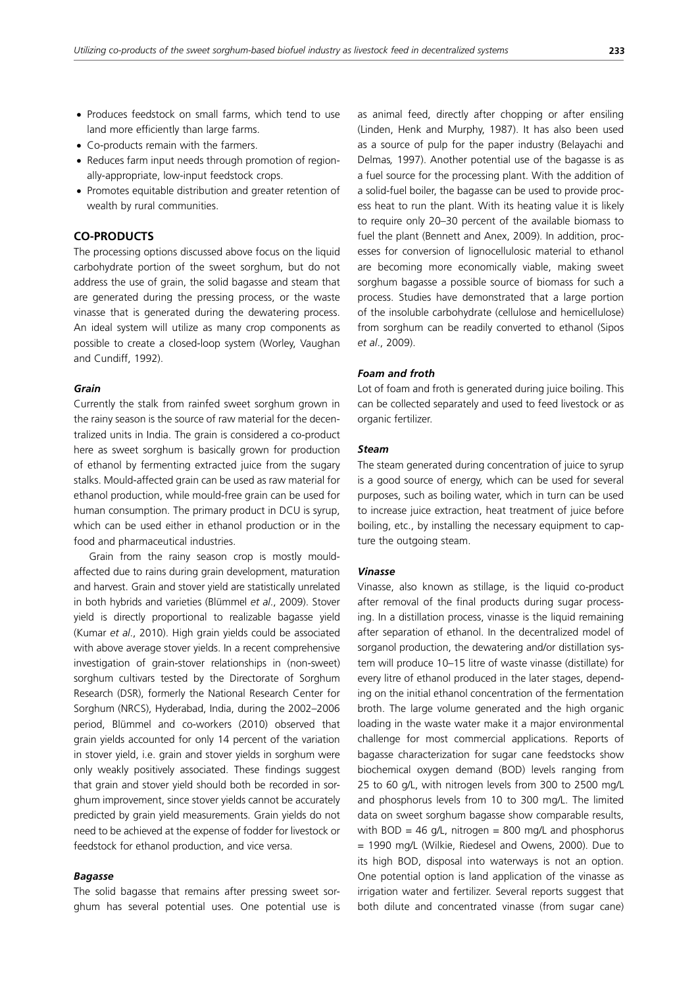- Produces feedstock on small farms, which tend to use land more efficiently than large farms.
- Co-products remain with the farmers.
- Reduces farm input needs through promotion of regionally-appropriate, low-input feedstock crops.
- Promotes equitable distribution and greater retention of wealth by rural communities.

# **CO-PRODUCTS**

The processing options discussed above focus on the liquid carbohydrate portion of the sweet sorghum, but do not address the use of grain, the solid bagasse and steam that are generated during the pressing process, or the waste vinasse that is generated during the dewatering process. An ideal system will utilize as many crop components as possible to create a closed-loop system (Worley, Vaughan and Cundiff, 1992).

## *Grain*

Currently the stalk from rainfed sweet sorghum grown in the rainy season is the source of raw material for the decentralized units in India. The grain is considered a co-product here as sweet sorghum is basically grown for production of ethanol by fermenting extracted juice from the sugary stalks. Mould-affected grain can be used as raw material for ethanol production, while mould-free grain can be used for human consumption. The primary product in DCU is syrup, which can be used either in ethanol production or in the food and pharmaceutical industries.

Grain from the rainy season crop is mostly mouldaffected due to rains during grain development, maturation and harvest. Grain and stover yield are statistically unrelated in both hybrids and varieties (Blümmel *et al*., 2009). Stover yield is directly proportional to realizable bagasse yield (Kumar *et al*., 2010). High grain yields could be associated with above average stover yields. In a recent comprehensive investigation of grain-stover relationships in (non-sweet) sorghum cultivars tested by the Directorate of Sorghum Research (DSR), formerly the National Research Center for Sorghum (NRCS), Hyderabad, India, during the 2002–2006 period, Blümmel and co-workers (2010) observed that grain yields accounted for only 14 percent of the variation in stover yield, i.e. grain and stover yields in sorghum were only weakly positively associated. These findings suggest that grain and stover yield should both be recorded in sorghum improvement, since stover yields cannot be accurately predicted by grain yield measurements. Grain yields do not need to be achieved at the expense of fodder for livestock or feedstock for ethanol production, and vice versa.

# *Bagasse*

The solid bagasse that remains after pressing sweet sorghum has several potential uses. One potential use is as animal feed, directly after chopping or after ensiling (Linden, Henk and Murphy, 1987). It has also been used as a source of pulp for the paper industry (Belayachi and Delmas*,* 1997). Another potential use of the bagasse is as a fuel source for the processing plant. With the addition of a solid-fuel boiler, the bagasse can be used to provide process heat to run the plant. With its heating value it is likely to require only 20–30 percent of the available biomass to fuel the plant (Bennett and Anex, 2009). In addition, processes for conversion of lignocellulosic material to ethanol are becoming more economically viable, making sweet sorghum bagasse a possible source of biomass for such a process. Studies have demonstrated that a large portion of the insoluble carbohydrate (cellulose and hemicellulose) from sorghum can be readily converted to ethanol (Sipos *et al*., 2009).

## *Foam and froth*

Lot of foam and froth is generated during juice boiling. This can be collected separately and used to feed livestock or as organic fertilizer.

## *Steam*

The steam generated during concentration of juice to syrup is a good source of energy, which can be used for several purposes, such as boiling water, which in turn can be used to increase juice extraction, heat treatment of juice before boiling, etc., by installing the necessary equipment to capture the outgoing steam.

#### *Vinasse*

Vinasse, also known as stillage, is the liquid co-product after removal of the final products during sugar processing. In a distillation process, vinasse is the liquid remaining after separation of ethanol. In the decentralized model of sorganol production, the dewatering and/or distillation system will produce 10–15 litre of waste vinasse (distillate) for every litre of ethanol produced in the later stages, depending on the initial ethanol concentration of the fermentation broth. The large volume generated and the high organic loading in the waste water make it a major environmental challenge for most commercial applications. Reports of bagasse characterization for sugar cane feedstocks show biochemical oxygen demand (BOD) levels ranging from 25 to 60 g/L, with nitrogen levels from 300 to 2500 mg/L and phosphorus levels from 10 to 300 mg/L. The limited data on sweet sorghum bagasse show comparable results, with BOD = 46 g/L, nitrogen = 800 mg/L and phosphorus = 1990 mg/L (Wilkie, Riedesel and Owens, 2000). Due to its high BOD, disposal into waterways is not an option. One potential option is land application of the vinasse as irrigation water and fertilizer. Several reports suggest that both dilute and concentrated vinasse (from sugar cane)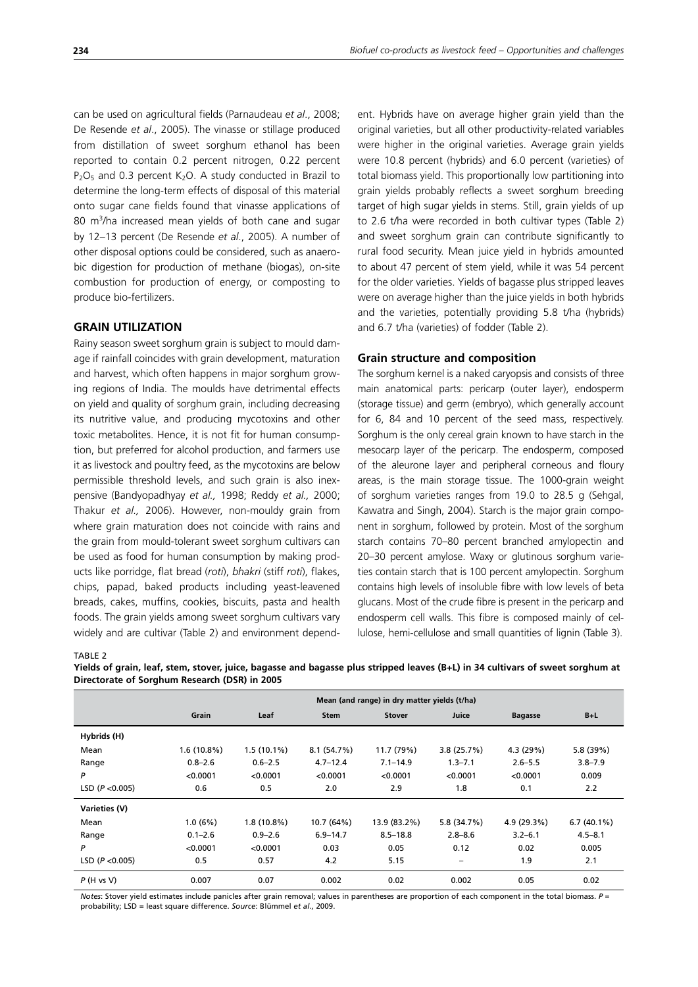can be used on agricultural fields (Parnaudeau *et al*., 2008; De Resende *et al*., 2005). The vinasse or stillage produced from distillation of sweet sorghum ethanol has been reported to contain 0.2 percent nitrogen, 0.22 percent  $P_2O_5$  and 0.3 percent K<sub>2</sub>O. A study conducted in Brazil to determine the long-term effects of disposal of this material onto sugar cane fields found that vinasse applications of 80 m<sup>3</sup>/ha increased mean yields of both cane and sugar by 12–13 percent (De Resende *et al*., 2005). A number of other disposal options could be considered, such as anaerobic digestion for production of methane (biogas), on-site combustion for production of energy, or composting to produce bio-fertilizers.

# **GRAIN UTILIZATION**

Rainy season sweet sorghum grain is subject to mould damage if rainfall coincides with grain development, maturation and harvest, which often happens in major sorghum growing regions of India. The moulds have detrimental effects on yield and quality of sorghum grain, including decreasing its nutritive value, and producing mycotoxins and other toxic metabolites. Hence, it is not fit for human consumption, but preferred for alcohol production, and farmers use it as livestock and poultry feed, as the mycotoxins are below permissible threshold levels, and such grain is also inexpensive (Bandyopadhyay *et al.,* 1998; Reddy *et al.,* 2000; Thakur *et al.,* 2006). However, non-mouldy grain from where grain maturation does not coincide with rains and the grain from mould-tolerant sweet sorghum cultivars can be used as food for human consumption by making products like porridge, flat bread (*roti*), *bhakri* (stiff *roti*), flakes, chips, papad, baked products including yeast-leavened breads, cakes, muffins, cookies, biscuits, pasta and health foods. The grain yields among sweet sorghum cultivars vary widely and are cultivar (Table 2) and environment dependent. Hybrids have on average higher grain yield than the original varieties, but all other productivity-related variables were higher in the original varieties. Average grain yields were 10.8 percent (hybrids) and 6.0 percent (varieties) of total biomass yield. This proportionally low partitioning into grain yields probably reflects a sweet sorghum breeding target of high sugar yields in stems. Still, grain yields of up to 2.6 t/ha were recorded in both cultivar types (Table 2) and sweet sorghum grain can contribute significantly to rural food security. Mean juice yield in hybrids amounted to about 47 percent of stem yield, while it was 54 percent for the older varieties. Yields of bagasse plus stripped leaves were on average higher than the juice yields in both hybrids and the varieties, potentially providing 5.8 t/ha (hybrids) and 6.7 t/ha (varieties) of fodder (Table 2).

## **Grain structure and composition**

The sorghum kernel is a naked caryopsis and consists of three main anatomical parts: pericarp (outer layer), endosperm (storage tissue) and germ (embryo), which generally account for 6, 84 and 10 percent of the seed mass, respectively. Sorghum is the only cereal grain known to have starch in the mesocarp layer of the pericarp. The endosperm, composed of the aleurone layer and peripheral corneous and floury areas, is the main storage tissue. The 1000-grain weight of sorghum varieties ranges from 19.0 to 28.5 g (Sehgal, Kawatra and Singh, 2004). Starch is the major grain component in sorghum, followed by protein. Most of the sorghum starch contains 70–80 percent branched amylopectin and 20–30 percent amylose. Waxy or glutinous sorghum varieties contain starch that is 100 percent amylopectin. Sorghum contains high levels of insoluble fibre with low levels of beta glucans. Most of the crude fibre is present in the pericarp and endosperm cell walls. This fibre is composed mainly of cellulose, hemi-cellulose and small quantities of lignin (Table 3).

TARI F 2

|                   | Mean (and range) in dry matter yields (t/ha) |               |              |               |                          |                |               |
|-------------------|----------------------------------------------|---------------|--------------|---------------|--------------------------|----------------|---------------|
|                   | Grain                                        | Leaf          | <b>Stem</b>  | <b>Stover</b> | Juice                    | <b>Bagasse</b> | $B+L$         |
| Hybrids (H)       |                                              |               |              |               |                          |                |               |
| Mean              | $1.6(10.8\%)$                                | $1.5(10.1\%)$ | 8.1 (54.7%)  | 11.7 (79%)    | 3.8(25.7%)               | 4.3 (29%)      | 5.8 (39%)     |
| Range             | $0.8 - 2.6$                                  | $0.6 - 2.5$   | $4.7 - 12.4$ | $7.1 - 14.9$  | $1.3 - 7.1$              | $2.6 - 5.5$    | $3.8 - 7.9$   |
| P                 | < 0.0001                                     | < 0.0001      | < 0.0001     | < 0.0001      | < 0.0001                 | < 0.0001       | 0.009         |
| LSD $(P < 0.005)$ | 0.6                                          | 0.5           | 2.0          | 2.9           | 1.8                      | 0.1            | 2.2           |
| Varieties (V)     |                                              |               |              |               |                          |                |               |
| Mean              | 1.0(6%)                                      | 1.8(10.8%)    | 10.7 (64%)   | 13.9 (83.2%)  | 5.8 (34.7%)              | 4.9 (29.3%)    | $6.7(40.1\%)$ |
| Range             | $0.1 - 2.6$                                  | $0.9 - 2.6$   | $6.9 - 14.7$ | $8.5 - 18.8$  | $2.8 - 8.6$              | $3.2 - 6.1$    | $4.5 - 8.1$   |
| P                 | < 0.0001                                     | < 0.0001      | 0.03         | 0.05          | 0.12                     | 0.02           | 0.005         |
| LSD $(P < 0.005)$ | 0.5                                          | 0.57          | 4.2          | 5.15          | $\overline{\phantom{m}}$ | 1.9            | 2.1           |
| P(H vs V)         | 0.007                                        | 0.07          | 0.002        | 0.02          | 0.002                    | 0.05           | 0.02          |

**Yields of grain, leaf, stem, stover, juice, bagasse and bagasse plus stripped leaves (B+L) in 34 cultivars of sweet sorghum at Directorate of Sorghum Research (DSR) in 2005**

*Notes*: Stover yield estimates include panicles after grain removal; values in parentheses are proportion of each component in the total biomass. P = probability; LSD = least square difference. Source: Blümmel et al., 2009.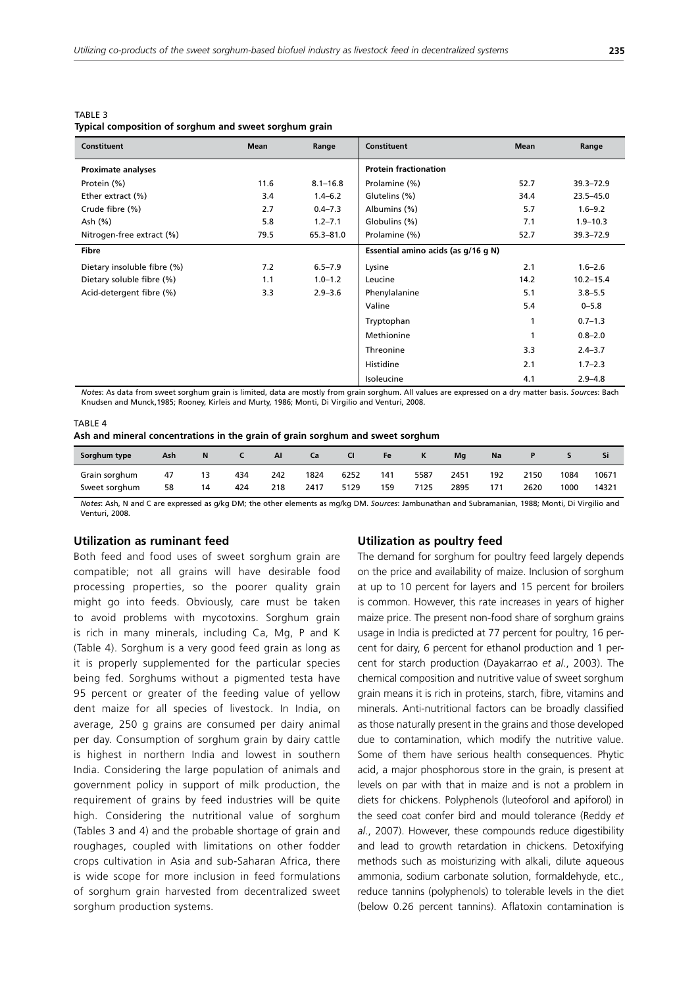TABLE 3 **Typical composition of sorghum and sweet sorghum grain**

| Constituent                 | Mean | Range        | Constituent                         | Mean | Range         |
|-----------------------------|------|--------------|-------------------------------------|------|---------------|
| <b>Proximate analyses</b>   |      |              | <b>Protein fractionation</b>        |      |               |
| Protein (%)                 | 11.6 | $8.1 - 16.8$ | Prolamine (%)                       | 52.7 | $39.3 - 72.9$ |
| Ether extract (%)           | 3.4  | $1.4 - 6.2$  | Glutelins (%)                       | 34.4 | $23.5 - 45.0$ |
| Crude fibre (%)             | 2.7  | $0.4 - 7.3$  | Albumins (%)                        | 5.7  | $1.6 - 9.2$   |
| Ash (%)                     | 5.8  | $1.2 - 7.1$  | Globulins (%)                       | 7.1  | $1.9 - 10.3$  |
| Nitrogen-free extract (%)   | 79.5 | 65.3-81.0    | Prolamine (%)                       | 52.7 | 39.3-72.9     |
| Fibre                       |      |              | Essential amino acids (as g/16 g N) |      |               |
| Dietary insoluble fibre (%) | 7.2  | $6.5 - 7.9$  | Lysine                              | 2.1  | $1.6 - 2.6$   |
| Dietary soluble fibre (%)   | 1.1  | $1.0 - 1.2$  | Leucine                             | 14.2 | $10.2 - 15.4$ |
| Acid-detergent fibre (%)    | 3.3  | $2.9 - 3.6$  | Phenylalanine                       | 5.1  | $3.8 - 5.5$   |
|                             |      |              | Valine                              | 5.4  | $0 - 5.8$     |
|                             |      |              | Tryptophan                          | 1    | $0.7 - 1.3$   |
|                             |      |              | Methionine                          | 1    | $0.8 - 2.0$   |
|                             |      |              | Threonine                           | 3.3  | $2.4 - 3.7$   |
|                             |      |              | Histidine                           | 2.1  | $1.7 - 2.3$   |
|                             |      |              | Isoleucine                          | 4.1  | $2.9 - 4.8$   |

Notes: As data from sweet sorghum grain is limited, data are mostly from grain sorghum. All values are expressed on a dry matter basis. Sources: Bach Knudsen and Munck, 1985; Rooney, Kirleis and Murty, 1986; Monti, Di Virgilio and Venturi, 2008.

#### TABLE 4

|  |  |  |  | Ash and mineral concentrations in the grain of grain sorghum and sweet sorghum |  |  |  |  |  |  |  |  |
|--|--|--|--|--------------------------------------------------------------------------------|--|--|--|--|--|--|--|--|
|--|--|--|--|--------------------------------------------------------------------------------|--|--|--|--|--|--|--|--|

| Sorghum type  | Ash | N  |     | AI  | Сa   |      | <b>Fe</b> |      | Ma   | Na  |      |      | וכ    |
|---------------|-----|----|-----|-----|------|------|-----------|------|------|-----|------|------|-------|
| Grain sorghum | 47  | 13 | 434 | 242 | 1824 | 6252 | 141       | 5587 | 2451 | 192 | 2150 | 1084 | 10671 |
| Sweet sorghum | 58  | 14 | 424 | 218 | 2417 | 5129 | 159       | 7125 | 2895 | 171 | 2620 | 1000 | 14321 |

Notes: Ash, N and C are expressed as g/kg DM; the other elements as mg/kg DM. Sources: Jambunathan and Subramanian, 1988; Monti, Di Virgilio and Venturi 2008

### **Utilization as ruminant feed**

Both feed and food uses of sweet sorghum grain are compatible; not all grains will have desirable food processing properties, so the poorer quality grain might go into feeds. Obviously, care must be taken to avoid problems with mycotoxins. Sorghum grain is rich in many minerals, including Ca, Mg, P and K (Table 4). Sorghum is a very good feed grain as long as it is properly supplemented for the particular species being fed. Sorghums without a pigmented testa have 95 percent or greater of the feeding value of yellow dent maize for all species of livestock. In India, on average, 250 g grains are consumed per dairy animal per day. Consumption of sorghum grain by dairy cattle is highest in northern India and lowest in southern India. Considering the large population of animals and government policy in support of milk production, the requirement of grains by feed industries will be quite high. Considering the nutritional value of sorghum (Tables 3 and 4) and the probable shortage of grain and roughages, coupled with limitations on other fodder crops cultivation in Asia and sub-Saharan Africa, there is wide scope for more inclusion in feed formulations of sorghum grain harvested from decentralized sweet sorghum production systems.

### **Utilization as poultry feed**

The demand for sorghum for poultry feed largely depends on the price and availability of maize. Inclusion of sorghum at up to 10 percent for layers and 15 percent for broilers is common. However, this rate increases in years of higher maize price. The present non-food share of sorghum grains usage in India is predicted at 77 percent for poultry, 16 percent for dairy, 6 percent for ethanol production and 1 percent for starch production (Dayakarrao *et al*., 2003). The chemical composition and nutritive value of sweet sorghum grain means it is rich in proteins, starch, fibre, vitamins and minerals. Anti-nutritional factors can be broadly classified as those naturally present in the grains and those developed due to contamination, which modify the nutritive value. Some of them have serious health consequences. Phytic acid, a major phosphorous store in the grain, is present at levels on par with that in maize and is not a problem in diets for chickens. Polyphenols (luteoforol and apiforol) in the seed coat confer bird and mould tolerance (Reddy *et al*., 2007). However, these compounds reduce digestibility and lead to growth retardation in chickens. Detoxifying methods such as moisturizing with alkali, dilute aqueous ammonia, sodium carbonate solution, formaldehyde, etc., reduce tannins (polyphenols) to tolerable levels in the diet (below 0.26 percent tannins). Aflatoxin contamination is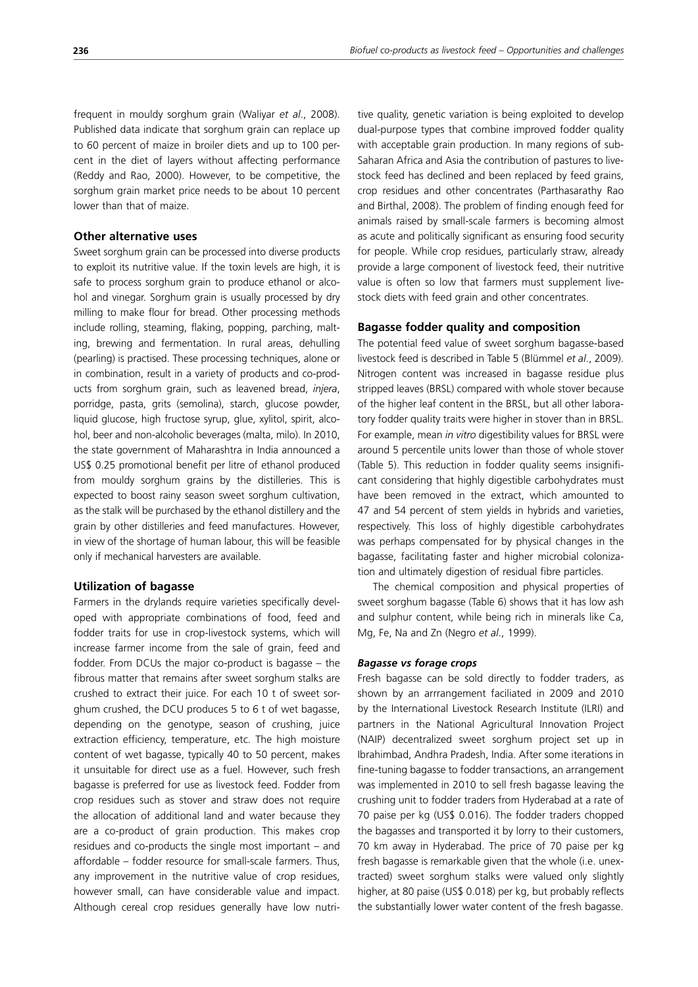frequent in mouldy sorghum grain (Waliyar *et al*., 2008). Published data indicate that sorghum grain can replace up to 60 percent of maize in broiler diets and up to 100 percent in the diet of layers without affecting performance (Reddy and Rao, 2000). However, to be competitive, the sorghum grain market price needs to be about 10 percent lower than that of maize.

## **Other alternative uses**

Sweet sorghum grain can be processed into diverse products to exploit its nutritive value. If the toxin levels are high, it is safe to process sorghum grain to produce ethanol or alcohol and vinegar. Sorghum grain is usually processed by dry milling to make flour for bread. Other processing methods include rolling, steaming, flaking, popping, parching, malting, brewing and fermentation. In rural areas, dehulling (pearling) is practised. These processing techniques, alone or in combination, result in a variety of products and co-products from sorghum grain, such as leavened bread, *injera*, porridge, pasta, grits (semolina), starch, glucose powder, liquid glucose, high fructose syrup, glue, xylitol, spirit, alcohol, beer and non-alcoholic beverages (malta, milo). In 2010, the state government of Maharashtra in India announced a US\$ 0.25 promotional benefit per litre of ethanol produced from mouldy sorghum grains by the distilleries. This is expected to boost rainy season sweet sorghum cultivation, as the stalk will be purchased by the ethanol distillery and the grain by other distilleries and feed manufactures. However, in view of the shortage of human labour, this will be feasible only if mechanical harvesters are available.

## **Utilization of bagasse**

Farmers in the drylands require varieties specifically developed with appropriate combinations of food, feed and fodder traits for use in crop-livestock systems, which will increase farmer income from the sale of grain, feed and fodder. From DCUs the major co-product is bagasse – the fibrous matter that remains after sweet sorghum stalks are crushed to extract their juice. For each 10 t of sweet sorghum crushed, the DCU produces 5 to 6 t of wet bagasse, depending on the genotype, season of crushing, juice extraction efficiency, temperature, etc. The high moisture content of wet bagasse, typically 40 to 50 percent, makes it unsuitable for direct use as a fuel. However, such fresh bagasse is preferred for use as livestock feed. Fodder from crop residues such as stover and straw does not require the allocation of additional land and water because they are a co-product of grain production. This makes crop residues and co-products the single most important – and affordable – fodder resource for small-scale farmers. Thus, any improvement in the nutritive value of crop residues, however small, can have considerable value and impact. Although cereal crop residues generally have low nutritive quality, genetic variation is being exploited to develop dual-purpose types that combine improved fodder quality with acceptable grain production. In many regions of sub-Saharan Africa and Asia the contribution of pastures to livestock feed has declined and been replaced by feed grains, crop residues and other concentrates (Parthasarathy Rao and Birthal, 2008). The problem of finding enough feed for animals raised by small-scale farmers is becoming almost as acute and politically significant as ensuring food security for people. While crop residues, particularly straw, already provide a large component of livestock feed, their nutritive value is often so low that farmers must supplement livestock diets with feed grain and other concentrates.

### **Bagasse fodder quality and composition**

The potential feed value of sweet sorghum bagasse-based livestock feed is described in Table 5 (Blümmel *et al*., 2009). Nitrogen content was increased in bagasse residue plus stripped leaves (BRSL) compared with whole stover because of the higher leaf content in the BRSL, but all other laboratory fodder quality traits were higher in stover than in BRSL. For example, mean *in vitro* digestibility values for BRSL were around 5 percentile units lower than those of whole stover (Table 5). This reduction in fodder quality seems insignificant considering that highly digestible carbohydrates must have been removed in the extract, which amounted to 47 and 54 percent of stem yields in hybrids and varieties, respectively. This loss of highly digestible carbohydrates was perhaps compensated for by physical changes in the bagasse, facilitating faster and higher microbial colonization and ultimately digestion of residual fibre particles.

The chemical composition and physical properties of sweet sorghum bagasse (Table 6) shows that it has low ash and sulphur content, while being rich in minerals like Ca, Mg, Fe, Na and Zn (Negro *et al*., 1999).

### *Bagasse vs forage crops*

Fresh bagasse can be sold directly to fodder traders, as shown by an arrrangement faciliated in 2009 and 2010 by the International Livestock Research Institute (ILRI) and partners in the National Agricultural Innovation Project (NAIP) decentralized sweet sorghum project set up in Ibrahimbad, Andhra Pradesh, India. After some iterations in fine-tuning bagasse to fodder transactions, an arrangement was implemented in 2010 to sell fresh bagasse leaving the crushing unit to fodder traders from Hyderabad at a rate of 70 paise per kg (US\$ 0.016). The fodder traders chopped the bagasses and transported it by lorry to their customers, 70 km away in Hyderabad. The price of 70 paise per kg fresh bagasse is remarkable given that the whole (i.e. unextracted) sweet sorghum stalks were valued only slightly higher, at 80 paise (US\$ 0.018) per kg, but probably reflects the substantially lower water content of the fresh bagasse.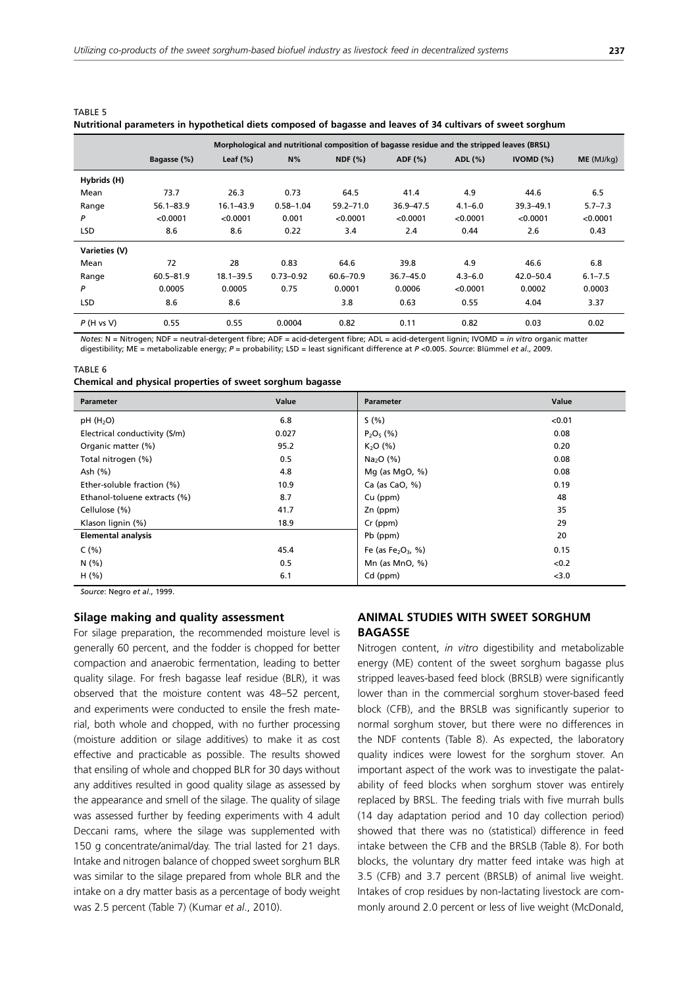|               |               |               |               |               | Morphological and nutritional composition of bagasse residue and the stripped leaves (BRSL) |             |               |             |
|---------------|---------------|---------------|---------------|---------------|---------------------------------------------------------------------------------------------|-------------|---------------|-------------|
|               | Bagasse (%)   | Leaf $(\%)$   | N%            | NDF(%)        | ADF (%)                                                                                     | ADL (%)     | IVOMD $(%)$   | ME (MJ/kg)  |
| Hybrids (H)   |               |               |               |               |                                                                                             |             |               |             |
| Mean          | 73.7          | 26.3          | 0.73          | 64.5          | 41.4                                                                                        | 4.9         | 44.6          | 6.5         |
| Range         | $56.1 - 83.9$ | $16.1 - 43.9$ | $0.58 - 1.04$ | $59.2 - 71.0$ | 36.9-47.5                                                                                   | $4.1 - 6.0$ | $39.3 - 49.1$ | $5.7 - 7.3$ |
| P             | < 0.0001      | < 0.0001      | 0.001         | < 0.0001      | < 0.0001                                                                                    | < 0.0001    | < 0.0001      | < 0.0001    |
| <b>LSD</b>    | 8.6           | 8.6           | 0.22          | 3.4           | 2.4                                                                                         | 0.44        | 2.6           | 0.43        |
| Varieties (V) |               |               |               |               |                                                                                             |             |               |             |
| Mean          | 72            | 28            | 0.83          | 64.6          | 39.8                                                                                        | 4.9         | 46.6          | 6.8         |
| Range         | $60.5 - 81.9$ | $18.1 - 39.5$ | $0.73 - 0.92$ | $60.6 - 70.9$ | $36.7 - 45.0$                                                                               | $4.3 - 6.0$ | $42.0 - 50.4$ | $6.1 - 7.5$ |
| P             | 0.0005        | 0.0005        | 0.75          | 0.0001        | 0.0006                                                                                      | < 0.0001    | 0.0002        | 0.0003      |
| <b>LSD</b>    | 8.6           | 8.6           |               | 3.8           | 0.63                                                                                        | 0.55        | 4.04          | 3.37        |
| P(H vs V)     | 0.55          | 0.55          | 0.0004        | 0.82          | 0.11                                                                                        | 0.82        | 0.03          | 0.02        |

| TABLE 5 |                                                                                                              |  |  |  |  |
|---------|--------------------------------------------------------------------------------------------------------------|--|--|--|--|
|         | Nutritional parameters in hypothetical diets composed of bagasse and leaves of 34 cultivars of sweet sorghum |  |  |  |  |

*Notes*: N = Nitrogen; NDF = neutral-detergent fibre; ADF = acid-detergent fibre; ADL = acid-detergent lignin; IVOMD = in vitro organic matter digestibility; ME = metabolizable energy; P = probability; LSD = least significant difference at P <0.005. Source: Blümmel et al., 2009.

#### TARI F 6

|  | Chemical and physical properties of sweet sorghum bagasse |  |
|--|-----------------------------------------------------------|--|
|--|-----------------------------------------------------------|--|

| <b>Parameter</b>              | Value | Parameter                                  | Value  |
|-------------------------------|-------|--------------------------------------------|--------|
| pH(H <sub>2</sub> O)          | 6.8   | S(% )                                      | < 0.01 |
| Electrical conductivity (S/m) | 0.027 | $P_2O_5(%)$                                | 0.08   |
| Organic matter (%)            | 95.2  | K <sub>2</sub> O (%)                       | 0.20   |
| Total nitrogen (%)            | 0.5   | $Na2O$ (%)                                 | 0.08   |
| Ash (%)                       | 4.8   | Mg (as MgO, $\%$ )                         | 0.08   |
| Ether-soluble fraction (%)    | 10.9  | Ca (as CaO, $%$ )                          | 0.19   |
| Ethanol-toluene extracts (%)  | 8.7   | Cu (ppm)                                   | 48     |
| Cellulose (%)                 | 41.7  | Zn (ppm)                                   | 35     |
| Klason lignin (%)             | 18.9  | Cr (ppm)                                   | 29     |
| <b>Elemental analysis</b>     |       | Pb (ppm)                                   | 20     |
| C(% )                         | 45.4  | Fe (as Fe <sub>2</sub> O <sub>3</sub> , %) | 0.15   |
| N(% )                         | 0.5   | Mn (as $MnO, %$ )                          | < 0.2  |
| H(% )                         | 6.1   | Cd (ppm)                                   | < 3.0  |

Source: Negro et al., 1999.

## **Silage making and quality assessment**

For silage preparation, the recommended moisture level is generally 60 percent, and the fodder is chopped for better compaction and anaerobic fermentation, leading to better quality silage. For fresh bagasse leaf residue (BLR), it was observed that the moisture content was 48–52 percent, and experiments were conducted to ensile the fresh material, both whole and chopped, with no further processing (moisture addition or silage additives) to make it as cost effective and practicable as possible. The results showed that ensiling of whole and chopped BLR for 30 days without any additives resulted in good quality silage as assessed by the appearance and smell of the silage. The quality of silage was assessed further by feeding experiments with 4 adult Deccani rams, where the silage was supplemented with 150 g concentrate/animal/day. The trial lasted for 21 days. Intake and nitrogen balance of chopped sweet sorghum BLR was similar to the silage prepared from whole BLR and the intake on a dry matter basis as a percentage of body weight was 2.5 percent (Table 7) (Kumar *et al*., 2010).

# **ANIMAL STUDIES WITH SWEET SORGHUM BAGASSE**

Nitrogen content, *in vitro* digestibility and metabolizable energy (ME) content of the sweet sorghum bagasse plus stripped leaves-based feed block (BRSLB) were significantly lower than in the commercial sorghum stover-based feed block (CFB), and the BRSLB was significantly superior to normal sorghum stover, but there were no differences in the NDF contents (Table 8). As expected, the laboratory quality indices were lowest for the sorghum stover. An important aspect of the work was to investigate the palatability of feed blocks when sorghum stover was entirely replaced by BRSL. The feeding trials with five murrah bulls (14 day adaptation period and 10 day collection period) showed that there was no (statistical) difference in feed intake between the CFB and the BRSLB (Table 8). For both blocks, the voluntary dry matter feed intake was high at 3.5 (CFB) and 3.7 percent (BRSLB) of animal live weight. Intakes of crop residues by non-lactating livestock are commonly around 2.0 percent or less of live weight (McDonald,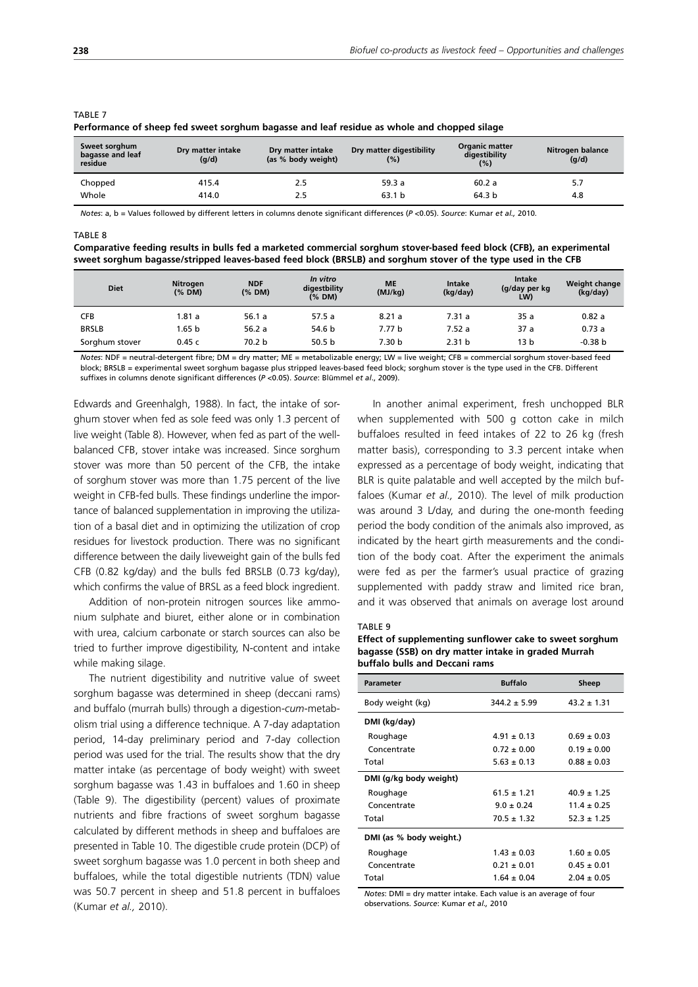| Sweet sorghum<br>bagasse and leaf<br>residue | Dry matter intake<br>(g/d) | Dry matter intake<br>(as % body weight) | Dry matter digestibility<br>(%) | <b>Organic matter</b><br>digestibility<br>(%) | Nitrogen balance<br>(g/d) |
|----------------------------------------------|----------------------------|-----------------------------------------|---------------------------------|-----------------------------------------------|---------------------------|
| Chopped                                      | 415.4                      | 2.5                                     | 59.3a                           | 60.2a                                         | 5.7                       |
| Whole                                        | 414.0                      | 2.5                                     | 63.1 <sub>b</sub>               | 64.3 b                                        | 4.8                       |

#### TABLE 7

**Performance of sheep fed sweet sorghum bagasse and leaf residue as whole and chopped silage**

*Notes*: a, b = Values followed by different letters in columns denote significant differences (P <0.05). Source: Kumar et al., 2010.

#### $T \triangle R$  $IF$  $R$

| Comparative feeding results in bulls fed a marketed commercial sorghum stover-based feed block (CFB), an experimental |
|-----------------------------------------------------------------------------------------------------------------------|
| sweet sorghum bagasse/stripped leaves-based feed block (BRSLB) and sorghum stover of the type used in the CFB         |

| <b>Diet</b>    | Nitrogen<br>(%DM) | <b>NDF</b><br>(% DM) | In vitro<br>digestbility<br>(% DM) | <b>ME</b><br>(MJ/kg) | Intake<br>(kg/day) | Intake<br>(g/day per kg<br>LW) | Weight change<br>(kg/day) |
|----------------|-------------------|----------------------|------------------------------------|----------------------|--------------------|--------------------------------|---------------------------|
| <b>CFB</b>     | 1.81 a            | 56.1a                | 57.5 a                             | 8.21a                | 7.31a              | 35a                            | 0.82a                     |
| <b>BRSLB</b>   | 1.65 b            | 56.2a                | 54.6 b                             | 7.77 b               | 7.52a              | 37a                            | 0.73a                     |
| Sorghum stover | 0.45c             | 70.2 b               | 50.5 <sub>b</sub>                  | 7.30 b               | 2.31 <sub>b</sub>  | 13 b                           | $-0.38 b$                 |

*Notes*: NDF = neutral-detergent fibre; DM = dry matter; ME = metabolizable energy; LW = live weight; CFB = commercial sorghum stover-based feed block; BRSLB = experimental sweet sorghum bagasse plus stripped leaves-based feed block; sorghum stover is the type used in the CFB. Different suffixes in columns denote significant differences (P <0.05). Source: Blümmel et al., 2009).

Edwards and Greenhalgh, 1988). In fact, the intake of sorghum stover when fed as sole feed was only 1.3 percent of live weight (Table 8). However, when fed as part of the wellbalanced CFB, stover intake was increased. Since sorghum stover was more than 50 percent of the CFB, the intake of sorghum stover was more than 1.75 percent of the live weight in CFB-fed bulls. These findings underline the importance of balanced supplementation in improving the utilization of a basal diet and in optimizing the utilization of crop residues for livestock production. There was no significant difference between the daily liveweight gain of the bulls fed CFB (0.82 kg/day) and the bulls fed BRSLB (0.73 kg/day), which confirms the value of BRSL as a feed block ingredient.

Addition of non-protein nitrogen sources like ammonium sulphate and biuret, either alone or in combination with urea, calcium carbonate or starch sources can also be tried to further improve digestibility, N-content and intake while making silage.

The nutrient digestibility and nutritive value of sweet sorghum bagasse was determined in sheep (deccani rams) and buffalo (murrah bulls) through a digestion-*cum*-metabolism trial using a difference technique. A 7-day adaptation period, 14-day preliminary period and 7-day collection period was used for the trial. The results show that the dry matter intake (as percentage of body weight) with sweet sorghum bagasse was 1.43 in buffaloes and 1.60 in sheep (Table 9). The digestibility (percent) values of proximate nutrients and fibre fractions of sweet sorghum bagasse calculated by different methods in sheep and buffaloes are presented in Table 10. The digestible crude protein (DCP) of sweet sorghum bagasse was 1.0 percent in both sheep and buffaloes, while the total digestible nutrients (TDN) value was 50.7 percent in sheep and 51.8 percent in buffaloes (Kumar *et al.,* 2010).

In another animal experiment, fresh unchopped BLR when supplemented with 500 g cotton cake in milch buffaloes resulted in feed intakes of 22 to 26 kg (fresh matter basis), corresponding to 3.3 percent intake when expressed as a percentage of body weight, indicating that BLR is quite palatable and well accepted by the milch buffaloes (Kumar *et al.,* 2010). The level of milk production was around 3 L/day, and during the one-month feeding period the body condition of the animals also improved, as indicated by the heart girth measurements and the condition of the body coat. After the experiment the animals were fed as per the farmer's usual practice of grazing supplemented with paddy straw and limited rice bran, and it was observed that animals on average lost around

#### TARIF 9

**Effect of supplementing sunflower cake to sweet sorghum bagasse (SSB) on dry matter intake in graded Murrah buffalo bulls and Deccani rams**

| <b>Parameter</b>        | <b>Buffalo</b>   | Sheep           |
|-------------------------|------------------|-----------------|
| Body weight (kg)        | $344.2 \pm 5.99$ | $43.2 \pm 1.31$ |
| DMI (kg/day)            |                  |                 |
| Roughage                | $4.91 + 0.13$    | $0.69 + 0.03$   |
| Concentrate             | $0.72 \pm 0.00$  | $0.19 \pm 0.00$ |
| Total                   | $5.63 \pm 0.13$  | $0.88 \pm 0.03$ |
| DMI (g/kg body weight)  |                  |                 |
| Roughage                | $61.5 \pm 1.21$  | $40.9 \pm 1.25$ |
| Concentrate             | $9.0 + 0.24$     | $11.4 + 0.25$   |
| Total                   | $70.5 \pm 1.32$  | $52.3 \pm 1.25$ |
| DMI (as % body weight.) |                  |                 |
| Roughage                | $1.43 \pm 0.03$  | $1.60 \pm 0.05$ |
| Concentrate             | $0.21 + 0.01$    | $0.45 \pm 0.01$ |
| Total                   | $1.64 \pm 0.04$  | $2.04 \pm 0.05$ |

*Notes*: DMI = dry matter intake. Each value is an average of four observations. Source: Kumar et al., 2010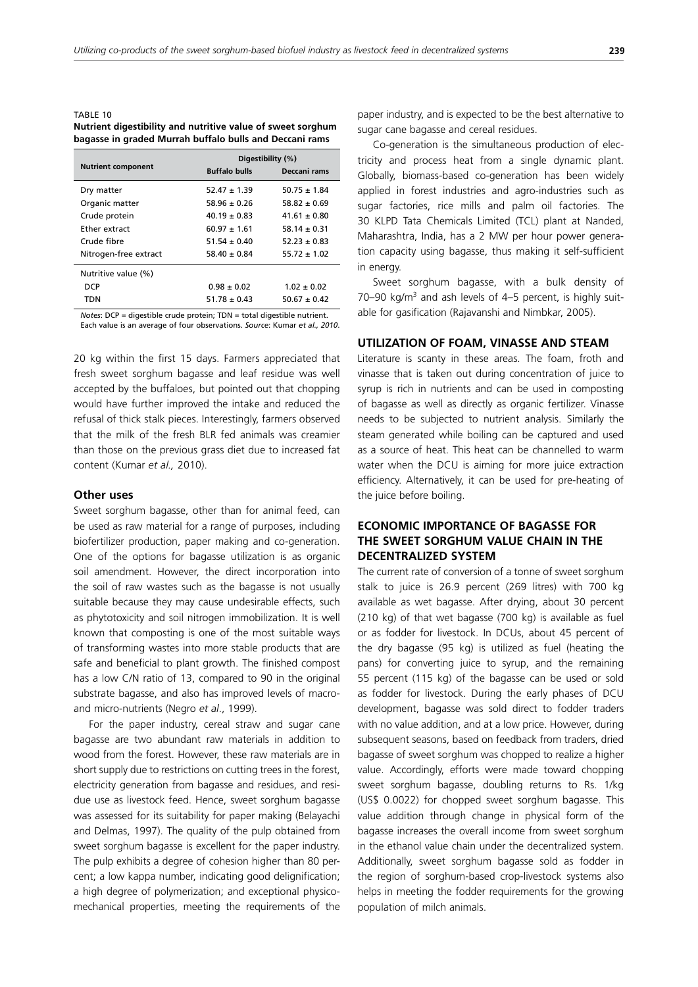### TARI F 10 **Nutrient digestibility and nutritive value of sweet sorghum bagasse in graded Murrah buffalo bulls and Deccani rams**

| <b>Nutrient component</b> | <b>Buffalo bulls</b> | Digestibility (%)<br>Deccani rams |
|---------------------------|----------------------|-----------------------------------|
| Dry matter                | $52.47 \pm 1.39$     | $50.75 \pm 1.84$                  |
| Organic matter            | $58.96 \pm 0.26$     | $58.82 \pm 0.69$                  |
| Crude protein             | $40.19 \pm 0.83$     | $41.61 \pm 0.80$                  |
| <b>Fther extract</b>      | $60.97 \pm 1.61$     | $58.14 \pm 0.31$                  |
| Crude fibre               | $51.54 \pm 0.40$     | $52.23 \pm 0.83$                  |
| Nitrogen-free extract     | $58.40 \pm 0.84$     | $55.72 \pm 1.02$                  |
| Nutritive value (%)       |                      |                                   |
| <b>DCP</b>                | $0.98 \pm 0.02$      | $1.02 \pm 0.02$                   |
| <b>TDN</b>                | $51.78 \pm 0.43$     | $50.67 \pm 0.42$                  |
|                           |                      |                                   |

*Notes*:  $DCP =$  digestible crude protein;  $TDN =$  total digestible nutrient. Each value is an average of four observations. Source: Kumar et al., 2010.

20 kg within the first 15 days. Farmers appreciated that fresh sweet sorghum bagasse and leaf residue was well accepted by the buffaloes, but pointed out that chopping would have further improved the intake and reduced the refusal of thick stalk pieces. Interestingly, farmers observed that the milk of the fresh BLR fed animals was creamier than those on the previous grass diet due to increased fat content (Kumar *et al.,* 2010).

### **Other uses**

Sweet sorghum bagasse, other than for animal feed, can be used as raw material for a range of purposes, including biofertilizer production, paper making and co-generation. One of the options for bagasse utilization is as organic soil amendment. However, the direct incorporation into the soil of raw wastes such as the bagasse is not usually suitable because they may cause undesirable effects, such as phytotoxicity and soil nitrogen immobilization. It is well known that composting is one of the most suitable ways of transforming wastes into more stable products that are safe and beneficial to plant growth. The finished compost has a low C/N ratio of 13, compared to 90 in the original substrate bagasse, and also has improved levels of macroand micro-nutrients (Negro *et al*., 1999).

For the paper industry, cereal straw and sugar cane bagasse are two abundant raw materials in addition to wood from the forest. However, these raw materials are in short supply due to restrictions on cutting trees in the forest, electricity generation from bagasse and residues, and residue use as livestock feed. Hence, sweet sorghum bagasse was assessed for its suitability for paper making (Belayachi and Delmas, 1997). The quality of the pulp obtained from sweet sorghum bagasse is excellent for the paper industry. The pulp exhibits a degree of cohesion higher than 80 percent; a low kappa number, indicating good delignification; a high degree of polymerization; and exceptional physicomechanical properties, meeting the requirements of the paper industry, and is expected to be the best alternative to sugar cane bagasse and cereal residues.

Co-generation is the simultaneous production of electricity and process heat from a single dynamic plant. Globally, biomass-based co-generation has been widely applied in forest industries and agro-industries such as sugar factories, rice mills and palm oil factories. The 30 KLPD Tata Chemicals Limited (TCL) plant at Nanded, Maharashtra, India, has a 2 MW per hour power generation capacity using bagasse, thus making it self-sufficient in energy.

Sweet sorghum bagasse, with a bulk density of  $70-90$  kg/m<sup>3</sup> and ash levels of  $4-5$  percent, is highly suitable for gasification (Rajavanshi and Nimbkar, 2005).

### **UTILIZATION OF FOAM, VINASSE AND STEAM**

Literature is scanty in these areas. The foam, froth and vinasse that is taken out during concentration of juice to syrup is rich in nutrients and can be used in composting of bagasse as well as directly as organic fertilizer. Vinasse needs to be subjected to nutrient analysis. Similarly the steam generated while boiling can be captured and used as a source of heat. This heat can be channelled to warm water when the DCU is aiming for more juice extraction efficiency. Alternatively, it can be used for pre-heating of the juice before boiling.

# **ECONOMIC IMPORTANCE OF BAGASSE FOR THE SWEET SORGHUM VALUE CHAIN IN THE DECENTRALIZED SYSTEM**

The current rate of conversion of a tonne of sweet sorghum stalk to juice is 26.9 percent (269 litres) with 700 kg available as wet bagasse. After drying, about 30 percent (210 kg) of that wet bagasse (700 kg) is available as fuel or as fodder for livestock. In DCUs, about 45 percent of the dry bagasse (95 kg) is utilized as fuel (heating the pans) for converting juice to syrup, and the remaining 55 percent (115 kg) of the bagasse can be used or sold as fodder for livestock. During the early phases of DCU development, bagasse was sold direct to fodder traders with no value addition, and at a low price. However, during subsequent seasons, based on feedback from traders, dried bagasse of sweet sorghum was chopped to realize a higher value. Accordingly, efforts were made toward chopping sweet sorghum bagasse, doubling returns to Rs. 1/kg (US\$ 0.0022) for chopped sweet sorghum bagasse. This value addition through change in physical form of the bagasse increases the overall income from sweet sorghum in the ethanol value chain under the decentralized system. Additionally, sweet sorghum bagasse sold as fodder in the region of sorghum-based crop-livestock systems also helps in meeting the fodder requirements for the growing population of milch animals.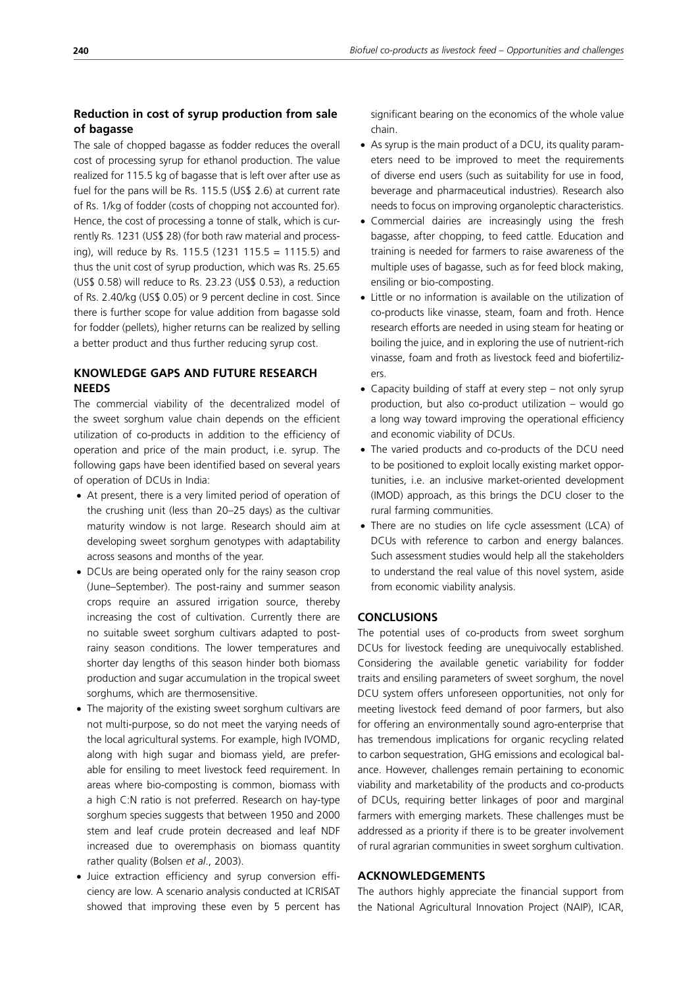# **Reduction in cost of syrup production from sale of bagasse**

The sale of chopped bagasse as fodder reduces the overall cost of processing syrup for ethanol production. The value realized for 115.5 kg of bagasse that is left over after use as fuel for the pans will be Rs. 115.5 (US\$ 2.6) at current rate of Rs. 1/kg of fodder (costs of chopping not accounted for). Hence, the cost of processing a tonne of stalk, which is currently Rs. 1231 (US\$ 28) (for both raw material and processing), will reduce by Rs. 115.5 (1231 115.5 = 1115.5) and thus the unit cost of syrup production, which was Rs. 25.65 (US\$ 0.58) will reduce to Rs. 23.23 (US\$ 0.53), a reduction of Rs. 2.40/kg (US\$ 0.05) or 9 percent decline in cost. Since there is further scope for value addition from bagasse sold for fodder (pellets), higher returns can be realized by selling a better product and thus further reducing syrup cost.

# **KNOWLEDGE GAPS AND FUTURE RESEARCH NEEDS**

The commercial viability of the decentralized model of the sweet sorghum value chain depends on the efficient utilization of co-products in addition to the efficiency of operation and price of the main product, i.e. syrup. The following gaps have been identified based on several years of operation of DCUs in India:

- At present, there is a very limited period of operation of the crushing unit (less than 20–25 days) as the cultivar maturity window is not large. Research should aim at developing sweet sorghum genotypes with adaptability across seasons and months of the year.
- DCUs are being operated only for the rainy season crop (June–September). The post-rainy and summer season crops require an assured irrigation source, thereby increasing the cost of cultivation. Currently there are no suitable sweet sorghum cultivars adapted to postrainy season conditions. The lower temperatures and shorter day lengths of this season hinder both biomass production and sugar accumulation in the tropical sweet sorghums, which are thermosensitive.
- The majority of the existing sweet sorghum cultivars are not multi-purpose, so do not meet the varying needs of the local agricultural systems. For example, high IVOMD, along with high sugar and biomass yield, are preferable for ensiling to meet livestock feed requirement. In areas where bio-composting is common, biomass with a high C:N ratio is not preferred. Research on hay-type sorghum species suggests that between 1950 and 2000 stem and leaf crude protein decreased and leaf NDF increased due to overemphasis on biomass quantity rather quality (Bolsen *et al*., 2003).
- Juice extraction efficiency and syrup conversion efficiency are low. A scenario analysis conducted at ICRISAT showed that improving these even by 5 percent has

significant bearing on the economics of the whole value chain.

- As syrup is the main product of a DCU, its quality parameters need to be improved to meet the requirements of diverse end users (such as suitability for use in food, beverage and pharmaceutical industries). Research also needs to focus on improving organoleptic characteristics.
- Commercial dairies are increasingly using the fresh bagasse, after chopping, to feed cattle. Education and training is needed for farmers to raise awareness of the multiple uses of bagasse, such as for feed block making, ensiling or bio-composting.
- Little or no information is available on the utilization of co-products like vinasse, steam, foam and froth. Hence research efforts are needed in using steam for heating or boiling the juice, and in exploring the use of nutrient-rich vinasse, foam and froth as livestock feed and biofertilizers.
- Capacity building of staff at every step not only syrup production, but also co-product utilization – would go a long way toward improving the operational efficiency and economic viability of DCUs.
- The varied products and co-products of the DCU need to be positioned to exploit locally existing market opportunities, i.e. an inclusive market-oriented development (IMOD) approach, as this brings the DCU closer to the rural farming communities.
- There are no studies on life cycle assessment (LCA) of DCUs with reference to carbon and energy balances. Such assessment studies would help all the stakeholders to understand the real value of this novel system, aside from economic viability analysis.

# **CONCLUSIONS**

The potential uses of co-products from sweet sorghum DCUs for livestock feeding are unequivocally established. Considering the available genetic variability for fodder traits and ensiling parameters of sweet sorghum, the novel DCU system offers unforeseen opportunities, not only for meeting livestock feed demand of poor farmers, but also for offering an environmentally sound agro-enterprise that has tremendous implications for organic recycling related to carbon sequestration, GHG emissions and ecological balance. However, challenges remain pertaining to economic viability and marketability of the products and co-products of DCUs, requiring better linkages of poor and marginal farmers with emerging markets. These challenges must be addressed as a priority if there is to be greater involvement of rural agrarian communities in sweet sorghum cultivation.

# **ACKNOWLEDGEMENTS**

The authors highly appreciate the financial support from the National Agricultural Innovation Project (NAIP), ICAR,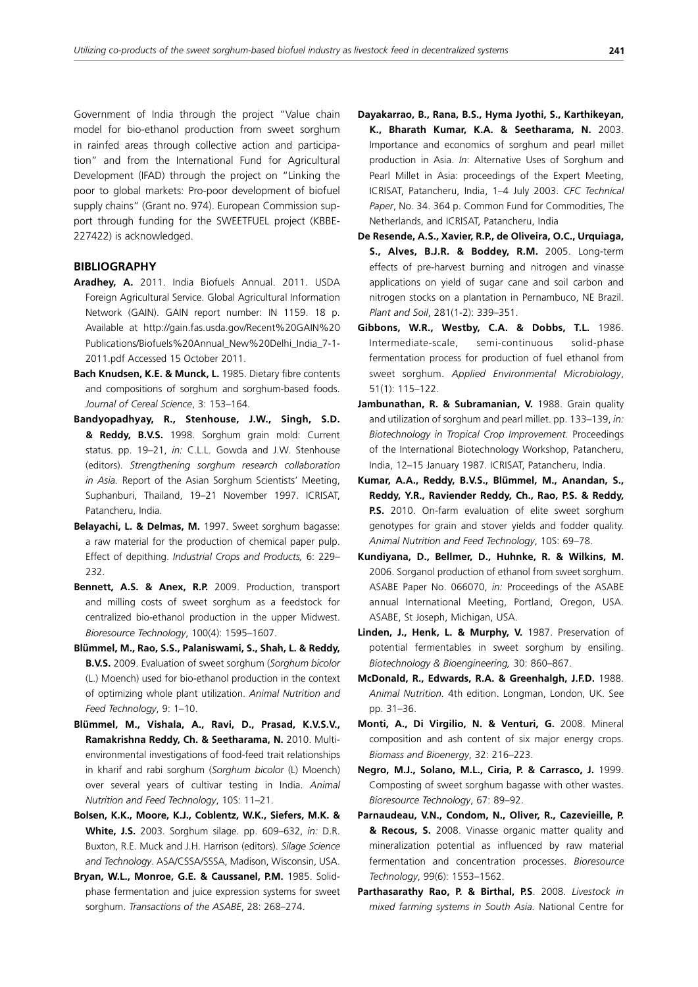Government of India through the project "Value chain model for bio-ethanol production from sweet sorghum in rainfed areas through collective action and participation" and from the International Fund for Agricultural Development (IFAD) through the project on "Linking the poor to global markets: Pro-poor development of biofuel supply chains" (Grant no. 974). European Commission support through funding for the SWEETFUEL project (KBBE-227422) is acknowledged.

## **BIBLIOGRAPHY**

- **Aradhey, A.** 2011. India Biofuels Annual. 2011. USDA Foreign Agricultural Service. Global Agricultural Information Network (GAIN). GAIN report number: IN 1159. 18 p. Available at http://gain.fas.usda.gov/Recent%20GAIN%20 Publications/Biofuels%20Annual\_New%20Delhi\_India\_7-1- 2011.pdf Accessed 15 October 2011.
- **Bach Knudsen, K.E. & Munck, L.** 1985. Dietary fibre contents and compositions of sorghum and sorghum-based foods. *Journal of Cereal Science*, 3: 153–164.
- **Bandyopadhyay, R., Stenhouse, J.W., Singh, S.D. & Reddy, B.V.S.** 1998. Sorghum grain mold: Current status. pp. 19–21, *in:* C.L.L. Gowda and J.W. Stenhouse (editors). *Strengthening sorghum research collaboration in Asia.* Report of the Asian Sorghum Scientists' Meeting, Suphanburi, Thailand, 19–21 November 1997. ICRISAT, Patancheru, India.
- **Belayachi, L. & Delmas, M.** 1997. Sweet sorghum bagasse: a raw material for the production of chemical paper pulp. Effect of depithing. *Industrial Crops and Products,* 6: 229– 232.
- **Bennett, A.S. & Anex, R.P.** 2009. Production, transport and milling costs of sweet sorghum as a feedstock for centralized bio-ethanol production in the upper Midwest. *Bioresource Technology*, 100(4): 1595–1607.
- **Blümmel, M., Rao, S.S., Palaniswami, S., Shah, L. & Reddy, B.V.S.** 2009. Evaluation of sweet sorghum (*Sorghum bicolor* (L.) Moench) used for bio-ethanol production in the context of optimizing whole plant utilization. *Animal Nutrition and Feed Technology*, 9: 1–10.
- **Blümmel, M., Vishala, A., Ravi, D., Prasad, K.V.S.V., Ramakrishna Reddy, Ch. & Seetharama, N.** 2010. Multienvironmental investigations of food-feed trait relationships in kharif and rabi sorghum (*Sorghum bicolor* (L) Moench) over several years of cultivar testing in India. *Animal Nutrition and Feed Technology*, 10S: 11–21.
- **Bolsen, K.K., Moore, K.J., Coblentz, W.K., Siefers, M.K. & White, J.S.** 2003. Sorghum silage. pp. 609–632, *in:* D.R. Buxton, R.E. Muck and J.H. Harrison (editors). *Silage Science and Technology*. ASA/CSSA/SSSA, Madison, Wisconsin, USA.
- **Bryan, W.L., Monroe, G.E. & Caussanel, P.M.** 1985. Solidphase fermentation and juice expression systems for sweet sorghum. *Transactions of the ASABE*, 28: 268–274.
- **Dayakarrao, B., Rana, B.S., Hyma Jyothi, S., Karthikeyan, K., Bharath Kumar, K.A. & Seetharama, N.** 2003. Importance and economics of sorghum and pearl millet production in Asia. *In*: Alternative Uses of Sorghum and Pearl Millet in Asia: proceedings of the Expert Meeting, ICRISAT, Patancheru, India, 1–4 July 2003. *CFC Technical Paper*, No. 34. 364 p. Common Fund for Commodities, The Netherlands, and ICRISAT, Patancheru, India
- **De Resende, A.S., Xavier, R.P., de Oliveira, O.C., Urquiaga, S., Alves, B.J.R. & Boddey, R.M.** 2005. Long-term effects of pre-harvest burning and nitrogen and vinasse applications on yield of sugar cane and soil carbon and nitrogen stocks on a plantation in Pernambuco, NE Brazil. *Plant and Soil*, 281(1-2): 339–351.
- **Gibbons, W.R., Westby, C.A. & Dobbs, T.L.** 1986. Intermediate-scale, semi-continuous solid-phase fermentation process for production of fuel ethanol from sweet sorghum. *Applied Environmental Microbiology*, 51(1): 115–122.
- Jambunathan, R. & Subramanian, V. 1988. Grain quality and utilization of sorghum and pearl millet. pp. 133–139, *in: Biotechnology in Tropical Crop Improvement.* Proceedings of the International Biotechnology Workshop, Patancheru, India, 12–15 January 1987. ICRISAT, Patancheru, India.
- **Kumar, A.A., Reddy, B.V.S., Blümmel, M., Anandan, S., Reddy, Y.R., Raviender Reddy, Ch., Rao, P.S. & Reddy, P.S.** 2010. On-farm evaluation of elite sweet sorghum genotypes for grain and stover yields and fodder quality. *Animal Nutrition and Feed Technology*, 10S: 69–78.
- **Kundiyana, D., Bellmer, D., Huhnke, R. & Wilkins, M.** 2006. Sorganol production of ethanol from sweet sorghum. ASABE Paper No. 066070, *in:* Proceedings of the ASABE annual International Meeting, Portland, Oregon, USA. ASABE, St Joseph, Michigan, USA.
- **Linden, J., Henk, L. & Murphy, V.** 1987. Preservation of potential fermentables in sweet sorghum by ensiling. *Biotechnology & Bioengineering,* 30: 860–867.
- **McDonald, R., Edwards, R.A. & Greenhalgh, J.F.D.** 1988. *Animal Nutrition.* 4th edition. Longman, London, UK. See pp. 31–36.
- **Monti, A., Di Virgilio, N. & Venturi, G.** 2008. Mineral composition and ash content of six major energy crops. *Biomass and Bioenergy*, 32: 216–223.
- **Negro, M.J., Solano, M.L., Ciria, P. & Carrasco, J.** 1999. Composting of sweet sorghum bagasse with other wastes. *Bioresource Technology*, 67: 89–92.
- **Parnaudeau, V.N., Condom, N., Oliver, R., Cazevieille, P. & Recous, S.** 2008. Vinasse organic matter quality and mineralization potential as influenced by raw material fermentation and concentration processes. *Bioresource Technology*, 99(6): 1553–1562.
- **Parthasarathy Rao, P. & Birthal, P.S**. 2008. *Livestock in mixed farming systems in South Asia.* National Centre for